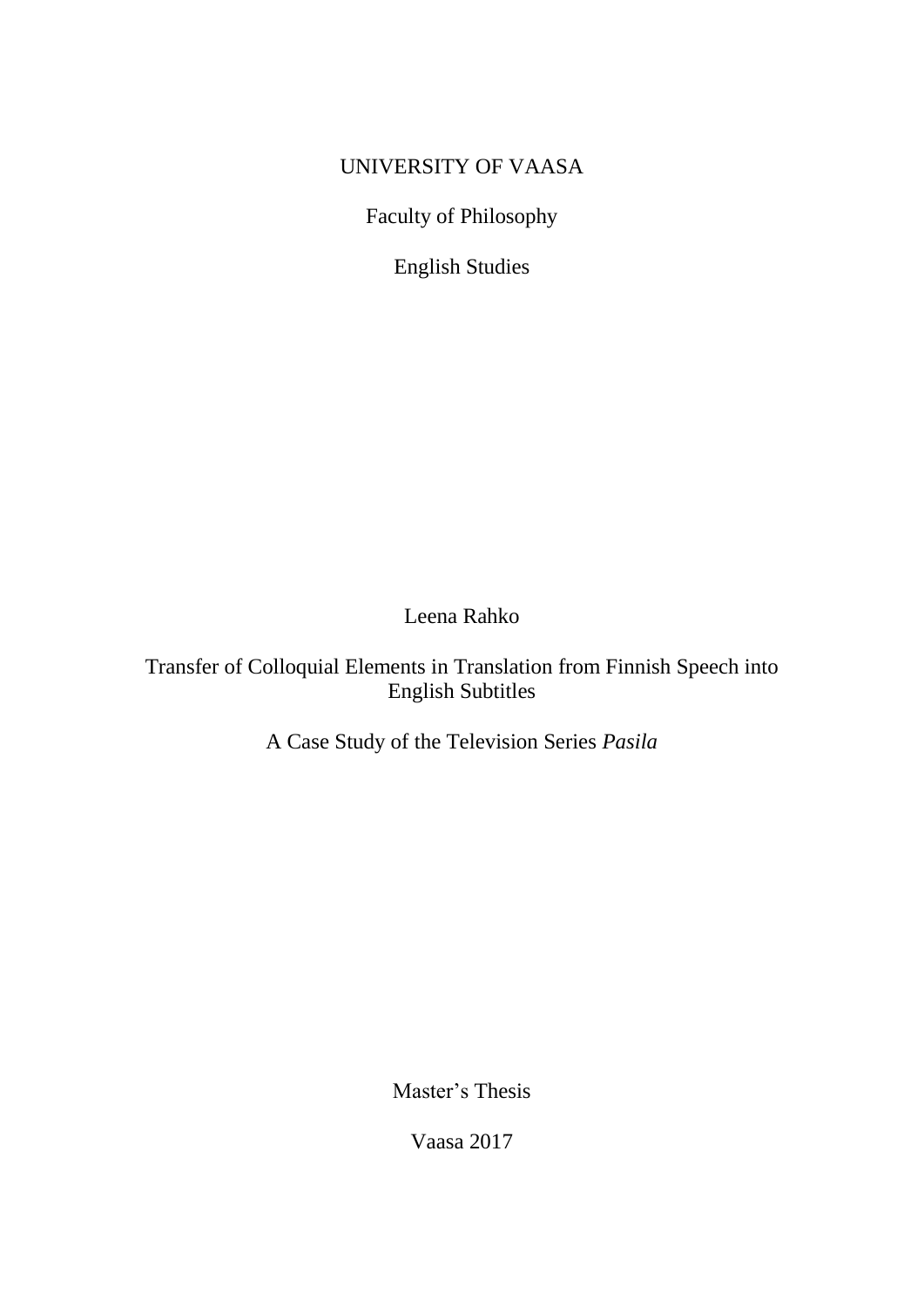# UNIVERSITY OF VAASA

Faculty of Philosophy

English Studies

Leena Rahko

Transfer of Colloquial Elements in Translation from Finnish Speech into English Subtitles

A Case Study of the Television Series *Pasila*

Master's Thesis

Vaasa 2017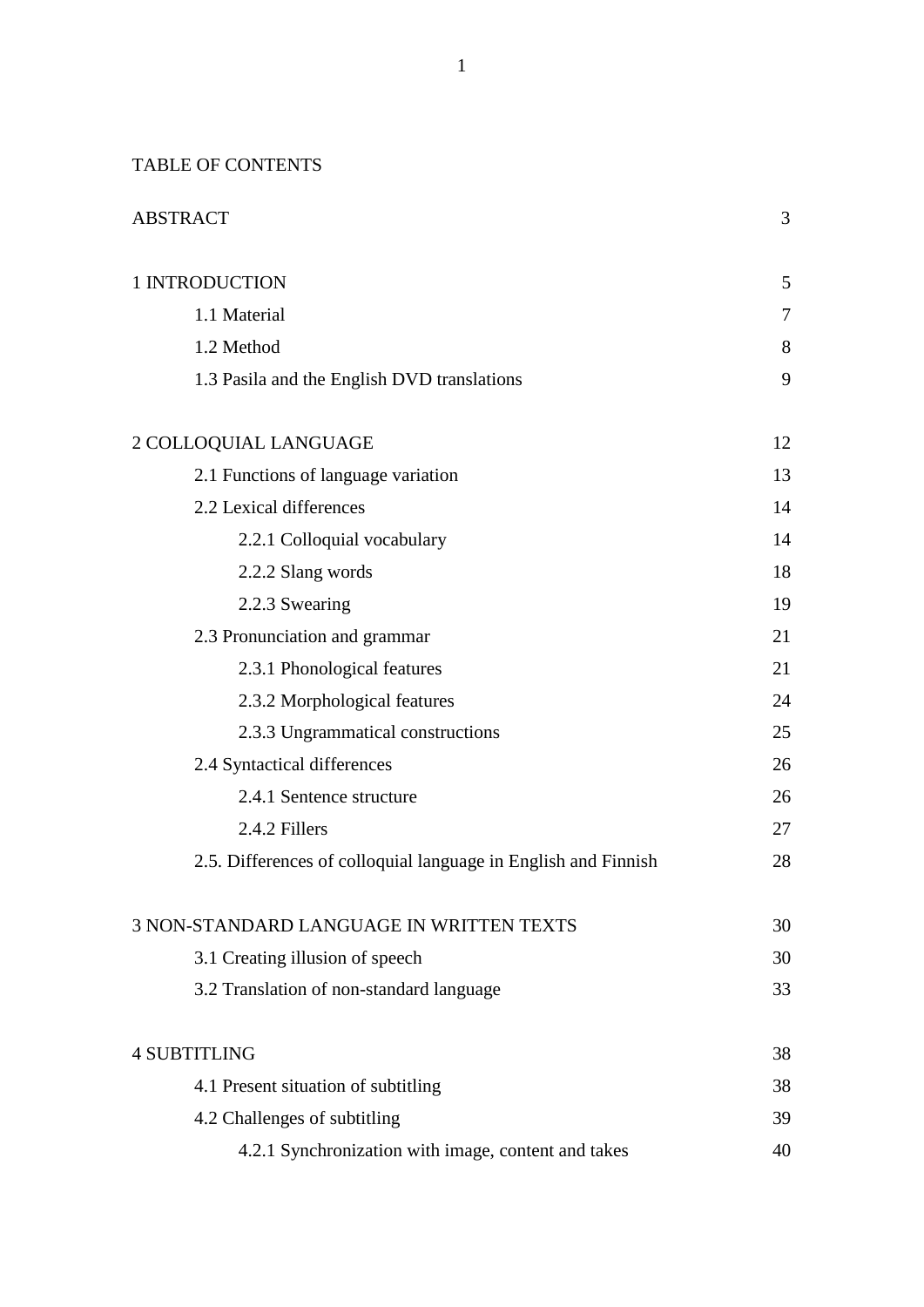## TABLE OF CONTENTS

| <b>ABSTRACT</b>                                                |        |
|----------------------------------------------------------------|--------|
| 1 INTRODUCTION                                                 | 5      |
| 1.1 Material                                                   | $\tau$ |
| 1.2 Method                                                     | 8      |
| 1.3 Pasila and the English DVD translations                    | 9      |
| 2 COLLOQUIAL LANGUAGE                                          | 12     |
| 2.1 Functions of language variation                            | 13     |
| 2.2 Lexical differences                                        | 14     |
| 2.2.1 Colloquial vocabulary                                    | 14     |
| 2.2.2 Slang words                                              | 18     |
| 2.2.3 Swearing                                                 | 19     |
| 2.3 Pronunciation and grammar                                  | 21     |
| 2.3.1 Phonological features                                    | 21     |
| 2.3.2 Morphological features                                   | 24     |
| 2.3.3 Ungrammatical constructions                              | 25     |
| 2.4 Syntactical differences                                    | 26     |
| 2.4.1 Sentence structure                                       | 26     |
| 2.4.2 Fillers                                                  | 27     |
| 2.5. Differences of colloquial language in English and Finnish | 28     |
| <b>3 NON-STANDARD LANGUAGE IN WRITTEN TEXTS</b>                | 30     |
| 3.1 Creating illusion of speech                                | 30     |
| 3.2 Translation of non-standard language                       | 33     |
| <b>4 SUBTITLING</b>                                            | 38     |
| 4.1 Present situation of subtitling                            | 38     |
| 4.2 Challenges of subtitling                                   | 39     |
| 4.2.1 Synchronization with image, content and takes            | 40     |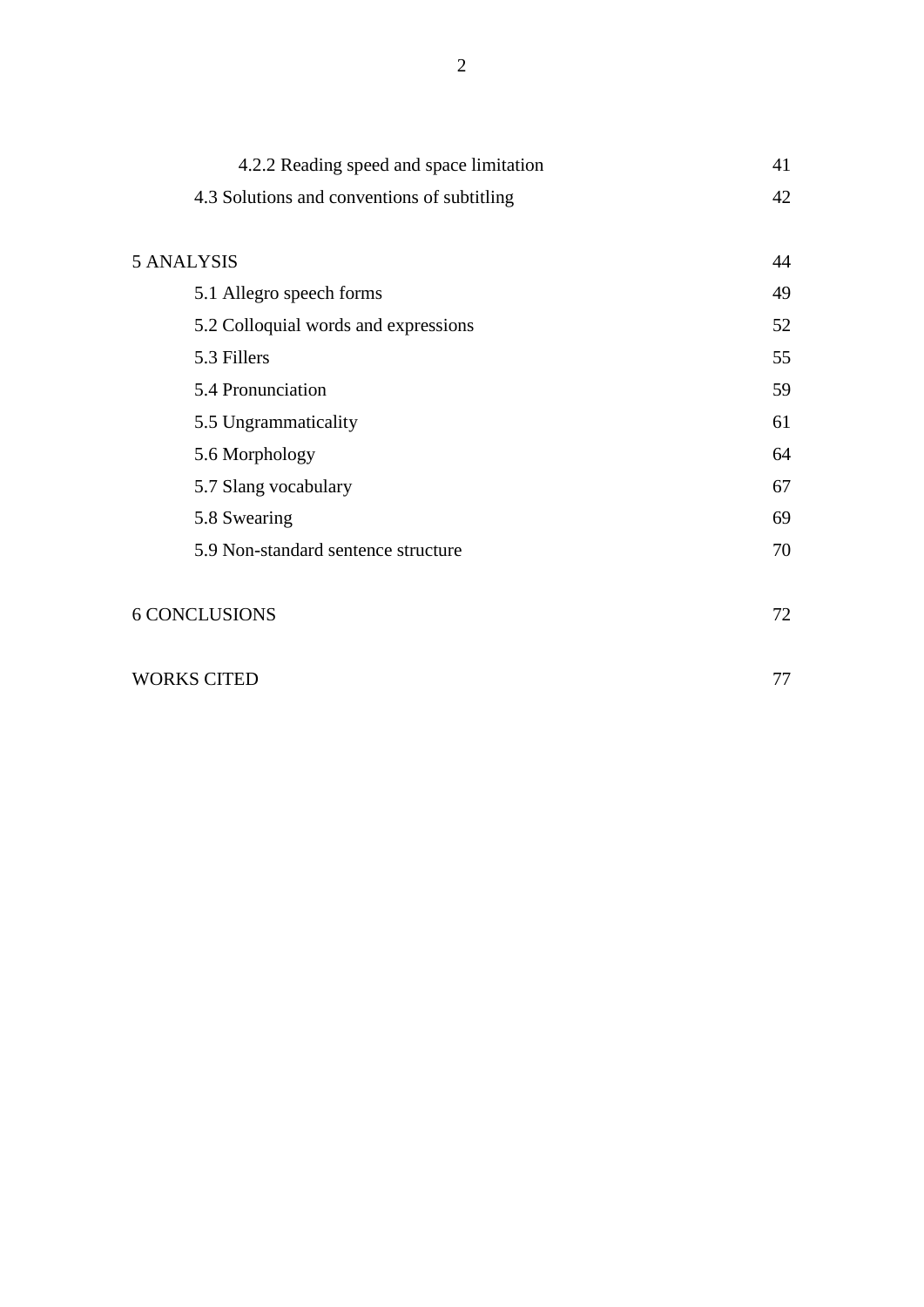| 4.2.2 Reading speed and space limitation    | 41 |
|---------------------------------------------|----|
| 4.3 Solutions and conventions of subtitling | 42 |
|                                             |    |
| <b>5 ANALYSIS</b>                           | 44 |
| 5.1 Allegro speech forms                    | 49 |
| 5.2 Colloquial words and expressions        | 52 |
| 5.3 Fillers                                 | 55 |
| 5.4 Pronunciation                           | 59 |
| 5.5 Ungrammaticality                        | 61 |
| 5.6 Morphology                              | 64 |
| 5.7 Slang vocabulary                        | 67 |
| 5.8 Swearing                                | 69 |
| 5.9 Non-standard sentence structure         | 70 |
|                                             |    |
| <b>6 CONCLUSIONS</b>                        | 72 |

| <b>WORKS CITED</b> |  |
|--------------------|--|
|--------------------|--|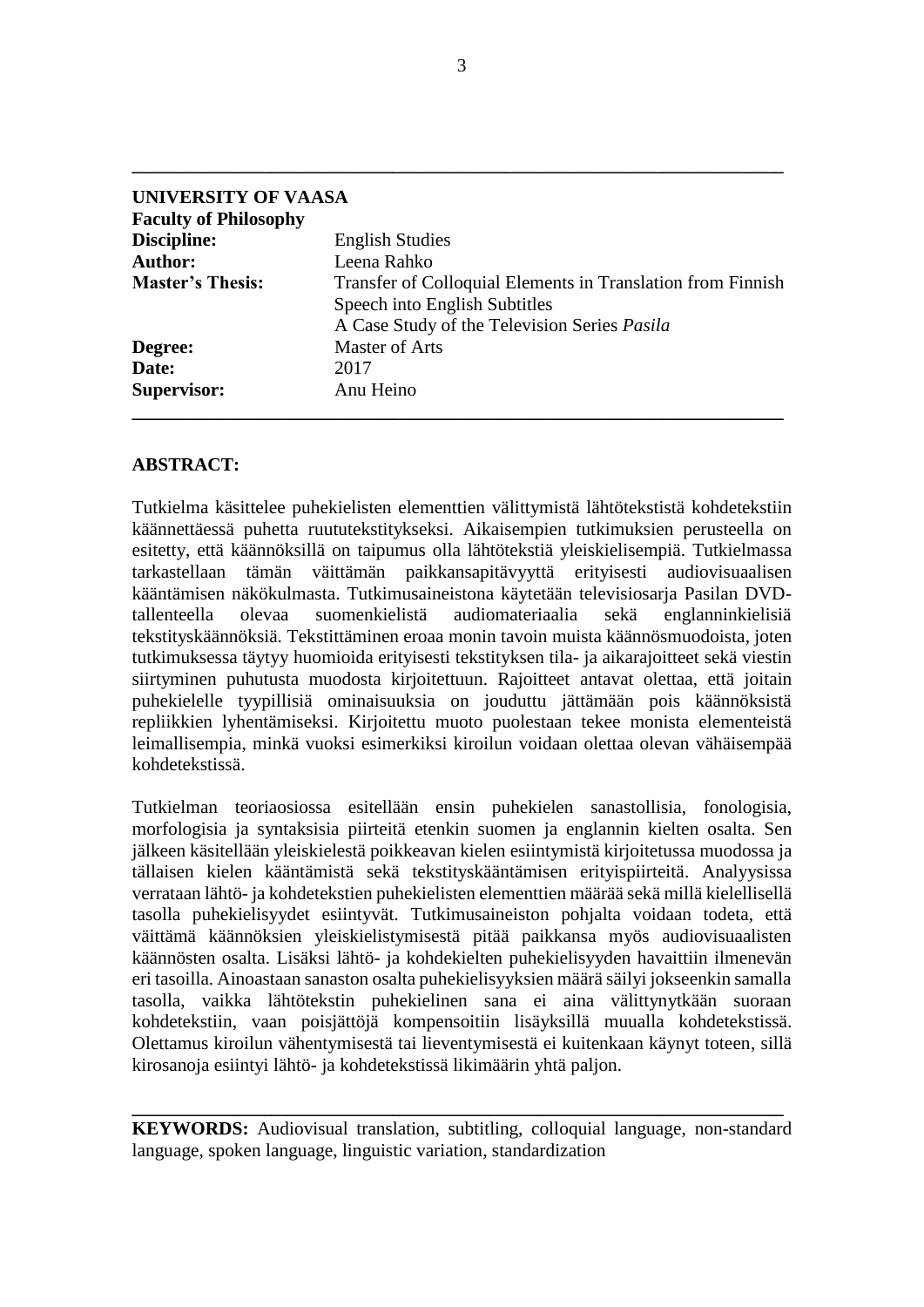| UNIVERSITY OF VAASA          |                                                                                                                                              |
|------------------------------|----------------------------------------------------------------------------------------------------------------------------------------------|
| <b>Faculty of Philosophy</b> |                                                                                                                                              |
| Discipline:                  | <b>English Studies</b>                                                                                                                       |
| <b>Author:</b>               | Leena Rahko                                                                                                                                  |
| <b>Master's Thesis:</b>      | Transfer of Colloquial Elements in Translation from Finnish<br>Speech into English Subtitles<br>A Case Study of the Television Series Pasila |
| Degree:                      | <b>Master of Arts</b>                                                                                                                        |
| Date:                        | 2017                                                                                                                                         |
| <b>Supervisor:</b>           | Anu Heino                                                                                                                                    |

## **ABSTRACT:**

Tutkielma käsittelee puhekielisten elementtien välittymistä lähtötekstistä kohdetekstiin käännettäessä puhetta ruututekstitykseksi. Aikaisempien tutkimuksien perusteella on esitetty, että käännöksillä on taipumus olla lähtötekstiä yleiskielisempiä. Tutkielmassa tarkastellaan tämän väittämän paikkansapitävyyttä erityisesti audiovisuaalisen kääntämisen näkökulmasta. Tutkimusaineistona käytetään televisiosarja Pasilan DVDtallenteella olevaa suomenkielistä audiomateriaalia sekä englanninkielisiä tekstityskäännöksiä. Tekstittäminen eroaa monin tavoin muista käännösmuodoista, joten tutkimuksessa täytyy huomioida erityisesti tekstityksen tila- ja aikarajoitteet sekä viestin siirtyminen puhutusta muodosta kirjoitettuun. Rajoitteet antavat olettaa, että joitain puhekielelle tyypillisiä ominaisuuksia on jouduttu jättämään pois käännöksistä repliikkien lyhentämiseksi. Kirjoitettu muoto puolestaan tekee monista elementeistä leimallisempia, minkä vuoksi esimerkiksi kiroilun voidaan olettaa olevan vähäisempää kohdetekstissä.

Tutkielman teoriaosiossa esitellään ensin puhekielen sanastollisia, fonologisia, morfologisia ja syntaksisia piirteitä etenkin suomen ja englannin kielten osalta. Sen jälkeen käsitellään yleiskielestä poikkeavan kielen esiintymistä kirjoitetussa muodossa ja tällaisen kielen kääntämistä sekä tekstityskääntämisen erityispiirteitä. Analyysissa verrataan lähtö- ja kohdetekstien puhekielisten elementtien määrää sekä millä kielellisellä tasolla puhekielisyydet esiintyvät. Tutkimusaineiston pohjalta voidaan todeta, että väittämä käännöksien yleiskielistymisestä pitää paikkansa myös audiovisuaalisten käännösten osalta. Lisäksi lähtö- ja kohdekielten puhekielisyyden havaittiin ilmenevän eri tasoilla. Ainoastaan sanaston osalta puhekielisyyksien määrä säilyi jokseenkin samalla tasolla, vaikka lähtötekstin puhekielinen sana ei aina välittynytkään suoraan kohdetekstiin, vaan poisjättöjä kompensoitiin lisäyksillä muualla kohdetekstissä. Olettamus kiroilun vähentymisestä tai lieventymisestä ei kuitenkaan käynyt toteen, sillä kirosanoja esiintyi lähtö- ja kohdetekstissä likimäärin yhtä paljon.

**KEYWORDS:** Audiovisual translation, subtitling, colloquial language, non-standard language, spoken language, linguistic variation, standardization

**\_\_\_\_\_\_\_\_\_\_\_\_\_\_\_\_\_\_\_\_\_\_\_\_\_\_\_\_\_\_\_\_\_\_\_\_\_\_\_\_\_\_\_\_\_\_\_\_\_\_\_\_\_\_\_\_\_\_\_\_\_\_\_\_\_\_\_\_\_\_**

**\_\_\_\_\_\_\_\_\_\_\_\_\_\_\_\_\_\_\_\_\_\_\_\_\_\_\_\_\_\_\_\_\_\_\_\_\_\_\_\_\_\_\_\_\_\_\_\_\_\_\_\_\_\_\_\_\_\_\_\_\_\_\_\_\_\_\_\_\_\_**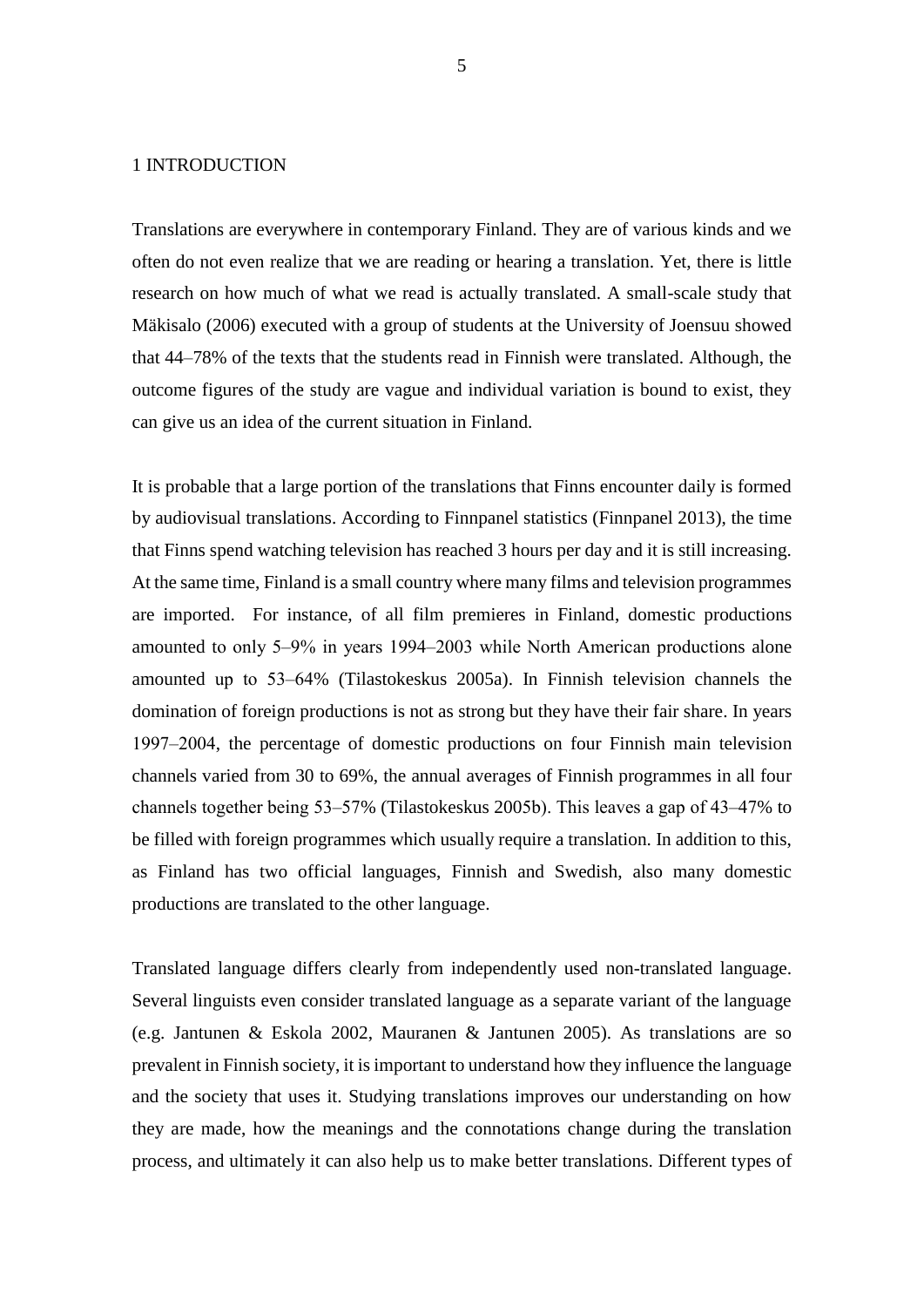#### <span id="page-5-0"></span>1 INTRODUCTION

Translations are everywhere in contemporary Finland. They are of various kinds and we often do not even realize that we are reading or hearing a translation. Yet, there is little research on how much of what we read is actually translated. A small-scale study that Mäkisalo (2006) executed with a group of students at the University of Joensuu showed that 44–78% of the texts that the students read in Finnish were translated. Although, the outcome figures of the study are vague and individual variation is bound to exist, they can give us an idea of the current situation in Finland.

It is probable that a large portion of the translations that Finns encounter daily is formed by audiovisual translations. According to Finnpanel statistics (Finnpanel 2013), the time that Finns spend watching television has reached 3 hours per day and it is still increasing. At the same time, Finland is a small country where many films and television programmes are imported. For instance, of all film premieres in Finland, domestic productions amounted to only 5‒9% in years 1994‒2003 while North American productions alone amounted up to 53‒64% (Tilastokeskus 2005a). In Finnish television channels the domination of foreign productions is not as strong but they have their fair share. In years 1997‒2004, the percentage of domestic productions on four Finnish main television channels varied from 30 to 69%, the annual averages of Finnish programmes in all four channels together being 53–57% (Tilastokeskus 2005b). This leaves a gap of 43–47% to be filled with foreign programmes which usually require a translation. In addition to this, as Finland has two official languages, Finnish and Swedish, also many domestic productions are translated to the other language.

Translated language differs clearly from independently used non-translated language. Several linguists even consider translated language as a separate variant of the language (e.g. Jantunen & Eskola 2002, Mauranen & Jantunen 2005). As translations are so prevalent in Finnish society, it is important to understand how they influence the language and the society that uses it. Studying translations improves our understanding on how they are made, how the meanings and the connotations change during the translation process, and ultimately it can also help us to make better translations. Different types of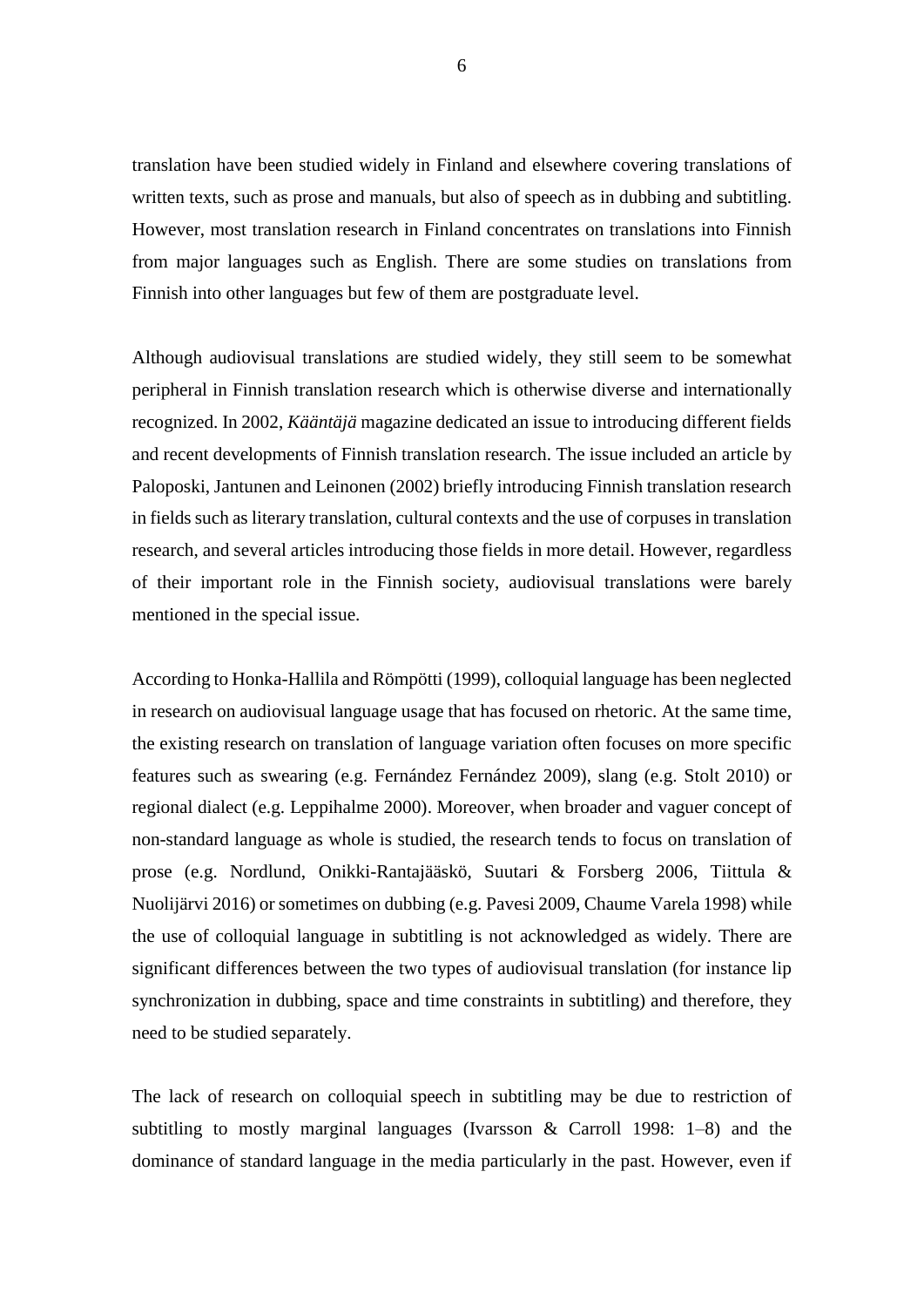translation have been studied widely in Finland and elsewhere covering translations of written texts, such as prose and manuals, but also of speech as in dubbing and subtitling. However, most translation research in Finland concentrates on translations into Finnish from major languages such as English. There are some studies on translations from Finnish into other languages but few of them are postgraduate level.

Although audiovisual translations are studied widely, they still seem to be somewhat peripheral in Finnish translation research which is otherwise diverse and internationally recognized. In 2002, *Kääntäjä* magazine dedicated an issue to introducing different fields and recent developments of Finnish translation research. The issue included an article by Paloposki, Jantunen and Leinonen (2002) briefly introducing Finnish translation research in fields such as literary translation, cultural contexts and the use of corpuses in translation research, and several articles introducing those fields in more detail. However, regardless of their important role in the Finnish society, audiovisual translations were barely mentioned in the special issue.

According to Honka-Hallila and Römpötti (1999), colloquial language has been neglected in research on audiovisual language usage that has focused on rhetoric. At the same time, the existing research on translation of language variation often focuses on more specific features such as swearing (e.g. Fernández Fernández 2009), slang (e.g. Stolt 2010) or regional dialect (e.g. Leppihalme 2000). Moreover, when broader and vaguer concept of non-standard language as whole is studied, the research tends to focus on translation of prose (e.g. Nordlund, Onikki-Rantajääskö, Suutari & Forsberg 2006, Tiittula & Nuolijärvi 2016) or sometimes on dubbing (e.g. Pavesi 2009, Chaume Varela 1998) while the use of colloquial language in subtitling is not acknowledged as widely. There are significant differences between the two types of audiovisual translation (for instance lip synchronization in dubbing, space and time constraints in subtitling) and therefore, they need to be studied separately.

The lack of research on colloquial speech in subtitling may be due to restriction of subtitling to mostly marginal languages (Ivarsson & Carroll 1998: 1–8) and the dominance of standard language in the media particularly in the past. However, even if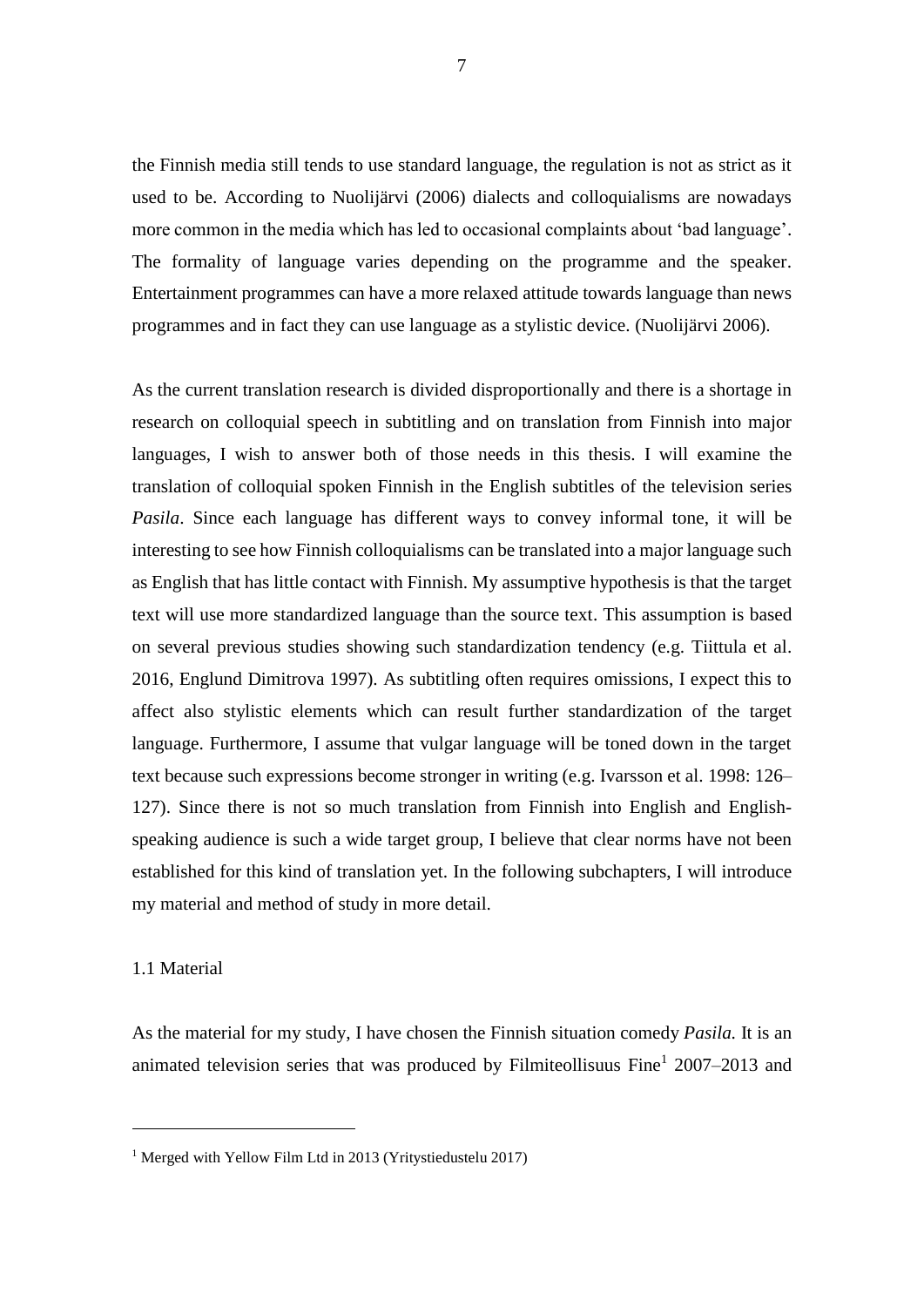the Finnish media still tends to use standard language, the regulation is not as strict as it used to be. According to Nuolijärvi (2006) dialects and colloquialisms are nowadays more common in the media which has led to occasional complaints about 'bad language'. The formality of language varies depending on the programme and the speaker. Entertainment programmes can have a more relaxed attitude towards language than news programmes and in fact they can use language as a stylistic device. (Nuolijärvi 2006).

As the current translation research is divided disproportionally and there is a shortage in research on colloquial speech in subtitling and on translation from Finnish into major languages, I wish to answer both of those needs in this thesis. I will examine the translation of colloquial spoken Finnish in the English subtitles of the television series *Pasila*. Since each language has different ways to convey informal tone, it will be interesting to see how Finnish colloquialisms can be translated into a major language such as English that has little contact with Finnish. My assumptive hypothesis is that the target text will use more standardized language than the source text. This assumption is based on several previous studies showing such standardization tendency (e.g. Tiittula et al. 2016, Englund Dimitrova 1997). As subtitling often requires omissions, I expect this to affect also stylistic elements which can result further standardization of the target language. Furthermore, I assume that vulgar language will be toned down in the target text because such expressions become stronger in writing (e.g. Ivarsson et al. 1998: 126– 127). Since there is not so much translation from Finnish into English and Englishspeaking audience is such a wide target group, I believe that clear norms have not been established for this kind of translation yet. In the following subchapters, I will introduce my material and method of study in more detail.

#### <span id="page-7-0"></span>1.1 Material

1

As the material for my study, I have chosen the Finnish situation comedy *Pasila.* It is an animated television series that was produced by Filmiteollisuus Fine<sup>1</sup> 2007–2013 and

<sup>&</sup>lt;sup>1</sup> Merged with Yellow Film Ltd in 2013 (Yritystiedustelu 2017)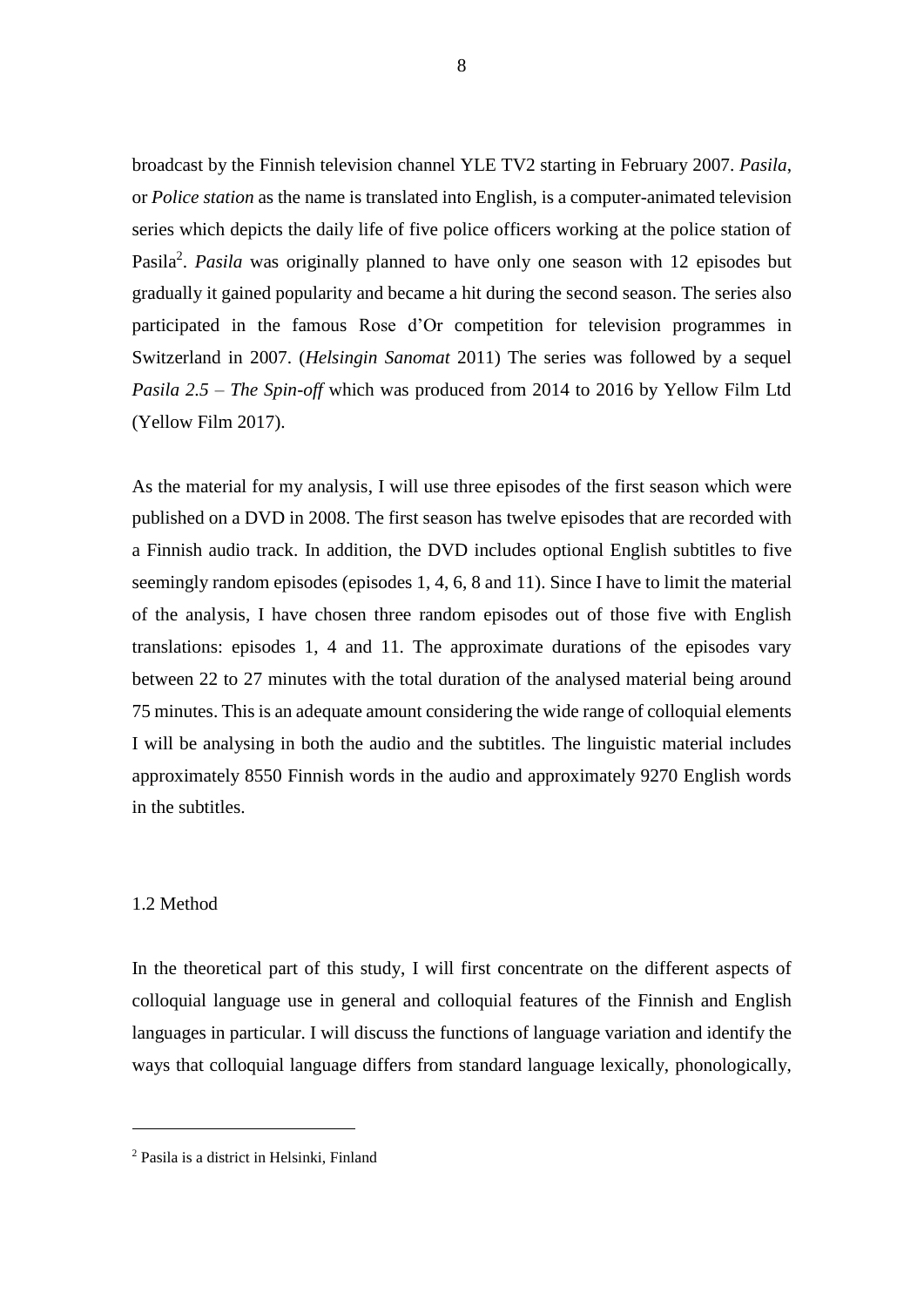broadcast by the Finnish television channel YLE TV2 starting in February 2007. *Pasila*, or *Police station* as the name is translated into English, is a computer-animated television series which depicts the daily life of five police officers working at the police station of Pasila<sup>2</sup>. *Pasila* was originally planned to have only one season with 12 episodes but gradually it gained popularity and became a hit during the second season. The series also participated in the famous Rose d'Or competition for television programmes in Switzerland in 2007. (*Helsingin Sanomat* 2011) The series was followed by a sequel *Pasila 2.5 – The Spin-off* which was produced from 2014 to 2016 by Yellow Film Ltd (Yellow Film 2017).

As the material for my analysis, I will use three episodes of the first season which were published on a DVD in 2008. The first season has twelve episodes that are recorded with a Finnish audio track. In addition, the DVD includes optional English subtitles to five seemingly random episodes (episodes 1, 4, 6, 8 and 11). Since I have to limit the material of the analysis, I have chosen three random episodes out of those five with English translations: episodes 1, 4 and 11. The approximate durations of the episodes vary between 22 to 27 minutes with the total duration of the analysed material being around 75 minutes. This is an adequate amount considering the wide range of colloquial elements I will be analysing in both the audio and the subtitles. The linguistic material includes approximately 8550 Finnish words in the audio and approximately 9270 English words in the subtitles.

#### <span id="page-8-0"></span>1.2 Method

1

In the theoretical part of this study, I will first concentrate on the different aspects of colloquial language use in general and colloquial features of the Finnish and English languages in particular. I will discuss the functions of language variation and identify the ways that colloquial language differs from standard language lexically, phonologically,

<sup>2</sup> Pasila is a district in Helsinki, Finland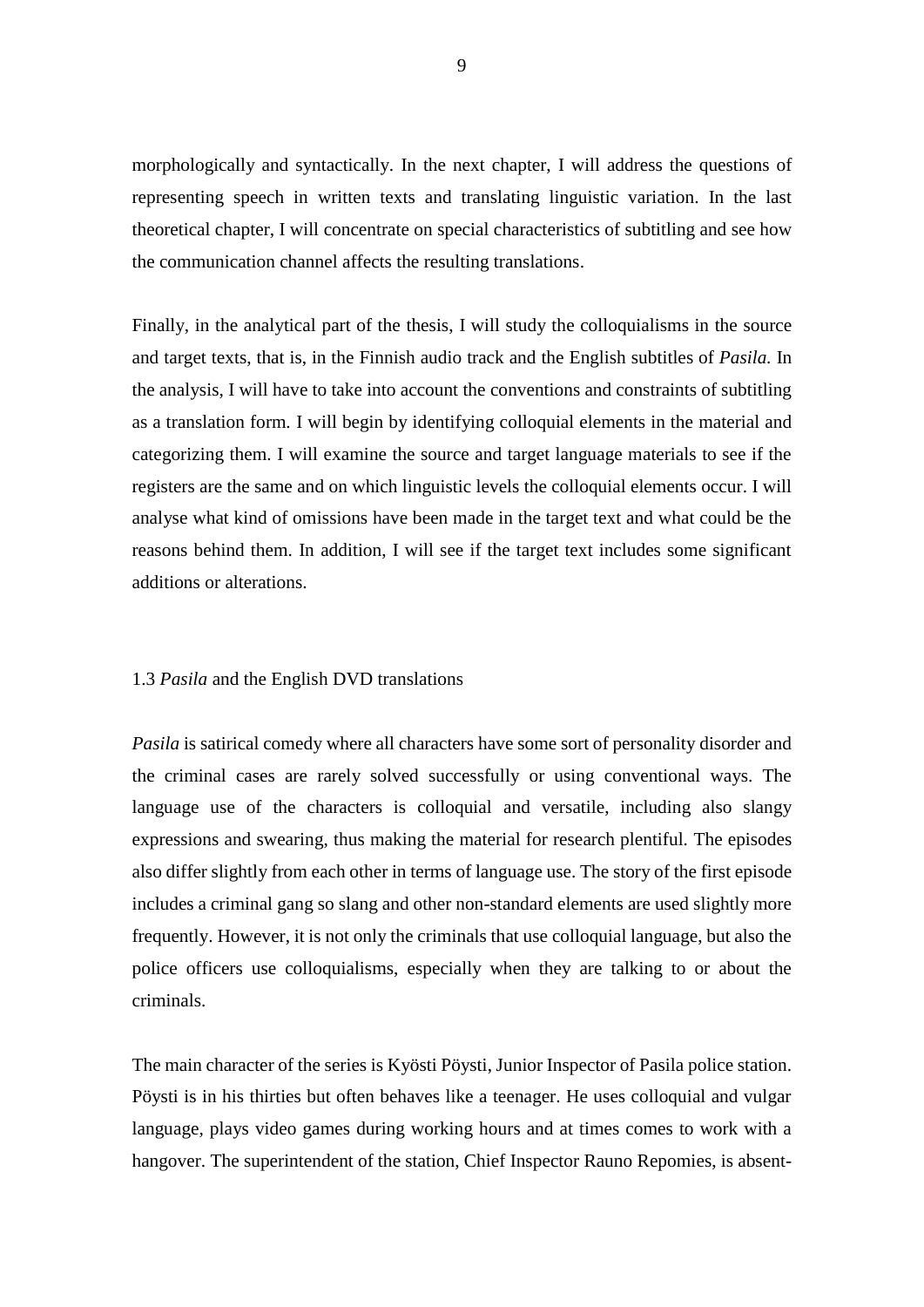morphologically and syntactically. In the next chapter, I will address the questions of representing speech in written texts and translating linguistic variation. In the last theoretical chapter, I will concentrate on special characteristics of subtitling and see how the communication channel affects the resulting translations.

Finally, in the analytical part of the thesis, I will study the colloquialisms in the source and target texts, that is, in the Finnish audio track and the English subtitles of *Pasila.* In the analysis, I will have to take into account the conventions and constraints of subtitling as a translation form*.* I will begin by identifying colloquial elements in the material and categorizing them. I will examine the source and target language materials to see if the registers are the same and on which linguistic levels the colloquial elements occur. I will analyse what kind of omissions have been made in the target text and what could be the reasons behind them. In addition, I will see if the target text includes some significant additions or alterations.

#### <span id="page-9-0"></span>1.3 *Pasila* and the English DVD translations

*Pasila* is satirical comedy where all characters have some sort of personality disorder and the criminal cases are rarely solved successfully or using conventional ways. The language use of the characters is colloquial and versatile, including also slangy expressions and swearing, thus making the material for research plentiful. The episodes also differ slightly from each other in terms of language use. The story of the first episode includes a criminal gang so slang and other non-standard elements are used slightly more frequently. However, it is not only the criminals that use colloquial language, but also the police officers use colloquialisms, especially when they are talking to or about the criminals.

The main character of the series is Kyösti Pöysti, Junior Inspector of Pasila police station. Pöysti is in his thirties but often behaves like a teenager. He uses colloquial and vulgar language, plays video games during working hours and at times comes to work with a hangover. The superintendent of the station, Chief Inspector Rauno Repomies, is absent-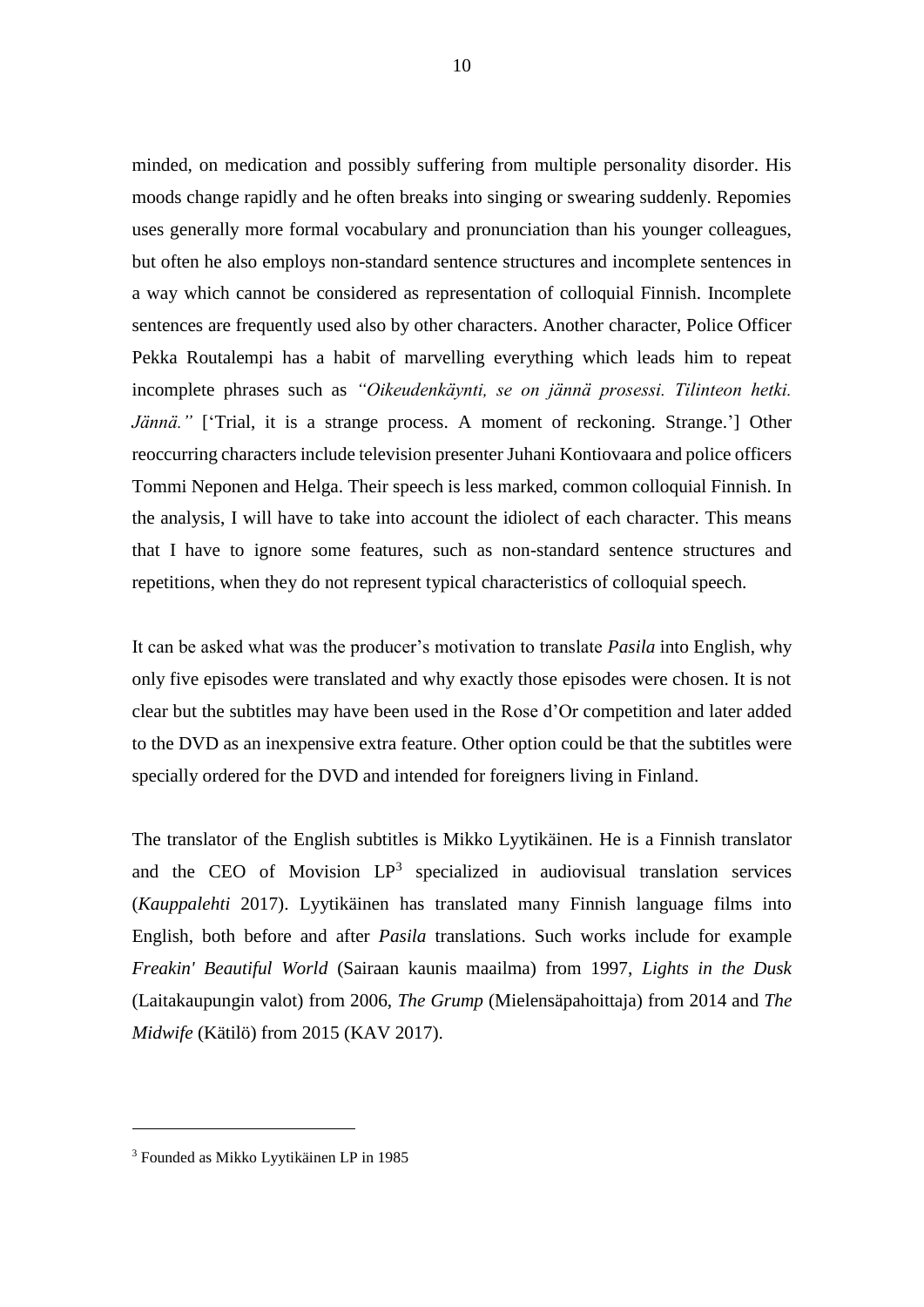minded, on medication and possibly suffering from multiple personality disorder. His moods change rapidly and he often breaks into singing or swearing suddenly. Repomies uses generally more formal vocabulary and pronunciation than his younger colleagues, but often he also employs non-standard sentence structures and incomplete sentences in a way which cannot be considered as representation of colloquial Finnish. Incomplete sentences are frequently used also by other characters. Another character, Police Officer Pekka Routalempi has a habit of marvelling everything which leads him to repeat incomplete phrases such as *"Oikeudenkäynti, se on jännä prosessi. Tilinteon hetki. Jännä.*" ['Trial, it is a strange process. A moment of reckoning. Strange.'] Other reoccurring characters include television presenter Juhani Kontiovaara and police officers Tommi Neponen and Helga. Their speech is less marked, common colloquial Finnish. In the analysis, I will have to take into account the idiolect of each character. This means that I have to ignore some features, such as non-standard sentence structures and repetitions, when they do not represent typical characteristics of colloquial speech.

It can be asked what was the producer's motivation to translate *Pasila* into English, why only five episodes were translated and why exactly those episodes were chosen. It is not clear but the subtitles may have been used in the Rose d'Or competition and later added to the DVD as an inexpensive extra feature. Other option could be that the subtitles were specially ordered for the DVD and intended for foreigners living in Finland.

The translator of the English subtitles is Mikko Lyytikäinen. He is a Finnish translator and the CEO of Movision  $LP^3$  specialized in audiovisual translation services (*Kauppalehti* 2017). Lyytikäinen has translated many Finnish language films into English, both before and after *Pasila* translations. Such works include for example *Freakin' Beautiful World* (Sairaan kaunis maailma) from 1997, *Lights in the Dusk* (Laitakaupungin valot) from 2006, *The Grump* (Mielensäpahoittaja) from 2014 and *The Midwife* (Kätilö) from 2015 (KAV 2017).

1

<sup>3</sup> Founded as Mikko Lyytikäinen LP in 1985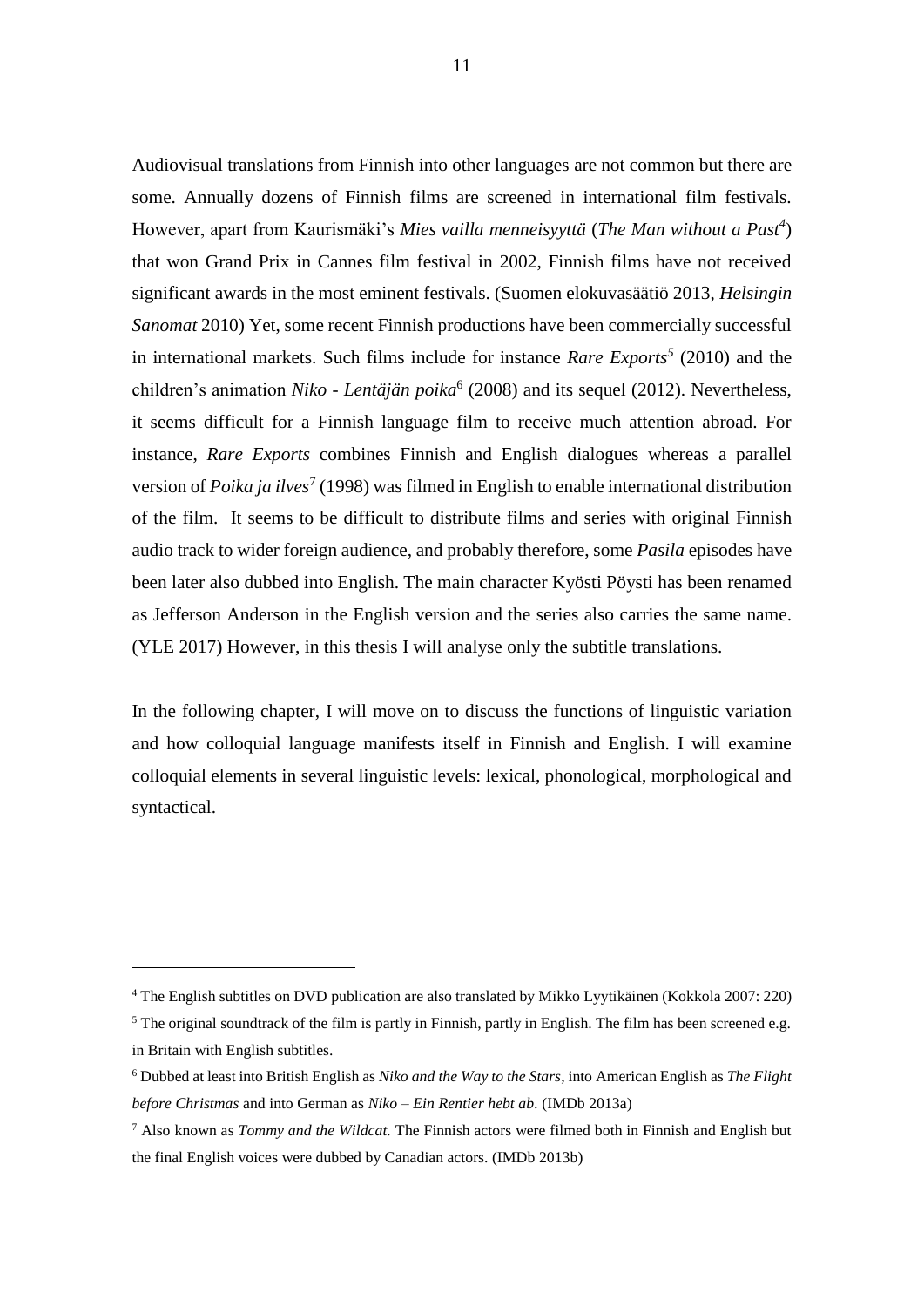Audiovisual translations from Finnish into other languages are not common but there are some. Annually dozens of Finnish films are screened in international film festivals. However, apart from Kaurismäki's *Mies vailla menneisyyttä* (*The Man without a Past<sup>4</sup>* ) that won Grand Prix in Cannes film festival in 2002, Finnish films have not received significant awards in the most eminent festivals. (Suomen elokuvasäätiö 2013, *Helsingin Sanomat* 2010) Yet, some recent Finnish productions have been commercially successful in international markets. Such films include for instance *Rare Exports<sup>5</sup>* (2010) and the children's animation *Niko - Lentäjän poika*<sup>6</sup> (2008) and its sequel (2012). Nevertheless, it seems difficult for a Finnish language film to receive much attention abroad. For instance, *Rare Exports* combines Finnish and English dialogues whereas a parallel version of *Poika ja ilves*<sup>7</sup> (1998) was filmed in English to enable international distribution of the film. It seems to be difficult to distribute films and series with original Finnish audio track to wider foreign audience, and probably therefore, some *Pasila* episodes have been later also dubbed into English. The main character Kyösti Pöysti has been renamed as Jefferson Anderson in the English version and the series also carries the same name. (YLE 2017) However, in this thesis I will analyse only the subtitle translations.

In the following chapter, I will move on to discuss the functions of linguistic variation and how colloquial language manifests itself in Finnish and English. I will examine colloquial elements in several linguistic levels: lexical, phonological, morphological and syntactical.

<u>.</u>

<sup>4</sup> The English subtitles on DVD publication are also translated by Mikko Lyytikäinen (Kokkola 2007: 220)

<sup>&</sup>lt;sup>5</sup> The original soundtrack of the film is partly in Finnish, partly in English. The film has been screened e.g. in Britain with English subtitles.

<sup>6</sup> Dubbed at least into British English as *Niko and the Way to the Stars*, into American English as *The Flight before Christmas* and into German as *Niko – Ein Rentier hebt ab.* (IMDb 2013a)

<sup>7</sup> Also known as *Tommy and the Wildcat.* The Finnish actors were filmed both in Finnish and English but the final English voices were dubbed by Canadian actors. (IMDb 2013b)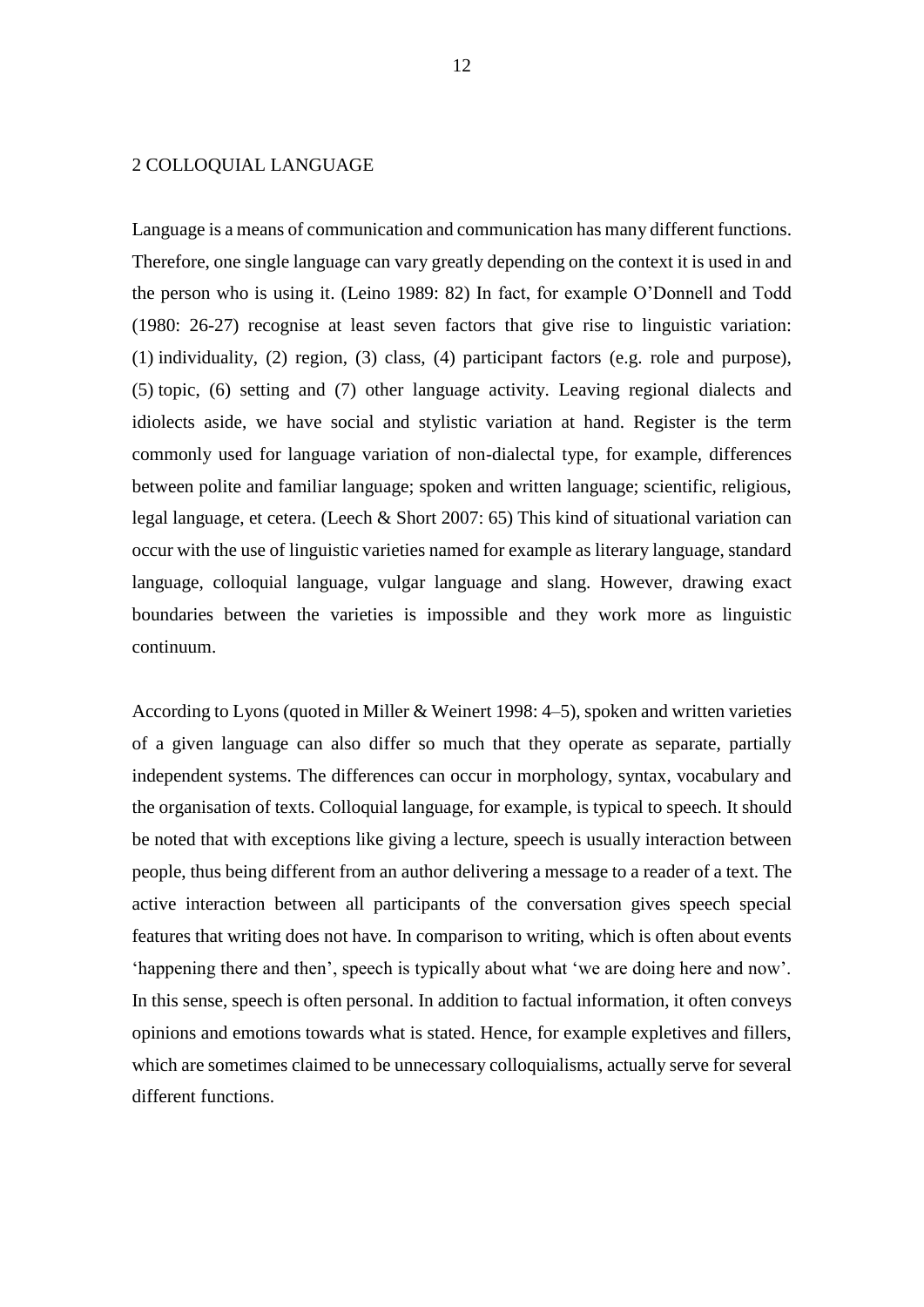#### <span id="page-12-0"></span>2 COLLOQUIAL LANGUAGE

Language is a means of communication and communication has many different functions. Therefore, one single language can vary greatly depending on the context it is used in and the person who is using it. (Leino 1989: 82) In fact, for example O'Donnell and Todd (1980: 26-27) recognise at least seven factors that give rise to linguistic variation: (1) individuality, (2) region, (3) class, (4) participant factors (e.g. role and purpose), (5) topic, (6) setting and (7) other language activity. Leaving regional dialects and idiolects aside, we have social and stylistic variation at hand. Register is the term commonly used for language variation of non-dialectal type, for example, differences between polite and familiar language; spoken and written language; scientific, religious, legal language, et cetera. (Leech & Short 2007: 65) This kind of situational variation can occur with the use of linguistic varieties named for example as literary language, standard language, colloquial language, vulgar language and slang. However, drawing exact boundaries between the varieties is impossible and they work more as linguistic continuum.

According to Lyons (quoted in Miller & Weinert 1998: 4–5), spoken and written varieties of a given language can also differ so much that they operate as separate, partially independent systems. The differences can occur in morphology, syntax, vocabulary and the organisation of texts. Colloquial language, for example, is typical to speech. It should be noted that with exceptions like giving a lecture, speech is usually interaction between people, thus being different from an author delivering a message to a reader of a text. The active interaction between all participants of the conversation gives speech special features that writing does not have. In comparison to writing, which is often about events 'happening there and then', speech is typically about what 'we are doing here and now'. In this sense, speech is often personal. In addition to factual information, it often conveys opinions and emotions towards what is stated. Hence, for example expletives and fillers, which are sometimes claimed to be unnecessary colloquialisms, actually serve for several different functions.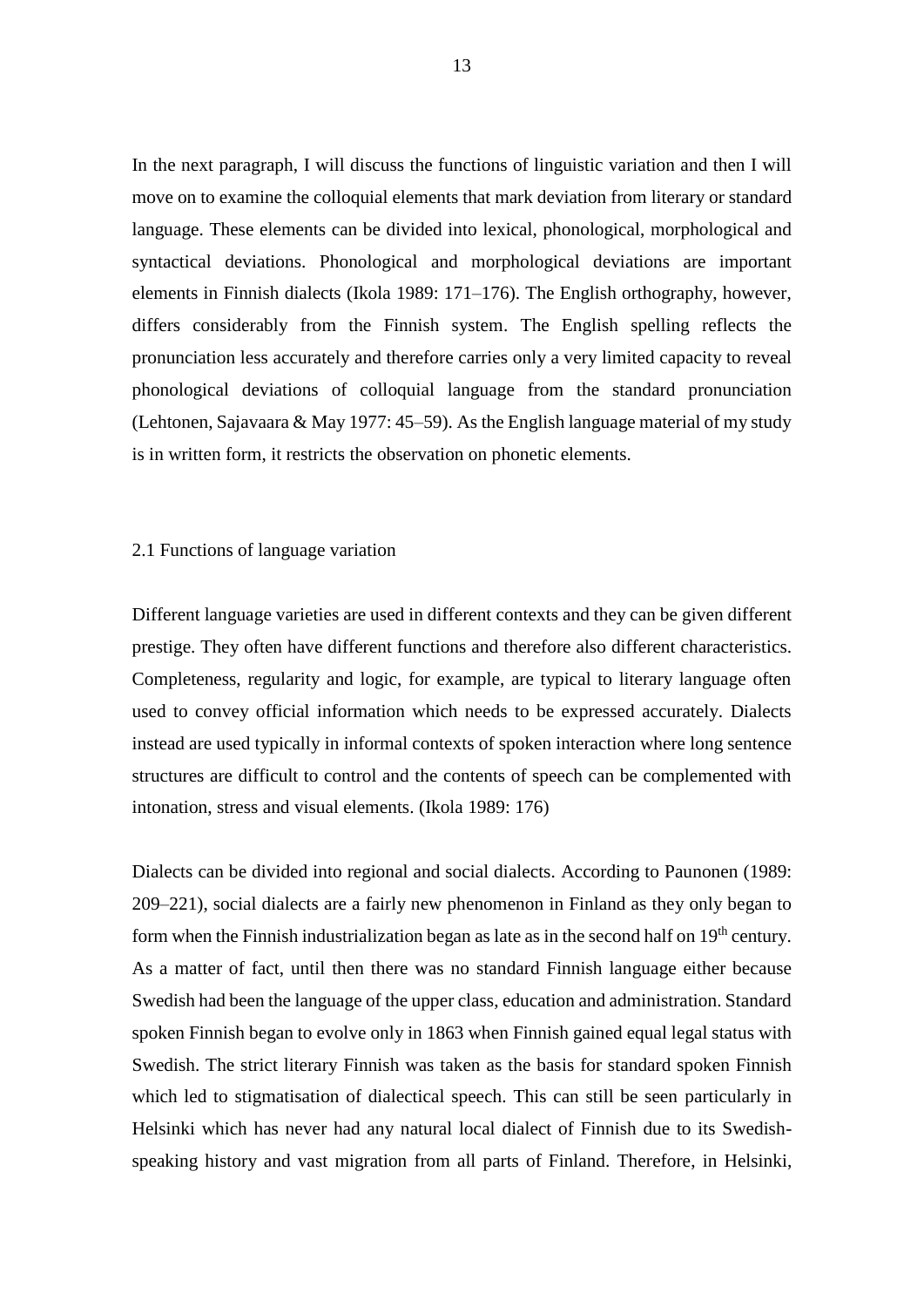In the next paragraph, I will discuss the functions of linguistic variation and then I will move on to examine the colloquial elements that mark deviation from literary or standard language. These elements can be divided into lexical, phonological, morphological and syntactical deviations. Phonological and morphological deviations are important elements in Finnish dialects (Ikola 1989: 171–176). The English orthography, however, differs considerably from the Finnish system. The English spelling reflects the pronunciation less accurately and therefore carries only a very limited capacity to reveal phonological deviations of colloquial language from the standard pronunciation (Lehtonen, Sajavaara & May 1977: 45–59). As the English language material of my study is in written form, it restricts the observation on phonetic elements.

#### <span id="page-13-0"></span>2.1 Functions of language variation

Different language varieties are used in different contexts and they can be given different prestige. They often have different functions and therefore also different characteristics. Completeness, regularity and logic, for example, are typical to literary language often used to convey official information which needs to be expressed accurately. Dialects instead are used typically in informal contexts of spoken interaction where long sentence structures are difficult to control and the contents of speech can be complemented with intonation, stress and visual elements. (Ikola 1989: 176)

Dialects can be divided into regional and social dialects. According to Paunonen (1989: 209–221), social dialects are a fairly new phenomenon in Finland as they only began to form when the Finnish industrialization began as late as in the second half on  $19<sup>th</sup>$  century. As a matter of fact, until then there was no standard Finnish language either because Swedish had been the language of the upper class, education and administration. Standard spoken Finnish began to evolve only in 1863 when Finnish gained equal legal status with Swedish. The strict literary Finnish was taken as the basis for standard spoken Finnish which led to stigmatisation of dialectical speech. This can still be seen particularly in Helsinki which has never had any natural local dialect of Finnish due to its Swedishspeaking history and vast migration from all parts of Finland. Therefore, in Helsinki,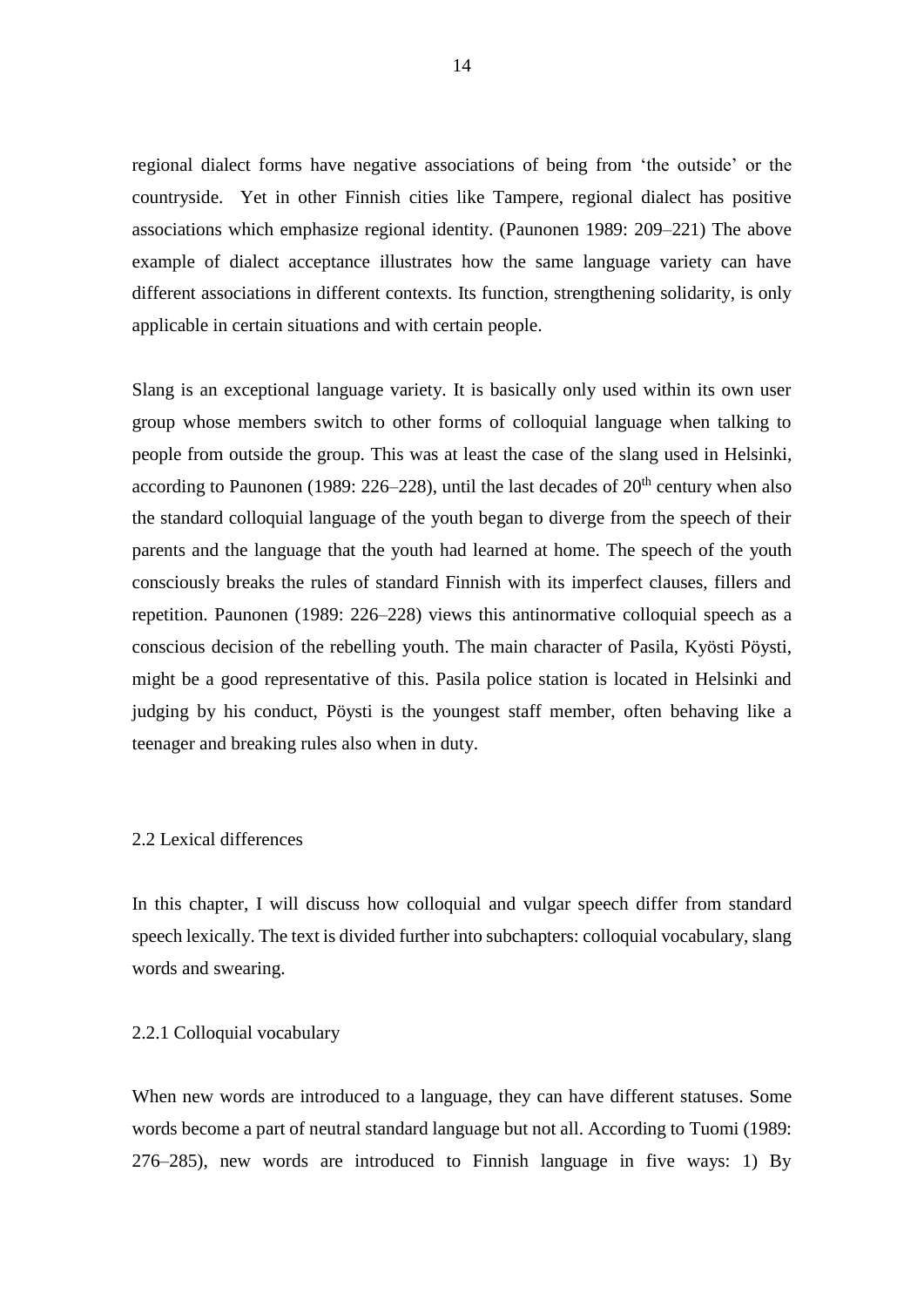regional dialect forms have negative associations of being from 'the outside' or the countryside. Yet in other Finnish cities like Tampere, regional dialect has positive associations which emphasize regional identity. (Paunonen 1989: 209–221) The above example of dialect acceptance illustrates how the same language variety can have different associations in different contexts. Its function, strengthening solidarity, is only applicable in certain situations and with certain people.

Slang is an exceptional language variety. It is basically only used within its own user group whose members switch to other forms of colloquial language when talking to people from outside the group. This was at least the case of the slang used in Helsinki, according to Paunonen (1989:  $226-228$ ), until the last decades of  $20<sup>th</sup>$  century when also the standard colloquial language of the youth began to diverge from the speech of their parents and the language that the youth had learned at home. The speech of the youth consciously breaks the rules of standard Finnish with its imperfect clauses, fillers and repetition. Paunonen (1989: 226–228) views this antinormative colloquial speech as a conscious decision of the rebelling youth. The main character of Pasila, Kyösti Pöysti, might be a good representative of this. Pasila police station is located in Helsinki and judging by his conduct, Pöysti is the youngest staff member, often behaving like a teenager and breaking rules also when in duty.

#### <span id="page-14-0"></span>2.2 Lexical differences

In this chapter, I will discuss how colloquial and vulgar speech differ from standard speech lexically. The text is divided further into subchapters: colloquial vocabulary, slang words and swearing.

#### <span id="page-14-1"></span>2.2.1 Colloquial vocabulary

When new words are introduced to a language, they can have different statuses. Some words become a part of neutral standard language but not all. According to Tuomi (1989: 276–285), new words are introduced to Finnish language in five ways: 1) By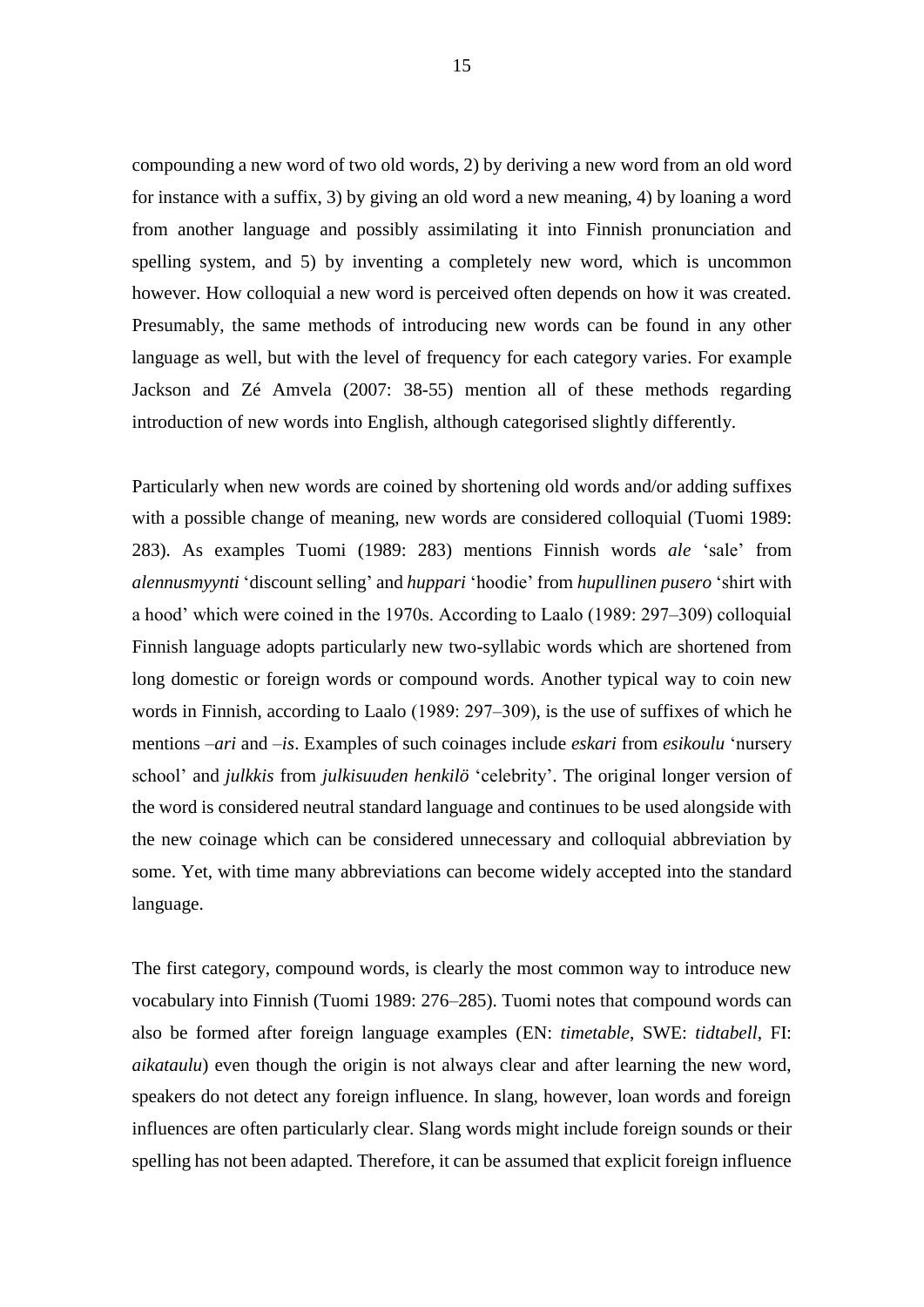compounding a new word of two old words, 2) by deriving a new word from an old word for instance with a suffix, 3) by giving an old word a new meaning, 4) by loaning a word from another language and possibly assimilating it into Finnish pronunciation and spelling system, and 5) by inventing a completely new word, which is uncommon however. How colloquial a new word is perceived often depends on how it was created. Presumably, the same methods of introducing new words can be found in any other language as well, but with the level of frequency for each category varies. For example Jackson and Zé Amvela (2007: 38-55) mention all of these methods regarding introduction of new words into English, although categorised slightly differently.

Particularly when new words are coined by shortening old words and/or adding suffixes with a possible change of meaning, new words are considered colloquial (Tuomi 1989: 283). As examples Tuomi (1989: 283) mentions Finnish words *ale* 'sale' from *alennusmyynti* 'discount selling' and *huppari* 'hoodie' from *hupullinen pusero* 'shirt with a hood' which were coined in the 1970s. According to Laalo (1989: 297–309) colloquial Finnish language adopts particularly new two-syllabic words which are shortened from long domestic or foreign words or compound words. Another typical way to coin new words in Finnish, according to Laalo (1989: 297–309), is the use of suffixes of which he mentions –*ari* and –*is*. Examples of such coinages include *eskari* from *esikoulu* 'nursery school' and *julkkis* from *julkisuuden henkilö* 'celebrity'. The original longer version of the word is considered neutral standard language and continues to be used alongside with the new coinage which can be considered unnecessary and colloquial abbreviation by some. Yet, with time many abbreviations can become widely accepted into the standard language.

The first category, compound words, is clearly the most common way to introduce new vocabulary into Finnish (Tuomi 1989: 276–285). Tuomi notes that compound words can also be formed after foreign language examples (EN: *timetable*, SWE: *tidtabell*, FI: *aikataulu*) even though the origin is not always clear and after learning the new word, speakers do not detect any foreign influence. In slang, however, loan words and foreign influences are often particularly clear. Slang words might include foreign sounds or their spelling has not been adapted. Therefore, it can be assumed that explicit foreign influence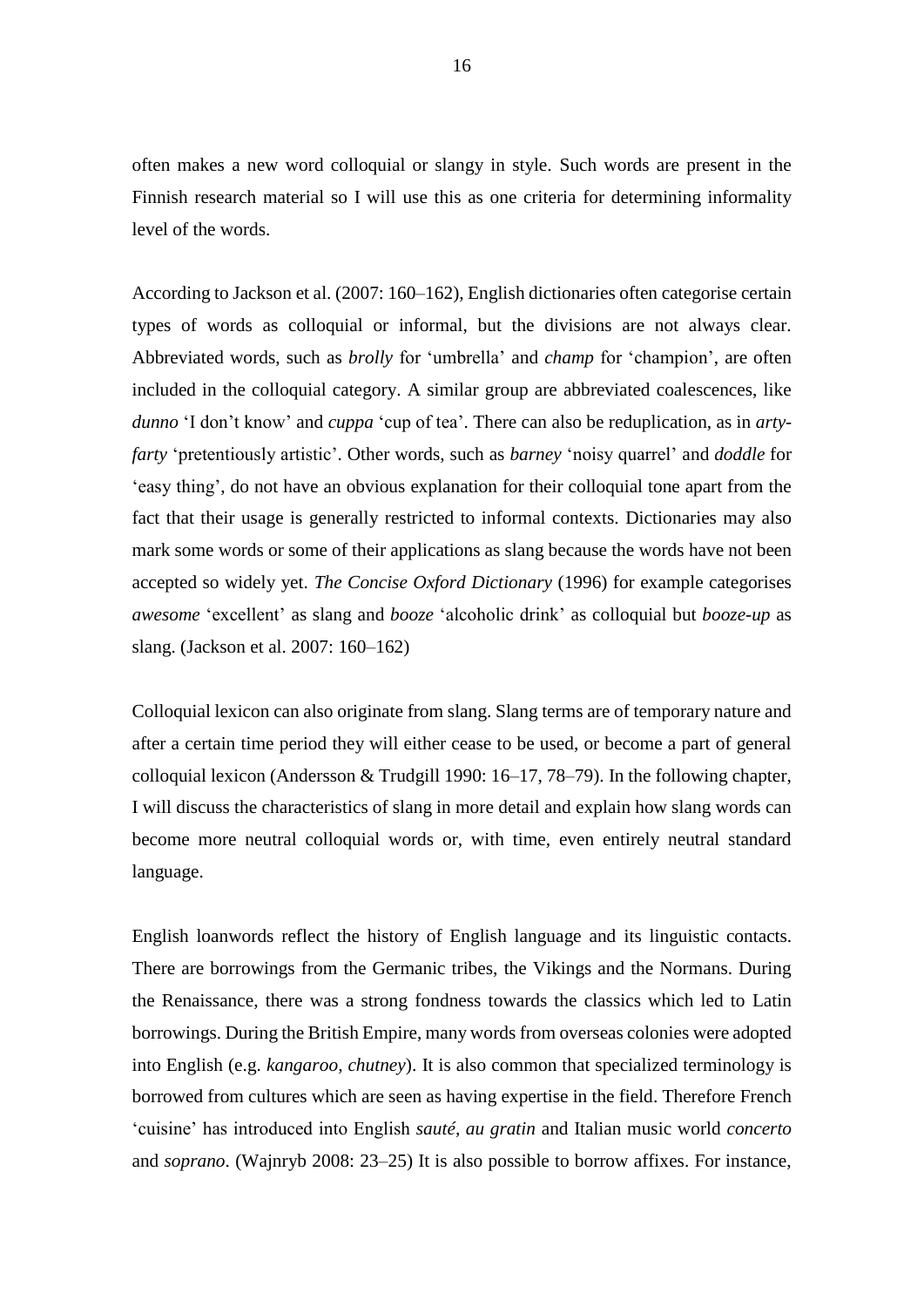often makes a new word colloquial or slangy in style. Such words are present in the Finnish research material so I will use this as one criteria for determining informality level of the words.

According to Jackson et al. (2007: 160–162), English dictionaries often categorise certain types of words as colloquial or informal, but the divisions are not always clear. Abbreviated words, such as *brolly* for 'umbrella' and *champ* for 'champion', are often included in the colloquial category. A similar group are abbreviated coalescences, like *dunno* 'I don't know' and *cuppa* 'cup of tea'. There can also be reduplication, as in *artyfarty* 'pretentiously artistic'. Other words, such as *barney* 'noisy quarrel' and *doddle* for 'easy thing', do not have an obvious explanation for their colloquial tone apart from the fact that their usage is generally restricted to informal contexts. Dictionaries may also mark some words or some of their applications as slang because the words have not been accepted so widely yet. *The Concise Oxford Dictionary* (1996) for example categorises *awesome* 'excellent' as slang and *booze* 'alcoholic drink' as colloquial but *booze-up* as slang. (Jackson et al. 2007: 160–162)

Colloquial lexicon can also originate from slang. Slang terms are of temporary nature and after a certain time period they will either cease to be used, or become a part of general colloquial lexicon (Andersson & Trudgill 1990: 16–17, 78–79). In the following chapter, I will discuss the characteristics of slang in more detail and explain how slang words can become more neutral colloquial words or, with time, even entirely neutral standard language.

English loanwords reflect the history of English language and its linguistic contacts. There are borrowings from the Germanic tribes, the Vikings and the Normans. During the Renaissance, there was a strong fondness towards the classics which led to Latin borrowings. During the British Empire, many words from overseas colonies were adopted into English (e.g. *kangaroo, chutney*). It is also common that specialized terminology is borrowed from cultures which are seen as having expertise in the field. Therefore French 'cuisine' has introduced into English *sauté, au gratin* and Italian music world *concerto* and *soprano*. (Wajnryb 2008: 23–25) It is also possible to borrow affixes. For instance,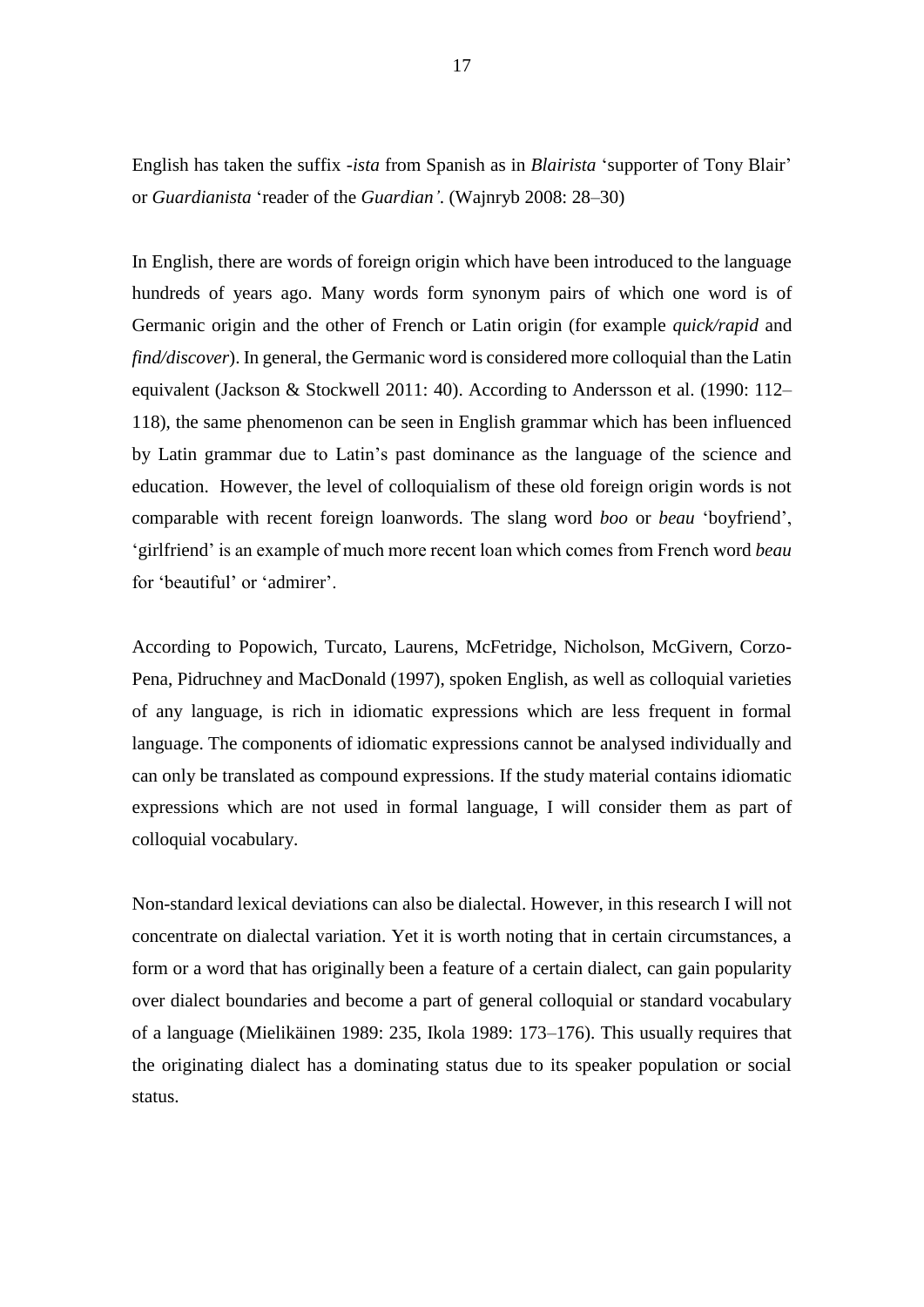English has taken the suffix *-ista* from Spanish as in *Blairista* 'supporter of Tony Blair' or *Guardianista* 'reader of the *Guardian'*. (Wajnryb 2008: 28–30)

In English, there are words of foreign origin which have been introduced to the language hundreds of years ago. Many words form synonym pairs of which one word is of Germanic origin and the other of French or Latin origin (for example *quick/rapid* and *find/discover*). In general, the Germanic word is considered more colloquial than the Latin equivalent (Jackson & Stockwell 2011: 40). According to Andersson et al. (1990: 112– 118), the same phenomenon can be seen in English grammar which has been influenced by Latin grammar due to Latin's past dominance as the language of the science and education. However, the level of colloquialism of these old foreign origin words is not comparable with recent foreign loanwords. The slang word *boo* or *beau* 'boyfriend', 'girlfriend' is an example of much more recent loan which comes from French word *beau*  for 'beautiful' or 'admirer'.

According to Popowich, Turcato, Laurens, McFetridge, Nicholson, McGivern, Corzo-Pena, Pidruchney and MacDonald (1997), spoken English, as well as colloquial varieties of any language, is rich in idiomatic expressions which are less frequent in formal language. The components of idiomatic expressions cannot be analysed individually and can only be translated as compound expressions. If the study material contains idiomatic expressions which are not used in formal language, I will consider them as part of colloquial vocabulary.

Non-standard lexical deviations can also be dialectal. However, in this research I will not concentrate on dialectal variation. Yet it is worth noting that in certain circumstances, a form or a word that has originally been a feature of a certain dialect, can gain popularity over dialect boundaries and become a part of general colloquial or standard vocabulary of a language (Mielikäinen 1989: 235, Ikola 1989: 173–176). This usually requires that the originating dialect has a dominating status due to its speaker population or social status.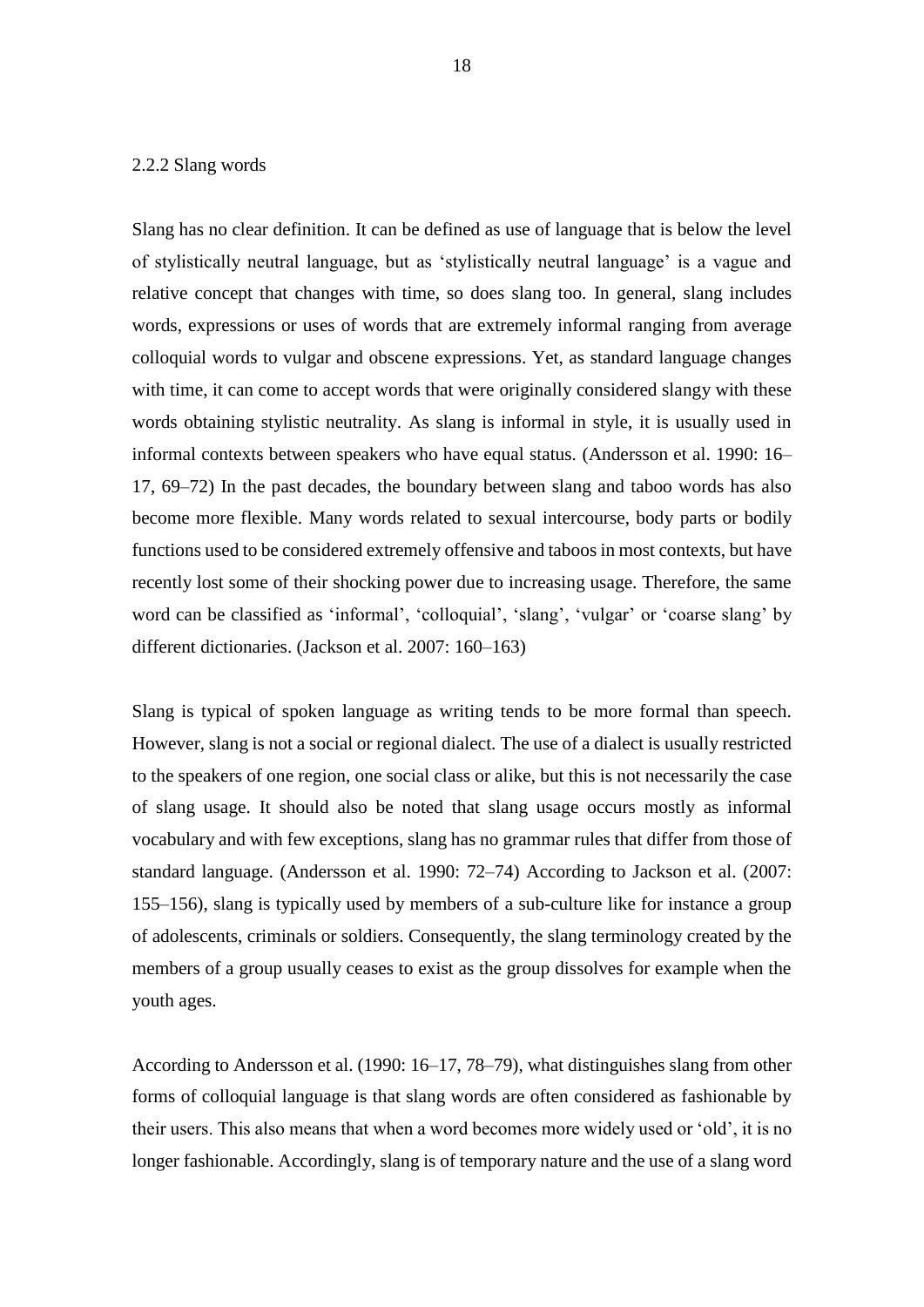#### <span id="page-18-0"></span>2.2.2 Slang words

Slang has no clear definition. It can be defined as use of language that is below the level of stylistically neutral language, but as 'stylistically neutral language' is a vague and relative concept that changes with time, so does slang too. In general, slang includes words, expressions or uses of words that are extremely informal ranging from average colloquial words to vulgar and obscene expressions. Yet, as standard language changes with time, it can come to accept words that were originally considered slangy with these words obtaining stylistic neutrality. As slang is informal in style, it is usually used in informal contexts between speakers who have equal status. (Andersson et al. 1990: 16– 17, 69–72) In the past decades, the boundary between slang and taboo words has also become more flexible. Many words related to sexual intercourse, body parts or bodily functions used to be considered extremely offensive and taboos in most contexts, but have recently lost some of their shocking power due to increasing usage. Therefore, the same word can be classified as 'informal', 'colloquial', 'slang', 'vulgar' or 'coarse slang' by different dictionaries. (Jackson et al. 2007: 160–163)

Slang is typical of spoken language as writing tends to be more formal than speech. However, slang is not a social or regional dialect. The use of a dialect is usually restricted to the speakers of one region, one social class or alike, but this is not necessarily the case of slang usage. It should also be noted that slang usage occurs mostly as informal vocabulary and with few exceptions, slang has no grammar rules that differ from those of standard language. (Andersson et al. 1990: 72–74) According to Jackson et al. (2007: 155–156), slang is typically used by members of a sub-culture like for instance a group of adolescents, criminals or soldiers. Consequently, the slang terminology created by the members of a group usually ceases to exist as the group dissolves for example when the youth ages.

According to Andersson et al. (1990: 16–17, 78–79), what distinguishes slang from other forms of colloquial language is that slang words are often considered as fashionable by their users. This also means that when a word becomes more widely used or 'old', it is no longer fashionable. Accordingly, slang is of temporary nature and the use of a slang word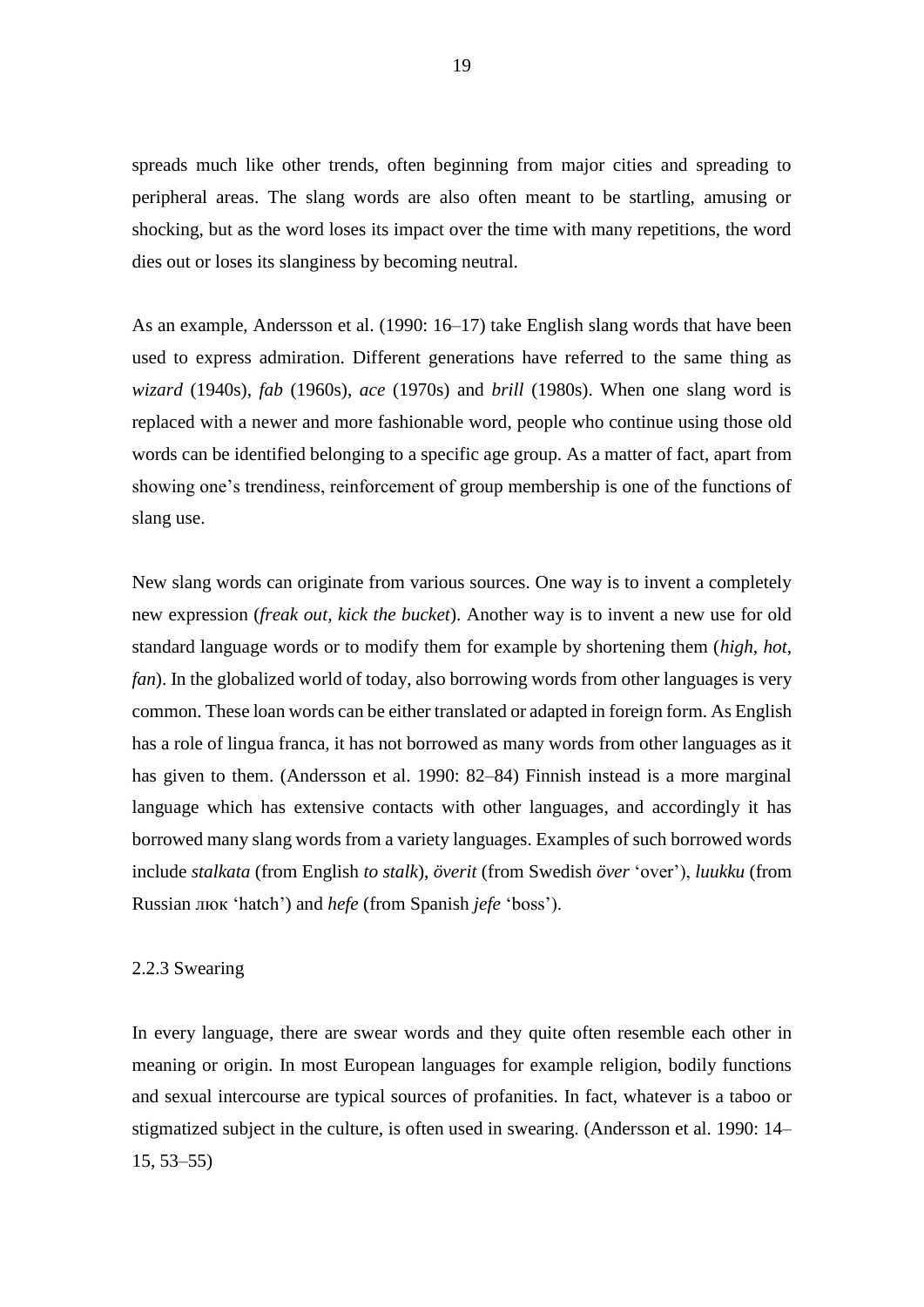spreads much like other trends, often beginning from major cities and spreading to peripheral areas. The slang words are also often meant to be startling, amusing or shocking, but as the word loses its impact over the time with many repetitions, the word dies out or loses its slanginess by becoming neutral.

As an example, Andersson et al. (1990: 16–17) take English slang words that have been used to express admiration. Different generations have referred to the same thing as *wizard* (1940s), *fab* (1960s), *ace* (1970s) and *brill* (1980s). When one slang word is replaced with a newer and more fashionable word, people who continue using those old words can be identified belonging to a specific age group. As a matter of fact, apart from showing one's trendiness, reinforcement of group membership is one of the functions of slang use.

New slang words can originate from various sources. One way is to invent a completely new expression (*freak out, kick the bucket*). Another way is to invent a new use for old standard language words or to modify them for example by shortening them (*high, hot, fan*). In the globalized world of today, also borrowing words from other languages is very common. These loan words can be either translated or adapted in foreign form. As English has a role of lingua franca, it has not borrowed as many words from other languages as it has given to them. (Andersson et al. 1990: 82–84) Finnish instead is a more marginal language which has extensive contacts with other languages, and accordingly it has borrowed many slang words from a variety languages. Examples of such borrowed words include *stalkata* (from English *to stalk*), *överit* (from Swedish *över* 'over'), *luukku* (from Russian люк 'hatch') and *hefe* (from Spanish *jefe* 'boss').

#### <span id="page-19-0"></span>2.2.3 Swearing

In every language, there are swear words and they quite often resemble each other in meaning or origin. In most European languages for example religion, bodily functions and sexual intercourse are typical sources of profanities. In fact, whatever is a taboo or stigmatized subject in the culture, is often used in swearing. (Andersson et al. 1990: 14– 15, 53–55)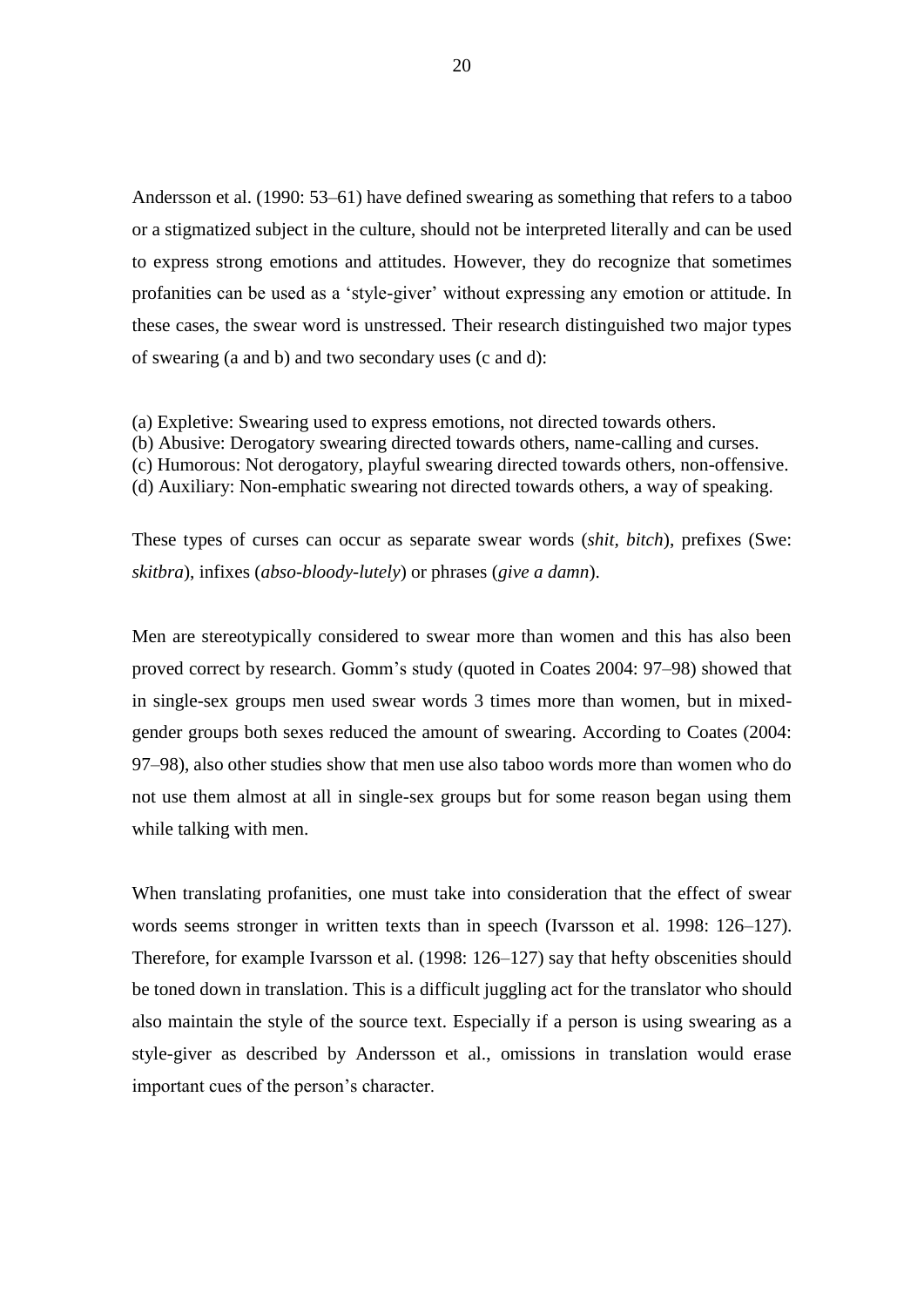Andersson et al. (1990: 53–61) have defined swearing as something that refers to a taboo or a stigmatized subject in the culture, should not be interpreted literally and can be used to express strong emotions and attitudes. However, they do recognize that sometimes profanities can be used as a 'style-giver' without expressing any emotion or attitude. In these cases, the swear word is unstressed. Their research distinguished two major types of swearing (a and b) and two secondary uses (c and d):

- (a) Expletive: Swearing used to express emotions, not directed towards others.
- (b) Abusive: Derogatory swearing directed towards others, name-calling and curses.
- (c) Humorous: Not derogatory, playful swearing directed towards others, non-offensive.
- (d) Auxiliary: Non-emphatic swearing not directed towards others, a way of speaking.

These types of curses can occur as separate swear words (*shit, bitch*), prefixes (Swe: *skitbra*), infixes (*abso-bloody-lutely*) or phrases (*give a damn*).

Men are stereotypically considered to swear more than women and this has also been proved correct by research. Gomm's study (quoted in Coates 2004: 97–98) showed that in single-sex groups men used swear words 3 times more than women, but in mixedgender groups both sexes reduced the amount of swearing. According to Coates (2004: 97–98), also other studies show that men use also taboo words more than women who do not use them almost at all in single-sex groups but for some reason began using them while talking with men.

When translating profanities, one must take into consideration that the effect of swear words seems stronger in written texts than in speech (Ivarsson et al. 1998: 126–127). Therefore, for example Ivarsson et al. (1998: 126–127) say that hefty obscenities should be toned down in translation. This is a difficult juggling act for the translator who should also maintain the style of the source text. Especially if a person is using swearing as a style-giver as described by Andersson et al., omissions in translation would erase important cues of the person's character.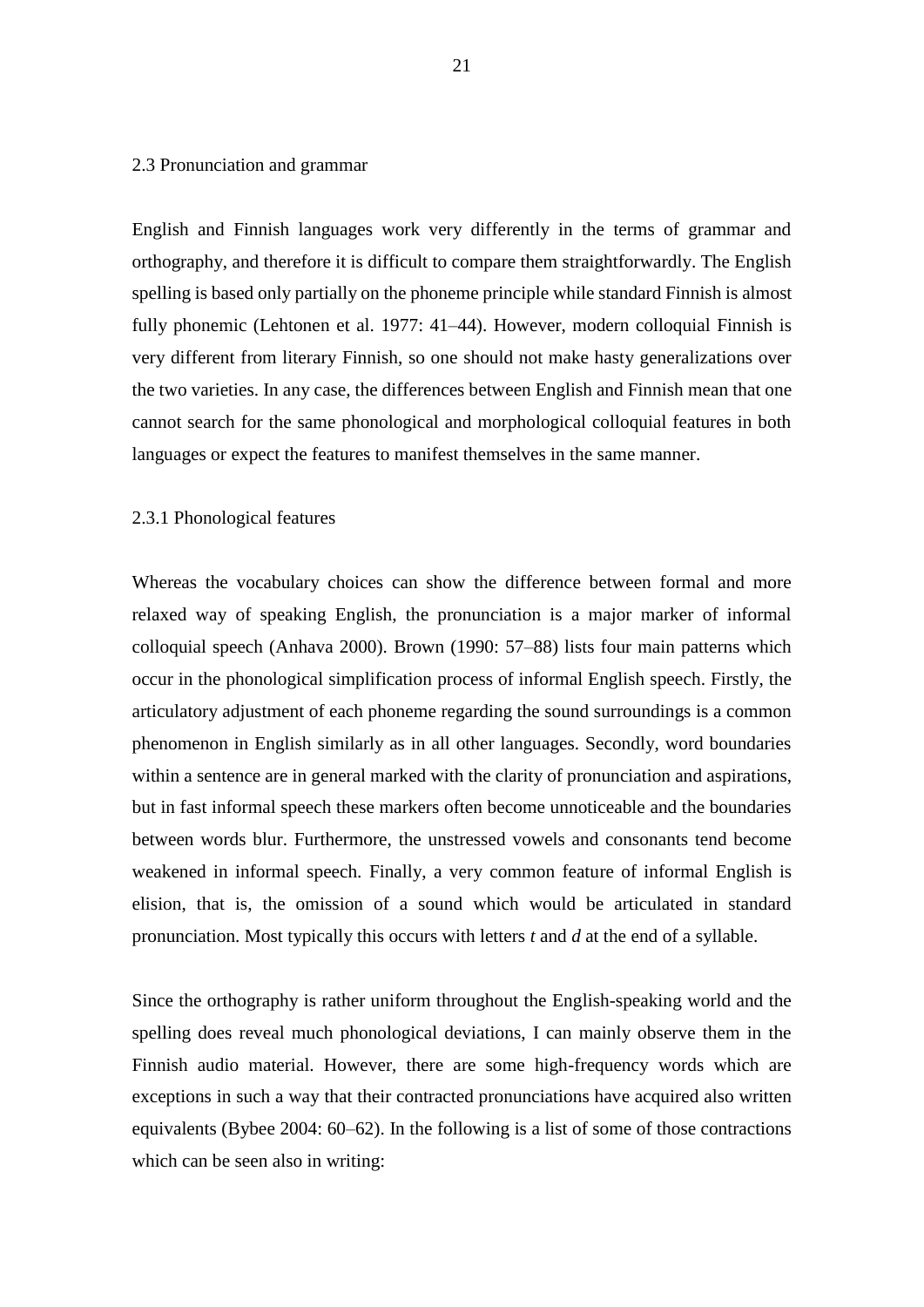#### <span id="page-21-0"></span>2.3 Pronunciation and grammar

English and Finnish languages work very differently in the terms of grammar and orthography, and therefore it is difficult to compare them straightforwardly. The English spelling is based only partially on the phoneme principle while standard Finnish is almost fully phonemic (Lehtonen et al. 1977: 41–44). However, modern colloquial Finnish is very different from literary Finnish, so one should not make hasty generalizations over the two varieties. In any case, the differences between English and Finnish mean that one cannot search for the same phonological and morphological colloquial features in both languages or expect the features to manifest themselves in the same manner.

#### <span id="page-21-1"></span>2.3.1 Phonological features

Whereas the vocabulary choices can show the difference between formal and more relaxed way of speaking English, the pronunciation is a major marker of informal colloquial speech (Anhava 2000). Brown (1990: 57–88) lists four main patterns which occur in the phonological simplification process of informal English speech. Firstly, the articulatory adjustment of each phoneme regarding the sound surroundings is a common phenomenon in English similarly as in all other languages. Secondly, word boundaries within a sentence are in general marked with the clarity of pronunciation and aspirations, but in fast informal speech these markers often become unnoticeable and the boundaries between words blur. Furthermore, the unstressed vowels and consonants tend become weakened in informal speech. Finally, a very common feature of informal English is elision, that is, the omission of a sound which would be articulated in standard pronunciation. Most typically this occurs with letters *t* and *d* at the end of a syllable.

Since the orthography is rather uniform throughout the English-speaking world and the spelling does reveal much phonological deviations, I can mainly observe them in the Finnish audio material. However, there are some high-frequency words which are exceptions in such a way that their contracted pronunciations have acquired also written equivalents (Bybee 2004: 60–62). In the following is a list of some of those contractions which can be seen also in writing: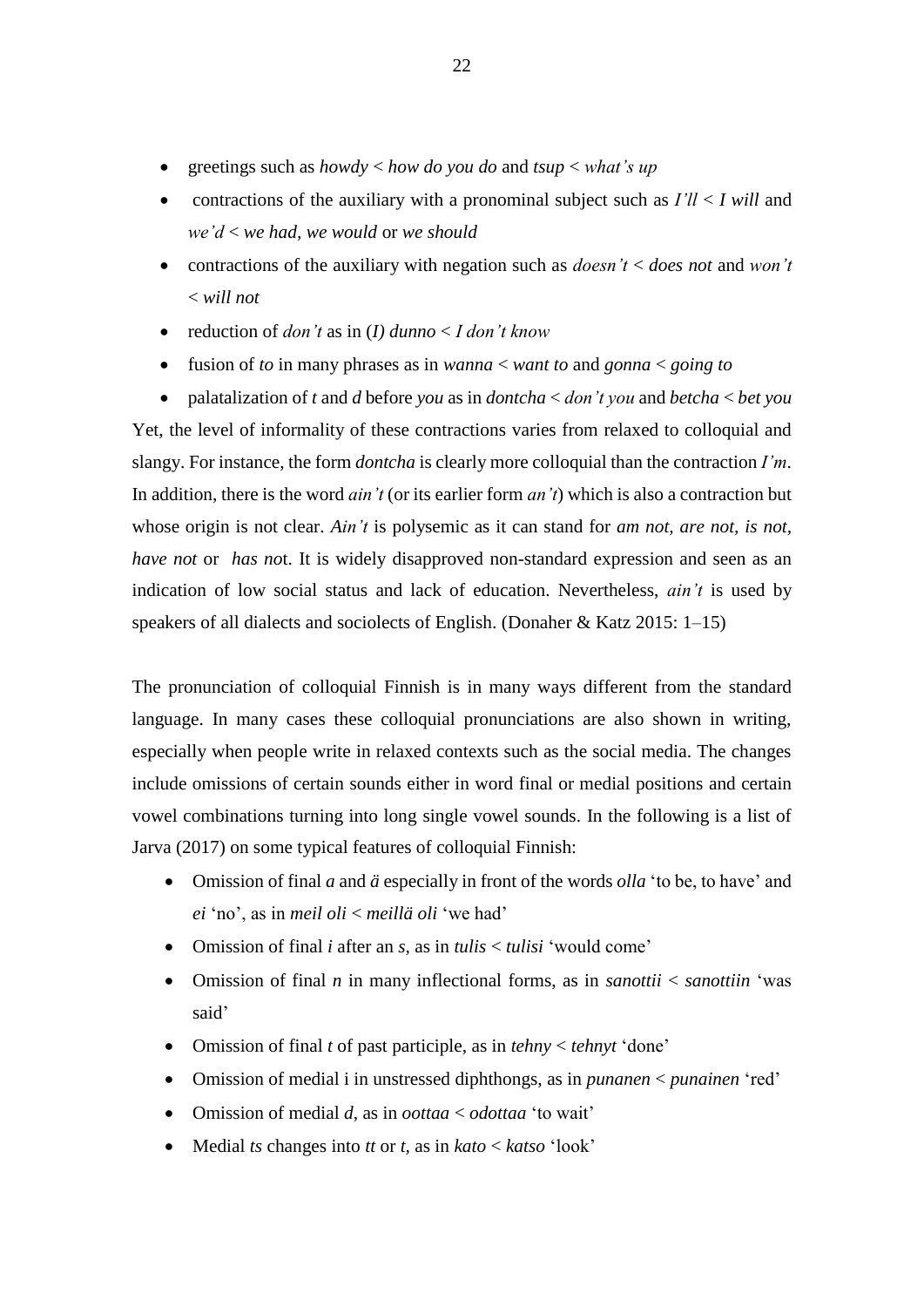- greetings such as *howdy* < *how do you do* and *tsup* < *what's up*
- contractions of the auxiliary with a pronominal subject such as *I'll* < *I will* and *we'd* < *we had, we would* or *we should*
- contractions of the auxiliary with negation such as *doesn't* < *does not* and *won't*  < *will not*
- reduction of *don't* as in (*I) dunno* < *I don't know*
- fusion of *to* in many phrases as in *wanna* < *want to* and *gonna* < *going to*
- palatalization of *t* and *d* before *you* as in *dontcha* < *don't you* and *betcha* < *bet you* Yet, the level of informality of these contractions varies from relaxed to colloquial and slangy. For instance, the form *dontcha* is clearly more colloquial than the contraction *I'm*. In addition, there is the word *ain't* (or its earlier form *an't*) which is also a contraction but whose origin is not clear. *Ain't* is polysemic as it can stand for *am not, are not, is not, have not* or *has not*. It is widely disapproved non-standard expression and seen as an indication of low social status and lack of education. Nevertheless, *ain't* is used by speakers of all dialects and sociolects of English. (Donaher & Katz 2015: 1–15)

The pronunciation of colloquial Finnish is in many ways different from the standard language. In many cases these colloquial pronunciations are also shown in writing, especially when people write in relaxed contexts such as the social media. The changes include omissions of certain sounds either in word final or medial positions and certain vowel combinations turning into long single vowel sounds. In the following is a list of Jarva (2017) on some typical features of colloquial Finnish:

- Omission of final *a* and *ä* especially in front of the words *olla* 'to be, to have' and *ei* 'no', as in *meil oli* < *meillä oli* 'we had'
- Omission of final *i* after an *s,* as in *tulis* < *tulisi* 'would come'
- Omission of final *n* in many inflectional forms, as in *sanottii* < *sanottiin* 'was said'
- Omission of final *t* of past participle, as in *tehny* < *tehnyt* 'done'
- Omission of medial i in unstressed diphthongs, as in *punanen* < *punainen* 'red'
- Omission of medial *d*, as in *oottaa* < *odottaa* 'to wait'
- Medial *ts* changes into *tt* or *t,* as in *kato* < *katso* 'look'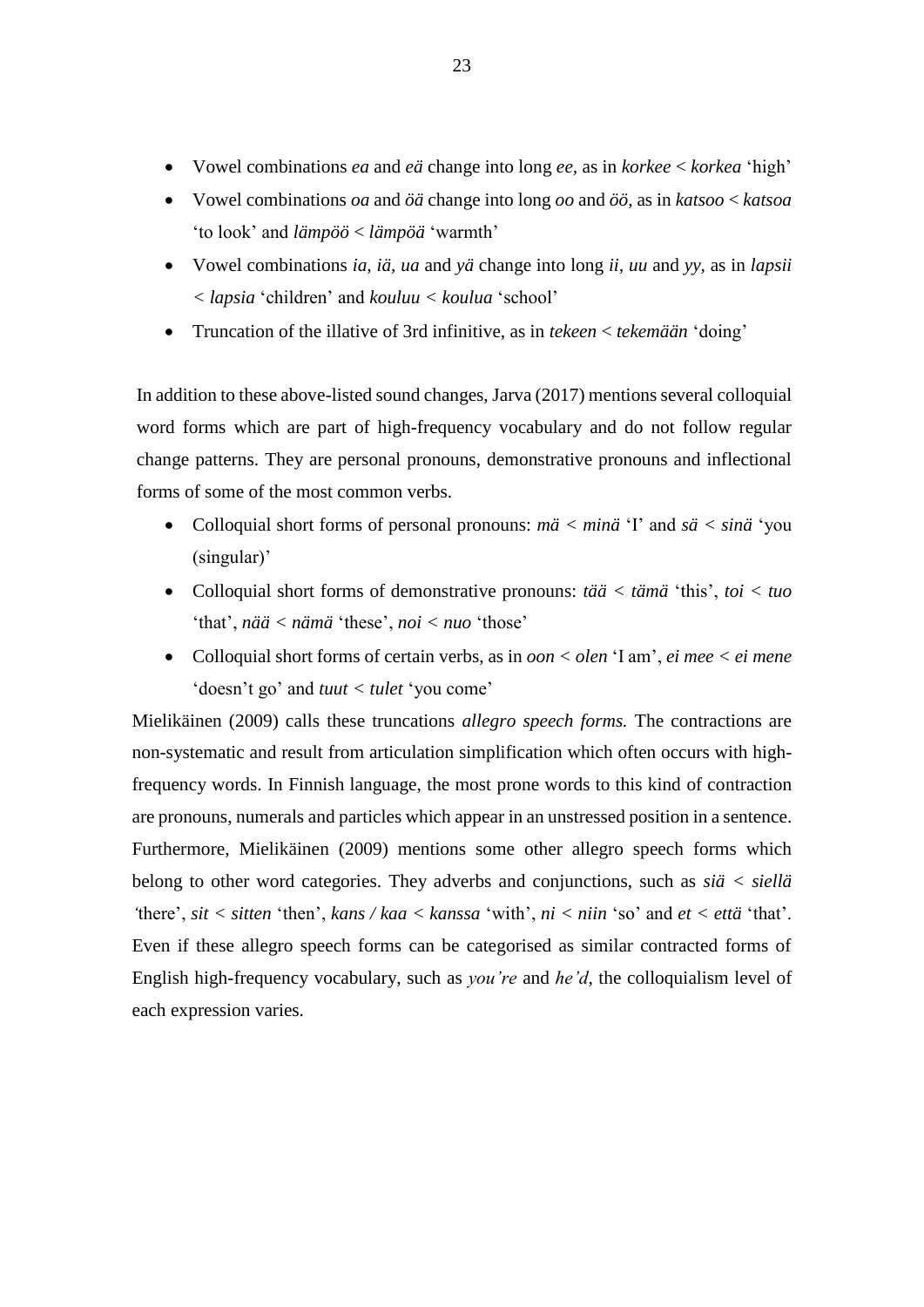- Vowel combinations *ea* and *eä* change into long *ee,* as in *korkee* < *korkea* 'high'
- Vowel combinations *oa* and *öä* change into long *oo* and *öö,* as in *katsoo* < *katsoa*  'to look' and *lämpöö* < *lämpöä* 'warmth'
- Vowel combinations *ia, iä, ua* and *yä* change into long *ii, uu* and *yy,* as in *lapsii < lapsia* 'children' and *kouluu < koulua* 'school'
- Truncation of the illative of 3rd infinitive, as in *tekeen* < *tekemään* 'doing'

In addition to these above-listed sound changes, Jarva (2017) mentions several colloquial word forms which are part of high-frequency vocabulary and do not follow regular change patterns. They are personal pronouns, demonstrative pronouns and inflectional forms of some of the most common verbs.

- Colloquial short forms of personal pronouns: *mä < minä* 'I' and *sä < sinä* 'you (singular)'
- Colloquial short forms of demonstrative pronouns: *tää < tämä* 'this', *toi < tuo* 'that', *nää < nämä* 'these', *noi < nuo* 'those'
- Colloquial short forms of certain verbs, as in *oon < olen* 'I am', *ei mee < ei mene* 'doesn't go' and *tuut < tulet* 'you come'

Mielikäinen (2009) calls these truncations *allegro speech forms.* The contractions are non-systematic and result from articulation simplification which often occurs with highfrequency words. In Finnish language, the most prone words to this kind of contraction are pronouns, numerals and particles which appear in an unstressed position in a sentence. Furthermore, Mielikäinen (2009) mentions some other allegro speech forms which belong to other word categories. They adverbs and conjunctions, such as *siä < siellä '*there', *sit < sitten* 'then', *kans / kaa < kanssa* 'with', *ni < niin* 'so' and *et < että* 'that'. Even if these allegro speech forms can be categorised as similar contracted forms of English high-frequency vocabulary, such as *you're* and *he'd,* the colloquialism level of each expression varies.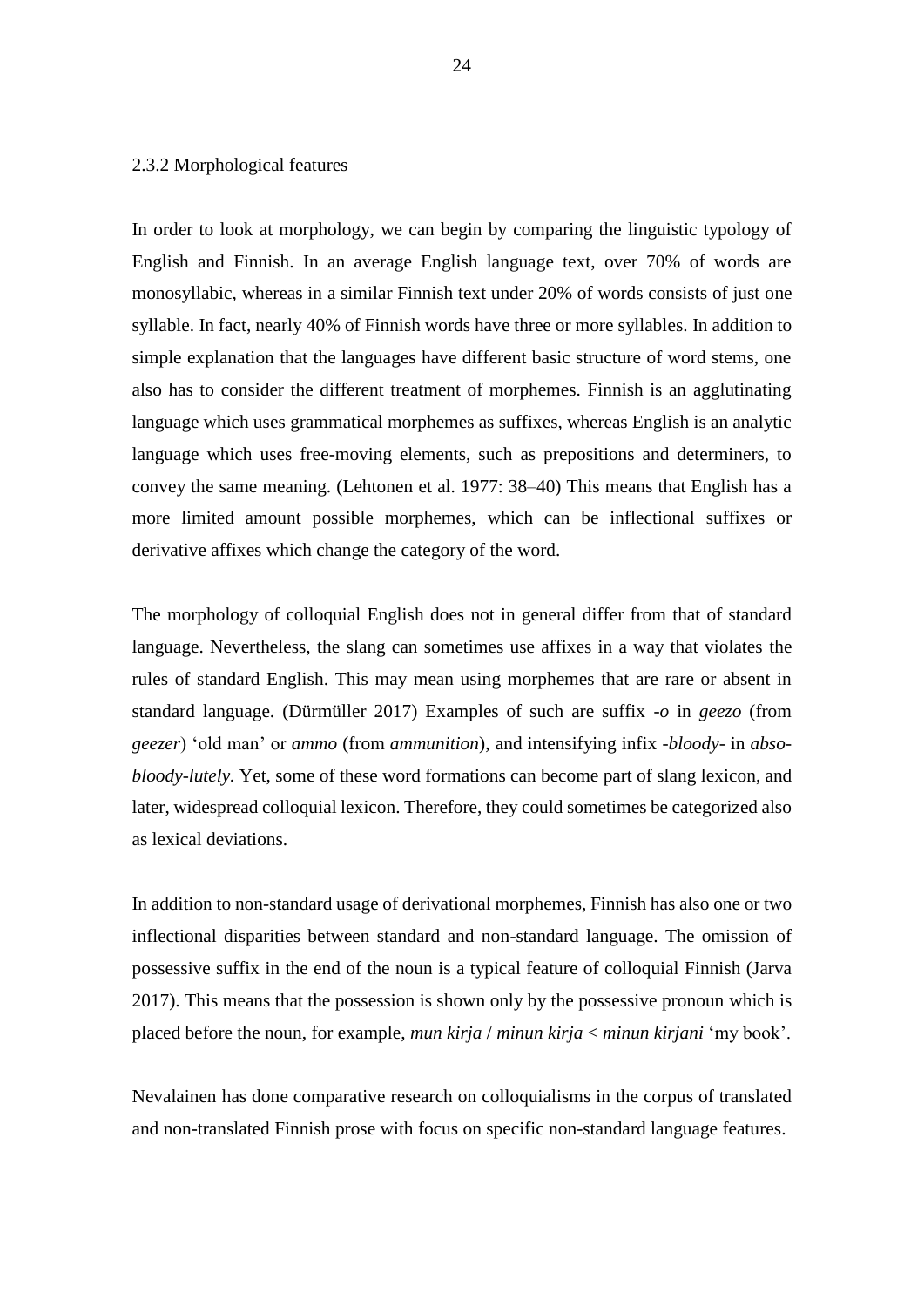#### <span id="page-24-0"></span>2.3.2 Morphological features

In order to look at morphology, we can begin by comparing the linguistic typology of English and Finnish. In an average English language text, over 70% of words are monosyllabic, whereas in a similar Finnish text under 20% of words consists of just one syllable. In fact, nearly 40% of Finnish words have three or more syllables. In addition to simple explanation that the languages have different basic structure of word stems, one also has to consider the different treatment of morphemes. Finnish is an agglutinating language which uses grammatical morphemes as suffixes, whereas English is an analytic language which uses free-moving elements, such as prepositions and determiners, to convey the same meaning. (Lehtonen et al. 1977: 38–40) This means that English has a more limited amount possible morphemes, which can be inflectional suffixes or derivative affixes which change the category of the word.

The morphology of colloquial English does not in general differ from that of standard language. Nevertheless, the slang can sometimes use affixes in a way that violates the rules of standard English. This may mean using morphemes that are rare or absent in standard language. (Dürmüller 2017) Examples of such are suffix *-o* in *geezo* (from *geezer*) 'old man' or *ammo* (from *ammunition*), and intensifying infix *-bloody-* in *absobloody-lutely.* Yet, some of these word formations can become part of slang lexicon, and later, widespread colloquial lexicon. Therefore, they could sometimes be categorized also as lexical deviations.

In addition to non-standard usage of derivational morphemes, Finnish has also one or two inflectional disparities between standard and non-standard language. The omission of possessive suffix in the end of the noun is a typical feature of colloquial Finnish (Jarva 2017). This means that the possession is shown only by the possessive pronoun which is placed before the noun, for example, *mun kirja* / *minun kirja* < *minun kirjani* 'my book'.

Nevalainen has done comparative research on colloquialisms in the corpus of translated and non-translated Finnish prose with focus on specific non-standard language features.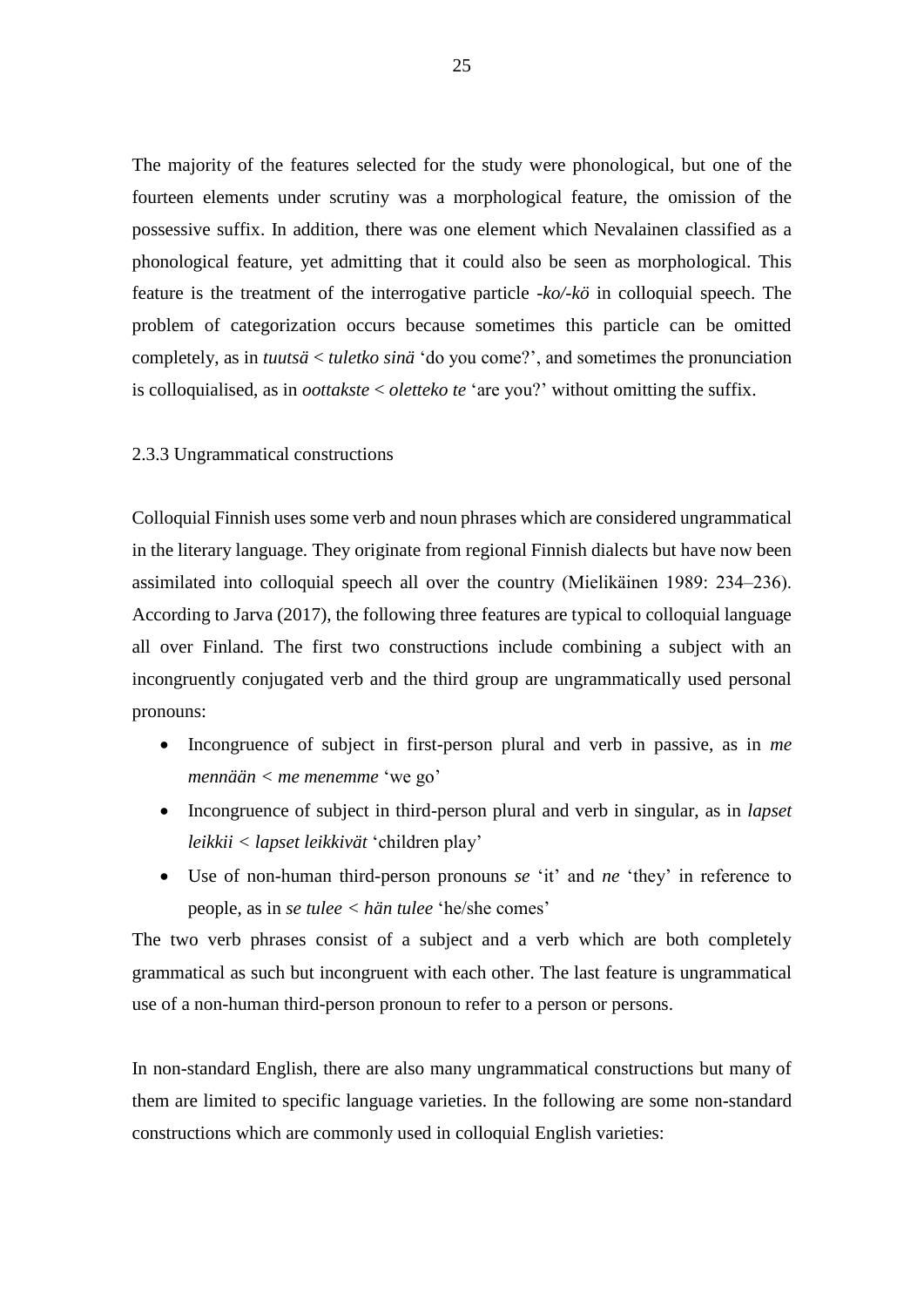The majority of the features selected for the study were phonological, but one of the fourteen elements under scrutiny was a morphological feature, the omission of the possessive suffix. In addition, there was one element which Nevalainen classified as a phonological feature, yet admitting that it could also be seen as morphological. This feature is the treatment of the interrogative particle *-ko/-kö* in colloquial speech. The problem of categorization occurs because sometimes this particle can be omitted completely, as in *tuutsä* < *tuletko sinä* 'do you come?', and sometimes the pronunciation is colloquialised, as in *oottakste* < *oletteko te* 'are you?' without omitting the suffix.

#### <span id="page-25-0"></span>2.3.3 Ungrammatical constructions

Colloquial Finnish uses some verb and noun phrases which are considered ungrammatical in the literary language. They originate from regional Finnish dialects but have now been assimilated into colloquial speech all over the country (Mielikäinen 1989: 234‒236). According to Jarva (2017), the following three features are typical to colloquial language all over Finland. The first two constructions include combining a subject with an incongruently conjugated verb and the third group are ungrammatically used personal pronouns:

- Incongruence of subject in first-person plural and verb in passive, as in *me mennään < me menemme* 'we go'
- Incongruence of subject in third-person plural and verb in singular, as in *lapset leikkii < lapset leikkivät* 'children play'
- Use of non-human third-person pronouns *se* 'it' and *ne* 'they' in reference to people, as in *se tulee < hän tulee* 'he/she comes'

The two verb phrases consist of a subject and a verb which are both completely grammatical as such but incongruent with each other. The last feature is ungrammatical use of a non-human third-person pronoun to refer to a person or persons.

In non-standard English, there are also many ungrammatical constructions but many of them are limited to specific language varieties. In the following are some non-standard constructions which are commonly used in colloquial English varieties: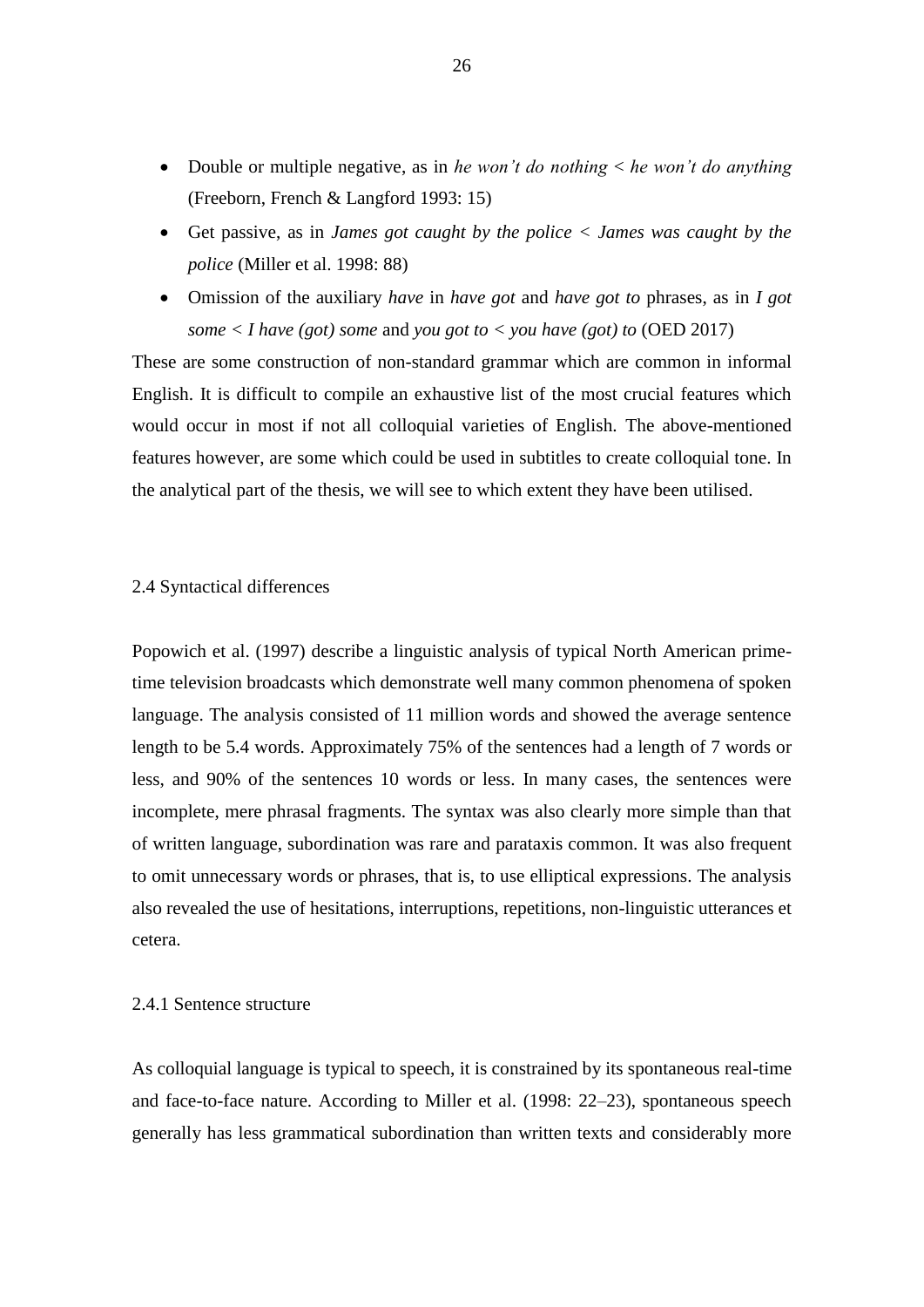- Double or multiple negative, as in *he won't do nothing* < *he won't do anything*  (Freeborn, French & Langford 1993: 15)
- Get passive, as in *James got caught by the police < James was caught by the police* (Miller et al. 1998: 88)
- Omission of the auxiliary *have* in *have got* and *have got to* phrases, as in *I got some*  $\langle$  *I have* (got) *some* and *you got to*  $\langle$  *you have* (got) *to* (OED 2017)

These are some construction of non-standard grammar which are common in informal English. It is difficult to compile an exhaustive list of the most crucial features which would occur in most if not all colloquial varieties of English. The above-mentioned features however, are some which could be used in subtitles to create colloquial tone. In the analytical part of the thesis, we will see to which extent they have been utilised.

## <span id="page-26-0"></span>2.4 Syntactical differences

Popowich et al. (1997) describe a linguistic analysis of typical North American primetime television broadcasts which demonstrate well many common phenomena of spoken language. The analysis consisted of 11 million words and showed the average sentence length to be 5.4 words. Approximately 75% of the sentences had a length of 7 words or less, and 90% of the sentences 10 words or less. In many cases, the sentences were incomplete, mere phrasal fragments. The syntax was also clearly more simple than that of written language, subordination was rare and parataxis common. It was also frequent to omit unnecessary words or phrases, that is, to use elliptical expressions. The analysis also revealed the use of hesitations, interruptions, repetitions, non-linguistic utterances et cetera.

#### <span id="page-26-1"></span>2.4.1 Sentence structure

As colloquial language is typical to speech, it is constrained by its spontaneous real-time and face-to-face nature. According to Miller et al. (1998: 22–23), spontaneous speech generally has less grammatical subordination than written texts and considerably more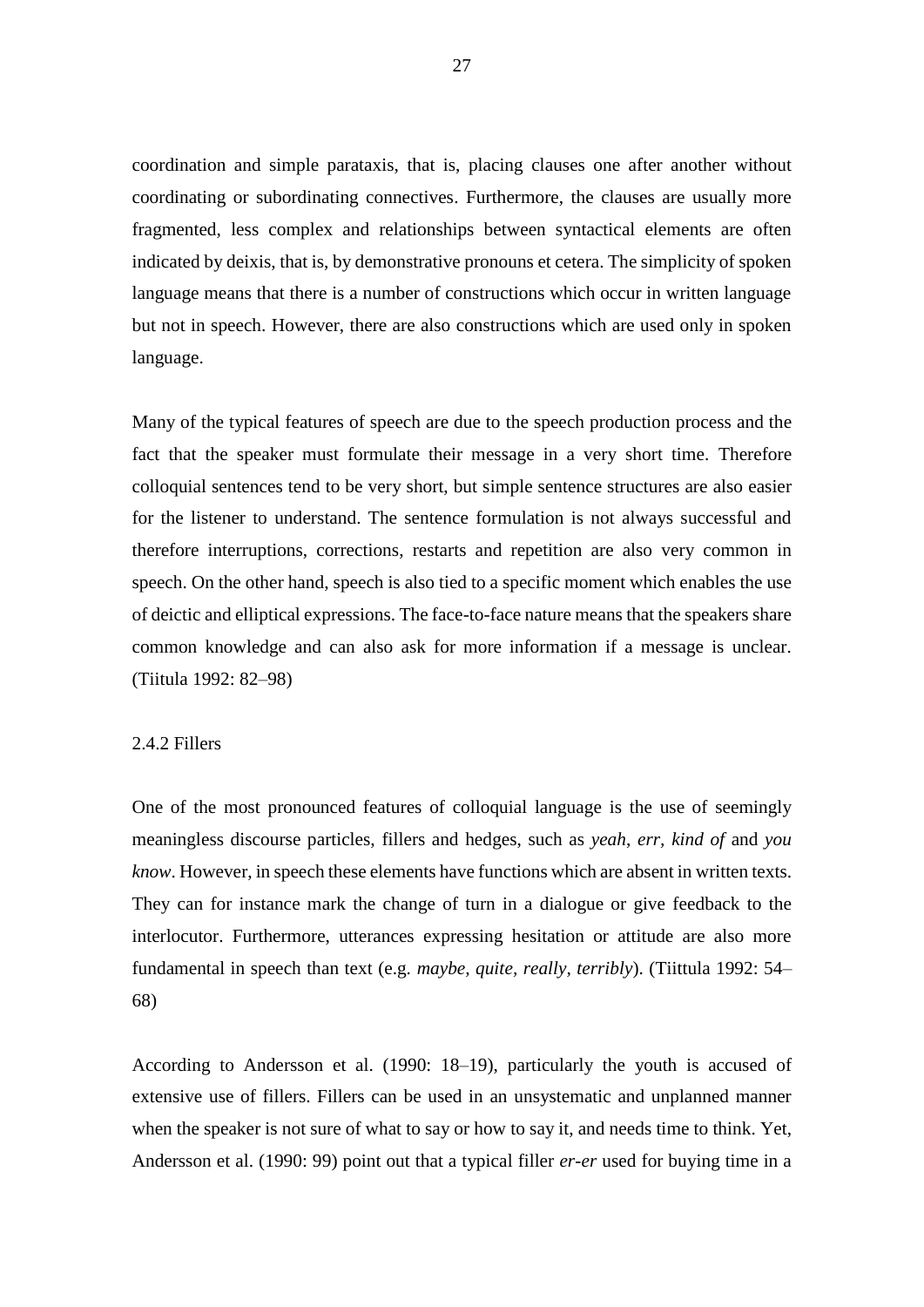coordination and simple parataxis, that is, placing clauses one after another without coordinating or subordinating connectives. Furthermore, the clauses are usually more fragmented, less complex and relationships between syntactical elements are often indicated by deixis, that is, by demonstrative pronouns et cetera. The simplicity of spoken language means that there is a number of constructions which occur in written language but not in speech. However, there are also constructions which are used only in spoken language.

Many of the typical features of speech are due to the speech production process and the fact that the speaker must formulate their message in a very short time. Therefore colloquial sentences tend to be very short, but simple sentence structures are also easier for the listener to understand. The sentence formulation is not always successful and therefore interruptions, corrections, restarts and repetition are also very common in speech. On the other hand, speech is also tied to a specific moment which enables the use of deictic and elliptical expressions. The face-to-face nature means that the speakers share common knowledge and can also ask for more information if a message is unclear. (Tiitula 1992: 82–98)

## <span id="page-27-0"></span>2.4.2 Fillers

One of the most pronounced features of colloquial language is the use of seemingly meaningless discourse particles, fillers and hedges, such as *yeah*, *err, kind of* and *you know*. However, in speech these elements have functions which are absent in written texts. They can for instance mark the change of turn in a dialogue or give feedback to the interlocutor. Furthermore, utterances expressing hesitation or attitude are also more fundamental in speech than text (e.g. *maybe, quite, really, terribly*). (Tiittula 1992: 54– 68)

According to Andersson et al. (1990: 18–19), particularly the youth is accused of extensive use of fillers. Fillers can be used in an unsystematic and unplanned manner when the speaker is not sure of what to say or how to say it, and needs time to think. Yet, Andersson et al. (1990: 99) point out that a typical filler *er-er* used for buying time in a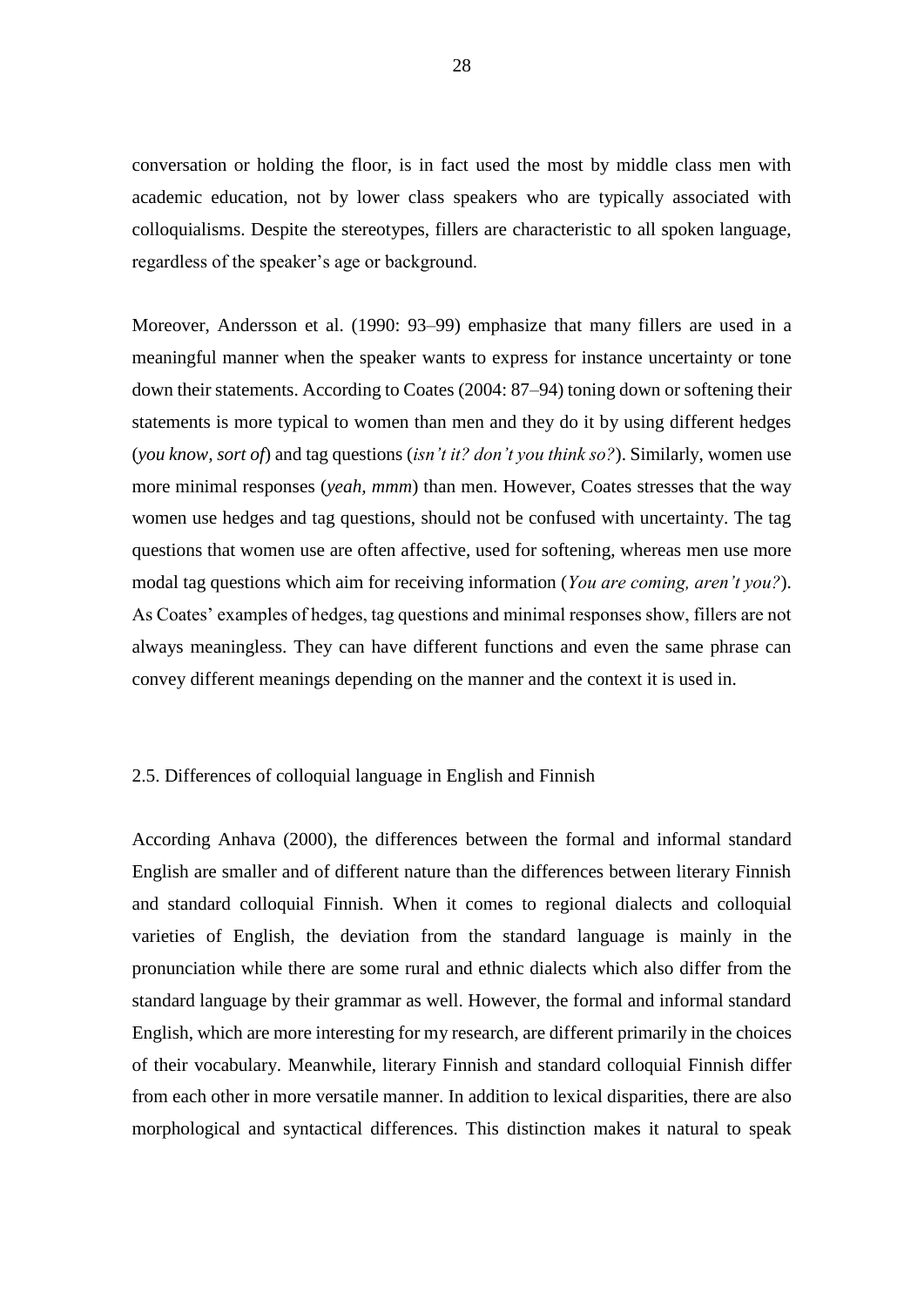conversation or holding the floor, is in fact used the most by middle class men with academic education, not by lower class speakers who are typically associated with colloquialisms. Despite the stereotypes, fillers are characteristic to all spoken language, regardless of the speaker's age or background.

Moreover, Andersson et al. (1990: 93–99) emphasize that many fillers are used in a meaningful manner when the speaker wants to express for instance uncertainty or tone down their statements. According to Coates (2004: 87–94) toning down or softening their statements is more typical to women than men and they do it by using different hedges (*you know, sort of*) and tag questions (*isn't it? don't you think so?*). Similarly, women use more minimal responses (*yeah, mmm*) than men. However, Coates stresses that the way women use hedges and tag questions, should not be confused with uncertainty. The tag questions that women use are often affective, used for softening, whereas men use more modal tag questions which aim for receiving information (*You are coming, aren't you?*). As Coates' examples of hedges, tag questions and minimal responses show, fillers are not always meaningless. They can have different functions and even the same phrase can convey different meanings depending on the manner and the context it is used in.

#### <span id="page-28-0"></span>2.5. Differences of colloquial language in English and Finnish

According Anhava (2000), the differences between the formal and informal standard English are smaller and of different nature than the differences between literary Finnish and standard colloquial Finnish. When it comes to regional dialects and colloquial varieties of English, the deviation from the standard language is mainly in the pronunciation while there are some rural and ethnic dialects which also differ from the standard language by their grammar as well. However, the formal and informal standard English, which are more interesting for my research, are different primarily in the choices of their vocabulary. Meanwhile, literary Finnish and standard colloquial Finnish differ from each other in more versatile manner. In addition to lexical disparities, there are also morphological and syntactical differences. This distinction makes it natural to speak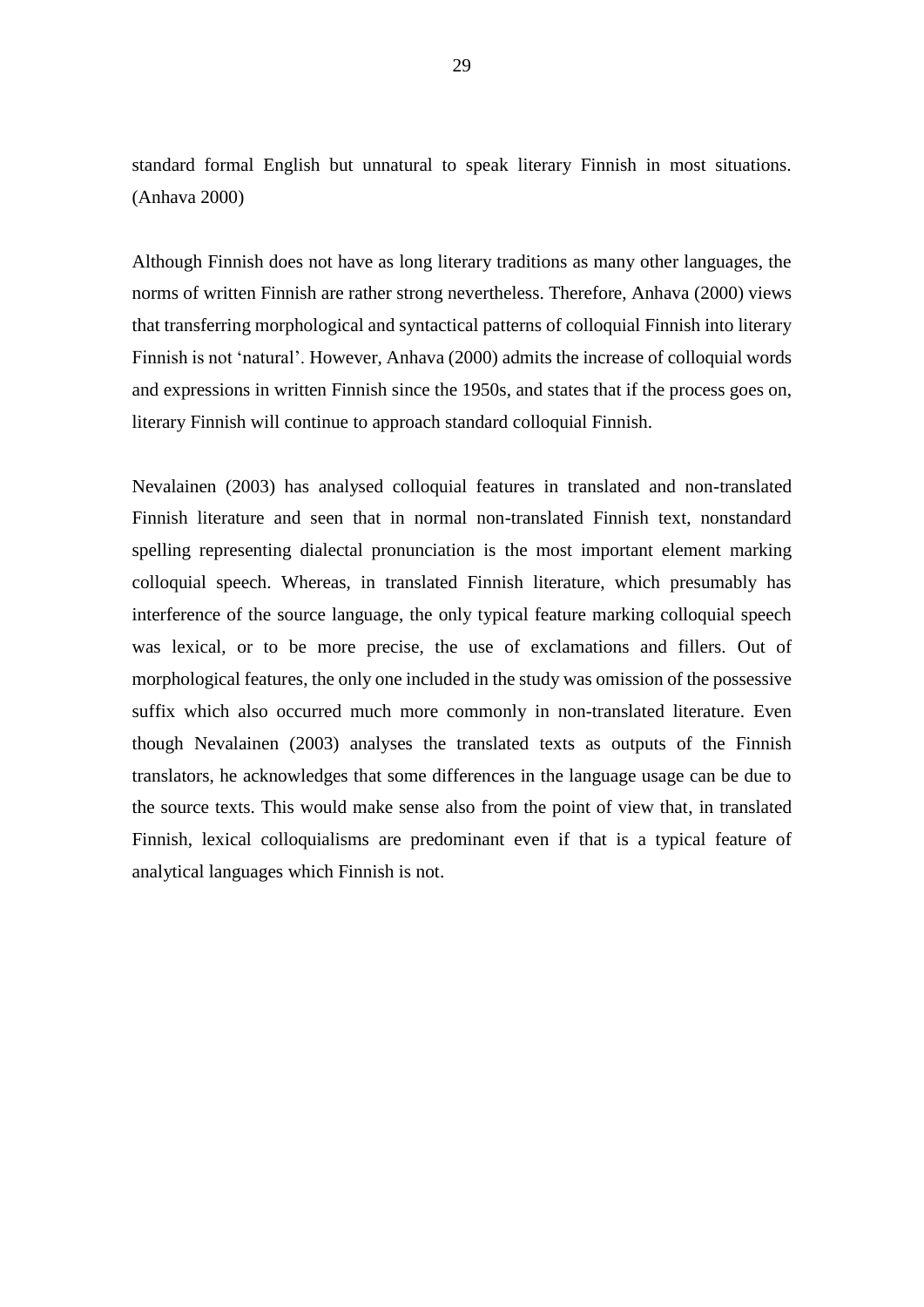standard formal English but unnatural to speak literary Finnish in most situations. (Anhava 2000)

Although Finnish does not have as long literary traditions as many other languages, the norms of written Finnish are rather strong nevertheless. Therefore, Anhava (2000) views that transferring morphological and syntactical patterns of colloquial Finnish into literary Finnish is not 'natural'. However, Anhava (2000) admits the increase of colloquial words and expressions in written Finnish since the 1950s, and states that if the process goes on, literary Finnish will continue to approach standard colloquial Finnish.

Nevalainen (2003) has analysed colloquial features in translated and non-translated Finnish literature and seen that in normal non-translated Finnish text, nonstandard spelling representing dialectal pronunciation is the most important element marking colloquial speech. Whereas, in translated Finnish literature, which presumably has interference of the source language, the only typical feature marking colloquial speech was lexical, or to be more precise, the use of exclamations and fillers. Out of morphological features, the only one included in the study was omission of the possessive suffix which also occurred much more commonly in non-translated literature. Even though Nevalainen (2003) analyses the translated texts as outputs of the Finnish translators, he acknowledges that some differences in the language usage can be due to the source texts. This would make sense also from the point of view that, in translated Finnish, lexical colloquialisms are predominant even if that is a typical feature of analytical languages which Finnish is not.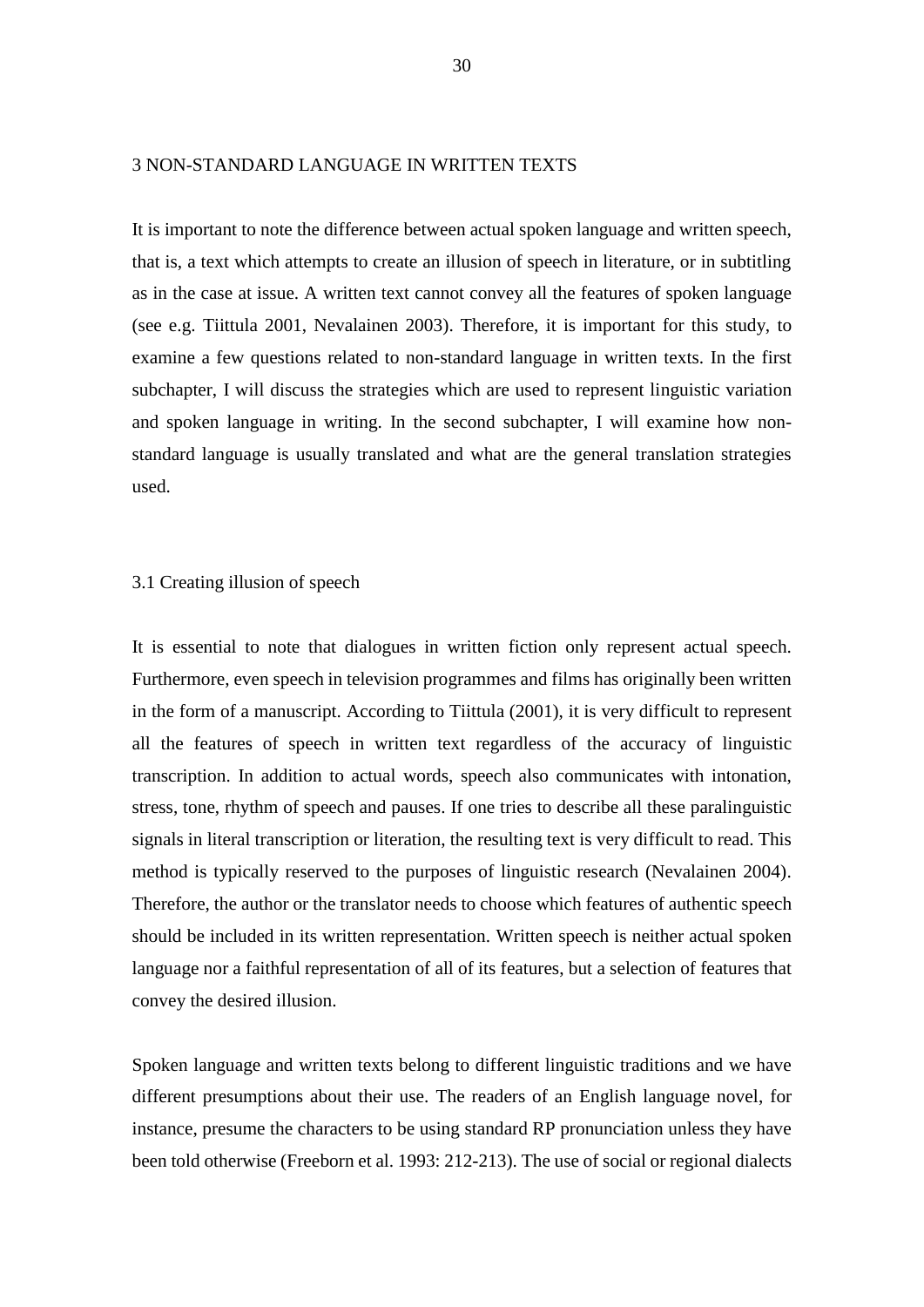### <span id="page-30-0"></span>3 NON-STANDARD LANGUAGE IN WRITTEN TEXTS

It is important to note the difference between actual spoken language and written speech, that is, a text which attempts to create an illusion of speech in literature, or in subtitling as in the case at issue. A written text cannot convey all the features of spoken language (see e.g. Tiittula 2001, Nevalainen 2003). Therefore, it is important for this study, to examine a few questions related to non-standard language in written texts. In the first subchapter, I will discuss the strategies which are used to represent linguistic variation and spoken language in writing. In the second subchapter, I will examine how nonstandard language is usually translated and what are the general translation strategies used.

#### <span id="page-30-1"></span>3.1 Creating illusion of speech

It is essential to note that dialogues in written fiction only represent actual speech. Furthermore, even speech in television programmes and films has originally been written in the form of a manuscript. According to Tiittula (2001), it is very difficult to represent all the features of speech in written text regardless of the accuracy of linguistic transcription. In addition to actual words, speech also communicates with intonation, stress, tone, rhythm of speech and pauses. If one tries to describe all these paralinguistic signals in literal transcription or literation, the resulting text is very difficult to read. This method is typically reserved to the purposes of linguistic research (Nevalainen 2004). Therefore, the author or the translator needs to choose which features of authentic speech should be included in its written representation. Written speech is neither actual spoken language nor a faithful representation of all of its features, but a selection of features that convey the desired illusion.

Spoken language and written texts belong to different linguistic traditions and we have different presumptions about their use. The readers of an English language novel, for instance, presume the characters to be using standard RP pronunciation unless they have been told otherwise (Freeborn et al. 1993: 212-213). The use of social or regional dialects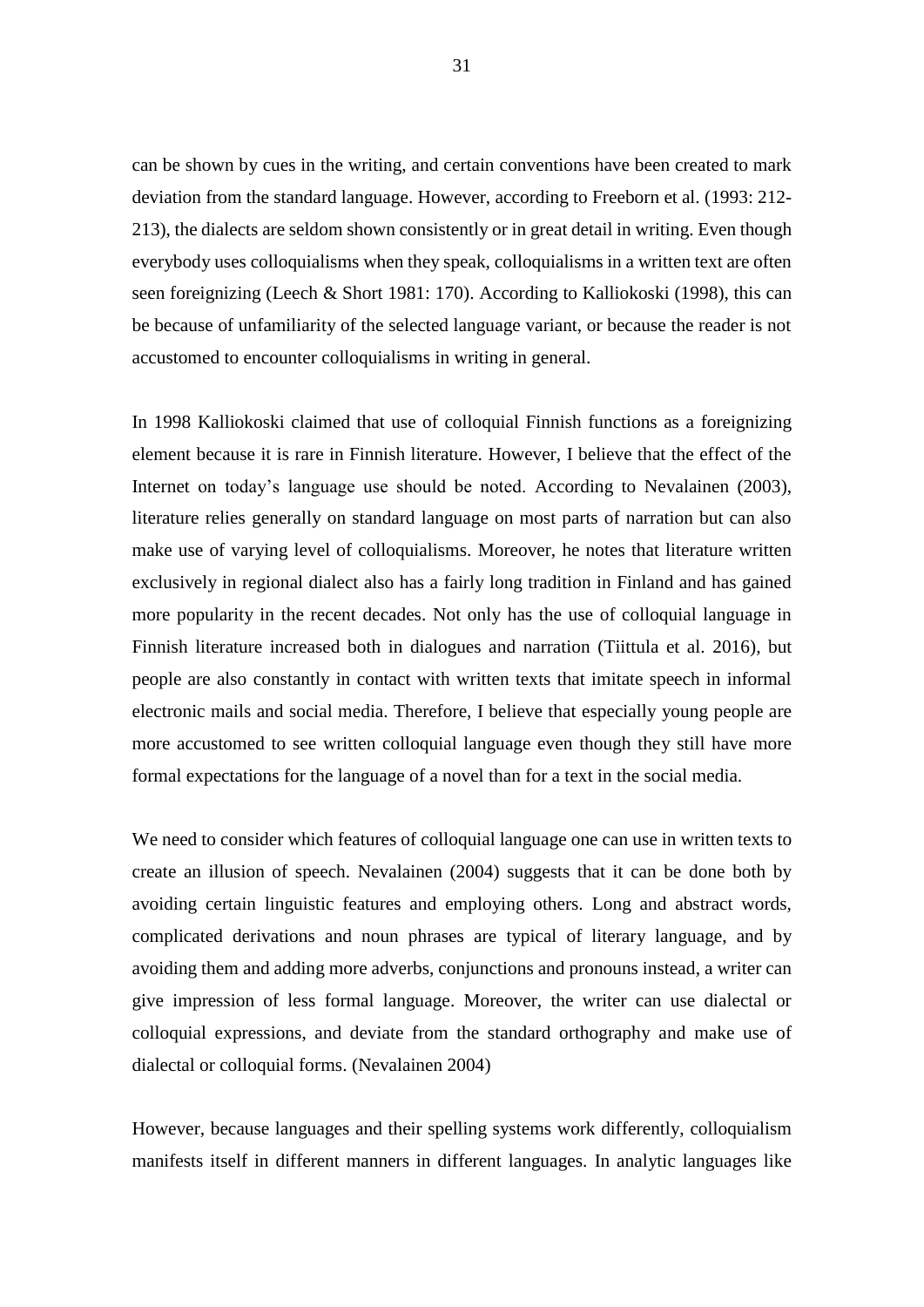can be shown by cues in the writing, and certain conventions have been created to mark deviation from the standard language. However, according to Freeborn et al. (1993: 212- 213), the dialects are seldom shown consistently or in great detail in writing. Even though everybody uses colloquialisms when they speak, colloquialisms in a written text are often seen foreignizing (Leech & Short 1981: 170). According to Kalliokoski (1998), this can be because of unfamiliarity of the selected language variant, or because the reader is not accustomed to encounter colloquialisms in writing in general.

In 1998 Kalliokoski claimed that use of colloquial Finnish functions as a foreignizing element because it is rare in Finnish literature. However, I believe that the effect of the Internet on today's language use should be noted. According to Nevalainen (2003), literature relies generally on standard language on most parts of narration but can also make use of varying level of colloquialisms. Moreover, he notes that literature written exclusively in regional dialect also has a fairly long tradition in Finland and has gained more popularity in the recent decades. Not only has the use of colloquial language in Finnish literature increased both in dialogues and narration (Tiittula et al. 2016), but people are also constantly in contact with written texts that imitate speech in informal electronic mails and social media. Therefore, I believe that especially young people are more accustomed to see written colloquial language even though they still have more formal expectations for the language of a novel than for a text in the social media.

We need to consider which features of colloquial language one can use in written texts to create an illusion of speech. Nevalainen (2004) suggests that it can be done both by avoiding certain linguistic features and employing others. Long and abstract words, complicated derivations and noun phrases are typical of literary language, and by avoiding them and adding more adverbs, conjunctions and pronouns instead, a writer can give impression of less formal language. Moreover, the writer can use dialectal or colloquial expressions, and deviate from the standard orthography and make use of dialectal or colloquial forms. (Nevalainen 2004)

However, because languages and their spelling systems work differently, colloquialism manifests itself in different manners in different languages. In analytic languages like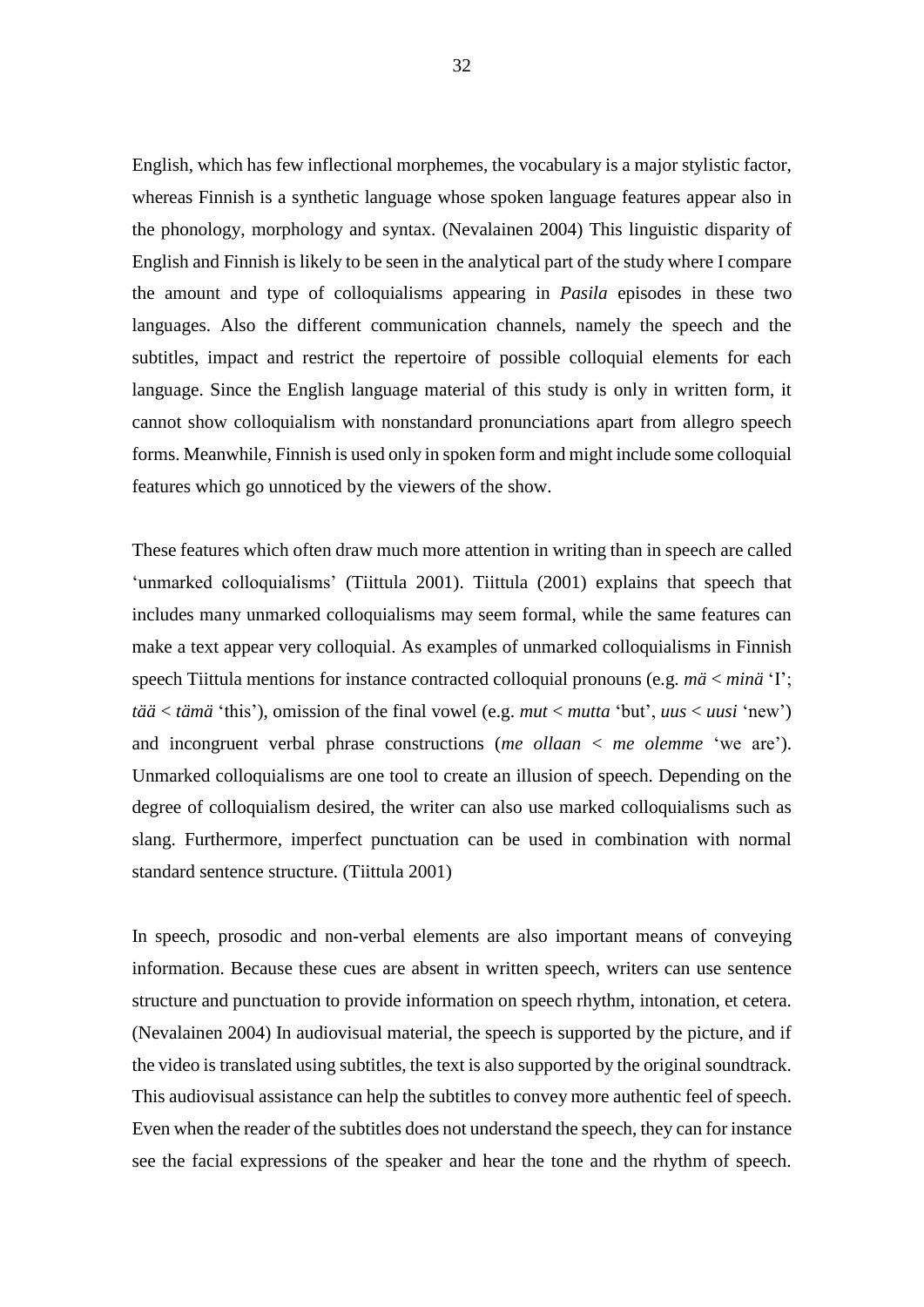English, which has few inflectional morphemes, the vocabulary is a major stylistic factor, whereas Finnish is a synthetic language whose spoken language features appear also in the phonology, morphology and syntax. (Nevalainen 2004) This linguistic disparity of English and Finnish is likely to be seen in the analytical part of the study where I compare the amount and type of colloquialisms appearing in *Pasila* episodes in these two languages. Also the different communication channels, namely the speech and the subtitles, impact and restrict the repertoire of possible colloquial elements for each language. Since the English language material of this study is only in written form, it cannot show colloquialism with nonstandard pronunciations apart from allegro speech forms. Meanwhile, Finnish is used only in spoken form and might include some colloquial features which go unnoticed by the viewers of the show.

These features which often draw much more attention in writing than in speech are called 'unmarked colloquialisms' (Tiittula 2001). Tiittula (2001) explains that speech that includes many unmarked colloquialisms may seem formal, while the same features can make a text appear very colloquial. As examples of unmarked colloquialisms in Finnish speech Tiittula mentions for instance contracted colloquial pronouns (e.g. *mä* < *minä* 'I'; *tää* < *tämä* 'this'), omission of the final vowel (e.g. *mut* < *mutta* 'but', *uus* < *uusi* 'new') and incongruent verbal phrase constructions (*me ollaan* < *me olemme* 'we are'). Unmarked colloquialisms are one tool to create an illusion of speech. Depending on the degree of colloquialism desired, the writer can also use marked colloquialisms such as slang. Furthermore, imperfect punctuation can be used in combination with normal standard sentence structure. (Tiittula 2001)

In speech, prosodic and non-verbal elements are also important means of conveying information. Because these cues are absent in written speech, writers can use sentence structure and punctuation to provide information on speech rhythm, intonation, et cetera. (Nevalainen 2004) In audiovisual material, the speech is supported by the picture, and if the video is translated using subtitles, the text is also supported by the original soundtrack. This audiovisual assistance can help the subtitles to convey more authentic feel of speech. Even when the reader of the subtitles does not understand the speech, they can for instance see the facial expressions of the speaker and hear the tone and the rhythm of speech.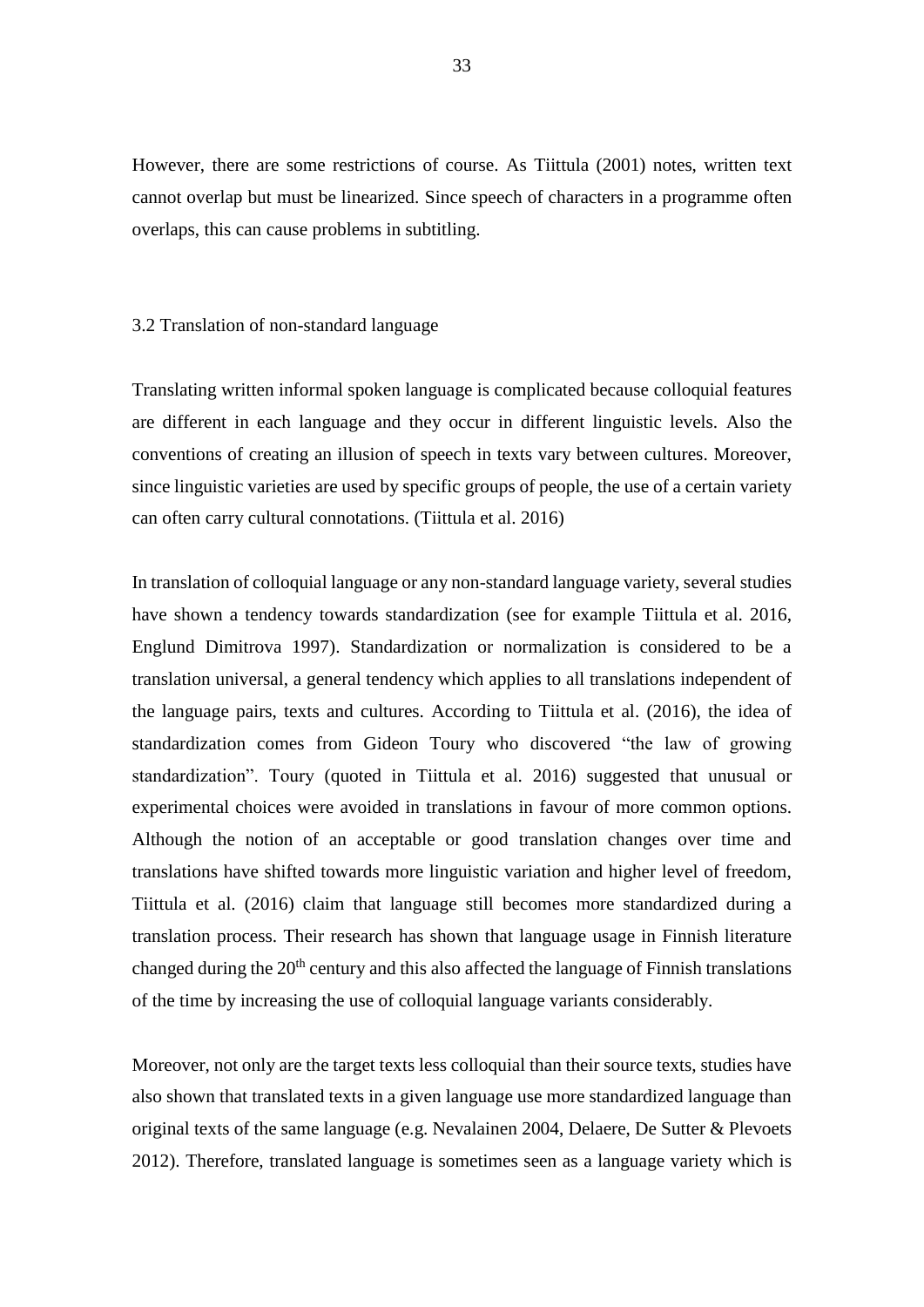However, there are some restrictions of course. As Tiittula (2001) notes, written text cannot overlap but must be linearized. Since speech of characters in a programme often overlaps, this can cause problems in subtitling.

#### <span id="page-33-0"></span>3.2 Translation of non-standard language

Translating written informal spoken language is complicated because colloquial features are different in each language and they occur in different linguistic levels. Also the conventions of creating an illusion of speech in texts vary between cultures. Moreover, since linguistic varieties are used by specific groups of people, the use of a certain variety can often carry cultural connotations. (Tiittula et al. 2016)

In translation of colloquial language or any non-standard language variety, several studies have shown a tendency towards standardization (see for example Tiittula et al. 2016, Englund Dimitrova 1997). Standardization or normalization is considered to be a translation universal, a general tendency which applies to all translations independent of the language pairs, texts and cultures. According to Tiittula et al. (2016), the idea of standardization comes from Gideon Toury who discovered "the law of growing standardization". Toury (quoted in Tiittula et al. 2016) suggested that unusual or experimental choices were avoided in translations in favour of more common options. Although the notion of an acceptable or good translation changes over time and translations have shifted towards more linguistic variation and higher level of freedom, Tiittula et al. (2016) claim that language still becomes more standardized during a translation process. Their research has shown that language usage in Finnish literature changed during the  $20<sup>th</sup>$  century and this also affected the language of Finnish translations of the time by increasing the use of colloquial language variants considerably.

Moreover, not only are the target texts less colloquial than their source texts, studies have also shown that translated texts in a given language use more standardized language than original texts of the same language (e.g. Nevalainen 2004, Delaere, De Sutter & Plevoets 2012). Therefore, translated language is sometimes seen as a language variety which is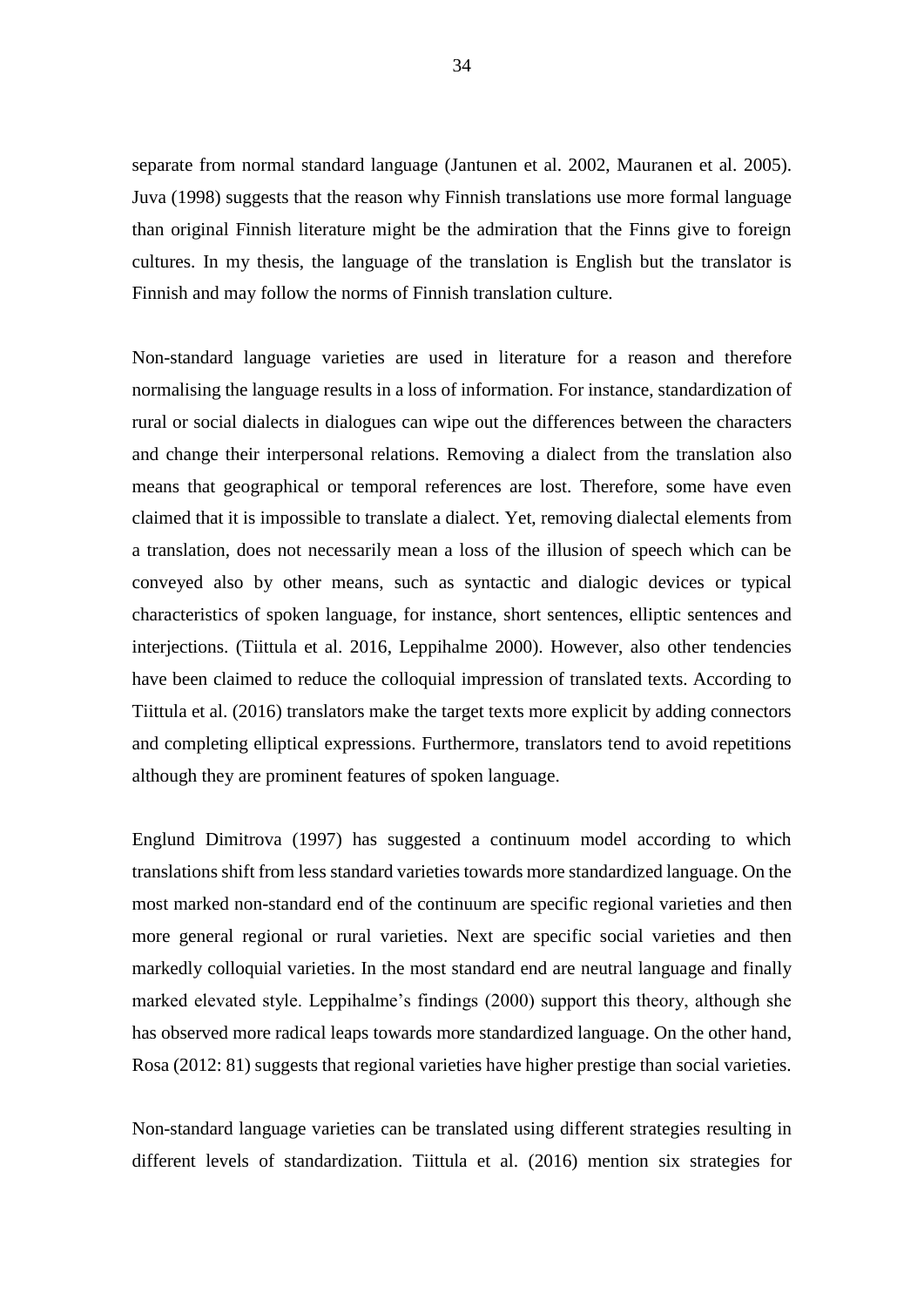separate from normal standard language (Jantunen et al. 2002, Mauranen et al. 2005). Juva (1998) suggests that the reason why Finnish translations use more formal language than original Finnish literature might be the admiration that the Finns give to foreign cultures. In my thesis, the language of the translation is English but the translator is Finnish and may follow the norms of Finnish translation culture.

Non-standard language varieties are used in literature for a reason and therefore normalising the language results in a loss of information. For instance, standardization of rural or social dialects in dialogues can wipe out the differences between the characters and change their interpersonal relations. Removing a dialect from the translation also means that geographical or temporal references are lost. Therefore, some have even claimed that it is impossible to translate a dialect. Yet, removing dialectal elements from a translation, does not necessarily mean a loss of the illusion of speech which can be conveyed also by other means, such as syntactic and dialogic devices or typical characteristics of spoken language, for instance, short sentences, elliptic sentences and interjections. (Tiittula et al. 2016, Leppihalme 2000). However, also other tendencies have been claimed to reduce the colloquial impression of translated texts. According to Tiittula et al. (2016) translators make the target texts more explicit by adding connectors and completing elliptical expressions. Furthermore, translators tend to avoid repetitions although they are prominent features of spoken language.

Englund Dimitrova (1997) has suggested a continuum model according to which translations shift from less standard varieties towards more standardized language. On the most marked non-standard end of the continuum are specific regional varieties and then more general regional or rural varieties. Next are specific social varieties and then markedly colloquial varieties. In the most standard end are neutral language and finally marked elevated style. Leppihalme's findings (2000) support this theory, although she has observed more radical leaps towards more standardized language. On the other hand, Rosa (2012: 81) suggests that regional varieties have higher prestige than social varieties.

Non-standard language varieties can be translated using different strategies resulting in different levels of standardization. Tiittula et al. (2016) mention six strategies for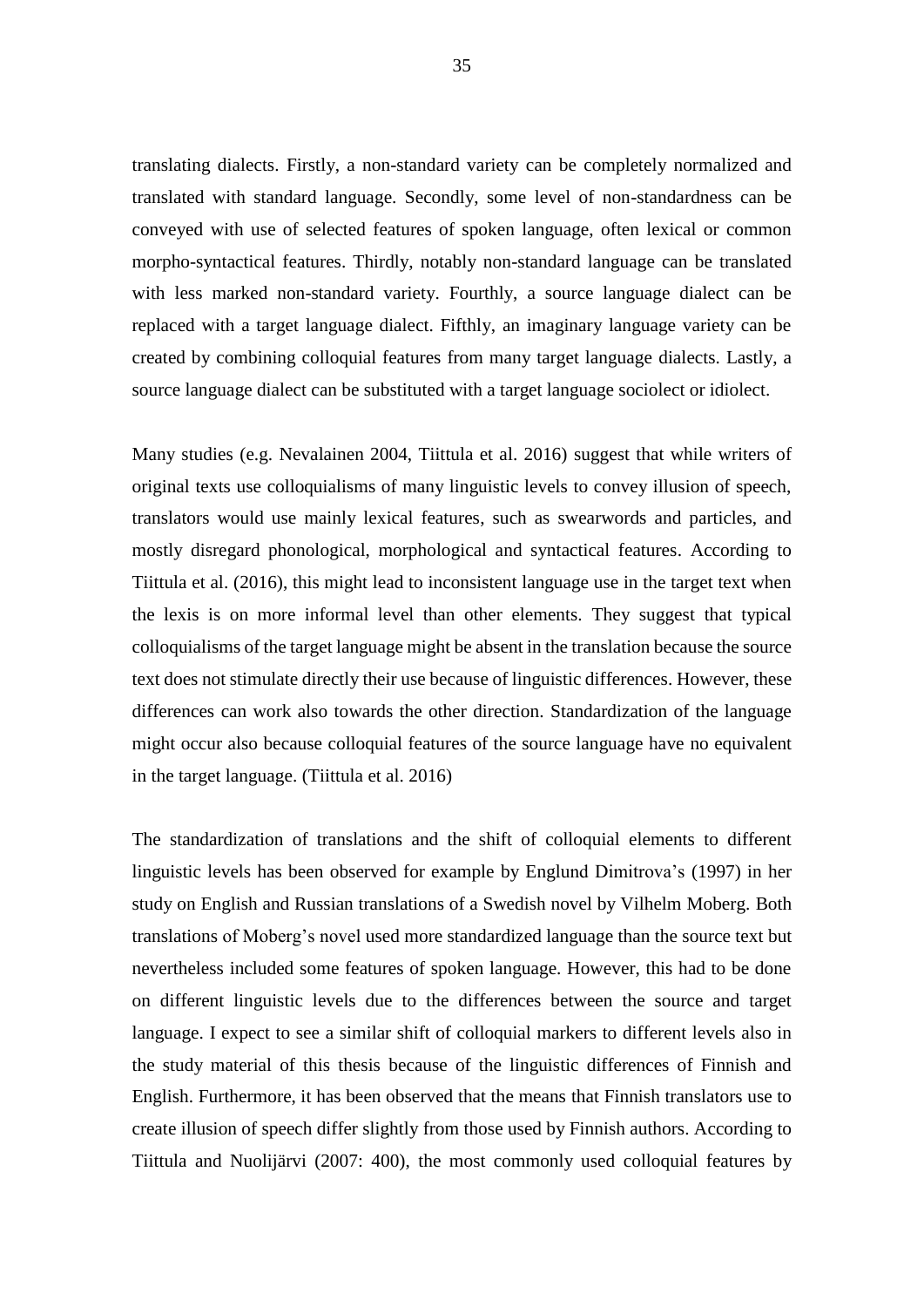translating dialects. Firstly, a non-standard variety can be completely normalized and translated with standard language. Secondly, some level of non-standardness can be conveyed with use of selected features of spoken language, often lexical or common morpho-syntactical features. Thirdly, notably non-standard language can be translated with less marked non-standard variety. Fourthly, a source language dialect can be replaced with a target language dialect. Fifthly, an imaginary language variety can be created by combining colloquial features from many target language dialects. Lastly, a source language dialect can be substituted with a target language sociolect or idiolect.

Many studies (e.g. Nevalainen 2004, Tiittula et al. 2016) suggest that while writers of original texts use colloquialisms of many linguistic levels to convey illusion of speech, translators would use mainly lexical features, such as swearwords and particles, and mostly disregard phonological, morphological and syntactical features. According to Tiittula et al. (2016), this might lead to inconsistent language use in the target text when the lexis is on more informal level than other elements. They suggest that typical colloquialisms of the target language might be absent in the translation because the source text does not stimulate directly their use because of linguistic differences. However, these differences can work also towards the other direction. Standardization of the language might occur also because colloquial features of the source language have no equivalent in the target language. (Tiittula et al. 2016)

The standardization of translations and the shift of colloquial elements to different linguistic levels has been observed for example by Englund Dimitrova's (1997) in her study on English and Russian translations of a Swedish novel by Vilhelm Moberg. Both translations of Moberg's novel used more standardized language than the source text but nevertheless included some features of spoken language. However, this had to be done on different linguistic levels due to the differences between the source and target language. I expect to see a similar shift of colloquial markers to different levels also in the study material of this thesis because of the linguistic differences of Finnish and English. Furthermore, it has been observed that the means that Finnish translators use to create illusion of speech differ slightly from those used by Finnish authors. According to Tiittula and Nuolijärvi (2007: 400), the most commonly used colloquial features by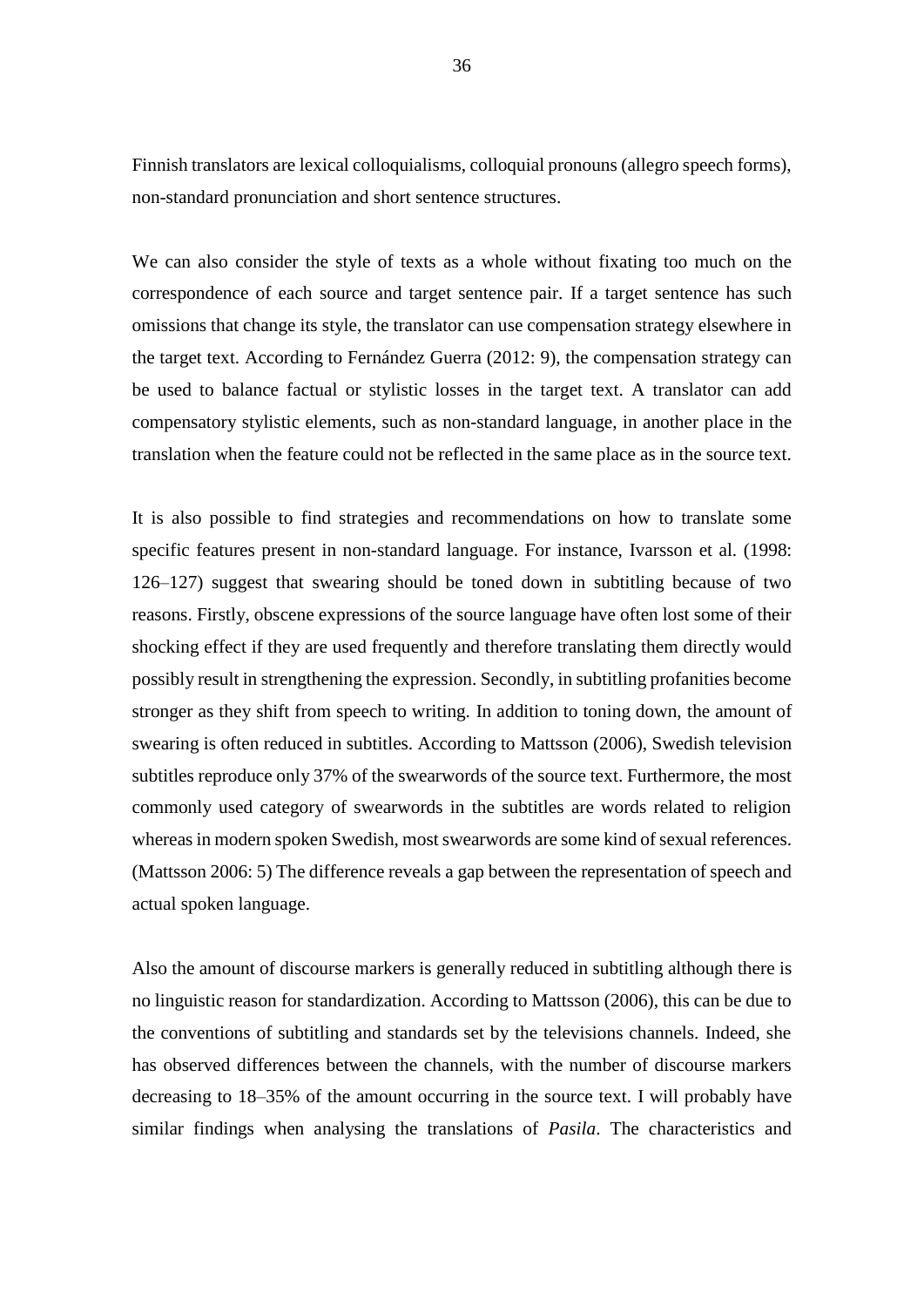Finnish translators are lexical colloquialisms, colloquial pronouns (allegro speech forms), non-standard pronunciation and short sentence structures.

We can also consider the style of texts as a whole without fixating too much on the correspondence of each source and target sentence pair. If a target sentence has such omissions that change its style, the translator can use compensation strategy elsewhere in the target text. According to Fernández Guerra (2012: 9), the compensation strategy can be used to balance factual or stylistic losses in the target text. A translator can add compensatory stylistic elements, such as non-standard language, in another place in the translation when the feature could not be reflected in the same place as in the source text.

It is also possible to find strategies and recommendations on how to translate some specific features present in non-standard language. For instance, Ivarsson et al. (1998: 126–127) suggest that swearing should be toned down in subtitling because of two reasons. Firstly, obscene expressions of the source language have often lost some of their shocking effect if they are used frequently and therefore translating them directly would possibly result in strengthening the expression. Secondly, in subtitling profanities become stronger as they shift from speech to writing. In addition to toning down, the amount of swearing is often reduced in subtitles. According to Mattsson (2006), Swedish television subtitles reproduce only 37% of the swearwords of the source text. Furthermore, the most commonly used category of swearwords in the subtitles are words related to religion whereas in modern spoken Swedish, most swearwords are some kind of sexual references. (Mattsson 2006: 5) The difference reveals a gap between the representation of speech and actual spoken language.

Also the amount of discourse markers is generally reduced in subtitling although there is no linguistic reason for standardization. According to Mattsson (2006), this can be due to the conventions of subtitling and standards set by the televisions channels. Indeed, she has observed differences between the channels, with the number of discourse markers decreasing to 18–35% of the amount occurring in the source text. I will probably have similar findings when analysing the translations of *Pasila*. The characteristics and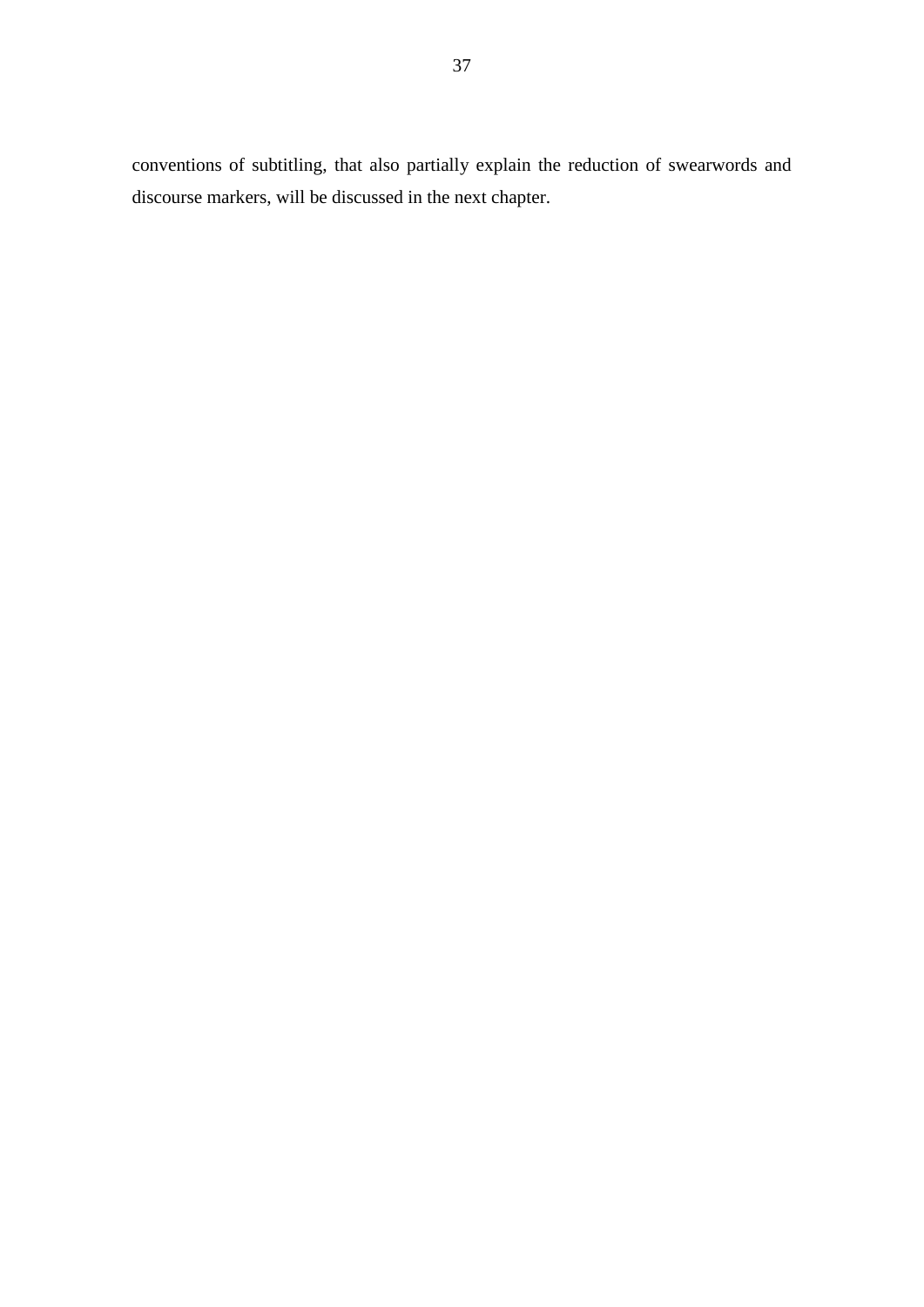conventions of subtitling, that also partially explain the reduction of swearwords and discourse markers, will be discussed in the next chapter.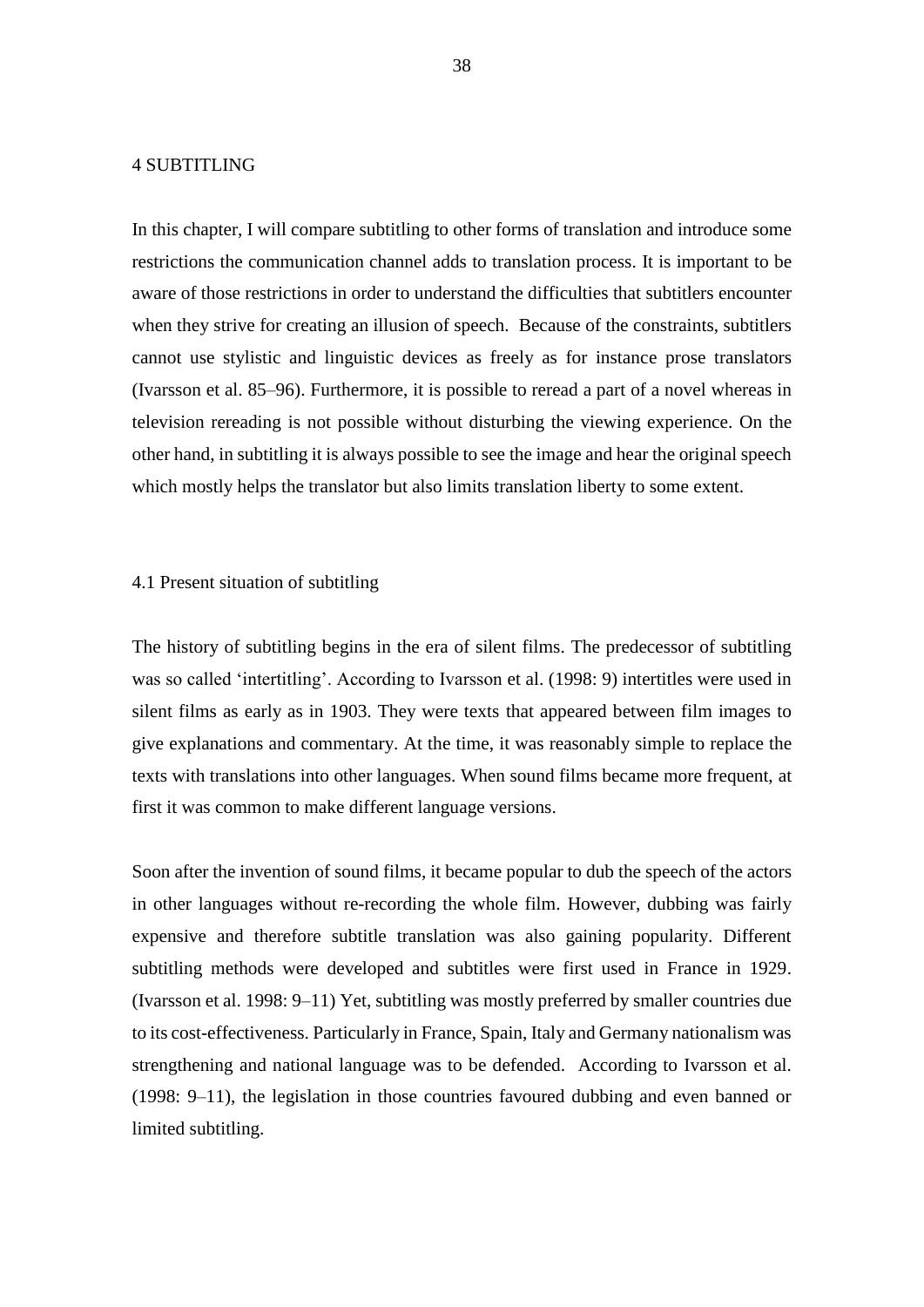# 4 SUBTITLING

In this chapter, I will compare subtitling to other forms of translation and introduce some restrictions the communication channel adds to translation process. It is important to be aware of those restrictions in order to understand the difficulties that subtitlers encounter when they strive for creating an illusion of speech. Because of the constraints, subtitlers cannot use stylistic and linguistic devices as freely as for instance prose translators (Ivarsson et al. 85–96). Furthermore, it is possible to reread a part of a novel whereas in television rereading is not possible without disturbing the viewing experience. On the other hand, in subtitling it is always possible to see the image and hear the original speech which mostly helps the translator but also limits translation liberty to some extent.

### 4.1 Present situation of subtitling

The history of subtitling begins in the era of silent films. The predecessor of subtitling was so called 'intertitling'. According to Ivarsson et al. (1998: 9) intertitles were used in silent films as early as in 1903. They were texts that appeared between film images to give explanations and commentary. At the time, it was reasonably simple to replace the texts with translations into other languages. When sound films became more frequent, at first it was common to make different language versions.

Soon after the invention of sound films, it became popular to dub the speech of the actors in other languages without re-recording the whole film. However, dubbing was fairly expensive and therefore subtitle translation was also gaining popularity. Different subtitling methods were developed and subtitles were first used in France in 1929. (Ivarsson et al. 1998: 9–11) Yet, subtitling was mostly preferred by smaller countries due to its cost-effectiveness. Particularly in France, Spain, Italy and Germany nationalism was strengthening and national language was to be defended. According to Ivarsson et al. (1998: 9–11), the legislation in those countries favoured dubbing and even banned or limited subtitling.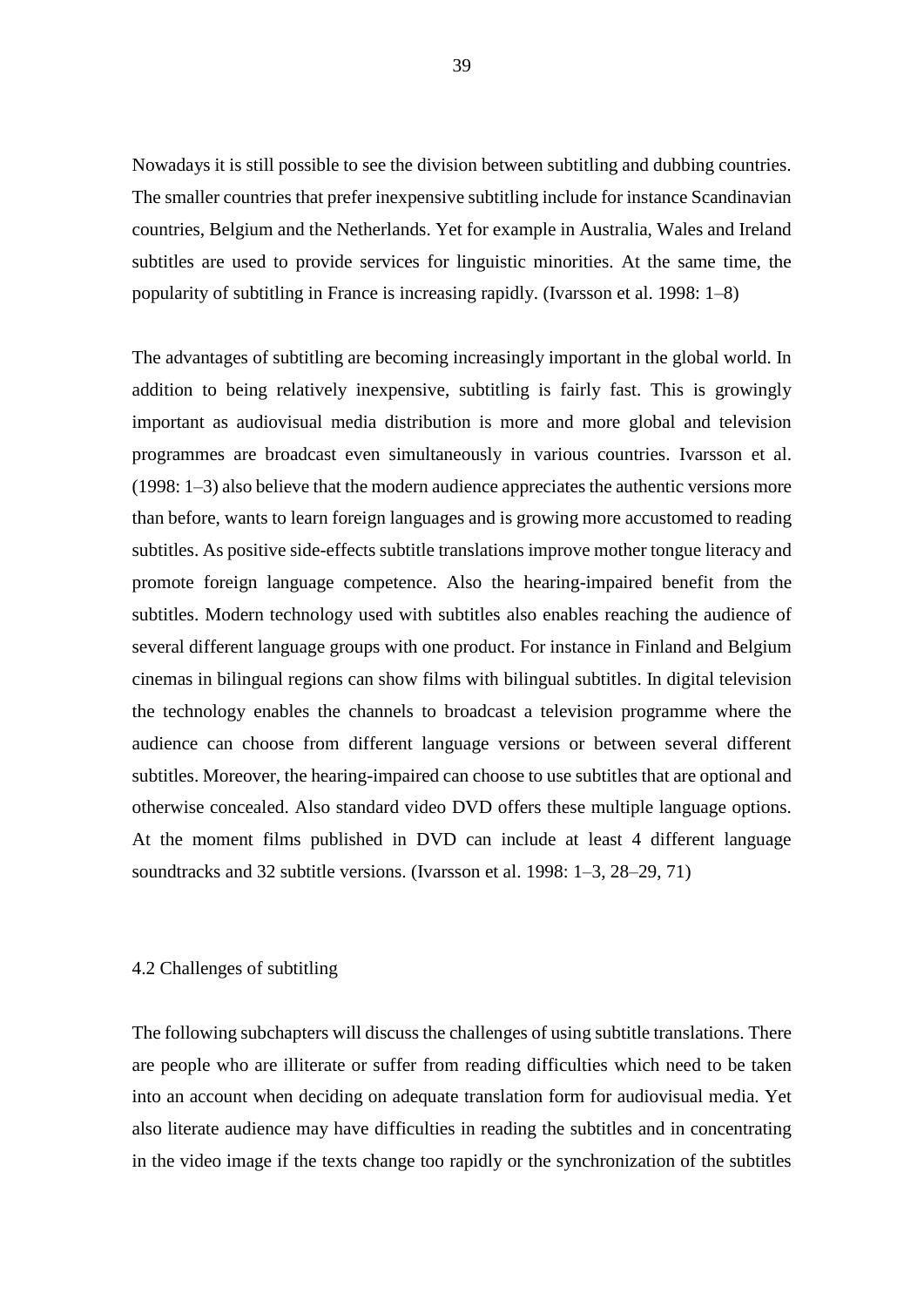Nowadays it is still possible to see the division between subtitling and dubbing countries. The smaller countries that prefer inexpensive subtitling include for instance Scandinavian countries, Belgium and the Netherlands. Yet for example in Australia, Wales and Ireland subtitles are used to provide services for linguistic minorities. At the same time, the popularity of subtitling in France is increasing rapidly. (Ivarsson et al. 1998: 1–8)

The advantages of subtitling are becoming increasingly important in the global world. In addition to being relatively inexpensive, subtitling is fairly fast. This is growingly important as audiovisual media distribution is more and more global and television programmes are broadcast even simultaneously in various countries. Ivarsson et al. (1998: 1–3) also believe that the modern audience appreciates the authentic versions more than before, wants to learn foreign languages and is growing more accustomed to reading subtitles. As positive side-effects subtitle translations improve mother tongue literacy and promote foreign language competence. Also the hearing-impaired benefit from the subtitles. Modern technology used with subtitles also enables reaching the audience of several different language groups with one product. For instance in Finland and Belgium cinemas in bilingual regions can show films with bilingual subtitles. In digital television the technology enables the channels to broadcast a television programme where the audience can choose from different language versions or between several different subtitles. Moreover, the hearing-impaired can choose to use subtitles that are optional and otherwise concealed. Also standard video DVD offers these multiple language options. At the moment films published in DVD can include at least 4 different language soundtracks and 32 subtitle versions. (Ivarsson et al. 1998: 1–3, 28–29, 71)

## 4.2 Challenges of subtitling

The following subchapters will discuss the challenges of using subtitle translations. There are people who are illiterate or suffer from reading difficulties which need to be taken into an account when deciding on adequate translation form for audiovisual media. Yet also literate audience may have difficulties in reading the subtitles and in concentrating in the video image if the texts change too rapidly or the synchronization of the subtitles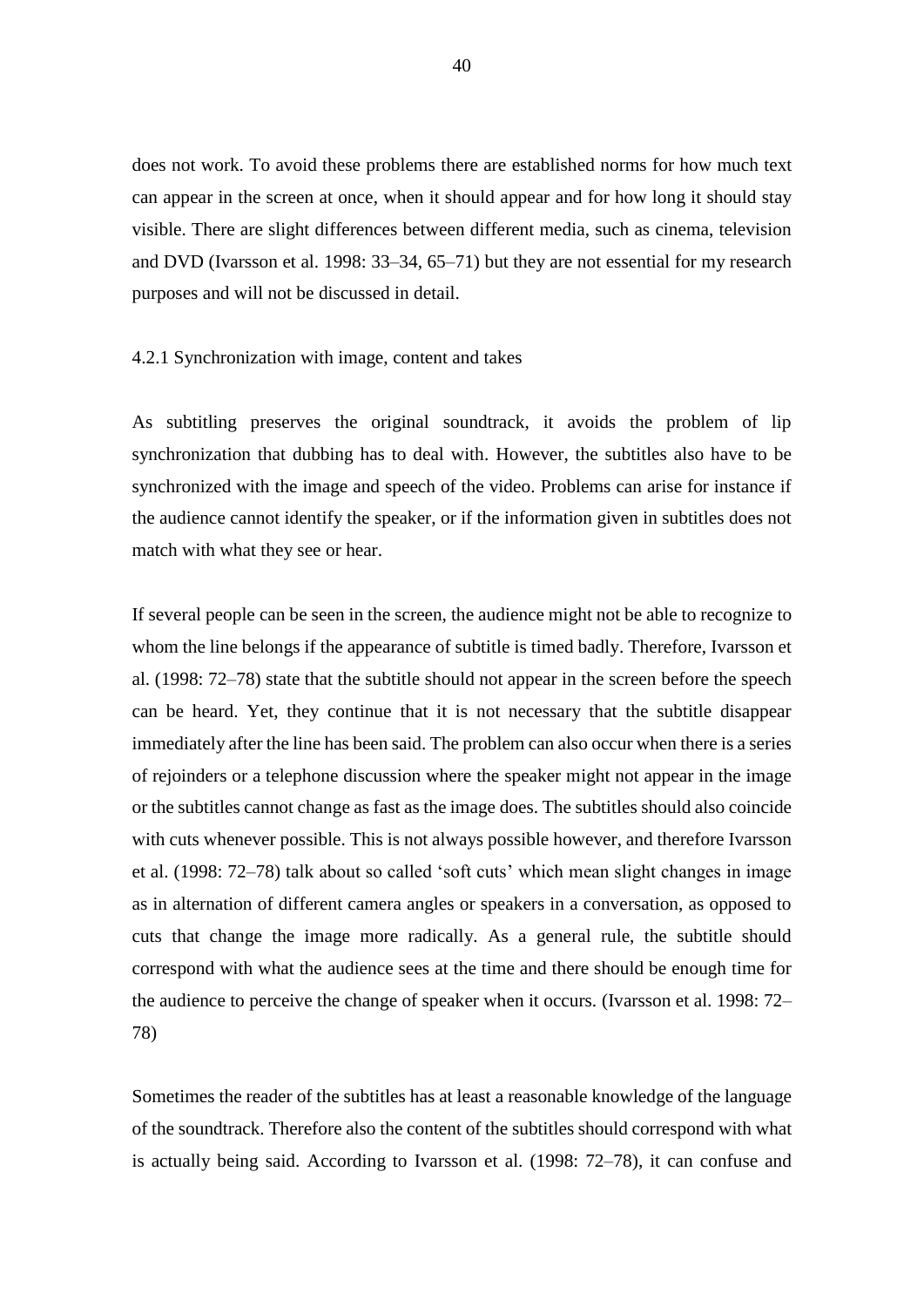does not work. To avoid these problems there are established norms for how much text can appear in the screen at once, when it should appear and for how long it should stay visible. There are slight differences between different media, such as cinema, television and DVD (Ivarsson et al. 1998: 33–34, 65–71) but they are not essential for my research purposes and will not be discussed in detail.

## 4.2.1 Synchronization with image, content and takes

As subtitling preserves the original soundtrack, it avoids the problem of lip synchronization that dubbing has to deal with. However, the subtitles also have to be synchronized with the image and speech of the video. Problems can arise for instance if the audience cannot identify the speaker, or if the information given in subtitles does not match with what they see or hear.

If several people can be seen in the screen, the audience might not be able to recognize to whom the line belongs if the appearance of subtitle is timed badly. Therefore, Ivarsson et al. (1998: 72–78) state that the subtitle should not appear in the screen before the speech can be heard. Yet, they continue that it is not necessary that the subtitle disappear immediately after the line has been said. The problem can also occur when there is a series of rejoinders or a telephone discussion where the speaker might not appear in the image or the subtitles cannot change as fast as the image does. The subtitles should also coincide with cuts whenever possible. This is not always possible however, and therefore Ivarsson et al. (1998: 72–78) talk about so called 'soft cuts' which mean slight changes in image as in alternation of different camera angles or speakers in a conversation, as opposed to cuts that change the image more radically. As a general rule, the subtitle should correspond with what the audience sees at the time and there should be enough time for the audience to perceive the change of speaker when it occurs. (Ivarsson et al. 1998: 72– 78)

Sometimes the reader of the subtitles has at least a reasonable knowledge of the language of the soundtrack. Therefore also the content of the subtitles should correspond with what is actually being said. According to Ivarsson et al. (1998: 72–78), it can confuse and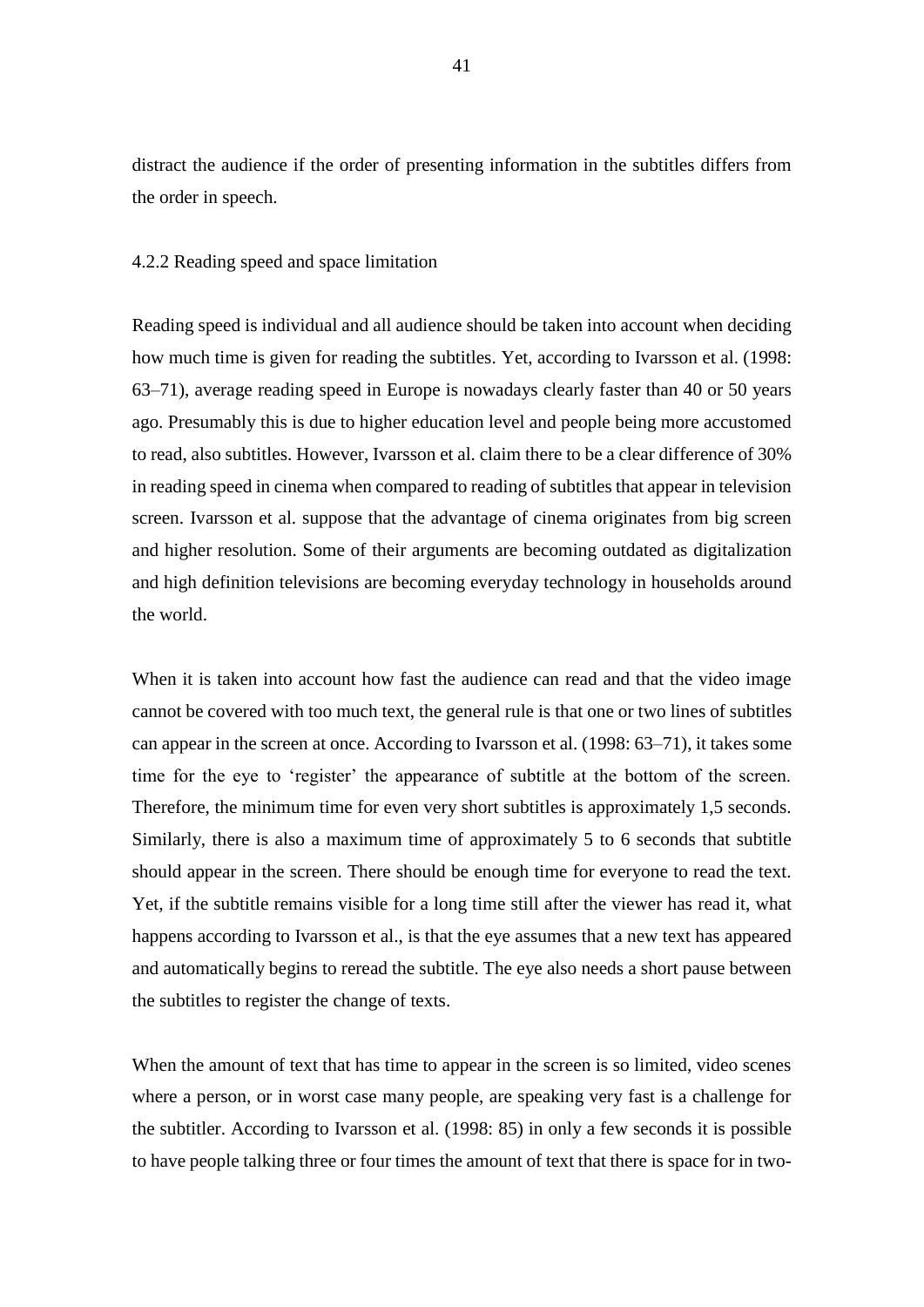distract the audience if the order of presenting information in the subtitles differs from the order in speech.

## 4.2.2 Reading speed and space limitation

Reading speed is individual and all audience should be taken into account when deciding how much time is given for reading the subtitles. Yet, according to Ivarsson et al. (1998: 63–71), average reading speed in Europe is nowadays clearly faster than 40 or 50 years ago. Presumably this is due to higher education level and people being more accustomed to read, also subtitles. However, Ivarsson et al. claim there to be a clear difference of 30% in reading speed in cinema when compared to reading of subtitles that appear in television screen. Ivarsson et al. suppose that the advantage of cinema originates from big screen and higher resolution. Some of their arguments are becoming outdated as digitalization and high definition televisions are becoming everyday technology in households around the world.

When it is taken into account how fast the audience can read and that the video image cannot be covered with too much text, the general rule is that one or two lines of subtitles can appear in the screen at once. According to Ivarsson et al. (1998: 63–71), it takes some time for the eye to 'register' the appearance of subtitle at the bottom of the screen. Therefore, the minimum time for even very short subtitles is approximately 1,5 seconds. Similarly, there is also a maximum time of approximately 5 to 6 seconds that subtitle should appear in the screen. There should be enough time for everyone to read the text. Yet, if the subtitle remains visible for a long time still after the viewer has read it, what happens according to Ivarsson et al., is that the eye assumes that a new text has appeared and automatically begins to reread the subtitle. The eye also needs a short pause between the subtitles to register the change of texts.

When the amount of text that has time to appear in the screen is so limited, video scenes where a person, or in worst case many people, are speaking very fast is a challenge for the subtitler. According to Ivarsson et al. (1998: 85) in only a few seconds it is possible to have people talking three or four times the amount of text that there is space for in two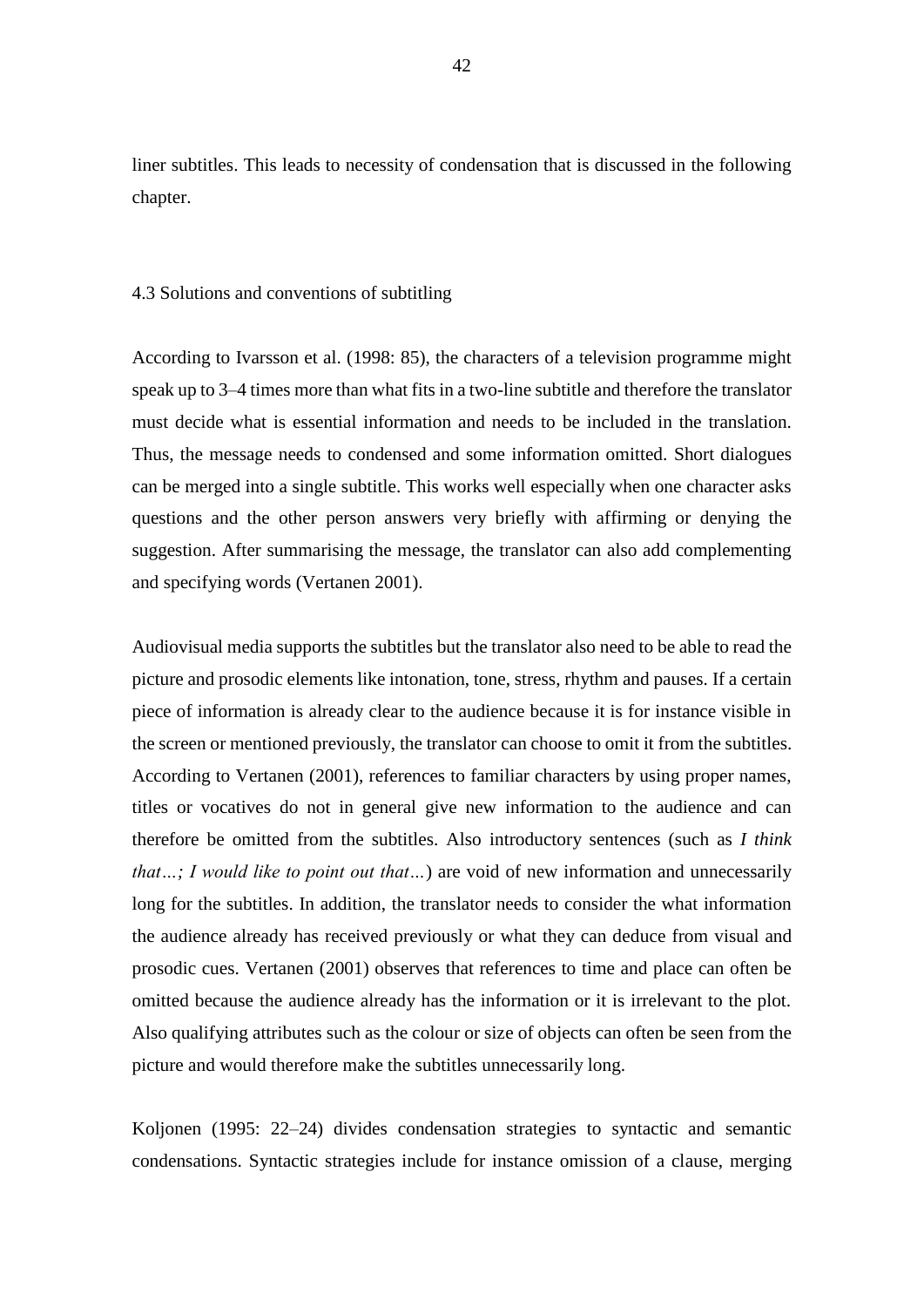liner subtitles. This leads to necessity of condensation that is discussed in the following chapter.

### 4.3 Solutions and conventions of subtitling

According to Ivarsson et al. (1998: 85), the characters of a television programme might speak up to 3–4 times more than what fits in a two-line subtitle and therefore the translator must decide what is essential information and needs to be included in the translation. Thus, the message needs to condensed and some information omitted. Short dialogues can be merged into a single subtitle. This works well especially when one character asks questions and the other person answers very briefly with affirming or denying the suggestion. After summarising the message, the translator can also add complementing and specifying words (Vertanen 2001).

Audiovisual media supports the subtitles but the translator also need to be able to read the picture and prosodic elements like intonation, tone, stress, rhythm and pauses. If a certain piece of information is already clear to the audience because it is for instance visible in the screen or mentioned previously, the translator can choose to omit it from the subtitles. According to Vertanen (2001), references to familiar characters by using proper names, titles or vocatives do not in general give new information to the audience and can therefore be omitted from the subtitles. Also introductory sentences (such as *I think that…; I would like to point out that…*) are void of new information and unnecessarily long for the subtitles. In addition, the translator needs to consider the what information the audience already has received previously or what they can deduce from visual and prosodic cues. Vertanen (2001) observes that references to time and place can often be omitted because the audience already has the information or it is irrelevant to the plot. Also qualifying attributes such as the colour or size of objects can often be seen from the picture and would therefore make the subtitles unnecessarily long.

Koljonen (1995: 22–24) divides condensation strategies to syntactic and semantic condensations. Syntactic strategies include for instance omission of a clause, merging

42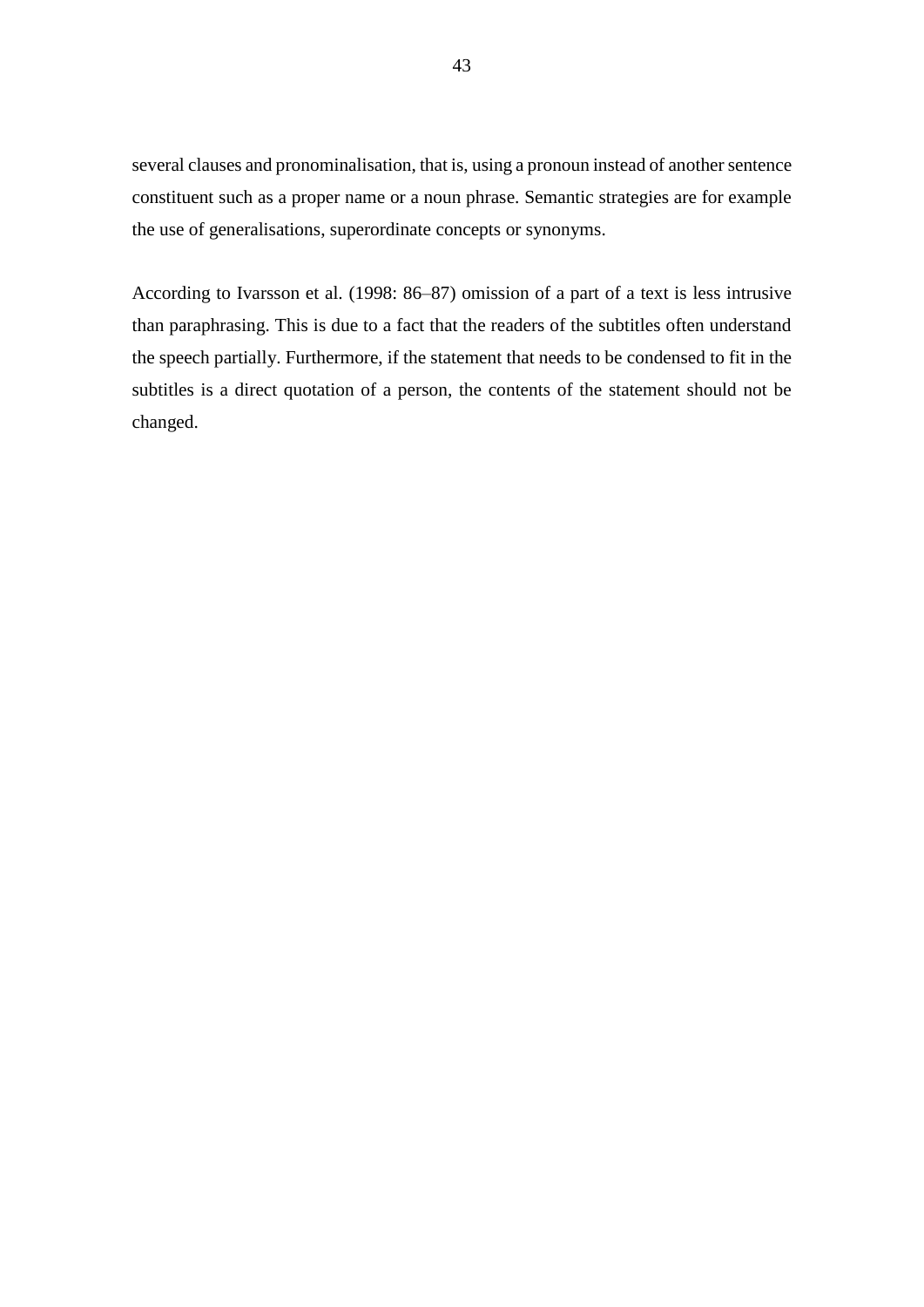several clauses and pronominalisation, that is, using a pronoun instead of another sentence constituent such as a proper name or a noun phrase. Semantic strategies are for example the use of generalisations, superordinate concepts or synonyms.

According to Ivarsson et al. (1998: 86–87) omission of a part of a text is less intrusive than paraphrasing. This is due to a fact that the readers of the subtitles often understand the speech partially. Furthermore, if the statement that needs to be condensed to fit in the subtitles is a direct quotation of a person, the contents of the statement should not be changed.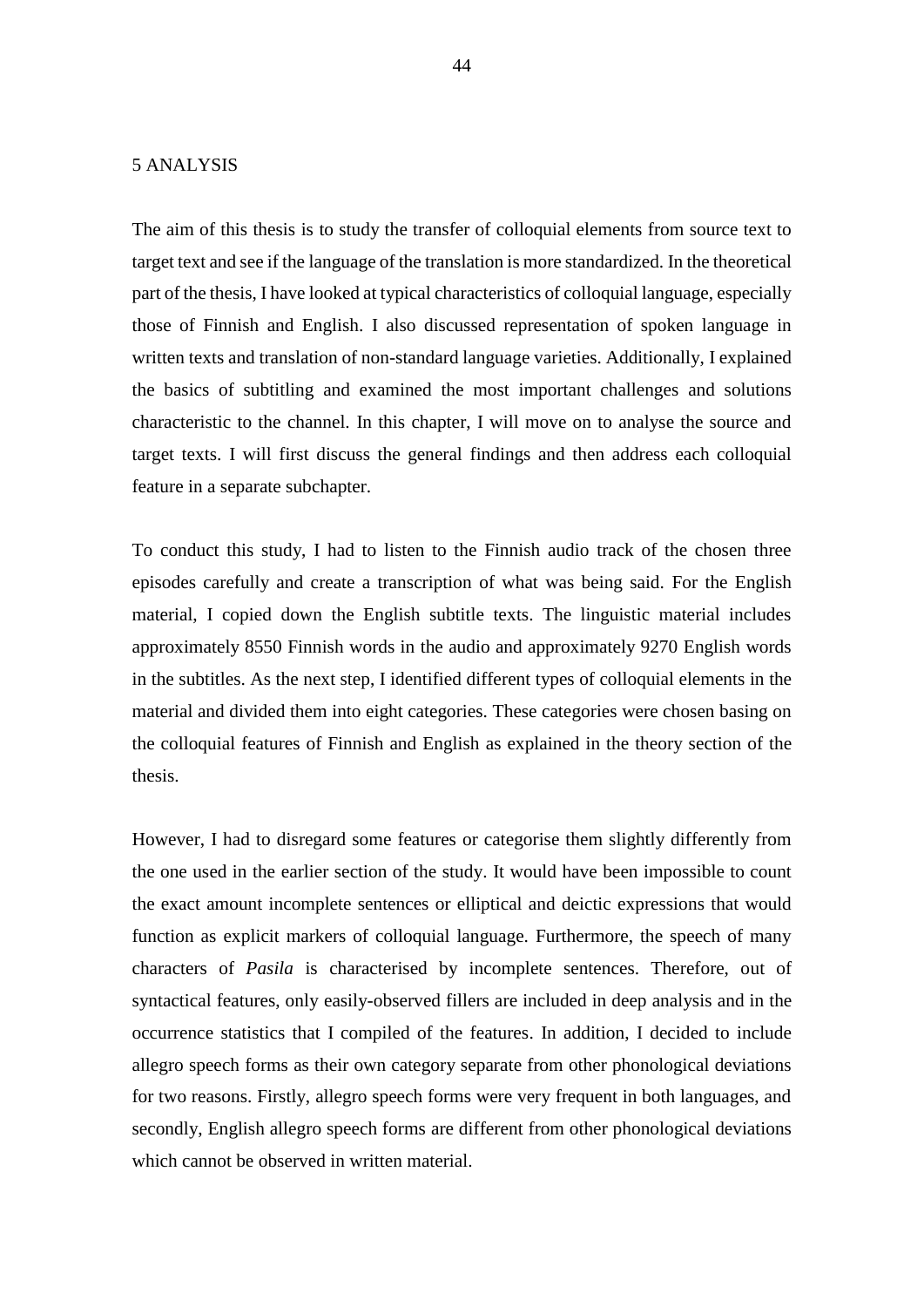# 5 ANALYSIS

The aim of this thesis is to study the transfer of colloquial elements from source text to target text and see if the language of the translation is more standardized. In the theoretical part of the thesis, I have looked at typical characteristics of colloquial language, especially those of Finnish and English. I also discussed representation of spoken language in written texts and translation of non-standard language varieties. Additionally, I explained the basics of subtitling and examined the most important challenges and solutions characteristic to the channel. In this chapter, I will move on to analyse the source and target texts. I will first discuss the general findings and then address each colloquial feature in a separate subchapter.

To conduct this study, I had to listen to the Finnish audio track of the chosen three episodes carefully and create a transcription of what was being said. For the English material, I copied down the English subtitle texts. The linguistic material includes approximately 8550 Finnish words in the audio and approximately 9270 English words in the subtitles. As the next step, I identified different types of colloquial elements in the material and divided them into eight categories. These categories were chosen basing on the colloquial features of Finnish and English as explained in the theory section of the thesis.

However, I had to disregard some features or categorise them slightly differently from the one used in the earlier section of the study. It would have been impossible to count the exact amount incomplete sentences or elliptical and deictic expressions that would function as explicit markers of colloquial language. Furthermore, the speech of many characters of *Pasila* is characterised by incomplete sentences. Therefore, out of syntactical features, only easily-observed fillers are included in deep analysis and in the occurrence statistics that I compiled of the features. In addition, I decided to include allegro speech forms as their own category separate from other phonological deviations for two reasons. Firstly, allegro speech forms were very frequent in both languages, and secondly, English allegro speech forms are different from other phonological deviations which cannot be observed in written material.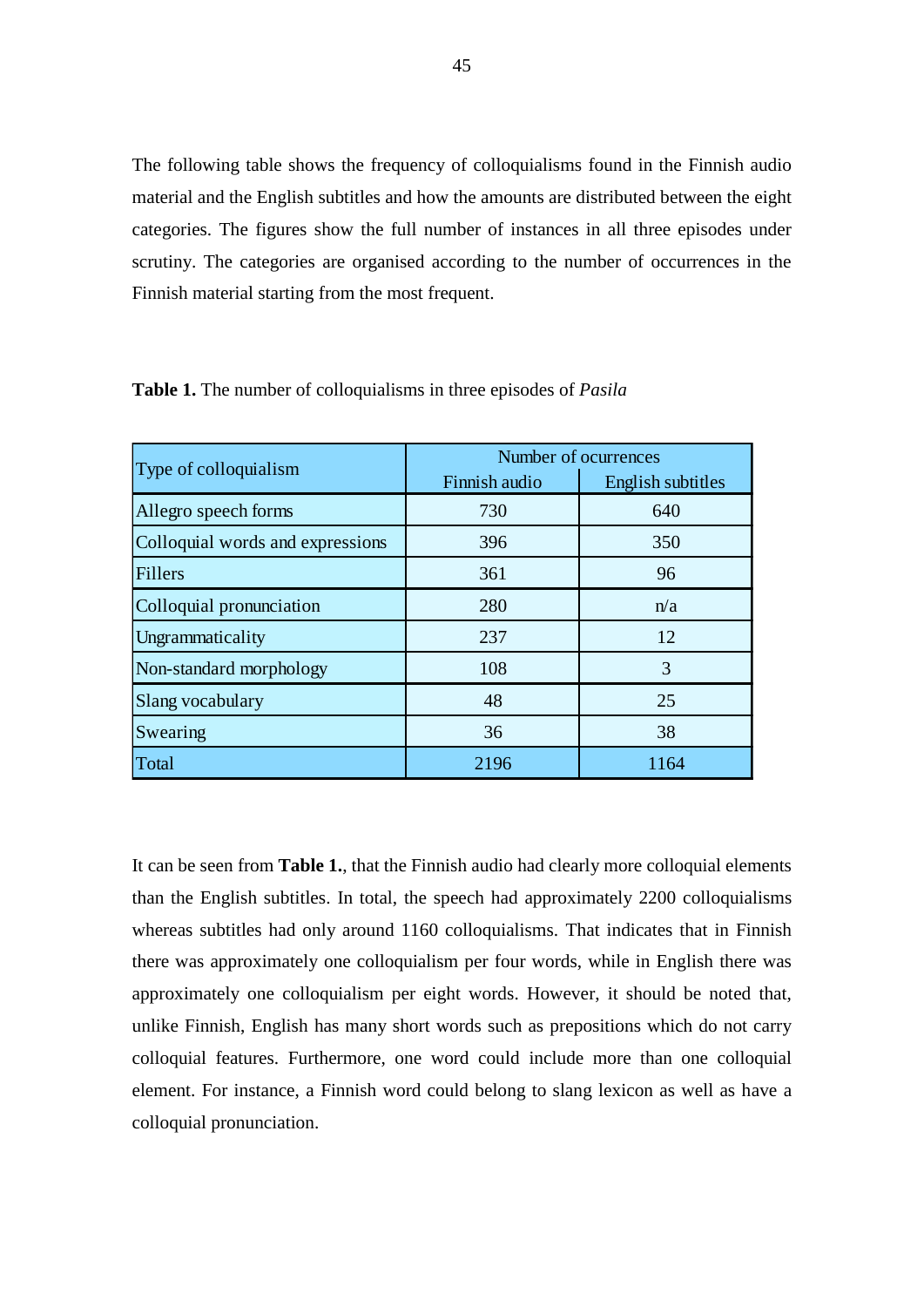The following table shows the frequency of colloquialisms found in the Finnish audio material and the English subtitles and how the amounts are distributed between the eight categories. The figures show the full number of instances in all three episodes under scrutiny. The categories are organised according to the number of occurrences in the Finnish material starting from the most frequent.

| Type of colloquialism            | Number of ocurrences |                   |
|----------------------------------|----------------------|-------------------|
|                                  | Finnish audio        | English subtitles |
| Allegro speech forms             | 730                  | 640               |
| Colloquial words and expressions | 396                  | 350               |
| <b>Fillers</b>                   | 361                  | 96                |
| Colloquial pronunciation         | 280                  | n/a               |
| Ungrammaticality                 | 237                  | 12                |
| Non-standard morphology          | 108                  | 3                 |
| Slang vocabulary                 | 48                   | 25                |
| Swearing                         | 36                   | 38                |
| Total                            | 2196                 | 1164              |

**Table 1.** The number of colloquialisms in three episodes of *Pasila*

It can be seen from **Table 1.**, that the Finnish audio had clearly more colloquial elements than the English subtitles. In total, the speech had approximately 2200 colloquialisms whereas subtitles had only around 1160 colloquialisms. That indicates that in Finnish there was approximately one colloquialism per four words, while in English there was approximately one colloquialism per eight words. However, it should be noted that, unlike Finnish, English has many short words such as prepositions which do not carry colloquial features. Furthermore, one word could include more than one colloquial element. For instance, a Finnish word could belong to slang lexicon as well as have a colloquial pronunciation.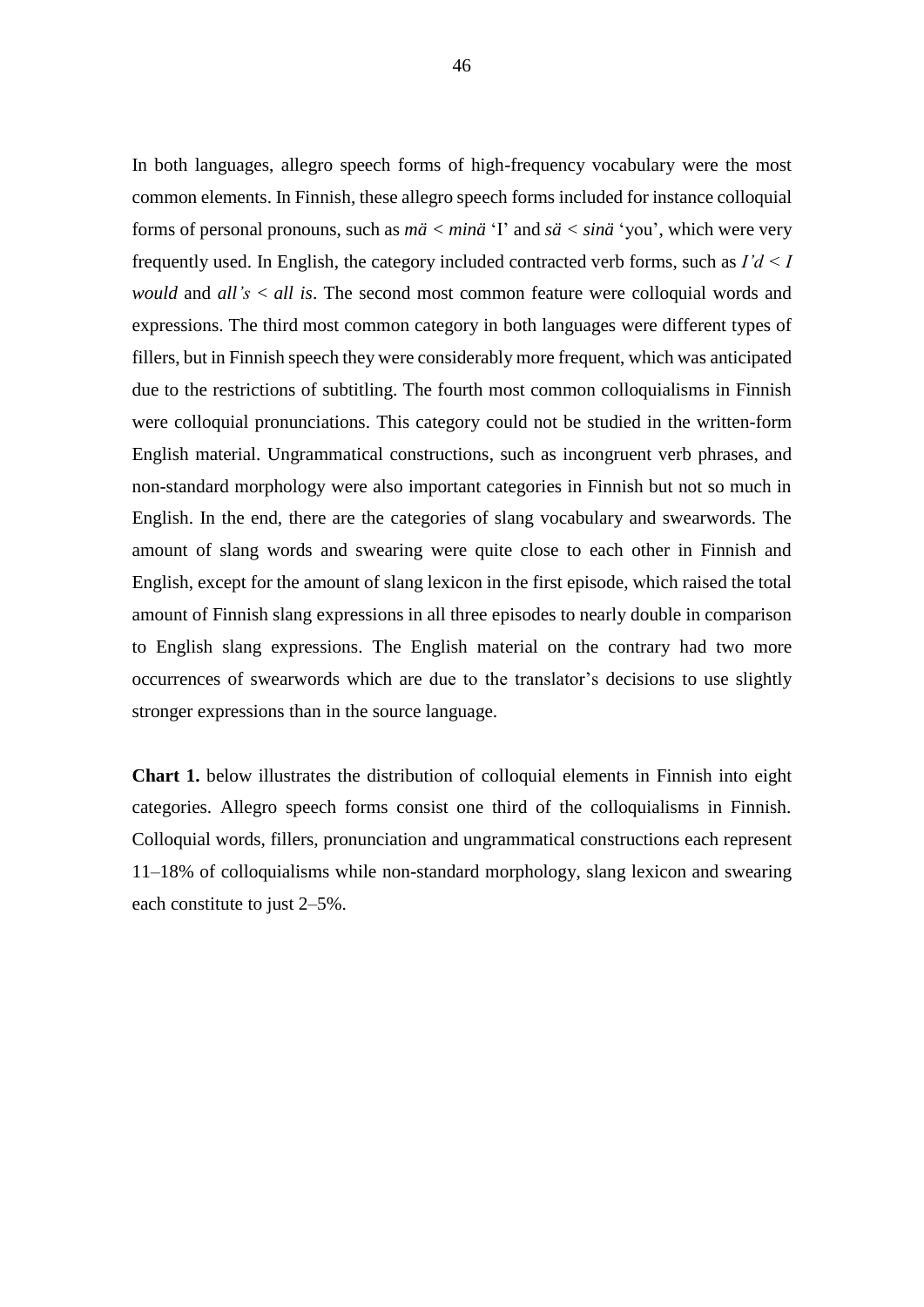In both languages, allegro speech forms of high-frequency vocabulary were the most common elements. In Finnish, these allegro speech forms included for instance colloquial forms of personal pronouns, such as *mä < minä* 'I' and *sä < sinä* 'you', which were very frequently used. In English, the category included contracted verb forms, such as *I'd < I would* and *all's* < *all is*. The second most common feature were colloquial words and expressions. The third most common category in both languages were different types of fillers, but in Finnish speech they were considerably more frequent, which was anticipated due to the restrictions of subtitling. The fourth most common colloquialisms in Finnish were colloquial pronunciations. This category could not be studied in the written-form English material. Ungrammatical constructions, such as incongruent verb phrases, and non-standard morphology were also important categories in Finnish but not so much in English. In the end, there are the categories of slang vocabulary and swearwords. The amount of slang words and swearing were quite close to each other in Finnish and English, except for the amount of slang lexicon in the first episode, which raised the total amount of Finnish slang expressions in all three episodes to nearly double in comparison to English slang expressions. The English material on the contrary had two more occurrences of swearwords which are due to the translator's decisions to use slightly stronger expressions than in the source language.

**Chart 1.** below illustrates the distribution of colloquial elements in Finnish into eight categories. Allegro speech forms consist one third of the colloquialisms in Finnish. Colloquial words, fillers, pronunciation and ungrammatical constructions each represent 11–18% of colloquialisms while non-standard morphology, slang lexicon and swearing each constitute to just 2–5%.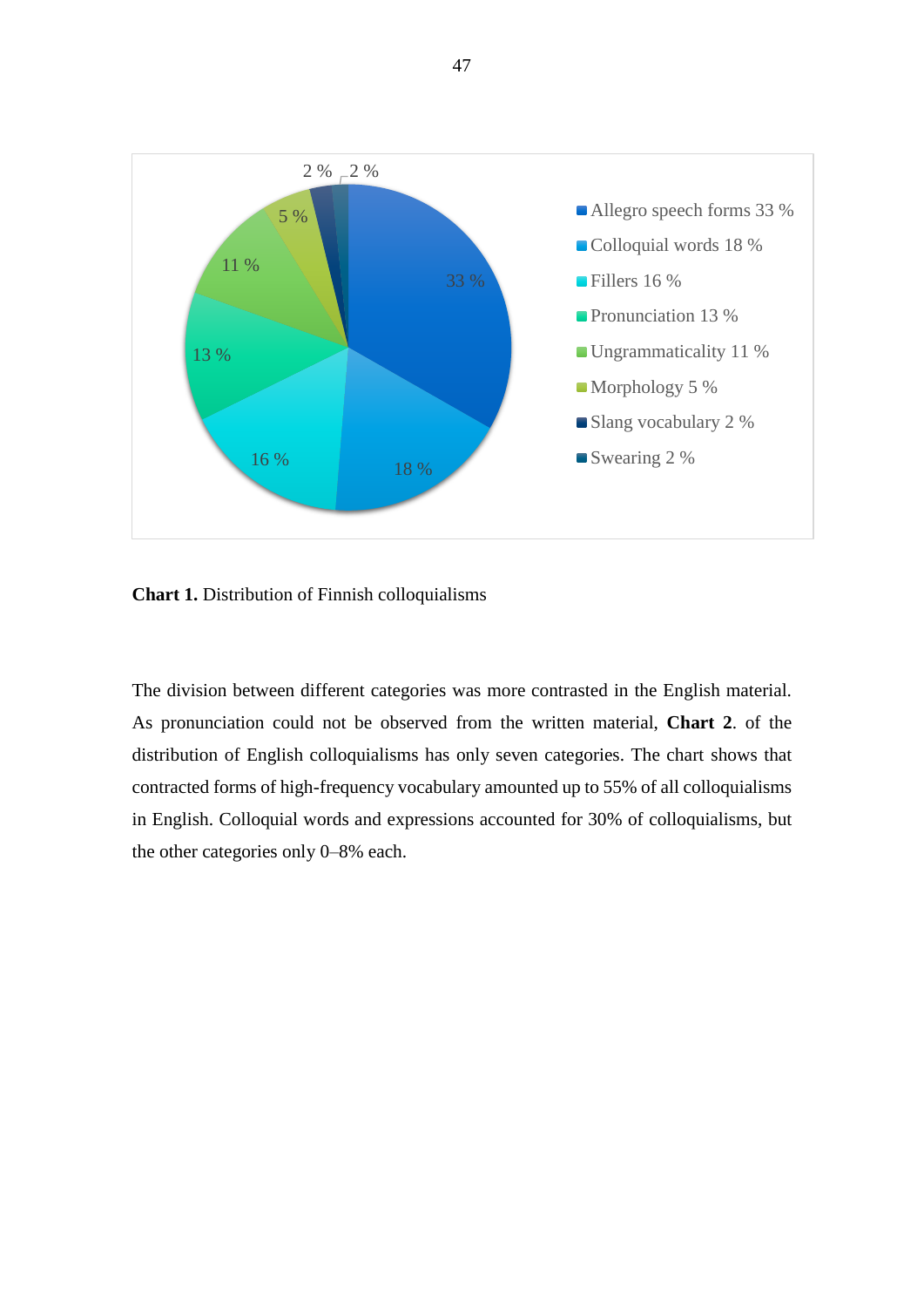

**Chart 1.** Distribution of Finnish colloquialisms

The division between different categories was more contrasted in the English material. As pronunciation could not be observed from the written material, **Chart 2**. of the distribution of English colloquialisms has only seven categories. The chart shows that contracted forms of high-frequency vocabulary amounted up to 55% of all colloquialisms in English. Colloquial words and expressions accounted for 30% of colloquialisms, but the other categories only 0–8% each.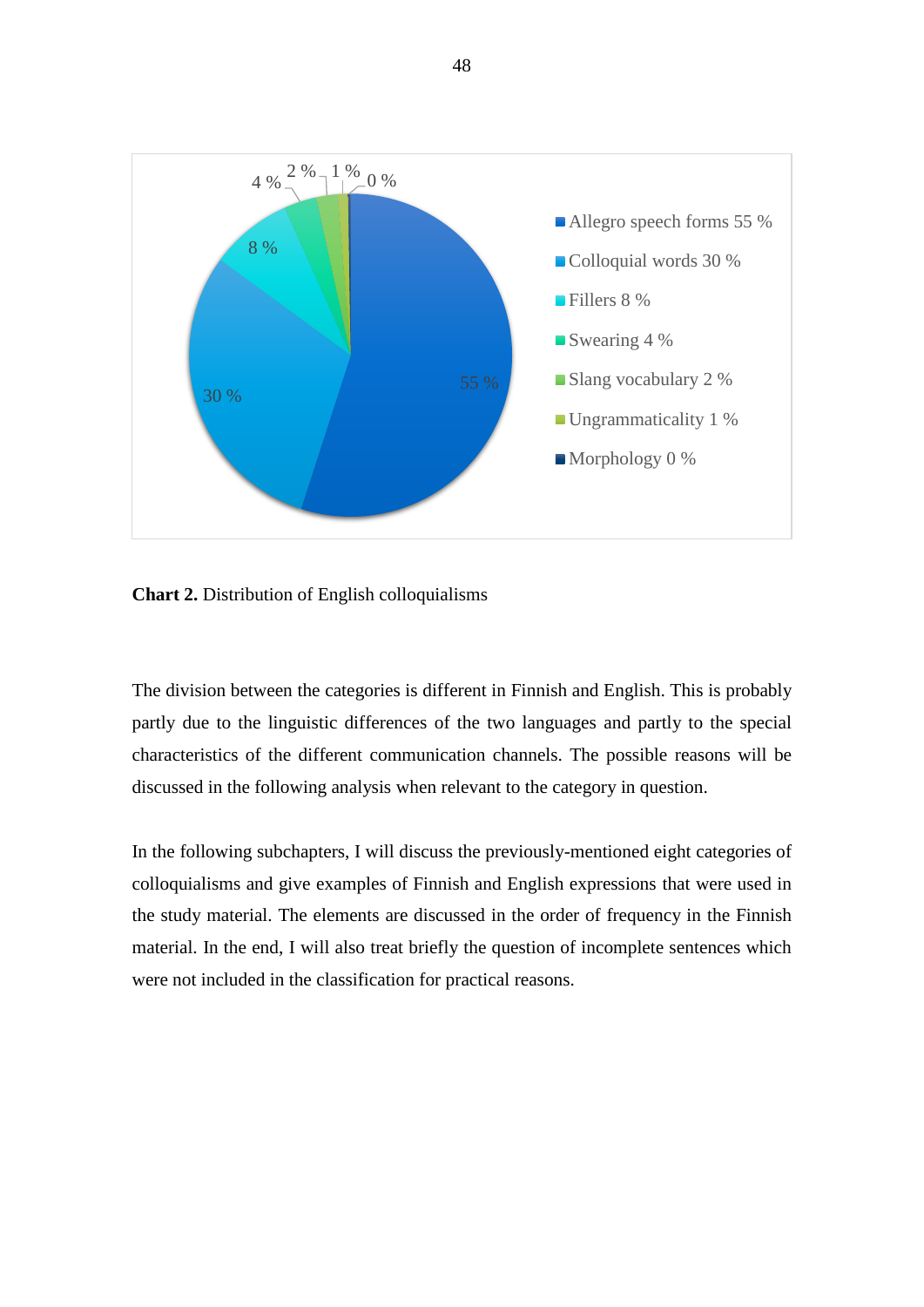

**Chart 2.** Distribution of English colloquialisms

The division between the categories is different in Finnish and English. This is probably partly due to the linguistic differences of the two languages and partly to the special characteristics of the different communication channels. The possible reasons will be discussed in the following analysis when relevant to the category in question.

In the following subchapters, I will discuss the previously-mentioned eight categories of colloquialisms and give examples of Finnish and English expressions that were used in the study material. The elements are discussed in the order of frequency in the Finnish material. In the end, I will also treat briefly the question of incomplete sentences which were not included in the classification for practical reasons.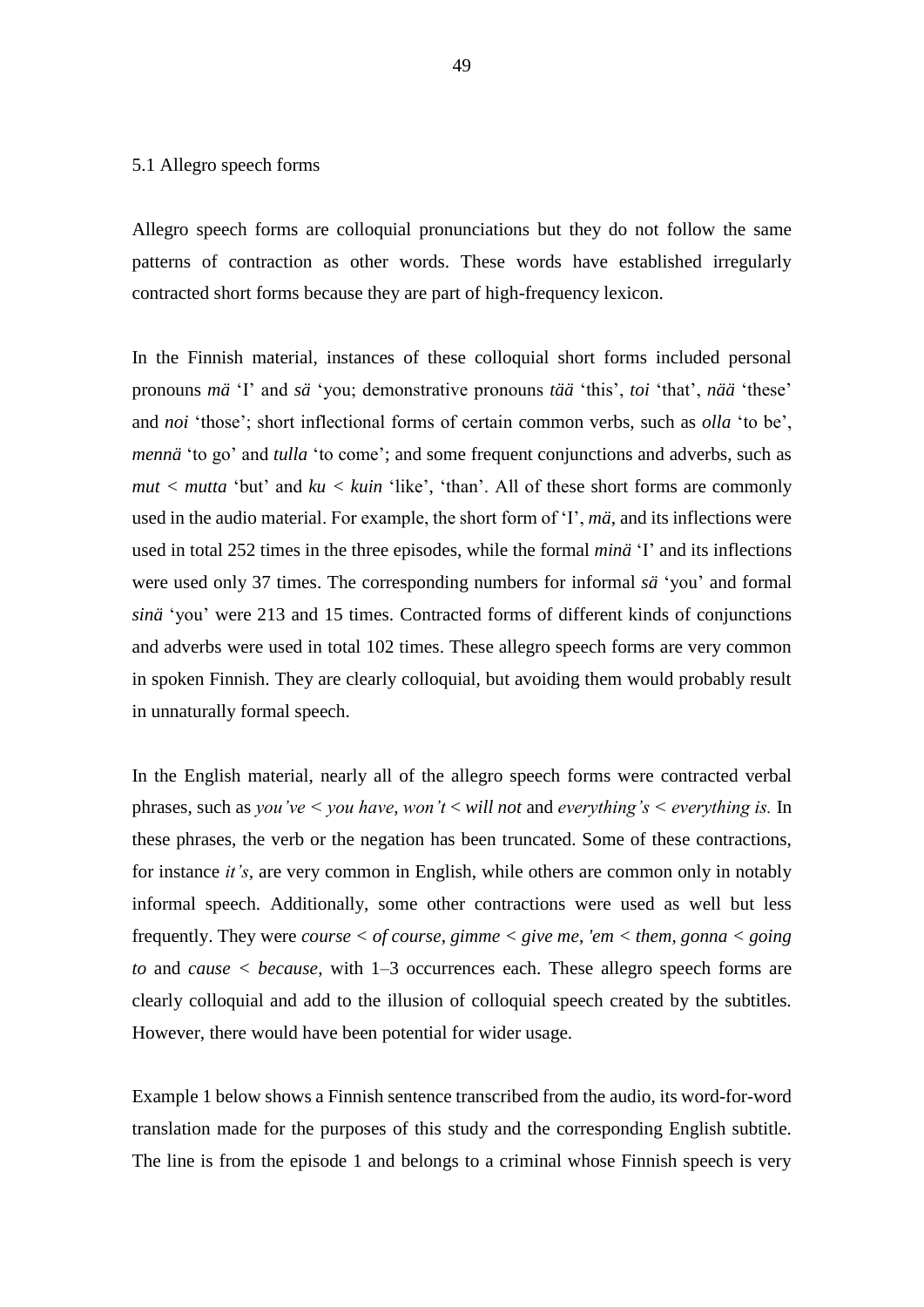#### 5.1 Allegro speech forms

Allegro speech forms are colloquial pronunciations but they do not follow the same patterns of contraction as other words. These words have established irregularly contracted short forms because they are part of high-frequency lexicon.

In the Finnish material, instances of these colloquial short forms included personal pronouns *mä* 'I' and *sä* 'you; demonstrative pronouns *tää* 'this', *toi* 'that', *nää* 'these' and *noi* 'those'; short inflectional forms of certain common verbs, such as *olla* 'to be', *mennä* 'to go' and *tulla* 'to come'; and some frequent conjunctions and adverbs, such as  $mut < *mutta* 'but' and *ku* < *kuin* 'like', 'than'. All of these short forms are commonly$ used in the audio material. For example, the short form of 'I', *mä*, and its inflections were used in total 252 times in the three episodes, while the formal *minä* 'I' and its inflections were used only 37 times. The corresponding numbers for informal *sä* 'you' and formal *sinä* 'you' were 213 and 15 times. Contracted forms of different kinds of conjunctions and adverbs were used in total 102 times. These allegro speech forms are very common in spoken Finnish. They are clearly colloquial, but avoiding them would probably result in unnaturally formal speech.

In the English material, nearly all of the allegro speech forms were contracted verbal phrases, such as *you've < you have*, *won't* < *will not* and *everything's < everything is.* In these phrases, the verb or the negation has been truncated. Some of these contractions, for instance *it's,* are very common in English, while others are common only in notably informal speech. Additionally, some other contractions were used as well but less frequently. They were *course < of course*, *gimme < give me*, *'em < them*, *gonna < going to* and *cause < because*, with 1–3 occurrences each. These allegro speech forms are clearly colloquial and add to the illusion of colloquial speech created by the subtitles. However, there would have been potential for wider usage.

Example 1 below shows a Finnish sentence transcribed from the audio, its word-for-word translation made for the purposes of this study and the corresponding English subtitle. The line is from the episode 1 and belongs to a criminal whose Finnish speech is very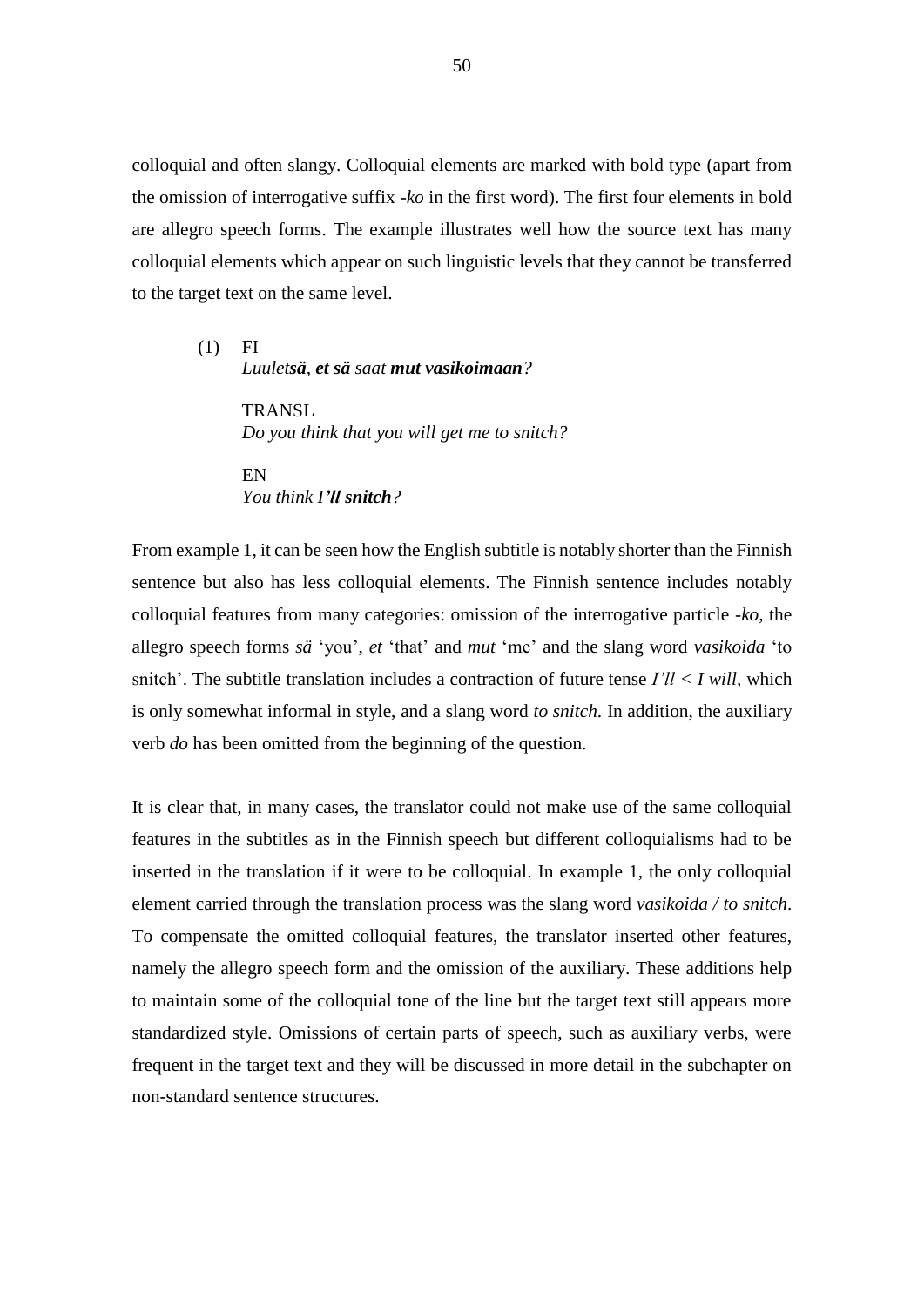colloquial and often slangy. Colloquial elements are marked with bold type (apart from the omission of interrogative suffix *-ko* in the first word). The first four elements in bold are allegro speech forms. The example illustrates well how the source text has many colloquial elements which appear on such linguistic levels that they cannot be transferred to the target text on the same level.

(1) FI *Luuletsä, et sä saat mut vasikoimaan?* 

> **TRANSL** *Do you think that you will get me to snitch?*

EN *You think I'll snitch?*

From example 1, it can be seen how the English subtitle is notably shorter than the Finnish sentence but also has less colloquial elements. The Finnish sentence includes notably colloquial features from many categories: omission of the interrogative particle *-ko,* the allegro speech forms *sä* 'you', *et* 'that' and *mut* 'me' and the slang word *vasikoida* 'to snitch'. The subtitle translation includes a contraction of future tense *I'll < I will,* which is only somewhat informal in style, and a slang word *to snitch*. In addition, the auxiliary verb *do* has been omitted from the beginning of the question.

It is clear that, in many cases, the translator could not make use of the same colloquial features in the subtitles as in the Finnish speech but different colloquialisms had to be inserted in the translation if it were to be colloquial. In example 1, the only colloquial element carried through the translation process was the slang word *vasikoida / to snitch*. To compensate the omitted colloquial features, the translator inserted other features, namely the allegro speech form and the omission of the auxiliary. These additions help to maintain some of the colloquial tone of the line but the target text still appears more standardized style. Omissions of certain parts of speech, such as auxiliary verbs, were frequent in the target text and they will be discussed in more detail in the subchapter on non-standard sentence structures.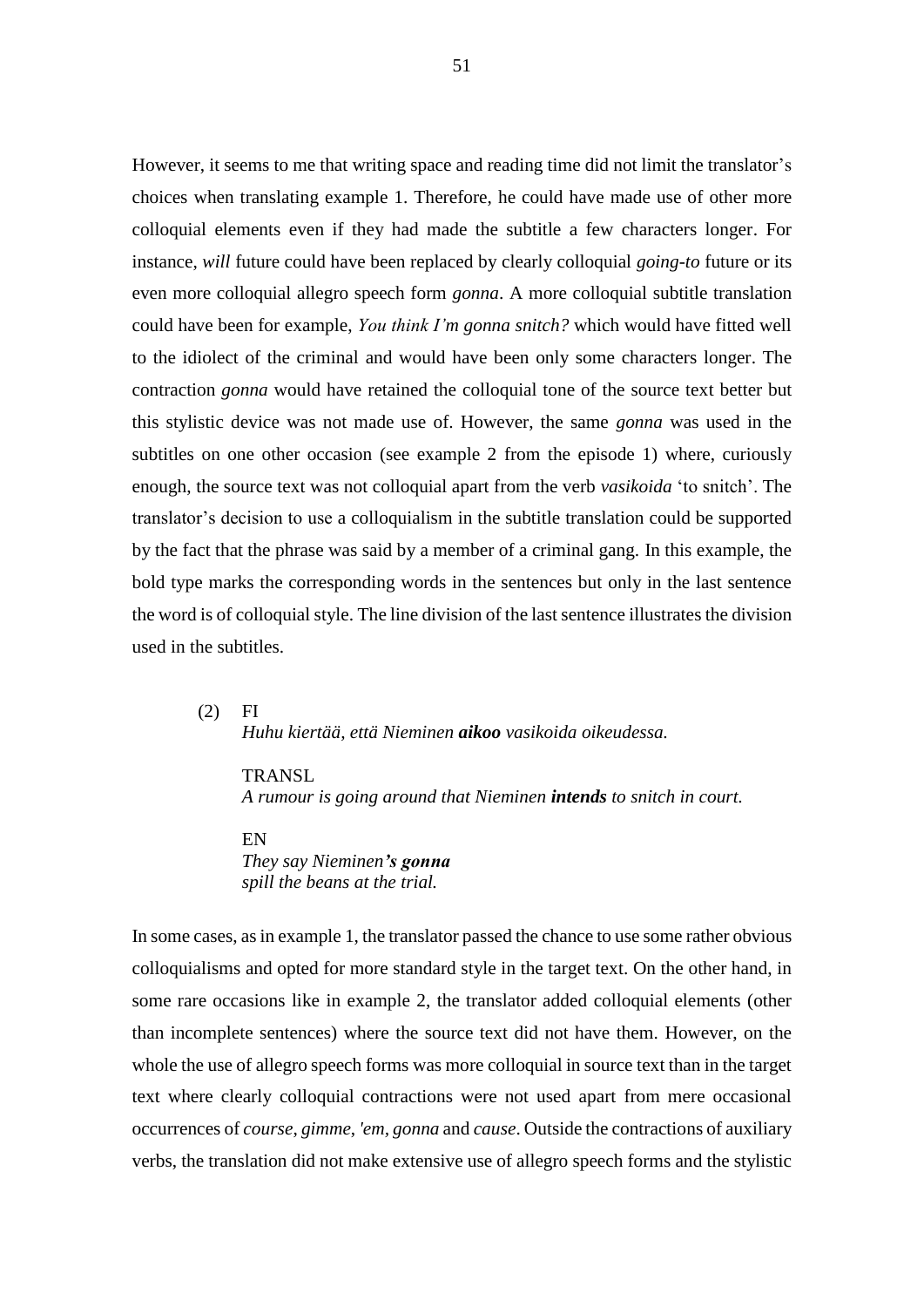However, it seems to me that writing space and reading time did not limit the translator's choices when translating example 1. Therefore, he could have made use of other more colloquial elements even if they had made the subtitle a few characters longer. For instance, *will* future could have been replaced by clearly colloquial *going-to* future or its even more colloquial allegro speech form *gonna*. A more colloquial subtitle translation could have been for example, *You think I'm gonna snitch?* which would have fitted well to the idiolect of the criminal and would have been only some characters longer. The contraction *gonna* would have retained the colloquial tone of the source text better but this stylistic device was not made use of. However, the same *gonna* was used in the subtitles on one other occasion (see example 2 from the episode 1) where, curiously enough, the source text was not colloquial apart from the verb *vasikoida* 'to snitch'. The translator's decision to use a colloquialism in the subtitle translation could be supported by the fact that the phrase was said by a member of a criminal gang. In this example, the bold type marks the corresponding words in the sentences but only in the last sentence the word is of colloquial style. The line division of the last sentence illustrates the division used in the subtitles.

 $(2)$  FI *Huhu kiertää, että Nieminen aikoo vasikoida oikeudessa.*

TRANSL *A rumour is going around that Nieminen intends to snitch in court.*

EN *They say Nieminen's gonna spill the beans at the trial.*

In some cases, as in example 1, the translator passed the chance to use some rather obvious colloquialisms and opted for more standard style in the target text. On the other hand, in some rare occasions like in example 2, the translator added colloquial elements (other than incomplete sentences) where the source text did not have them. However, on the whole the use of allegro speech forms was more colloquial in source text than in the target text where clearly colloquial contractions were not used apart from mere occasional occurrences of *course*, *gimme*, *'em, gonna* and *cause*. Outside the contractions of auxiliary verbs, the translation did not make extensive use of allegro speech forms and the stylistic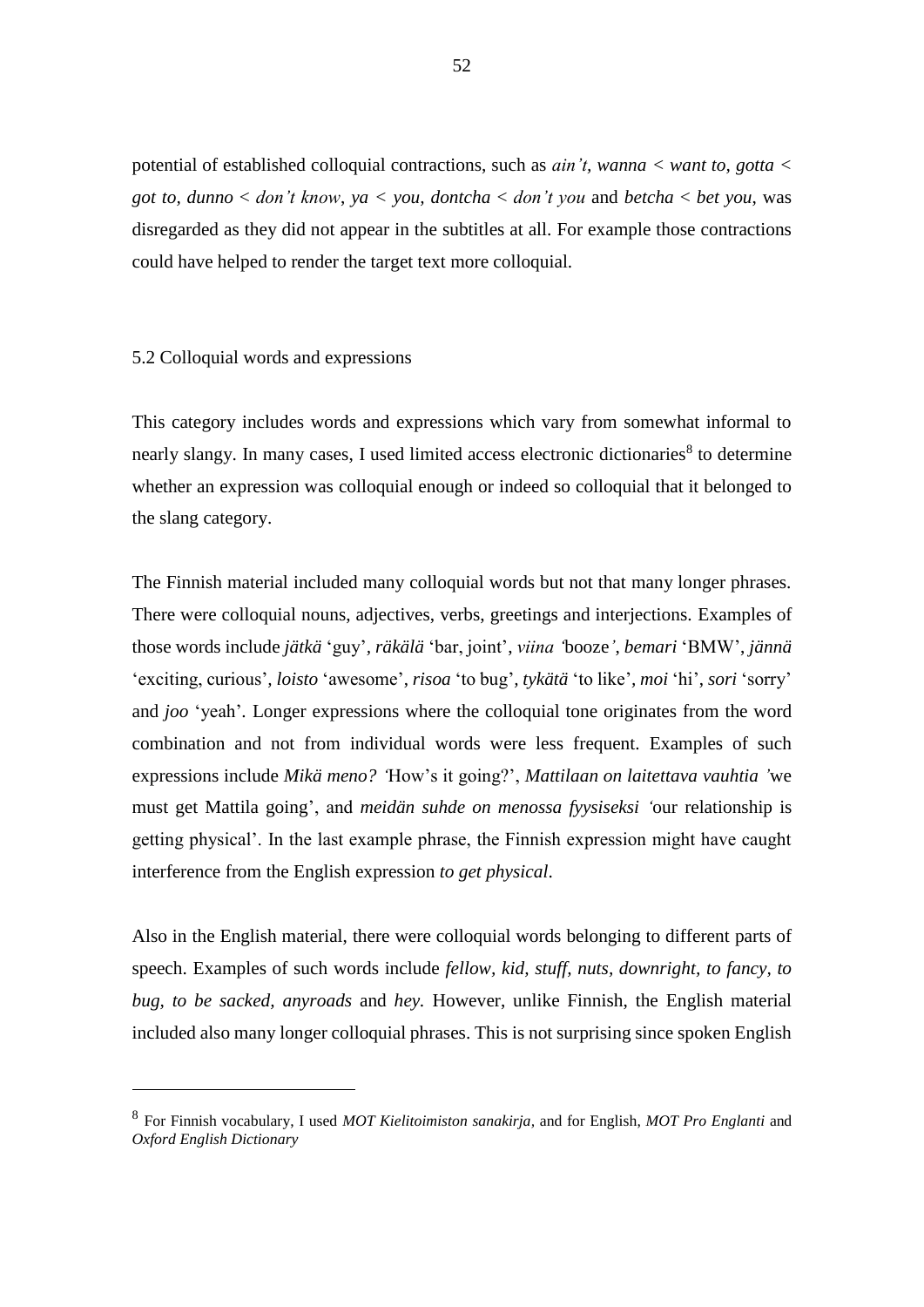potential of established colloquial contractions, such as *ain't, wanna < want to, gotta < got to, dunno* < *don't know*, *ya < you, dontcha* < *don't you* and *betcha* < *bet you*, was disregarded as they did not appear in the subtitles at all. For example those contractions could have helped to render the target text more colloquial.

# 5.2 Colloquial words and expressions

<u>.</u>

This category includes words and expressions which vary from somewhat informal to nearly slangy. In many cases, I used limited access electronic dictionaries<sup>8</sup> to determine whether an expression was colloquial enough or indeed so colloquial that it belonged to the slang category.

The Finnish material included many colloquial words but not that many longer phrases. There were colloquial nouns, adjectives, verbs, greetings and interjections. Examples of those words include *jätkä* 'guy'*, räkälä* 'bar, joint', *viina '*booze*'*, *bemari* 'BMW', *jännä*  'exciting, curious'*, loisto* 'awesome', *risoa* 'to bug'*, tykätä* 'to like'*, moi* 'hi', *sori* 'sorry' and *joo* 'yeah'*.* Longer expressions where the colloquial tone originates from the word combination and not from individual words were less frequent. Examples of such expressions include *Mikä meno? '*How's it going?', *Mattilaan on laitettava vauhtia '*we must get Mattila going', and *meidän suhde on menossa fyysiseksi '*our relationship is getting physical'. In the last example phrase, the Finnish expression might have caught interference from the English expression *to get physical*.

Also in the English material, there were colloquial words belonging to different parts of speech. Examples of such words include *fellow, kid, stuff, nuts, downright, to fancy, to bug, to be sacked, anyroads* and *hey.* However, unlike Finnish, the English material included also many longer colloquial phrases. This is not surprising since spoken English

<sup>8</sup> For Finnish vocabulary, I used *MOT Kielitoimiston sanakirja,* and for English, *MOT Pro Englanti* and *Oxford English Dictionary*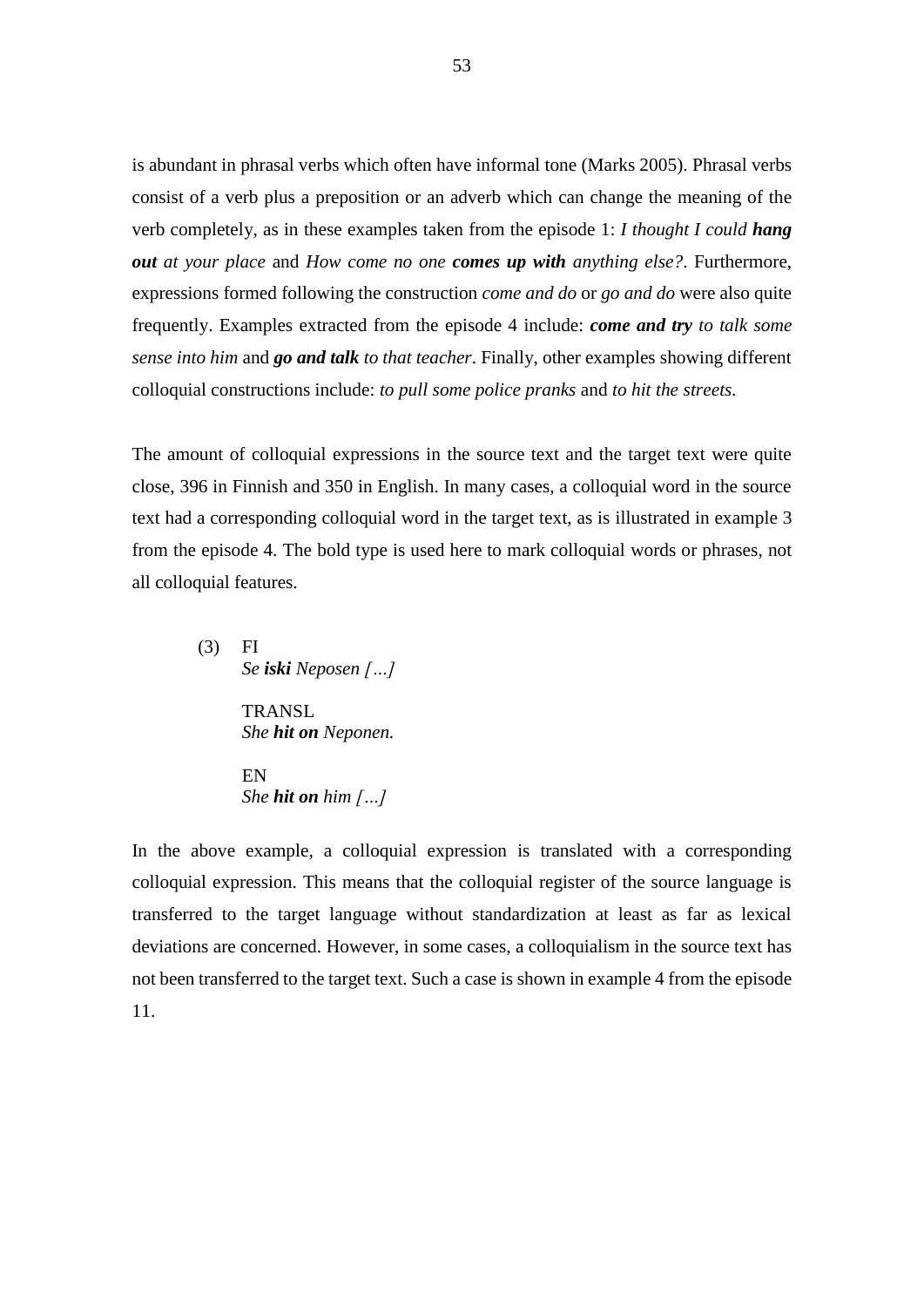is abundant in phrasal verbs which often have informal tone (Marks 2005). Phrasal verbs consist of a verb plus a preposition or an adverb which can change the meaning of the verb completely, as in these examples taken from the episode 1: *I thought I could hang out at your place* and *How come no one comes up with anything else?*. Furthermore, expressions formed following the construction *come and do* or *go and do* were also quite frequently. Examples extracted from the episode 4 include: *come and try to talk some sense into him* and *go and talk to that teacher*. Finally, other examples showing different colloquial constructions include: *to pull some police pranks* and *to hit the streets.*

The amount of colloquial expressions in the source text and the target text were quite close, 396 in Finnish and 350 in English. In many cases, a colloquial word in the source text had a corresponding colloquial word in the target text, as is illustrated in example 3 from the episode 4. The bold type is used here to mark colloquial words or phrases, not all colloquial features.

(3) FI *Se iski Neposen […]* TRANSL *She hit on Neponen.*

> EN *She hit on him […]*

In the above example, a colloquial expression is translated with a corresponding colloquial expression. This means that the colloquial register of the source language is transferred to the target language without standardization at least as far as lexical deviations are concerned. However, in some cases, a colloquialism in the source text has not been transferred to the target text. Such a case is shown in example 4 from the episode 11.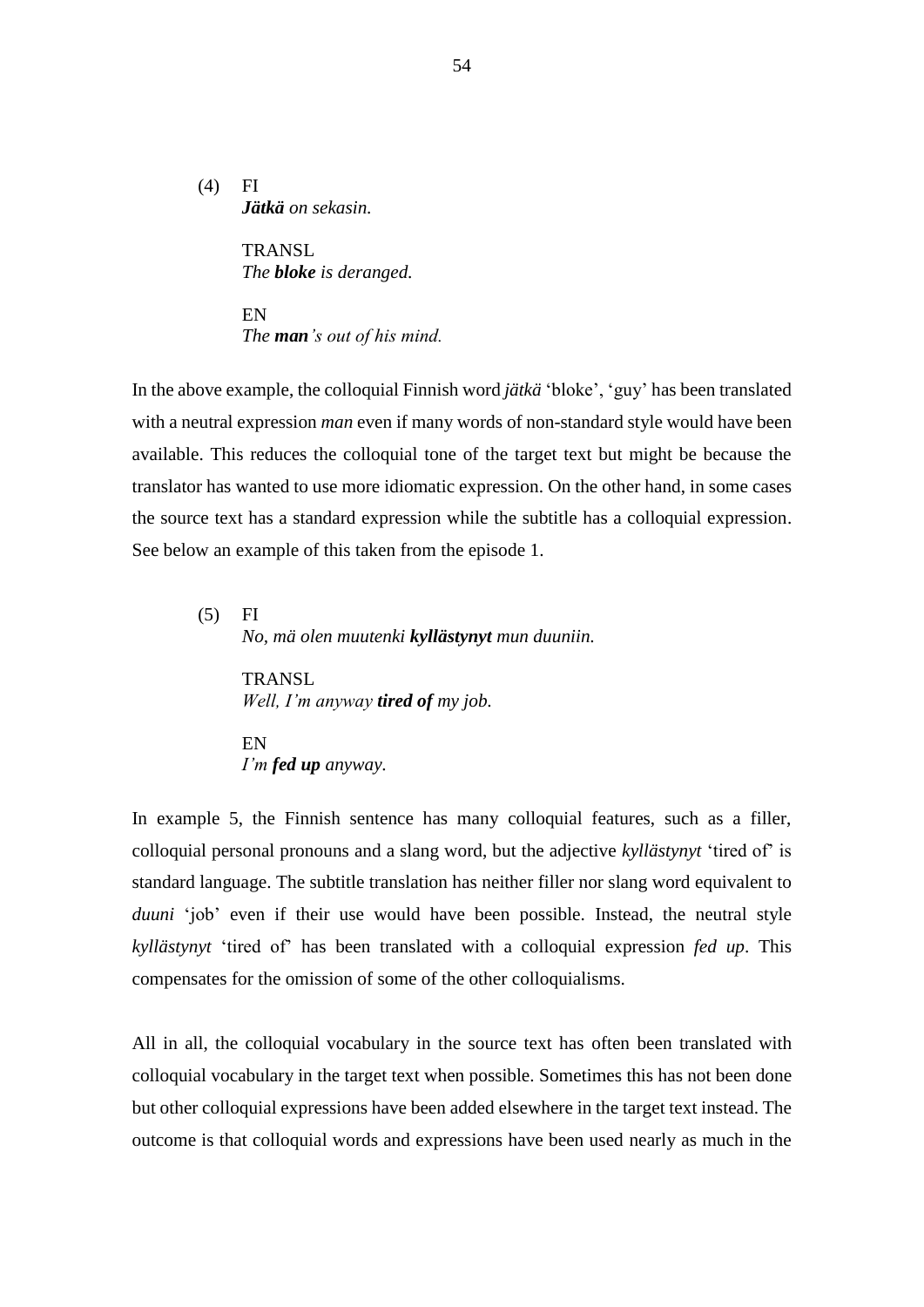$(4)$  FI *Jätkä on sekasin.*

> **TRANSL** *The bloke is deranged.*

EN *The man's out of his mind.*

In the above example, the colloquial Finnish word *jätkä* 'bloke', 'guy' has been translated with a neutral expression *man* even if many words of non-standard style would have been available. This reduces the colloquial tone of the target text but might be because the translator has wanted to use more idiomatic expression. On the other hand, in some cases the source text has a standard expression while the subtitle has a colloquial expression. See below an example of this taken from the episode 1.

(5) FI *No, mä olen muutenki kyllästynyt mun duuniin.*

> TRANSL *Well, I'm anyway tired of my job.*

EN *I'm fed up anyway.*

In example 5, the Finnish sentence has many colloquial features, such as a filler, colloquial personal pronouns and a slang word, but the adjective *kyllästynyt* 'tired of' is standard language. The subtitle translation has neither filler nor slang word equivalent to *duuni* 'job' even if their use would have been possible. Instead, the neutral style *kyllästynyt* 'tired of' has been translated with a colloquial expression *fed up*. This compensates for the omission of some of the other colloquialisms.

All in all, the colloquial vocabulary in the source text has often been translated with colloquial vocabulary in the target text when possible. Sometimes this has not been done but other colloquial expressions have been added elsewhere in the target text instead. The outcome is that colloquial words and expressions have been used nearly as much in the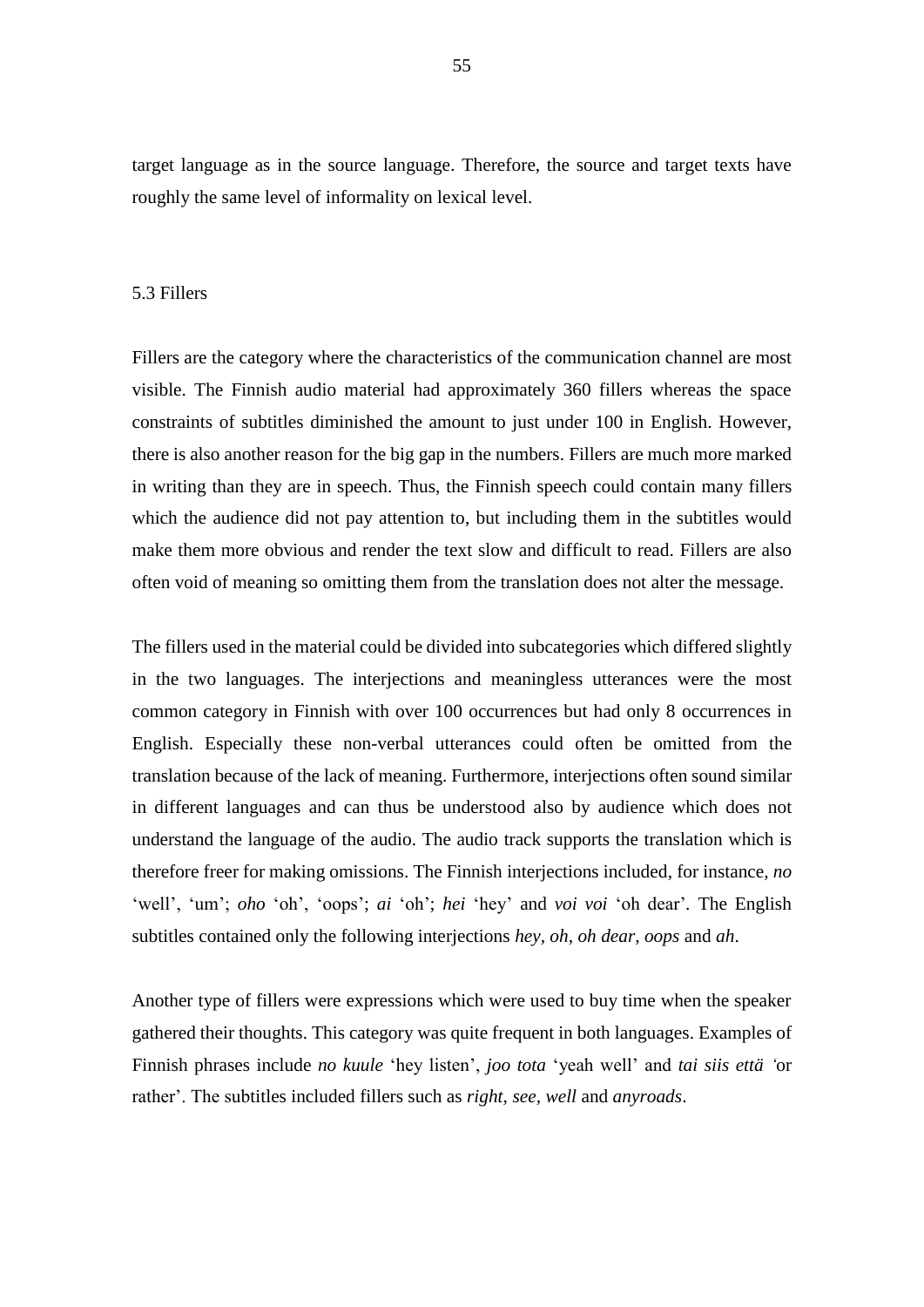target language as in the source language. Therefore, the source and target texts have roughly the same level of informality on lexical level.

### 5.3 Fillers

Fillers are the category where the characteristics of the communication channel are most visible. The Finnish audio material had approximately 360 fillers whereas the space constraints of subtitles diminished the amount to just under 100 in English. However, there is also another reason for the big gap in the numbers. Fillers are much more marked in writing than they are in speech. Thus, the Finnish speech could contain many fillers which the audience did not pay attention to, but including them in the subtitles would make them more obvious and render the text slow and difficult to read. Fillers are also often void of meaning so omitting them from the translation does not alter the message.

The fillers used in the material could be divided into subcategories which differed slightly in the two languages. The interjections and meaningless utterances were the most common category in Finnish with over 100 occurrences but had only 8 occurrences in English. Especially these non-verbal utterances could often be omitted from the translation because of the lack of meaning. Furthermore, interjections often sound similar in different languages and can thus be understood also by audience which does not understand the language of the audio. The audio track supports the translation which is therefore freer for making omissions. The Finnish interjections included, for instance, *no* 'well', 'um'; *oho* 'oh', 'oops'; *ai* 'oh'; *hei* 'hey' and *voi voi* 'oh dear'*.* The English subtitles contained only the following interjections *hey, oh, oh dear, oops* and *ah*.

Another type of fillers were expressions which were used to buy time when the speaker gathered their thoughts. This category was quite frequent in both languages. Examples of Finnish phrases include *no kuule* 'hey listen', *joo tota* 'yeah well' and *tai siis että '*or rather'. The subtitles included fillers such as *right, see, well* and *anyroads*.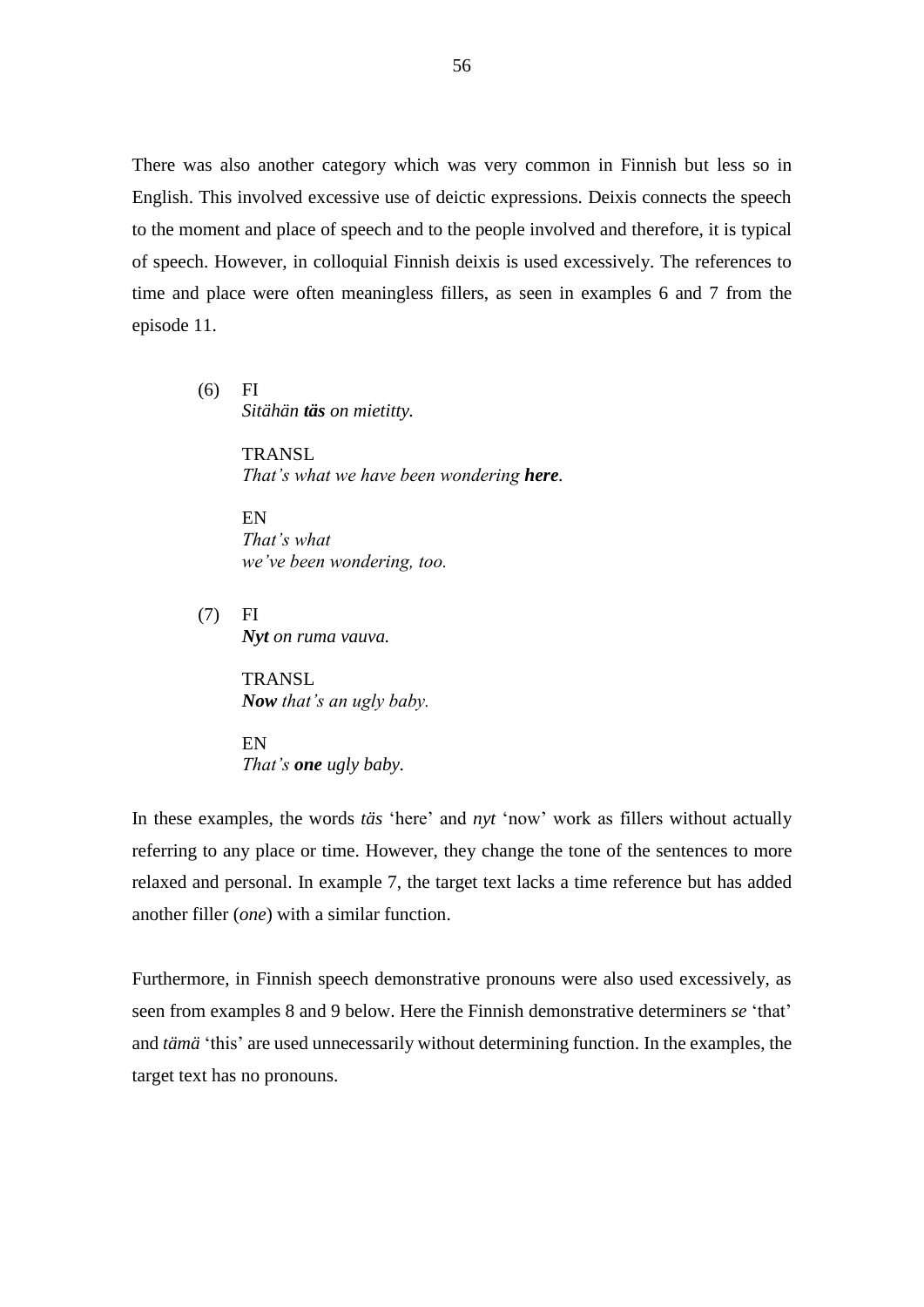There was also another category which was very common in Finnish but less so in English. This involved excessive use of deictic expressions. Deixis connects the speech to the moment and place of speech and to the people involved and therefore, it is typical of speech. However, in colloquial Finnish deixis is used excessively. The references to time and place were often meaningless fillers, as seen in examples 6 and 7 from the episode 11.

(6) FI *Sitähän täs on mietitty.*

> TRANSL *That's what we have been wondering here.*

EN *That's what we've been wondering, too.*

(7) FI *Nyt on ruma vauva.*

> **TRANSL** *Now that's an ugly baby.*

EN *That's one ugly baby.*

In these examples, the words *täs* 'here' and *nyt* 'now' work as fillers without actually referring to any place or time. However, they change the tone of the sentences to more relaxed and personal. In example 7, the target text lacks a time reference but has added another filler (*one*) with a similar function.

Furthermore, in Finnish speech demonstrative pronouns were also used excessively, as seen from examples 8 and 9 below. Here the Finnish demonstrative determiners *se* 'that' and *tämä* 'this' are used unnecessarily without determining function. In the examples, the target text has no pronouns.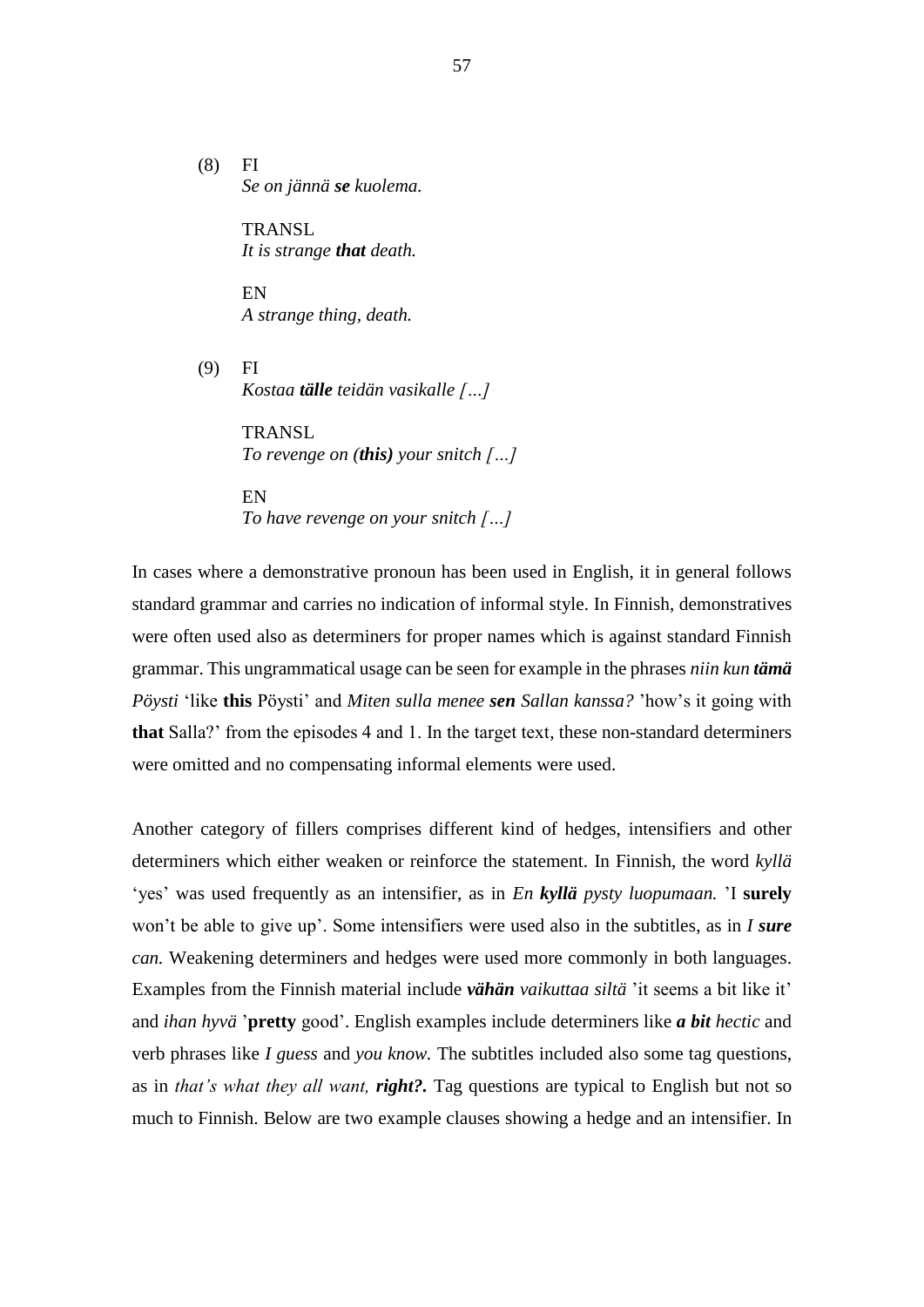(8) FI *Se on jännä se kuolema.*

> **TRANSL** *It is strange that death.*

EN *A strange thing, death.*

(9) FI *Kostaa tälle teidän vasikalle […]*

> TRANSL *To revenge on (this) your snitch […]*

EN *To have revenge on your snitch […]*

In cases where a demonstrative pronoun has been used in English, it in general follows standard grammar and carries no indication of informal style. In Finnish, demonstratives were often used also as determiners for proper names which is against standard Finnish grammar. This ungrammatical usage can be seen for example in the phrases *niin kun tämä Pöysti* 'like **this** Pöysti' and *Miten sulla menee sen Sallan kanssa?* 'how's it going with **that** Salla?' from the episodes 4 and 1. In the target text, these non-standard determiners were omitted and no compensating informal elements were used.

Another category of fillers comprises different kind of hedges, intensifiers and other determiners which either weaken or reinforce the statement. In Finnish, the word *kyllä* 'yes' was used frequently as an intensifier, as in *En kyllä pysty luopumaan.* 'I **surely** won't be able to give up'. Some intensifiers were used also in the subtitles, as in *I sure can.* Weakening determiners and hedges were used more commonly in both languages. Examples from the Finnish material include *vähän vaikuttaa siltä* 'it seems a bit like it' and *ihan hyvä* '**pretty** good'. English examples include determiners like *a bit hectic* and verb phrases like *I guess* and *you know.* The subtitles included also some tag questions, as in *that's what they all want, right?.* Tag questions are typical to English but not so much to Finnish. Below are two example clauses showing a hedge and an intensifier. In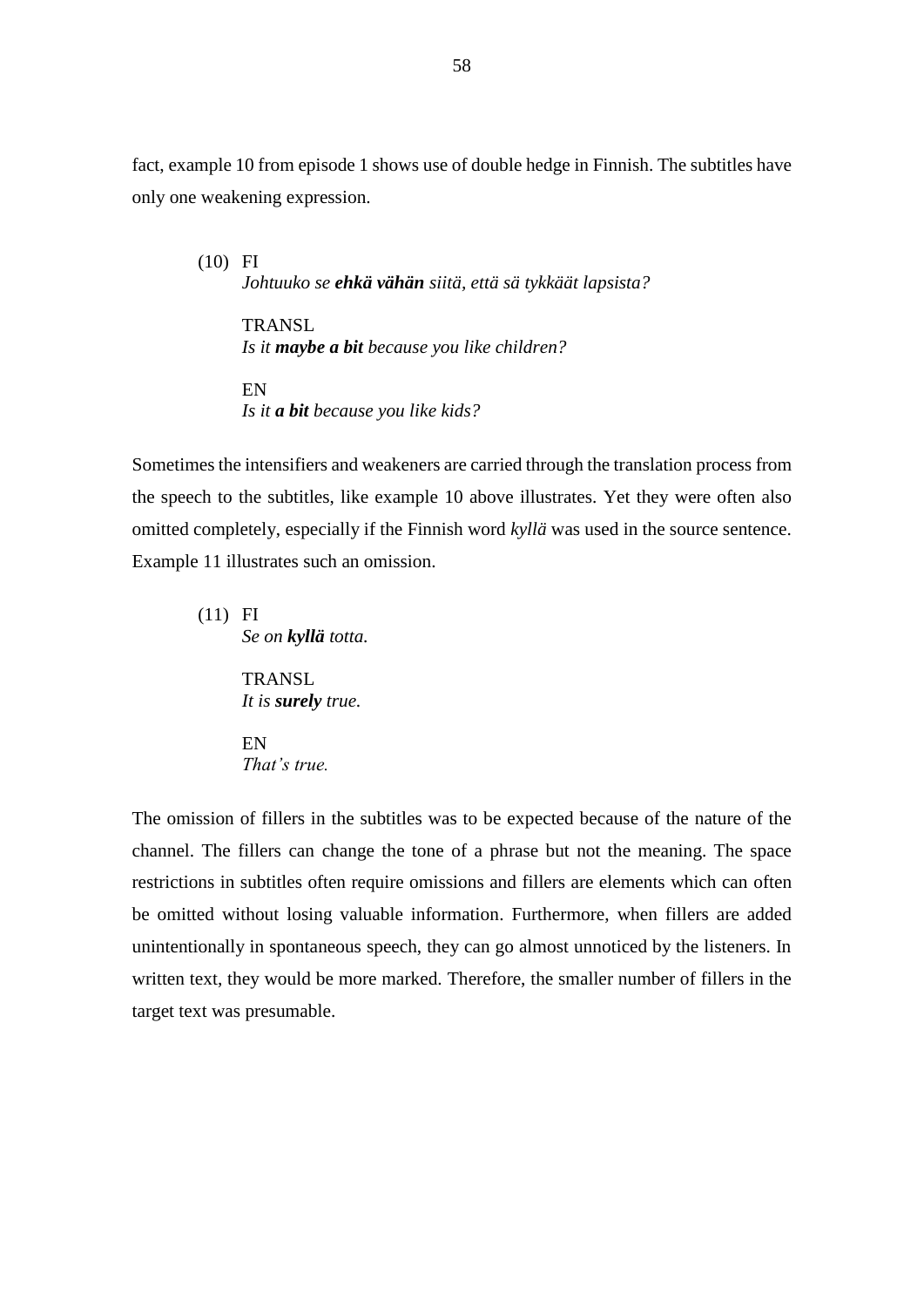fact, example 10 from episode 1 shows use of double hedge in Finnish. The subtitles have only one weakening expression.

(10) FI *Johtuuko se ehkä vähän siitä, että sä tykkäät lapsista?* **TRANSL** *Is it maybe a bit because you like children?* EN *Is it a bit because you like kids?* 

Sometimes the intensifiers and weakeners are carried through the translation process from the speech to the subtitles, like example 10 above illustrates. Yet they were often also omitted completely, especially if the Finnish word *kyllä* was used in the source sentence. Example 11 illustrates such an omission.

(11) FI *Se on kyllä totta.* **TRANSL** *It is surely true.* EN

*That's true.*

The omission of fillers in the subtitles was to be expected because of the nature of the channel. The fillers can change the tone of a phrase but not the meaning. The space restrictions in subtitles often require omissions and fillers are elements which can often be omitted without losing valuable information. Furthermore, when fillers are added unintentionally in spontaneous speech, they can go almost unnoticed by the listeners. In written text, they would be more marked. Therefore, the smaller number of fillers in the target text was presumable.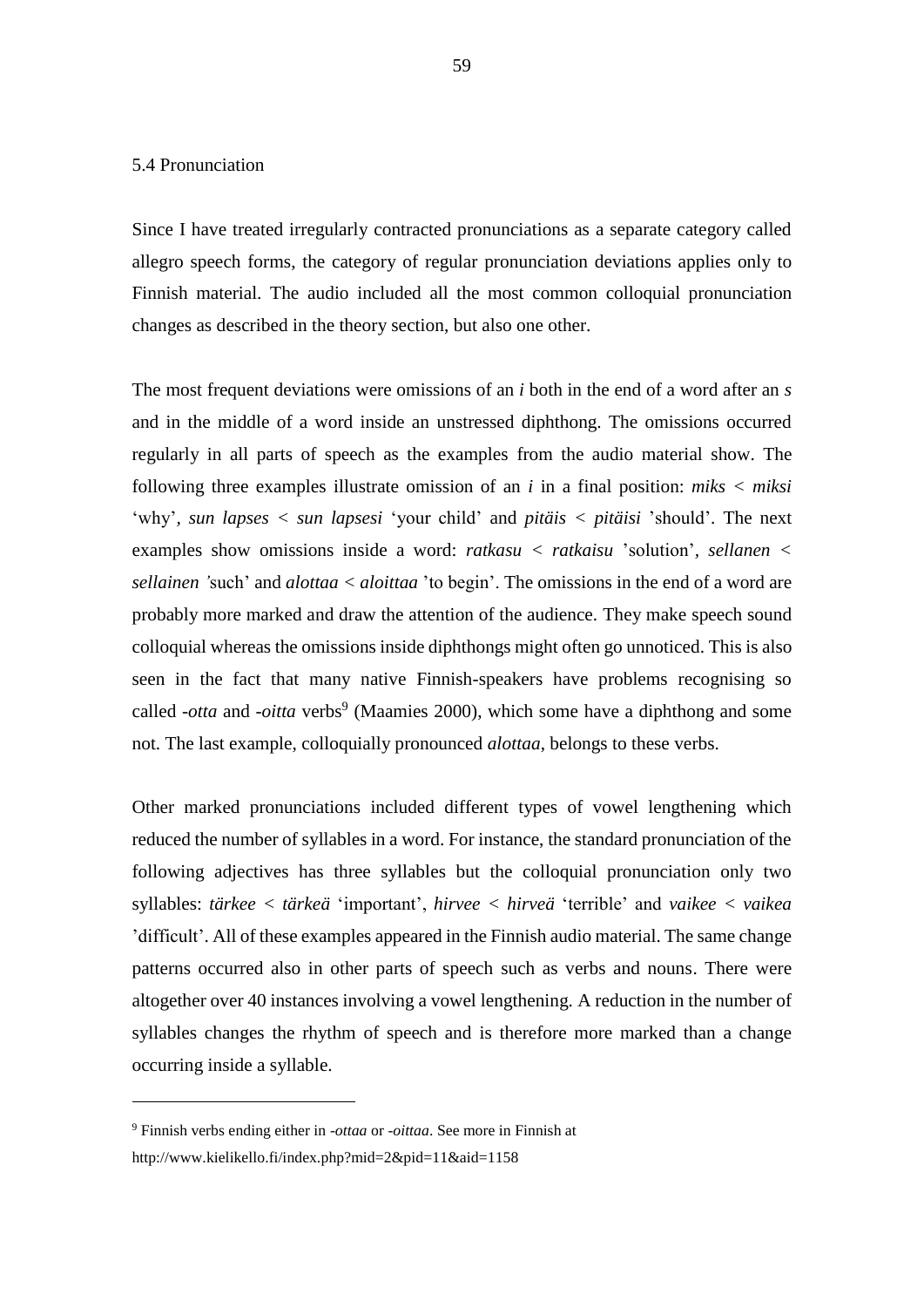## 5.4 Pronunciation

Since I have treated irregularly contracted pronunciations as a separate category called allegro speech forms, the category of regular pronunciation deviations applies only to Finnish material. The audio included all the most common colloquial pronunciation changes as described in the theory section, but also one other.

The most frequent deviations were omissions of an *i* both in the end of a word after an *s* and in the middle of a word inside an unstressed diphthong. The omissions occurred regularly in all parts of speech as the examples from the audio material show. The following three examples illustrate omission of an *i* in a final position: *miks < miksi*  'why'*, sun lapses < sun lapsesi* 'your child' and *pitäis < pitäisi* 'should'. The next examples show omissions inside a word: *ratkasu < ratkaisu* 'solution'*, sellanen < sellainen '*such' and *alottaa < aloittaa* 'to begin'. The omissions in the end of a word are probably more marked and draw the attention of the audience. They make speech sound colloquial whereas the omissions inside diphthongs might often go unnoticed. This is also seen in the fact that many native Finnish-speakers have problems recognising so called *-otta* and *-oitta* verbs<sup>9</sup> (Maamies 2000), which some have a diphthong and some not. The last example, colloquially pronounced *alottaa*, belongs to these verbs.

Other marked pronunciations included different types of vowel lengthening which reduced the number of syllables in a word. For instance, the standard pronunciation of the following adjectives has three syllables but the colloquial pronunciation only two syllables: *tärkee < tärkeä* 'important', *hirvee < hirveä* 'terrible' and *vaikee < vaikea* 'difficult'. All of these examples appeared in the Finnish audio material. The same change patterns occurred also in other parts of speech such as verbs and nouns. There were altogether over 40 instances involving a vowel lengthening. A reduction in the number of syllables changes the rhythm of speech and is therefore more marked than a change occurring inside a syllable.

1

<sup>9</sup> Finnish verbs ending either in -*ottaa* or -*oittaa*. See more in Finnish at http://www.kielikello.fi/index.php?mid=2&pid=11&aid=1158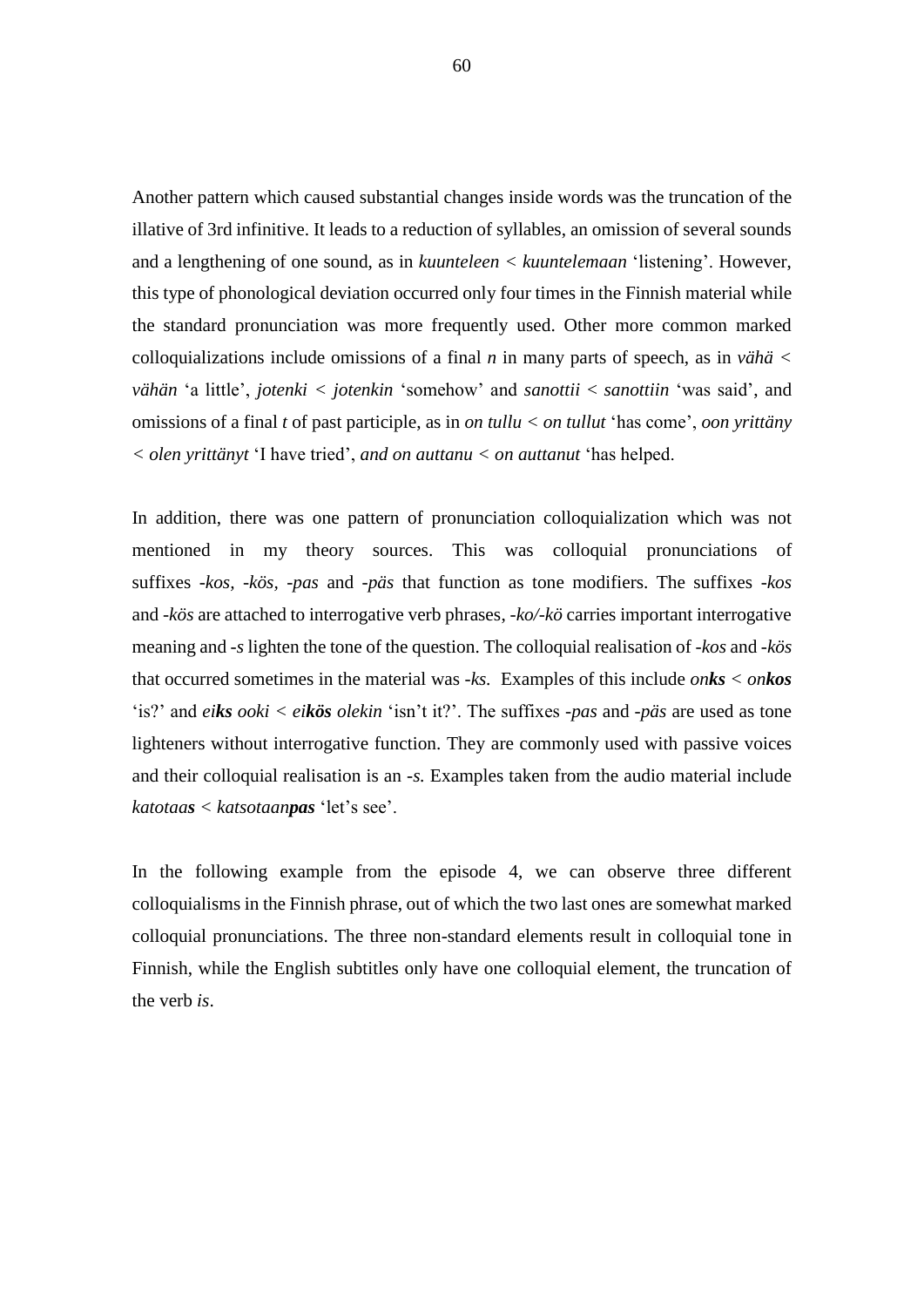Another pattern which caused substantial changes inside words was the truncation of the illative of 3rd infinitive. It leads to a reduction of syllables, an omission of several sounds and a lengthening of one sound, as in *kuunteleen < kuuntelemaan* 'listening'. However, this type of phonological deviation occurred only four times in the Finnish material while the standard pronunciation was more frequently used. Other more common marked colloquializations include omissions of a final  $n$  in many parts of speech, as in *vähä* < *vähän* 'a little', *jotenki < jotenkin* 'somehow' and *sanottii* < *sanottiin* 'was said', and omissions of a final *t* of past participle, as in *on tullu < on tullut* 'has come', *oon yrittäny < olen yrittänyt* 'I have tried', *and on auttanu < on auttanut* 'has helped.

In addition, there was one pattern of pronunciation colloquialization which was not mentioned in my theory sources. This was colloquial pronunciations of suffixes *-kos, -kös, -pas* and *-päs* that function as tone modifiers. The suffixes *-kos*  and *-kös* are attached to interrogative verb phrases, *-ko/-kö* carries important interrogative meaning and *-s* lighten the tone of the question. The colloquial realisation of *-kos* and *-kös* that occurred sometimes in the material was *-ks.* Examples of this include *onks < onkos* 'is?' and *eiks ooki < eikös olekin* 'isn't it?'. The suffixes *-pas* and *-päs* are used as tone lighteners without interrogative function. They are commonly used with passive voices and their colloquial realisation is an *-s.* Examples taken from the audio material include *katotaas < katsotaanpas* 'let's see'.

In the following example from the episode 4, we can observe three different colloquialisms in the Finnish phrase, out of which the two last ones are somewhat marked colloquial pronunciations. The three non-standard elements result in colloquial tone in Finnish, while the English subtitles only have one colloquial element, the truncation of the verb *is*.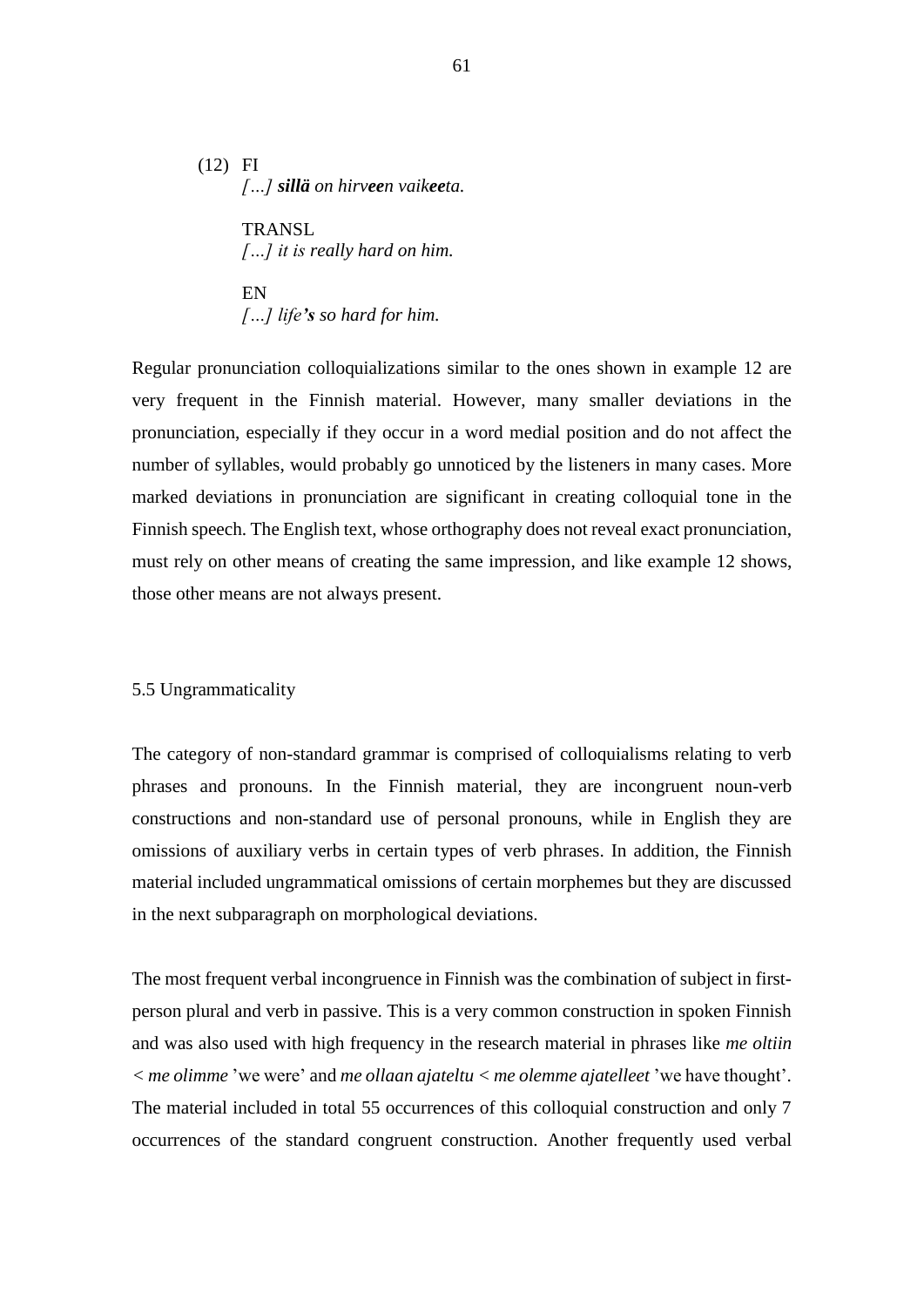(12) FI *[…] sillä on hirveen vaikeeta.*

> **TRANSL** *[…] it is really hard on him.*

EN *[…] life's so hard for him.*

Regular pronunciation colloquializations similar to the ones shown in example 12 are very frequent in the Finnish material. However, many smaller deviations in the pronunciation, especially if they occur in a word medial position and do not affect the number of syllables, would probably go unnoticed by the listeners in many cases. More marked deviations in pronunciation are significant in creating colloquial tone in the Finnish speech. The English text, whose orthography does not reveal exact pronunciation, must rely on other means of creating the same impression, and like example 12 shows, those other means are not always present.

## 5.5 Ungrammaticality

The category of non-standard grammar is comprised of colloquialisms relating to verb phrases and pronouns. In the Finnish material, they are incongruent noun-verb constructions and non-standard use of personal pronouns, while in English they are omissions of auxiliary verbs in certain types of verb phrases. In addition, the Finnish material included ungrammatical omissions of certain morphemes but they are discussed in the next subparagraph on morphological deviations.

The most frequent verbal incongruence in Finnish was the combination of subject in firstperson plural and verb in passive. This is a very common construction in spoken Finnish and was also used with high frequency in the research material in phrases like *me oltiin < me olimme* 'we were' and *me ollaan ajateltu < me olemme ajatelleet* 'we have thought'. The material included in total 55 occurrences of this colloquial construction and only 7 occurrences of the standard congruent construction. Another frequently used verbal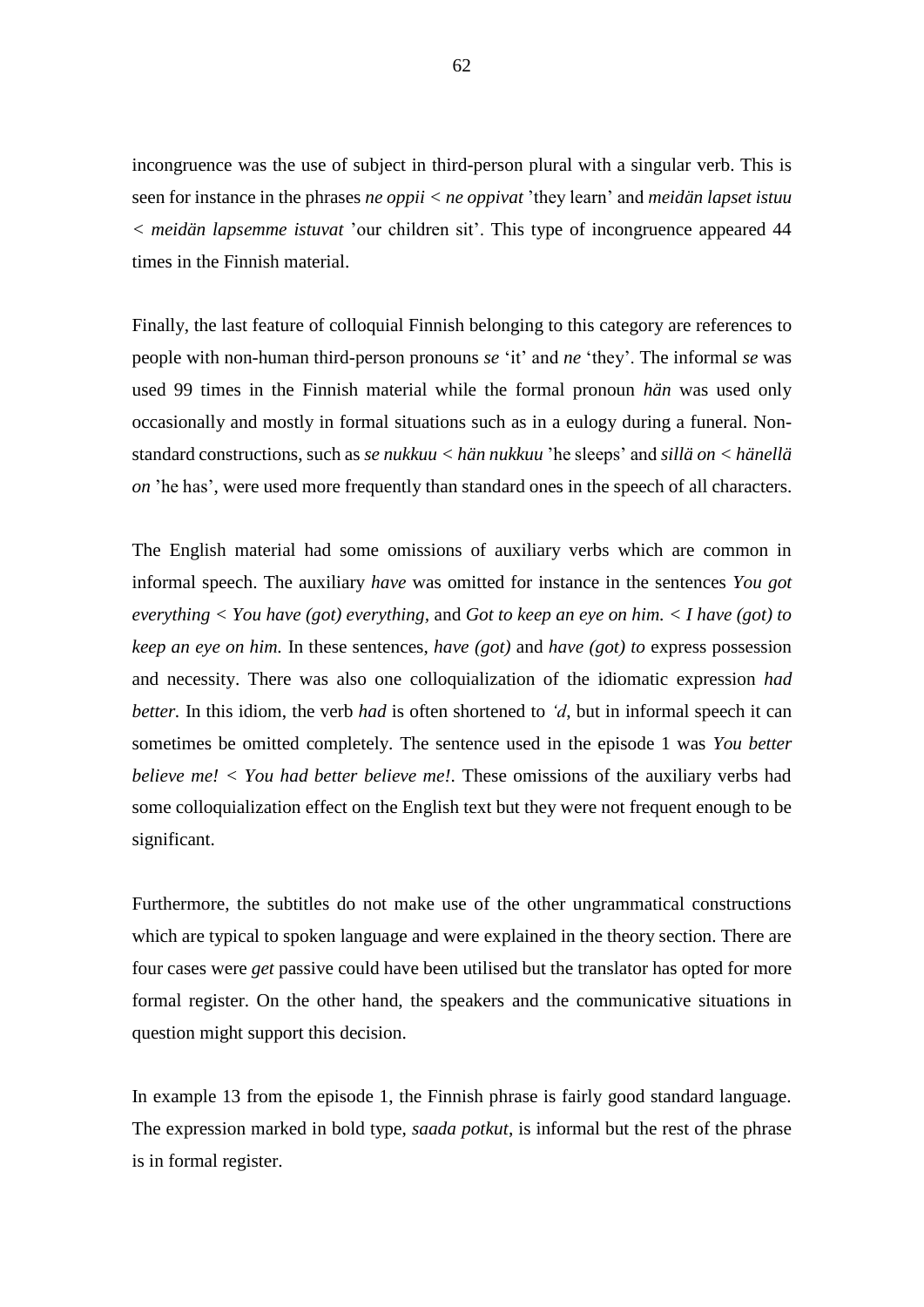incongruence was the use of subject in third-person plural with a singular verb. This is seen for instance in the phrases *ne oppii < ne oppivat* 'they learn' and *meidän lapset istuu < meidän lapsemme istuvat* 'our children sit'. This type of incongruence appeared 44 times in the Finnish material.

Finally, the last feature of colloquial Finnish belonging to this category are references to people with non-human third-person pronouns *se* 'it' and *ne* 'they'. The informal *se* was used 99 times in the Finnish material while the formal pronoun *hän* was used only occasionally and mostly in formal situations such as in a eulogy during a funeral. Nonstandard constructions, such as *se nukkuu < hän nukkuu* 'he sleeps' and *sillä on < hänellä on* 'he has', were used more frequently than standard ones in the speech of all characters.

The English material had some omissions of auxiliary verbs which are common in informal speech. The auxiliary *have* was omitted for instance in the sentences *You got everything < You have (got) everything,* and *Got to keep an eye on him. < I have (got) to keep an eye on him.* In these sentences, *have (got)* and *have (got) to* express possession and necessity. There was also one colloquialization of the idiomatic expression *had better.* In this idiom, the verb *had* is often shortened to *'d*, but in informal speech it can sometimes be omitted completely. The sentence used in the episode 1 was *You better believe me! < You had better believe me!.* These omissions of the auxiliary verbs had some colloquialization effect on the English text but they were not frequent enough to be significant.

Furthermore, the subtitles do not make use of the other ungrammatical constructions which are typical to spoken language and were explained in the theory section. There are four cases were *get* passive could have been utilised but the translator has opted for more formal register. On the other hand, the speakers and the communicative situations in question might support this decision.

In example 13 from the episode 1, the Finnish phrase is fairly good standard language. The expression marked in bold type, *saada potkut*, is informal but the rest of the phrase is in formal register.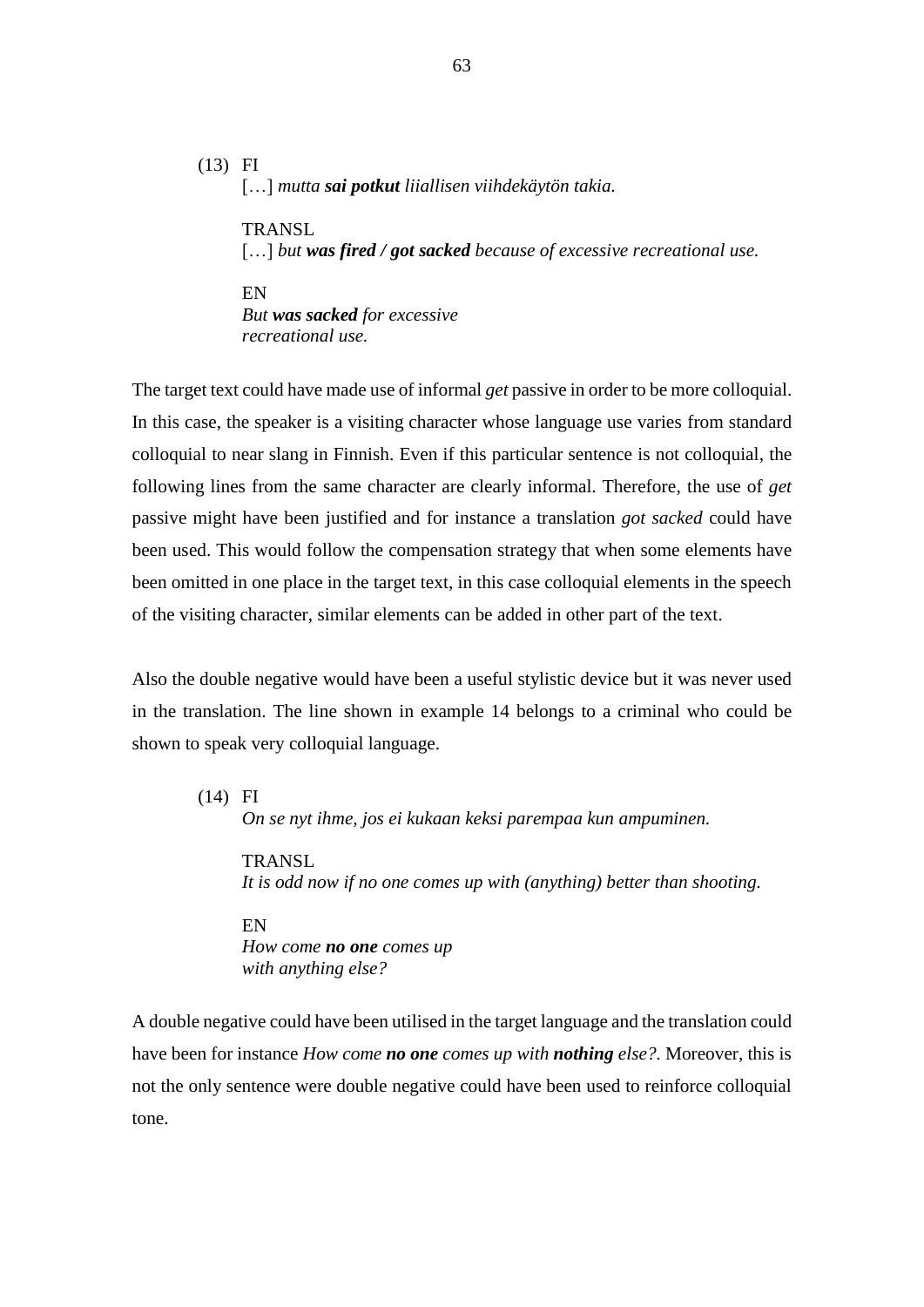(13) FI […] *mutta sai potkut liiallisen viihdekäytön takia.* 

> **TRANSL** […] *but was fired / got sacked because of excessive recreational use.*

EN

*But was sacked for excessive recreational use.*

The target text could have made use of informal *get* passive in order to be more colloquial. In this case, the speaker is a visiting character whose language use varies from standard colloquial to near slang in Finnish. Even if this particular sentence is not colloquial, the following lines from the same character are clearly informal. Therefore, the use of *get*  passive might have been justified and for instance a translation *got sacked* could have been used. This would follow the compensation strategy that when some elements have been omitted in one place in the target text, in this case colloquial elements in the speech of the visiting character, similar elements can be added in other part of the text.

Also the double negative would have been a useful stylistic device but it was never used in the translation. The line shown in example 14 belongs to a criminal who could be shown to speak very colloquial language.

(14) FI

*On se nyt ihme, jos ei kukaan keksi parempaa kun ampuminen.*

TRANSL *It is odd now if no one comes up with (anything) better than shooting.*

EN *How come no one comes up with anything else?*

A double negative could have been utilised in the target language and the translation could have been for instance *How come no one comes up with nothing else?.* Moreover, this is not the only sentence were double negative could have been used to reinforce colloquial tone.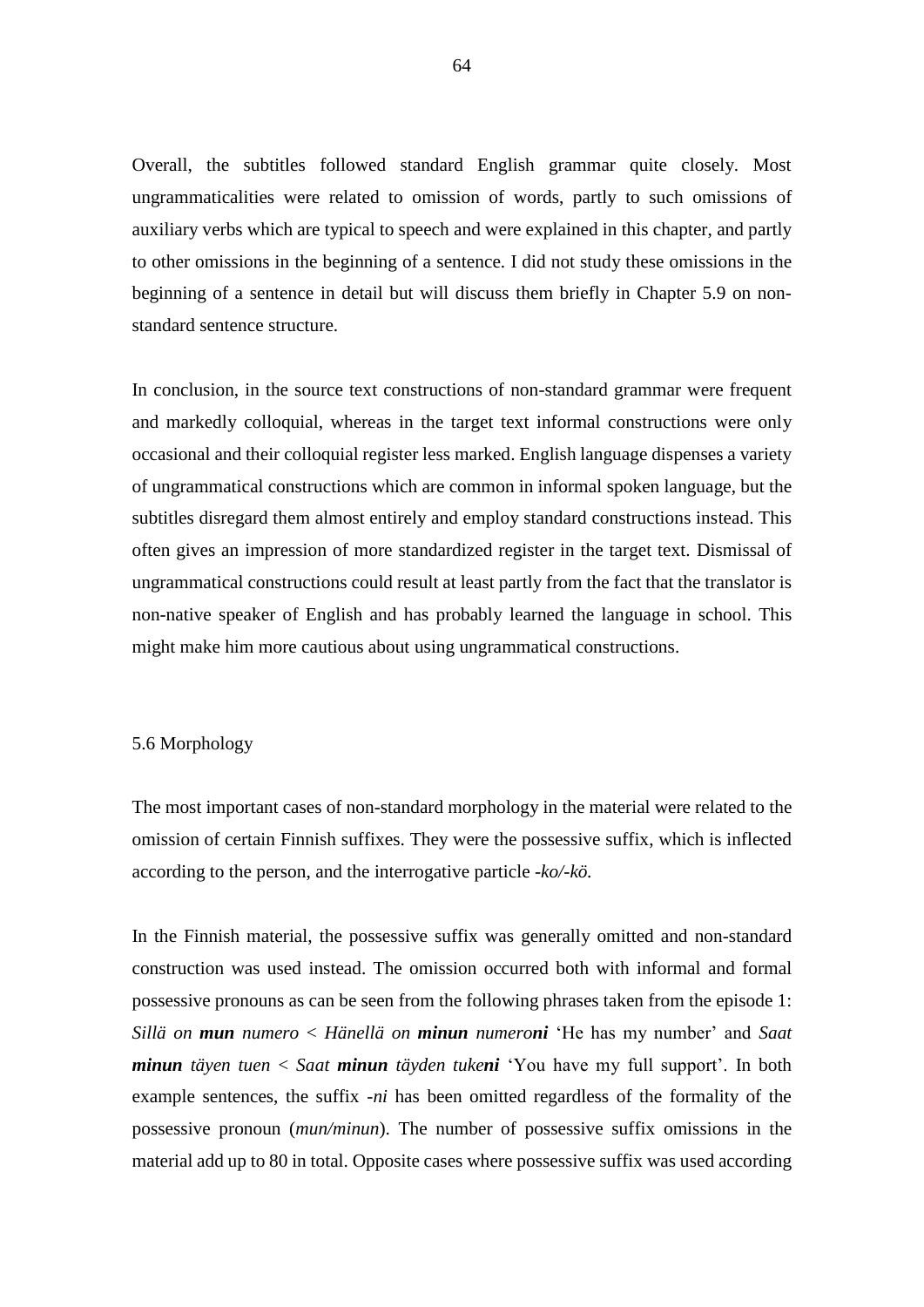Overall, the subtitles followed standard English grammar quite closely. Most ungrammaticalities were related to omission of words, partly to such omissions of auxiliary verbs which are typical to speech and were explained in this chapter, and partly to other omissions in the beginning of a sentence. I did not study these omissions in the beginning of a sentence in detail but will discuss them briefly in Chapter 5.9 on nonstandard sentence structure.

In conclusion, in the source text constructions of non-standard grammar were frequent and markedly colloquial, whereas in the target text informal constructions were only occasional and their colloquial register less marked. English language dispenses a variety of ungrammatical constructions which are common in informal spoken language, but the subtitles disregard them almost entirely and employ standard constructions instead. This often gives an impression of more standardized register in the target text. Dismissal of ungrammatical constructions could result at least partly from the fact that the translator is non-native speaker of English and has probably learned the language in school. This might make him more cautious about using ungrammatical constructions.

# 5.6 Morphology

The most important cases of non-standard morphology in the material were related to the omission of certain Finnish suffixes. They were the possessive suffix, which is inflected according to the person, and the interrogative particle *-ko/-kö.* 

In the Finnish material, the possessive suffix was generally omitted and non-standard construction was used instead. The omission occurred both with informal and formal possessive pronouns as can be seen from the following phrases taken from the episode 1: *Sillä on mun numero* < *Hänellä on minun numeroni* 'He has my number' and *Saat minun täyen tuen* < *Saat minun täyden tukeni* 'You have my full support'. In both example sentences, the suffix *-ni* has been omitted regardless of the formality of the possessive pronoun (*mun/minun*). The number of possessive suffix omissions in the material add up to 80 in total. Opposite cases where possessive suffix was used according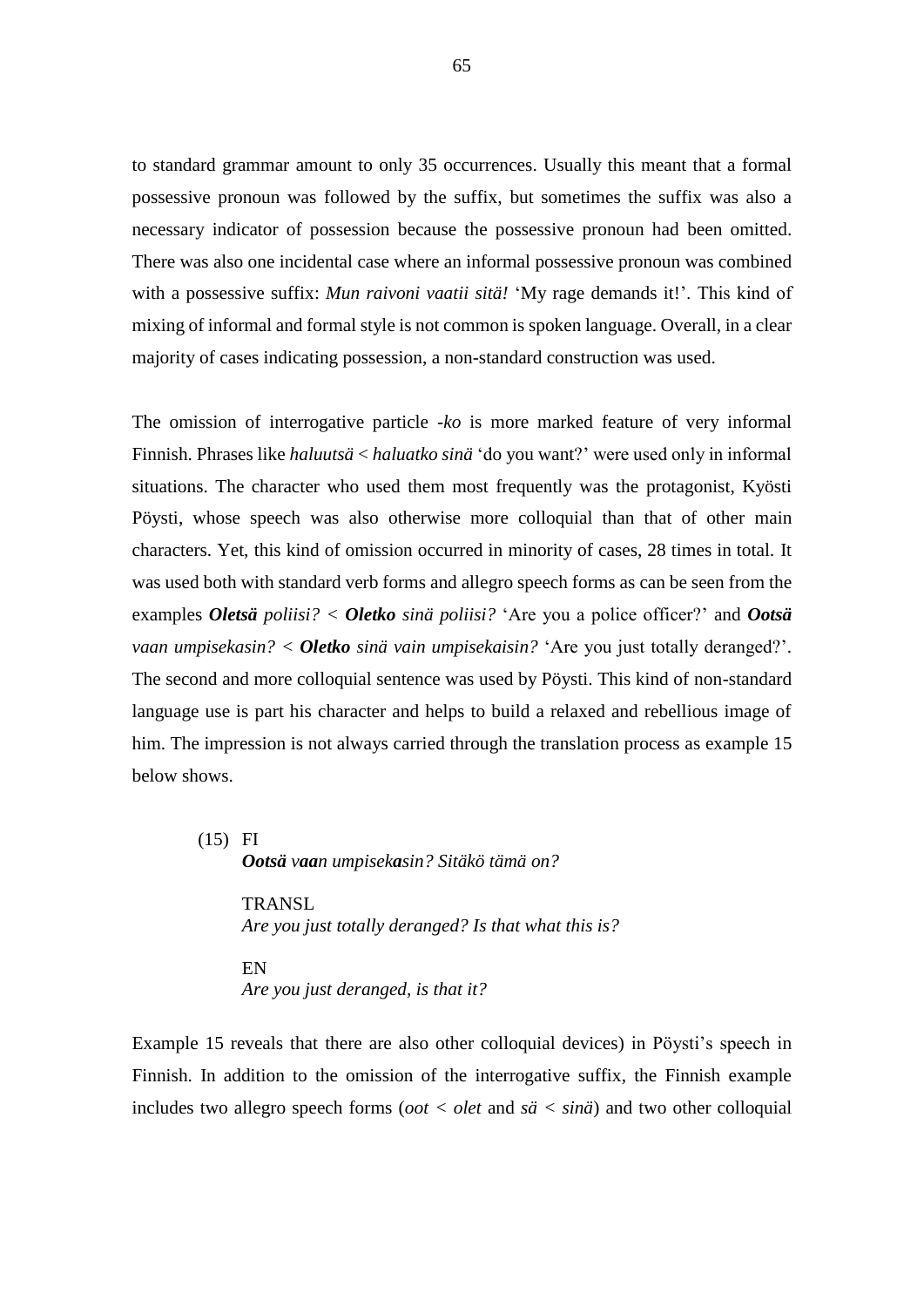to standard grammar amount to only 35 occurrences. Usually this meant that a formal possessive pronoun was followed by the suffix, but sometimes the suffix was also a necessary indicator of possession because the possessive pronoun had been omitted. There was also one incidental case where an informal possessive pronoun was combined with a possessive suffix: *Mun raivoni vaatii sitä!* 'My rage demands it!'. This kind of mixing of informal and formal style is not common is spoken language. Overall, in a clear majority of cases indicating possession, a non-standard construction was used.

The omission of interrogative particle *-ko* is more marked feature of very informal Finnish. Phrases like *haluutsä* < *haluatko sinä* 'do you want?' were used only in informal situations. The character who used them most frequently was the protagonist, Kyösti Pöysti, whose speech was also otherwise more colloquial than that of other main characters. Yet, this kind of omission occurred in minority of cases, 28 times in total. It was used both with standard verb forms and allegro speech forms as can be seen from the examples *Oletsä poliisi? < Oletko sinä poliisi?* 'Are you a police officer?' and *Ootsä vaan umpisekasin? < Oletko sinä vain umpisekaisin?* 'Are you just totally deranged?'. The second and more colloquial sentence was used by Pöysti. This kind of non-standard language use is part his character and helps to build a relaxed and rebellious image of him. The impression is not always carried through the translation process as example 15 below shows.

(15) FI *Ootsä vaan umpisekasin? Sitäkö tämä on?* 

> **TRANSL** *Are you just totally deranged? Is that what this is?*

EN *Are you just deranged, is that it?* 

Example 15 reveals that there are also other colloquial devices) in Pöysti's speech in Finnish. In addition to the omission of the interrogative suffix, the Finnish example includes two allegro speech forms (*oot < olet* and *sä < sinä*) and two other colloquial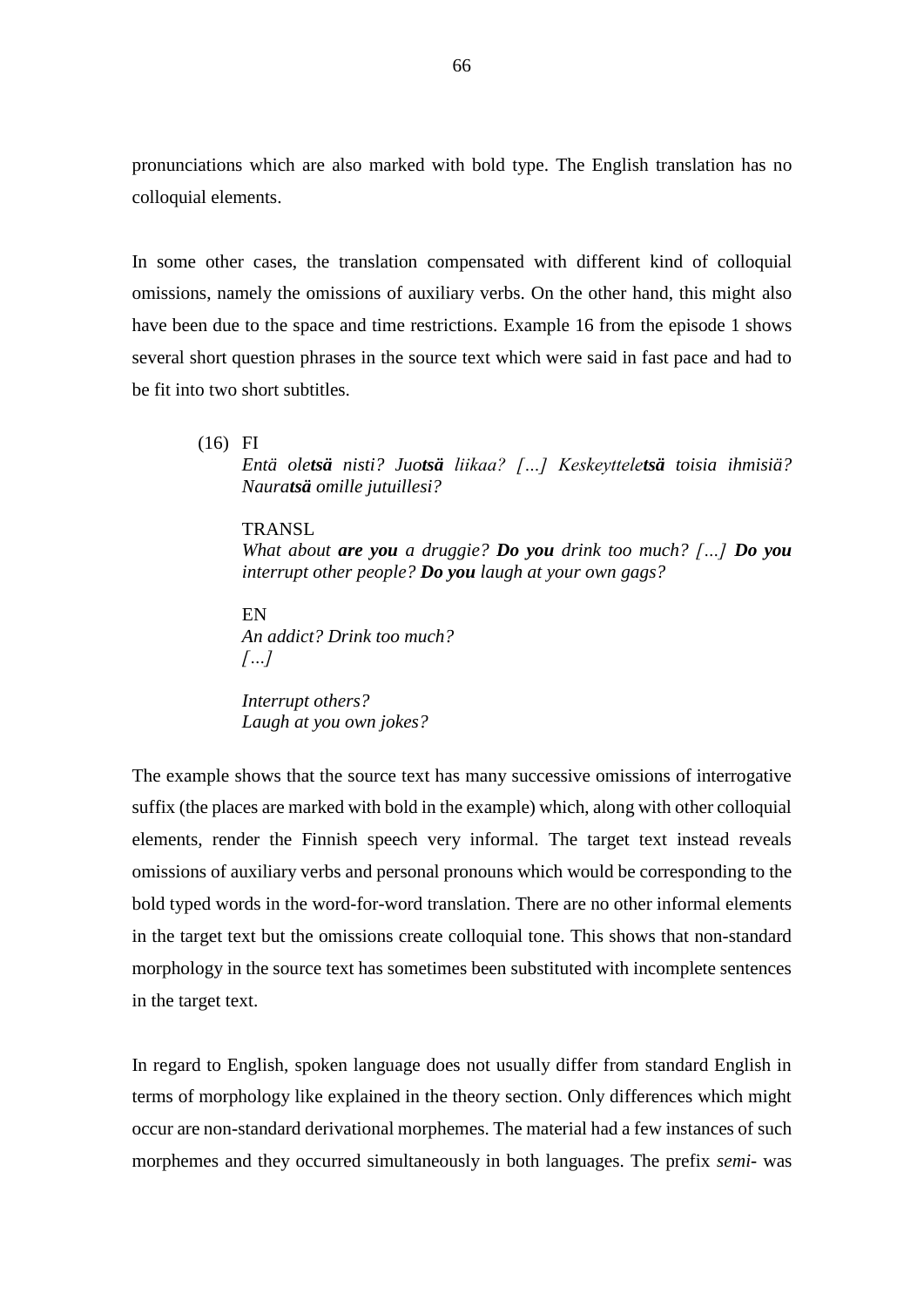pronunciations which are also marked with bold type. The English translation has no colloquial elements.

In some other cases, the translation compensated with different kind of colloquial omissions, namely the omissions of auxiliary verbs. On the other hand, this might also have been due to the space and time restrictions. Example 16 from the episode 1 shows several short question phrases in the source text which were said in fast pace and had to be fit into two short subtitles.

(16) FI

*Entä oletsä nisti? Juotsä liikaa? […] Keskeytteletsä toisia ihmisiä? Nauratsä omille jutuillesi?*

### TRANSL

*What about are you a druggie? Do you drink too much? […] Do you interrupt other people? Do you laugh at your own gags?*

EN *An addict? Drink too much? […]*

*Interrupt others? Laugh at you own jokes?*

The example shows that the source text has many successive omissions of interrogative suffix (the places are marked with bold in the example) which, along with other colloquial elements, render the Finnish speech very informal. The target text instead reveals omissions of auxiliary verbs and personal pronouns which would be corresponding to the bold typed words in the word-for-word translation. There are no other informal elements in the target text but the omissions create colloquial tone. This shows that non-standard morphology in the source text has sometimes been substituted with incomplete sentences in the target text.

In regard to English, spoken language does not usually differ from standard English in terms of morphology like explained in the theory section. Only differences which might occur are non-standard derivational morphemes. The material had a few instances of such morphemes and they occurred simultaneously in both languages. The prefix *semi-* was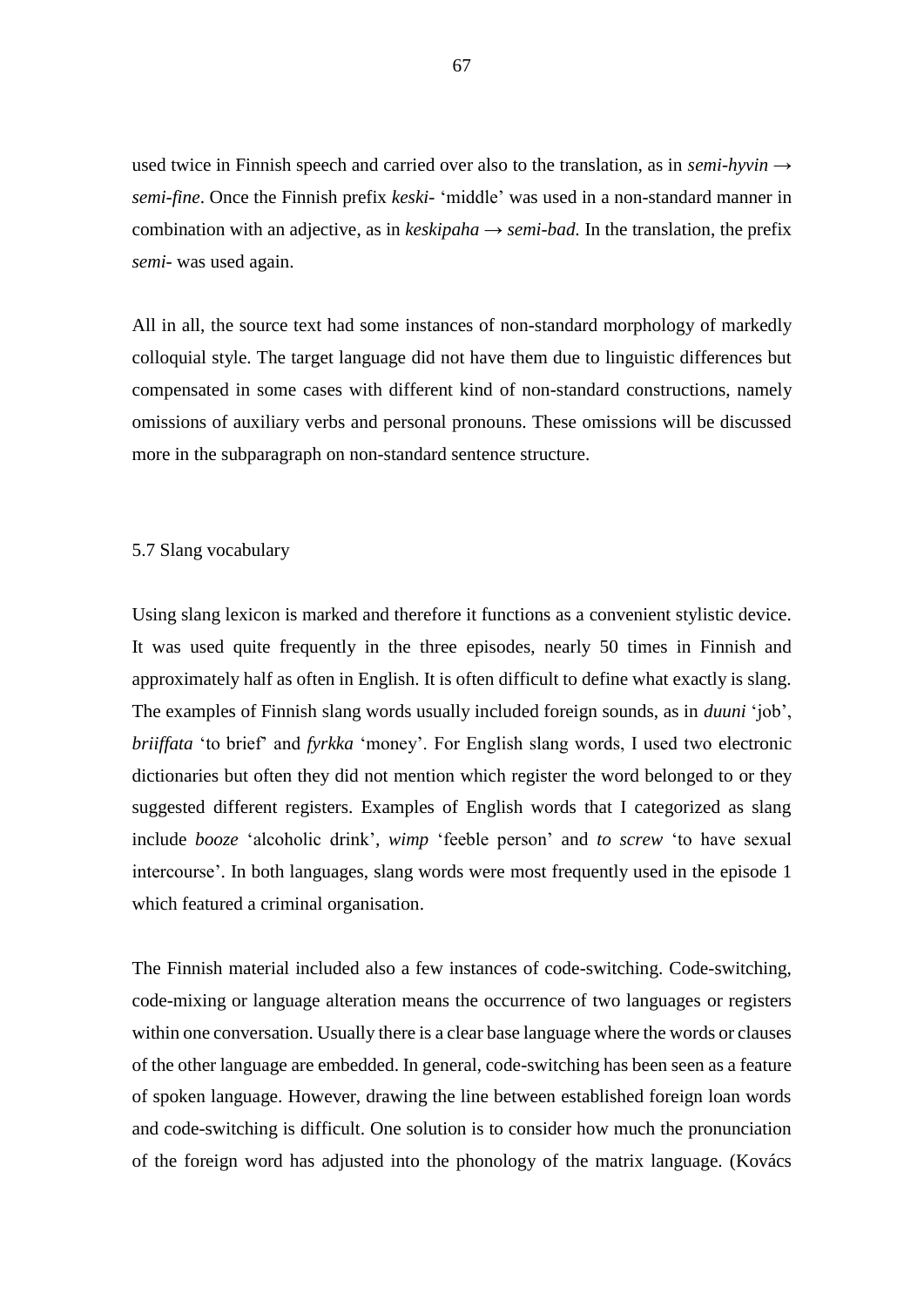used twice in Finnish speech and carried over also to the translation, as in *semi-hyvin → semi-fine*. Once the Finnish prefix *keski-* 'middle' was used in a non-standard manner in combination with an adjective, as in *keskipaha → semi-bad.* In the translation, the prefix *semi-* was used again.

All in all, the source text had some instances of non-standard morphology of markedly colloquial style. The target language did not have them due to linguistic differences but compensated in some cases with different kind of non-standard constructions, namely omissions of auxiliary verbs and personal pronouns. These omissions will be discussed more in the subparagraph on non-standard sentence structure.

# 5.7 Slang vocabulary

Using slang lexicon is marked and therefore it functions as a convenient stylistic device. It was used quite frequently in the three episodes, nearly 50 times in Finnish and approximately half as often in English. It is often difficult to define what exactly is slang. The examples of Finnish slang words usually included foreign sounds, as in *duuni* 'job', *briiffata* 'to brief' and *fyrkka* 'money'. For English slang words, I used two electronic dictionaries but often they did not mention which register the word belonged to or they suggested different registers. Examples of English words that I categorized as slang include *booze* 'alcoholic drink'*, wimp* 'feeble person' and *to screw* 'to have sexual intercourse'. In both languages, slang words were most frequently used in the episode 1 which featured a criminal organisation.

The Finnish material included also a few instances of code-switching. Code-switching, code-mixing or language alteration means the occurrence of two languages or registers within one conversation. Usually there is a clear base language where the words or clauses of the other language are embedded. In general, code-switching has been seen as a feature of spoken language. However, drawing the line between established foreign loan words and code-switching is difficult. One solution is to consider how much the pronunciation of the foreign word has adjusted into the phonology of the matrix language. (Kovács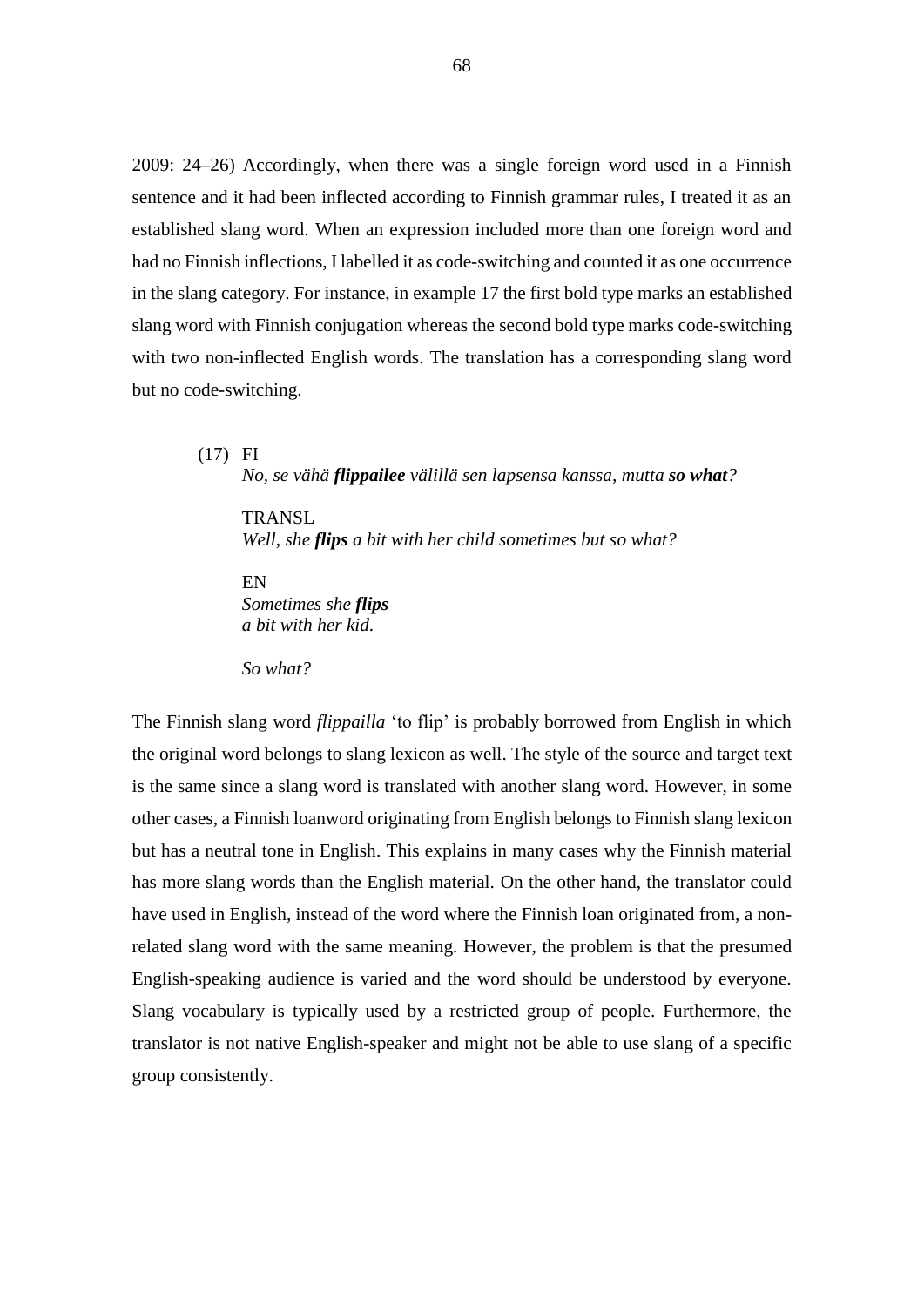2009: 24–26) Accordingly, when there was a single foreign word used in a Finnish sentence and it had been inflected according to Finnish grammar rules, I treated it as an established slang word. When an expression included more than one foreign word and had no Finnish inflections, I labelled it as code-switching and counted it as one occurrence in the slang category. For instance, in example 17 the first bold type marks an established slang word with Finnish conjugation whereas the second bold type marks code-switching with two non-inflected English words. The translation has a corresponding slang word but no code-switching.

(17) FI *No, se vähä flippailee välillä sen lapsensa kanssa, mutta so what?*

**TRANSL** *Well, she flips a bit with her child sometimes but so what?*

EN *Sometimes she flips a bit with her kid.*

*So what?*

The Finnish slang word *flippailla* 'to flip' is probably borrowed from English in which the original word belongs to slang lexicon as well. The style of the source and target text is the same since a slang word is translated with another slang word. However, in some other cases, a Finnish loanword originating from English belongs to Finnish slang lexicon but has a neutral tone in English. This explains in many cases why the Finnish material has more slang words than the English material. On the other hand, the translator could have used in English, instead of the word where the Finnish loan originated from, a nonrelated slang word with the same meaning. However, the problem is that the presumed English-speaking audience is varied and the word should be understood by everyone. Slang vocabulary is typically used by a restricted group of people. Furthermore, the translator is not native English-speaker and might not be able to use slang of a specific group consistently.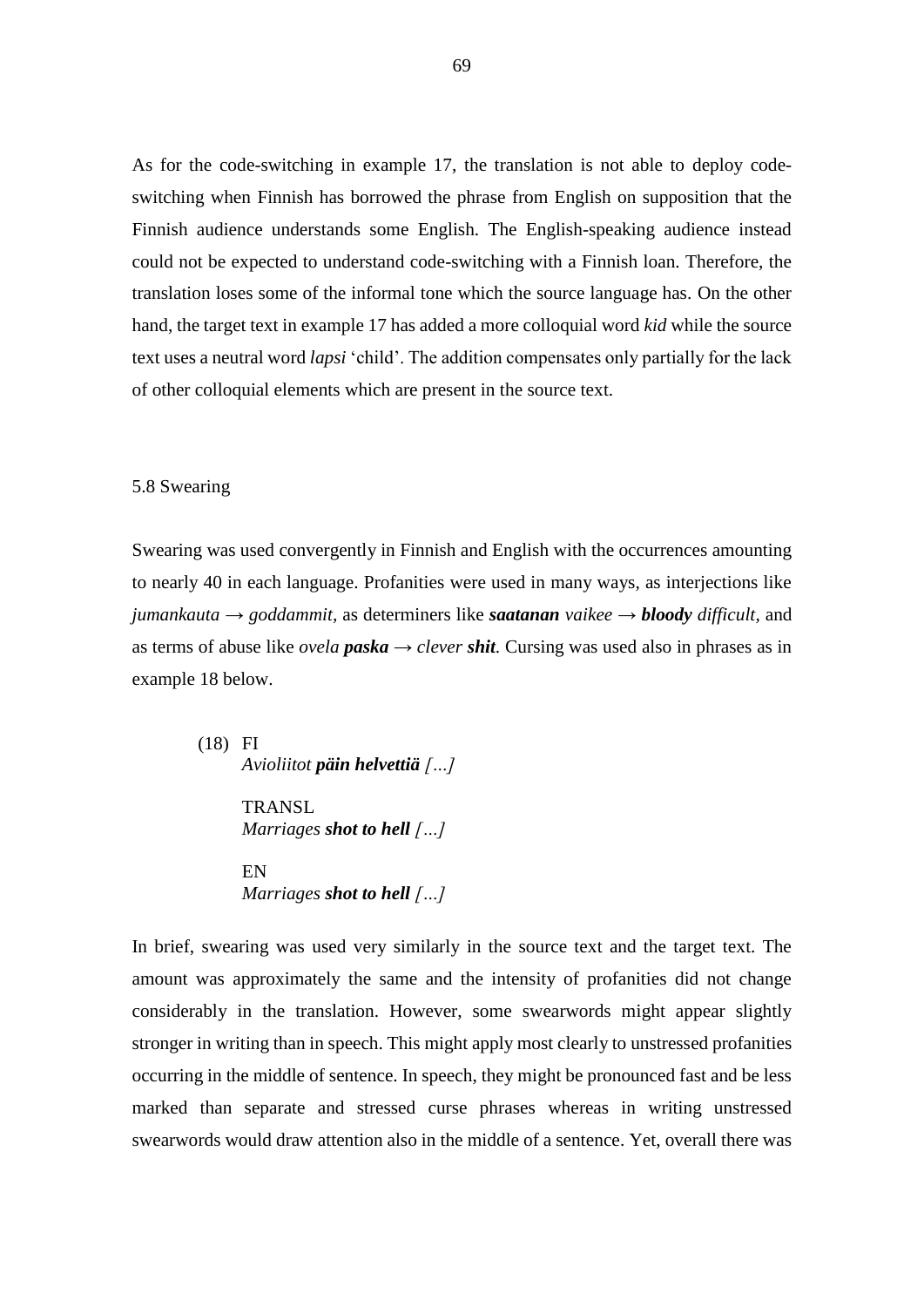As for the code-switching in example 17, the translation is not able to deploy codeswitching when Finnish has borrowed the phrase from English on supposition that the Finnish audience understands some English. The English-speaking audience instead could not be expected to understand code-switching with a Finnish loan. Therefore, the translation loses some of the informal tone which the source language has. On the other hand, the target text in example 17 has added a more colloquial word *kid* while the source text uses a neutral word *lapsi* 'child'. The addition compensates only partially for the lack of other colloquial elements which are present in the source text.

### 5.8 Swearing

Swearing was used convergently in Finnish and English with the occurrences amounting to nearly 40 in each language. Profanities were used in many ways, as interjections like *jumankauta*  $\rightarrow$  *goddammit,* as determiners like *saatanan* vaikee  $\rightarrow$  *bloody difficult,* and as terms of abuse like *ovela paska*  $\rightarrow$  *clever shit.* Cursing was used also in phrases as in example 18 below.

> (18) FI *Avioliitot päin helvettiä […]*

> > **TRANSL** *Marriages shot to hell […]*

> > EN *Marriages shot to hell […]*

In brief, swearing was used very similarly in the source text and the target text. The amount was approximately the same and the intensity of profanities did not change considerably in the translation. However, some swearwords might appear slightly stronger in writing than in speech. This might apply most clearly to unstressed profanities occurring in the middle of sentence. In speech, they might be pronounced fast and be less marked than separate and stressed curse phrases whereas in writing unstressed swearwords would draw attention also in the middle of a sentence. Yet, overall there was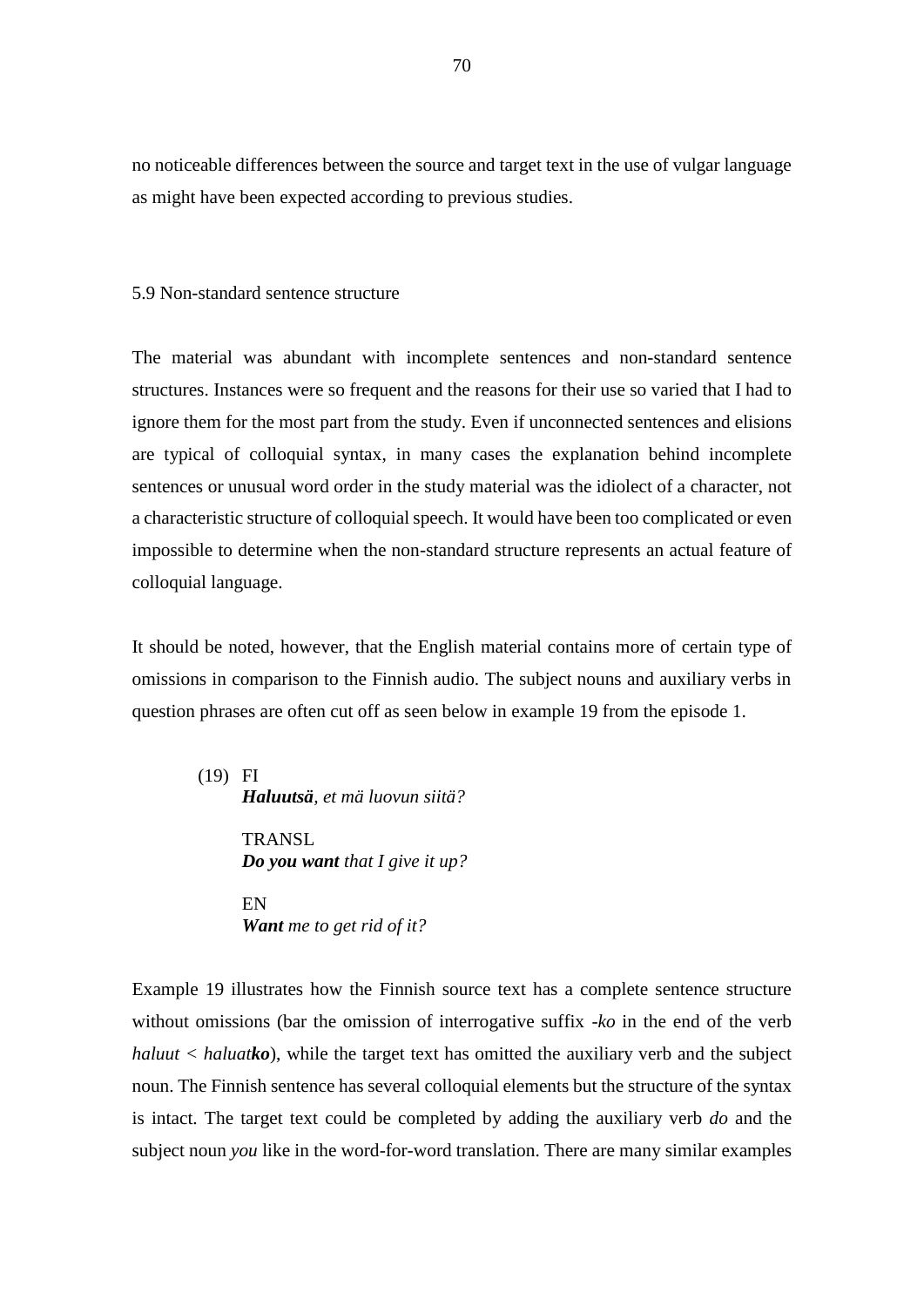no noticeable differences between the source and target text in the use of vulgar language as might have been expected according to previous studies.

### 5.9 Non-standard sentence structure

The material was abundant with incomplete sentences and non-standard sentence structures. Instances were so frequent and the reasons for their use so varied that I had to ignore them for the most part from the study. Even if unconnected sentences and elisions are typical of colloquial syntax, in many cases the explanation behind incomplete sentences or unusual word order in the study material was the idiolect of a character, not a characteristic structure of colloquial speech. It would have been too complicated or even impossible to determine when the non-standard structure represents an actual feature of colloquial language.

It should be noted, however, that the English material contains more of certain type of omissions in comparison to the Finnish audio. The subject nouns and auxiliary verbs in question phrases are often cut off as seen below in example 19 from the episode 1.

(19) FI *Haluutsä, et mä luovun siitä?* **TRANSL** *Do you want that I give it up?*

> EN *Want me to get rid of it?*

Example 19 illustrates how the Finnish source text has a complete sentence structure without omissions (bar the omission of interrogative suffix *-ko* in the end of the verb *haluut < haluatko*), while the target text has omitted the auxiliary verb and the subject noun. The Finnish sentence has several colloquial elements but the structure of the syntax is intact. The target text could be completed by adding the auxiliary verb *do* and the subject noun *you* like in the word-for-word translation. There are many similar examples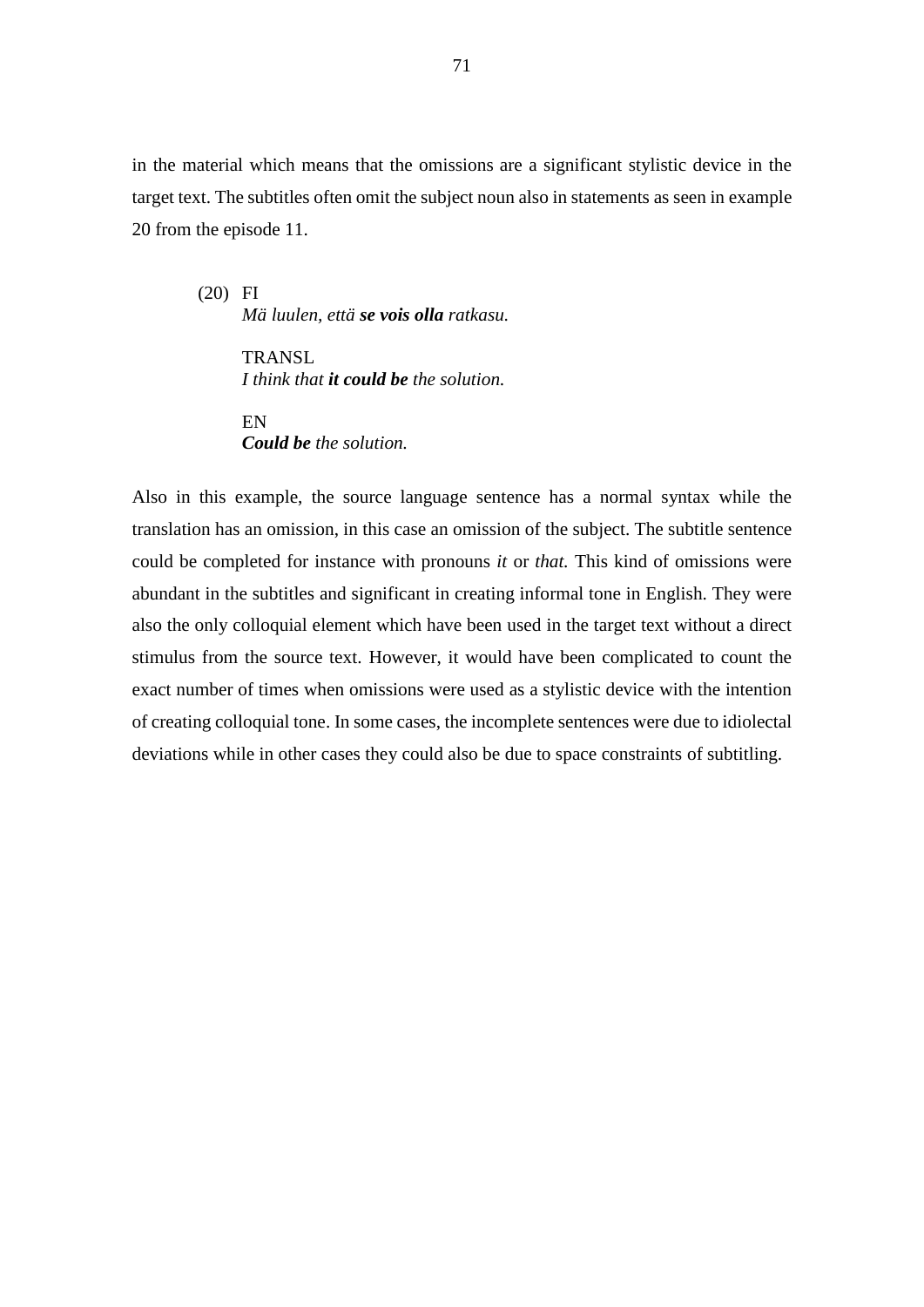in the material which means that the omissions are a significant stylistic device in the target text. The subtitles often omit the subject noun also in statements as seen in example 20 from the episode 11.

(20) FI *Mä luulen, että se vois olla ratkasu.*

> **TRANSL** *I think that it could be the solution.*

EN *Could be the solution.*

Also in this example, the source language sentence has a normal syntax while the translation has an omission, in this case an omission of the subject. The subtitle sentence could be completed for instance with pronouns *it* or *that.* This kind of omissions were abundant in the subtitles and significant in creating informal tone in English. They were also the only colloquial element which have been used in the target text without a direct stimulus from the source text. However, it would have been complicated to count the exact number of times when omissions were used as a stylistic device with the intention of creating colloquial tone. In some cases, the incomplete sentences were due to idiolectal deviations while in other cases they could also be due to space constraints of subtitling.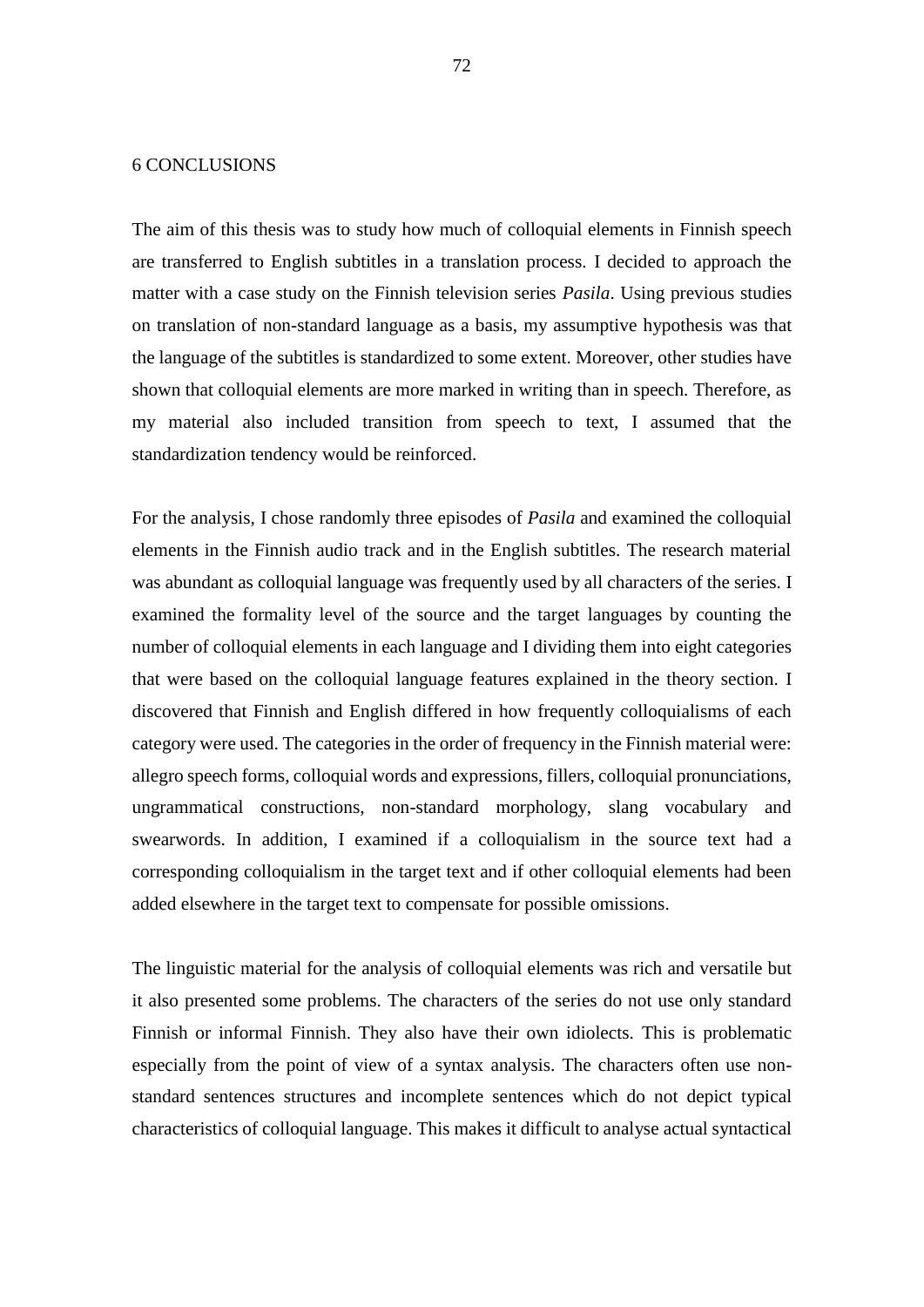## 6 CONCLUSIONS

The aim of this thesis was to study how much of colloquial elements in Finnish speech are transferred to English subtitles in a translation process. I decided to approach the matter with a case study on the Finnish television series *Pasila*. Using previous studies on translation of non-standard language as a basis, my assumptive hypothesis was that the language of the subtitles is standardized to some extent. Moreover, other studies have shown that colloquial elements are more marked in writing than in speech. Therefore, as my material also included transition from speech to text, I assumed that the standardization tendency would be reinforced.

For the analysis, I chose randomly three episodes of *Pasila* and examined the colloquial elements in the Finnish audio track and in the English subtitles. The research material was abundant as colloquial language was frequently used by all characters of the series. I examined the formality level of the source and the target languages by counting the number of colloquial elements in each language and I dividing them into eight categories that were based on the colloquial language features explained in the theory section. I discovered that Finnish and English differed in how frequently colloquialisms of each category were used. The categories in the order of frequency in the Finnish material were: allegro speech forms, colloquial words and expressions, fillers, colloquial pronunciations, ungrammatical constructions, non-standard morphology, slang vocabulary and swearwords. In addition, I examined if a colloquialism in the source text had a corresponding colloquialism in the target text and if other colloquial elements had been added elsewhere in the target text to compensate for possible omissions.

The linguistic material for the analysis of colloquial elements was rich and versatile but it also presented some problems. The characters of the series do not use only standard Finnish or informal Finnish. They also have their own idiolects. This is problematic especially from the point of view of a syntax analysis. The characters often use nonstandard sentences structures and incomplete sentences which do not depict typical characteristics of colloquial language. This makes it difficult to analyse actual syntactical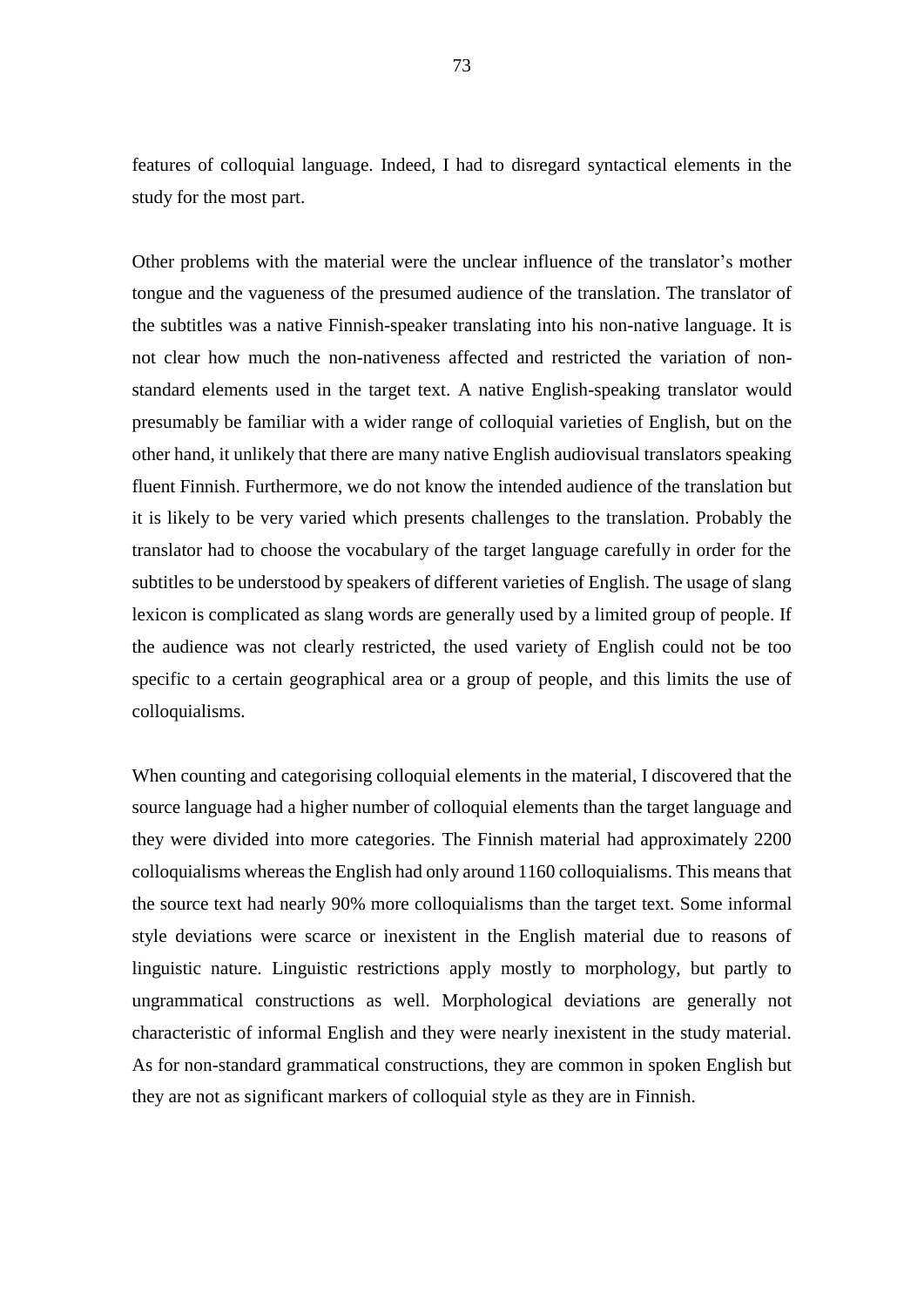features of colloquial language. Indeed, I had to disregard syntactical elements in the study for the most part.

Other problems with the material were the unclear influence of the translator's mother tongue and the vagueness of the presumed audience of the translation. The translator of the subtitles was a native Finnish-speaker translating into his non-native language. It is not clear how much the non-nativeness affected and restricted the variation of nonstandard elements used in the target text. A native English-speaking translator would presumably be familiar with a wider range of colloquial varieties of English, but on the other hand, it unlikely that there are many native English audiovisual translators speaking fluent Finnish. Furthermore, we do not know the intended audience of the translation but it is likely to be very varied which presents challenges to the translation. Probably the translator had to choose the vocabulary of the target language carefully in order for the subtitles to be understood by speakers of different varieties of English. The usage of slang lexicon is complicated as slang words are generally used by a limited group of people. If the audience was not clearly restricted, the used variety of English could not be too specific to a certain geographical area or a group of people, and this limits the use of colloquialisms.

When counting and categorising colloquial elements in the material, I discovered that the source language had a higher number of colloquial elements than the target language and they were divided into more categories. The Finnish material had approximately 2200 colloquialisms whereas the English had only around 1160 colloquialisms. This means that the source text had nearly 90% more colloquialisms than the target text. Some informal style deviations were scarce or inexistent in the English material due to reasons of linguistic nature. Linguistic restrictions apply mostly to morphology, but partly to ungrammatical constructions as well. Morphological deviations are generally not characteristic of informal English and they were nearly inexistent in the study material. As for non-standard grammatical constructions, they are common in spoken English but they are not as significant markers of colloquial style as they are in Finnish.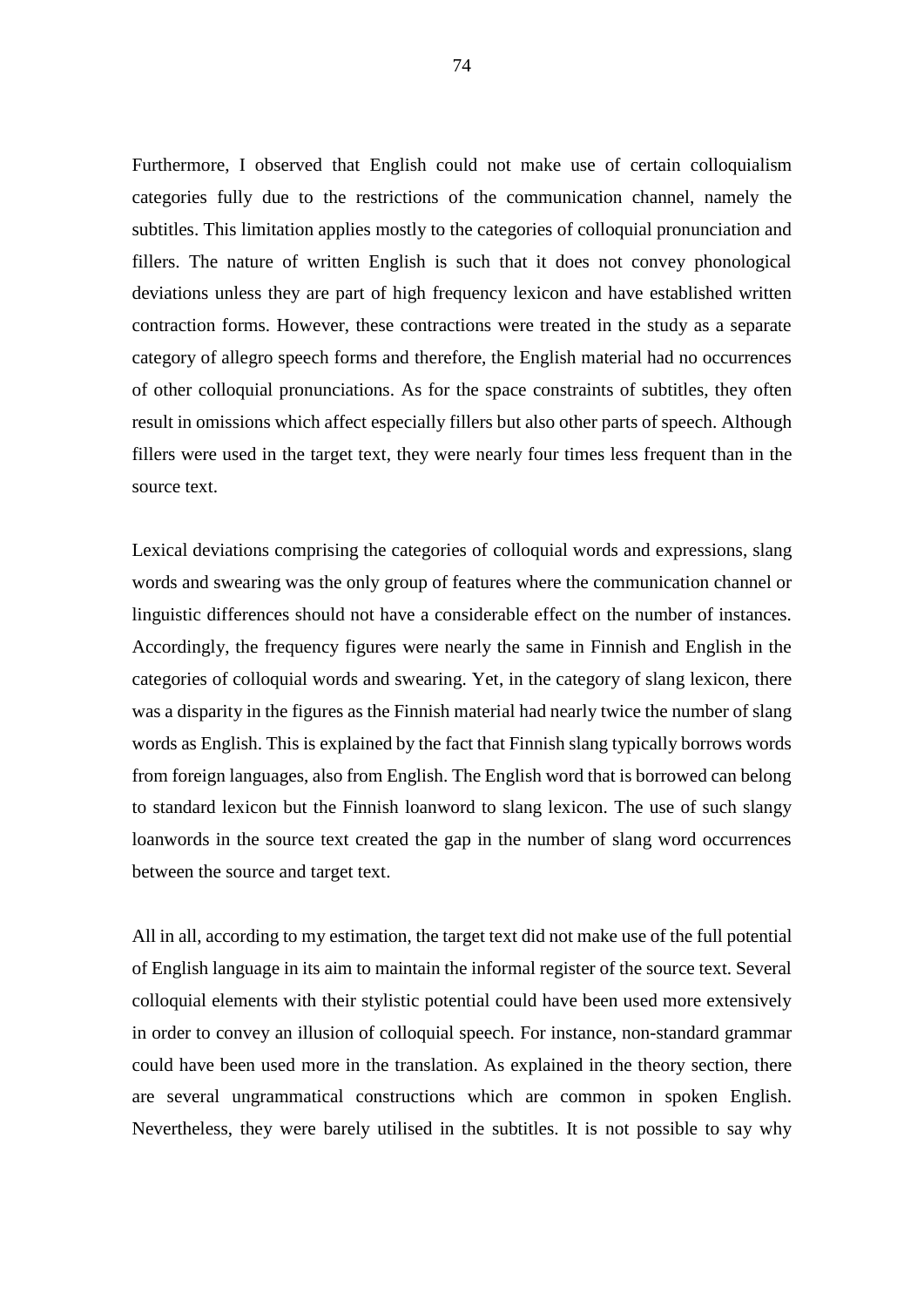Furthermore, I observed that English could not make use of certain colloquialism categories fully due to the restrictions of the communication channel, namely the subtitles. This limitation applies mostly to the categories of colloquial pronunciation and fillers. The nature of written English is such that it does not convey phonological deviations unless they are part of high frequency lexicon and have established written contraction forms. However, these contractions were treated in the study as a separate category of allegro speech forms and therefore, the English material had no occurrences of other colloquial pronunciations. As for the space constraints of subtitles, they often result in omissions which affect especially fillers but also other parts of speech. Although fillers were used in the target text, they were nearly four times less frequent than in the source text.

Lexical deviations comprising the categories of colloquial words and expressions, slang words and swearing was the only group of features where the communication channel or linguistic differences should not have a considerable effect on the number of instances. Accordingly, the frequency figures were nearly the same in Finnish and English in the categories of colloquial words and swearing. Yet, in the category of slang lexicon, there was a disparity in the figures as the Finnish material had nearly twice the number of slang words as English. This is explained by the fact that Finnish slang typically borrows words from foreign languages, also from English. The English word that is borrowed can belong to standard lexicon but the Finnish loanword to slang lexicon. The use of such slangy loanwords in the source text created the gap in the number of slang word occurrences between the source and target text.

All in all, according to my estimation, the target text did not make use of the full potential of English language in its aim to maintain the informal register of the source text. Several colloquial elements with their stylistic potential could have been used more extensively in order to convey an illusion of colloquial speech. For instance, non-standard grammar could have been used more in the translation. As explained in the theory section, there are several ungrammatical constructions which are common in spoken English. Nevertheless, they were barely utilised in the subtitles. It is not possible to say why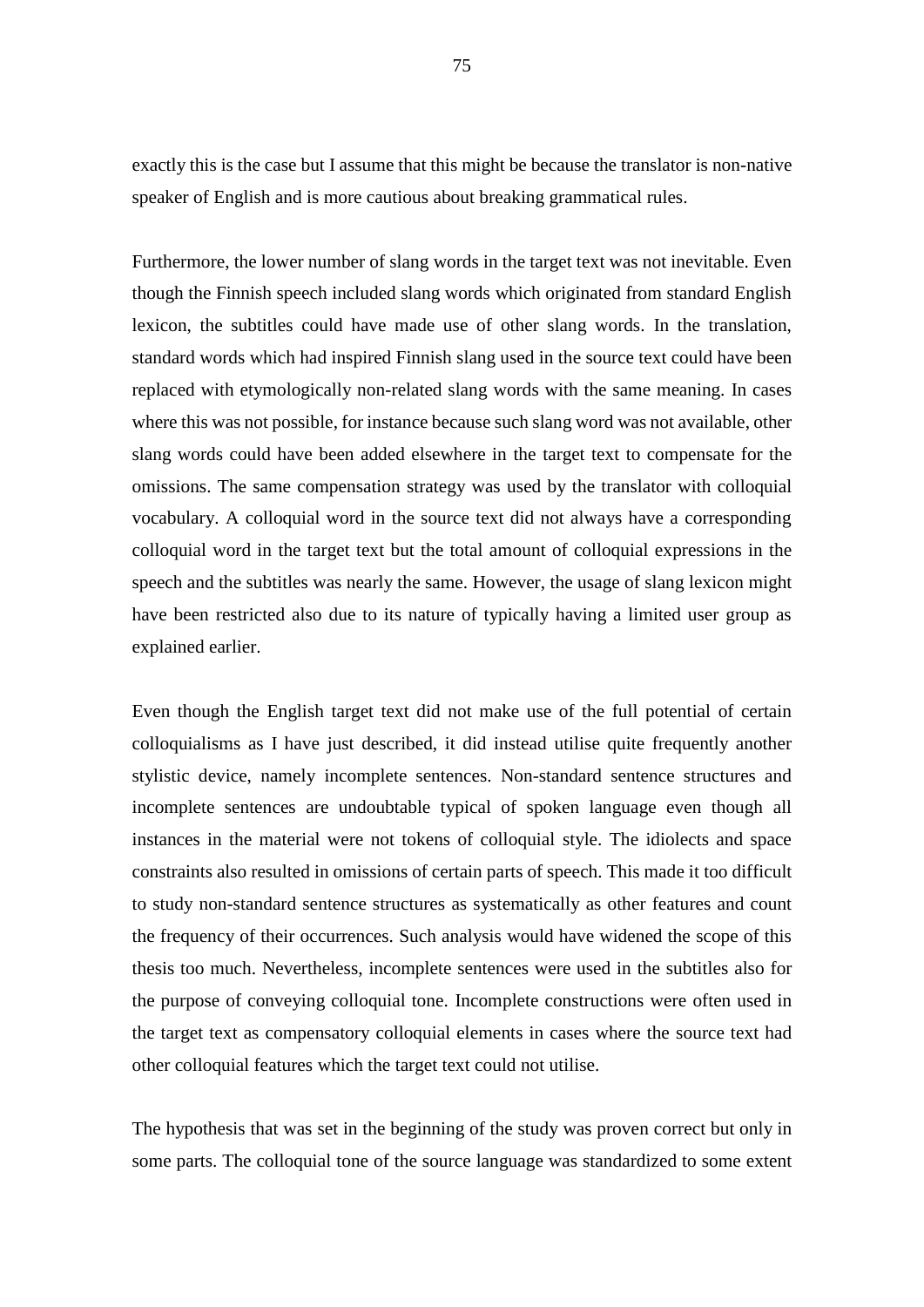exactly this is the case but I assume that this might be because the translator is non-native speaker of English and is more cautious about breaking grammatical rules.

Furthermore, the lower number of slang words in the target text was not inevitable. Even though the Finnish speech included slang words which originated from standard English lexicon, the subtitles could have made use of other slang words. In the translation, standard words which had inspired Finnish slang used in the source text could have been replaced with etymologically non-related slang words with the same meaning. In cases where this was not possible, for instance because such slang word was not available, other slang words could have been added elsewhere in the target text to compensate for the omissions. The same compensation strategy was used by the translator with colloquial vocabulary. A colloquial word in the source text did not always have a corresponding colloquial word in the target text but the total amount of colloquial expressions in the speech and the subtitles was nearly the same. However, the usage of slang lexicon might have been restricted also due to its nature of typically having a limited user group as explained earlier.

Even though the English target text did not make use of the full potential of certain colloquialisms as I have just described, it did instead utilise quite frequently another stylistic device, namely incomplete sentences. Non-standard sentence structures and incomplete sentences are undoubtable typical of spoken language even though all instances in the material were not tokens of colloquial style. The idiolects and space constraints also resulted in omissions of certain parts of speech. This made it too difficult to study non-standard sentence structures as systematically as other features and count the frequency of their occurrences. Such analysis would have widened the scope of this thesis too much. Nevertheless, incomplete sentences were used in the subtitles also for the purpose of conveying colloquial tone. Incomplete constructions were often used in the target text as compensatory colloquial elements in cases where the source text had other colloquial features which the target text could not utilise.

The hypothesis that was set in the beginning of the study was proven correct but only in some parts. The colloquial tone of the source language was standardized to some extent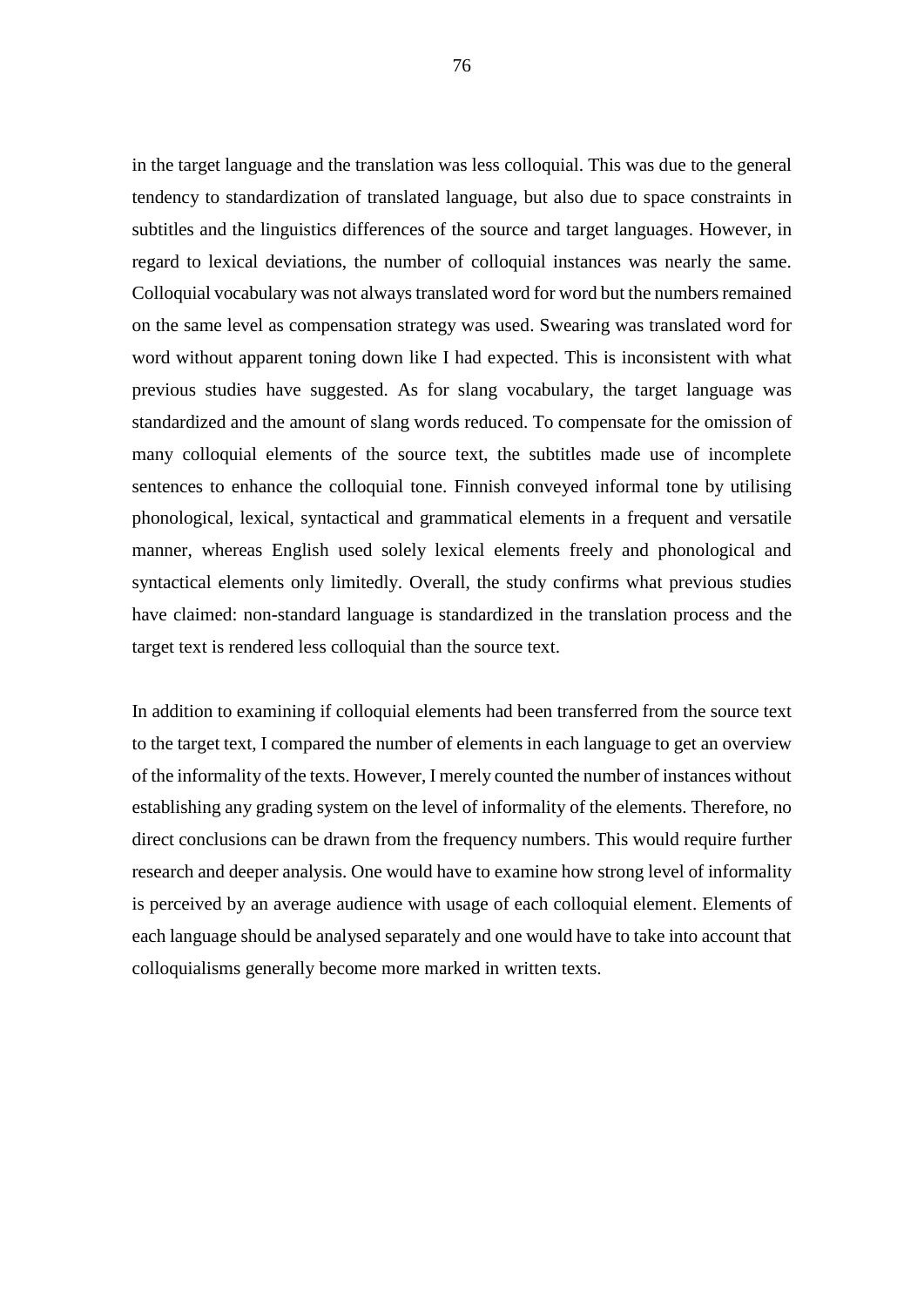in the target language and the translation was less colloquial. This was due to the general tendency to standardization of translated language, but also due to space constraints in subtitles and the linguistics differences of the source and target languages. However, in regard to lexical deviations, the number of colloquial instances was nearly the same. Colloquial vocabulary was not always translated word for word but the numbers remained on the same level as compensation strategy was used. Swearing was translated word for word without apparent toning down like I had expected. This is inconsistent with what previous studies have suggested. As for slang vocabulary, the target language was standardized and the amount of slang words reduced. To compensate for the omission of many colloquial elements of the source text, the subtitles made use of incomplete sentences to enhance the colloquial tone. Finnish conveyed informal tone by utilising phonological, lexical, syntactical and grammatical elements in a frequent and versatile manner, whereas English used solely lexical elements freely and phonological and syntactical elements only limitedly. Overall, the study confirms what previous studies have claimed: non-standard language is standardized in the translation process and the target text is rendered less colloquial than the source text.

In addition to examining if colloquial elements had been transferred from the source text to the target text, I compared the number of elements in each language to get an overview of the informality of the texts. However, I merely counted the number of instances without establishing any grading system on the level of informality of the elements. Therefore, no direct conclusions can be drawn from the frequency numbers. This would require further research and deeper analysis. One would have to examine how strong level of informality is perceived by an average audience with usage of each colloquial element. Elements of each language should be analysed separately and one would have to take into account that colloquialisms generally become more marked in written texts.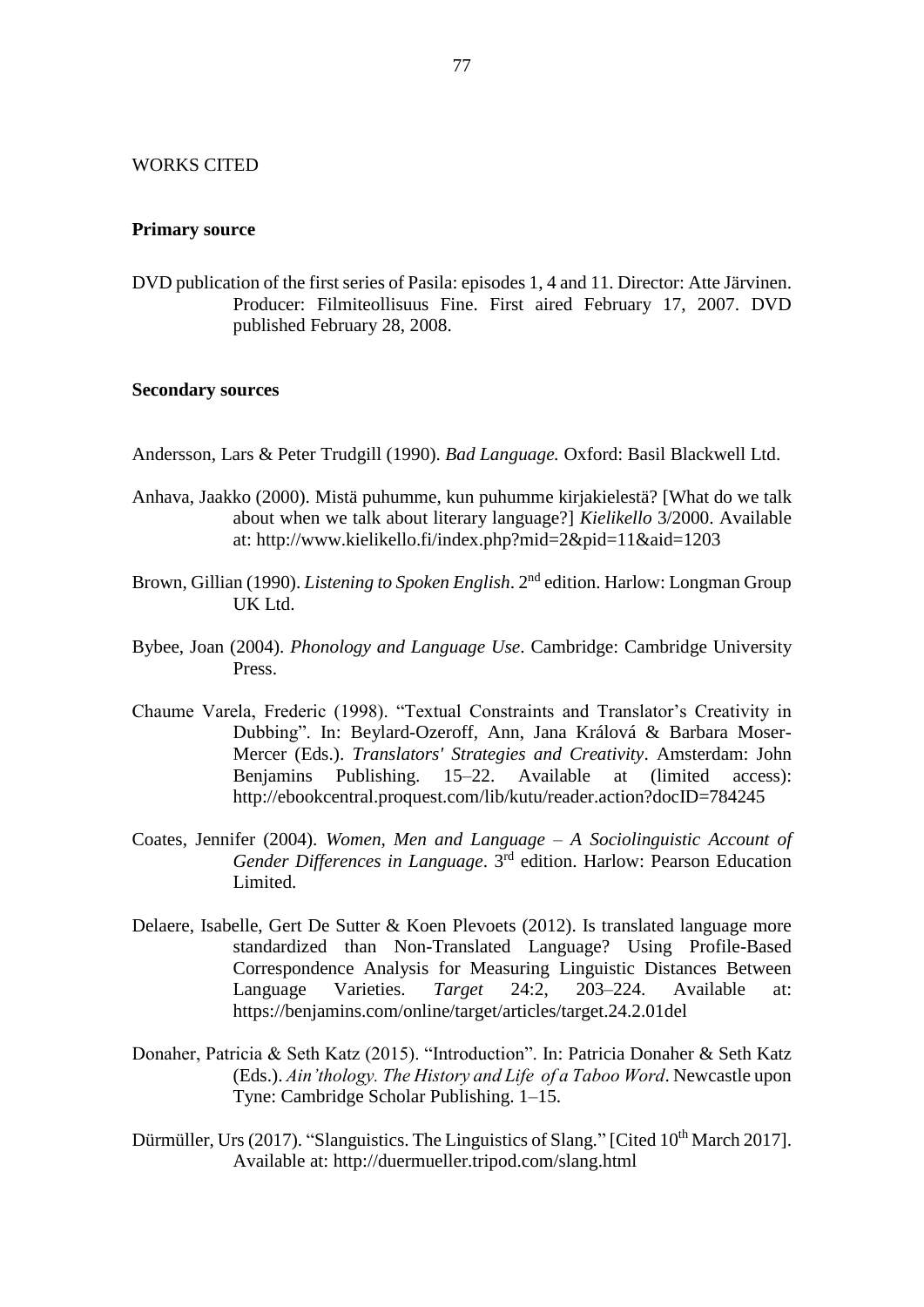## WORKS CITED

## **Primary source**

DVD publication of the first series of Pasila: episodes 1, 4 and 11. Director: Atte Järvinen. Producer: Filmiteollisuus Fine. First aired February 17, 2007. DVD published February 28, 2008.

## **Secondary sources**

- Andersson, Lars & Peter Trudgill (1990). *Bad Language.* Oxford: Basil Blackwell Ltd.
- Anhava, Jaakko (2000). Mistä puhumme, kun puhumme kirjakielestä? [What do we talk about when we talk about literary language?] *Kielikello* 3/2000. Available at: http://www.kielikello.fi/index.php?mid=2&pid=11&aid=1203
- Brown, Gillian (1990). *Listening to Spoken English*. 2nd edition. Harlow: Longman Group UK Ltd.
- Bybee, Joan (2004). *Phonology and Language Use*. Cambridge: Cambridge University Press.
- Chaume Varela, Frederic (1998). "Textual Constraints and Translator's Creativity in Dubbing". In: Beylard-Ozeroff, Ann, Jana Králová & Barbara Moser-Mercer (Eds.). *Translators' Strategies and Creativity*. Amsterdam: John Benjamins Publishing. 15–22. Available at (limited access): http://ebookcentral.proquest.com/lib/kutu/reader.action?docID=784245
- Coates, Jennifer (2004). *Women, Men and Language – A Sociolinguistic Account of Gender Differences in Language*. 3rd edition. Harlow: Pearson Education Limited.
- Delaere, Isabelle, Gert De Sutter & Koen Plevoets (2012). Is translated language more standardized than Non-Translated Language? Using Profile-Based Correspondence Analysis for Measuring Linguistic Distances Between Language Varieties. *Target* 24:2, 203–224. Available at: https://benjamins.com/online/target/articles/target.24.2.01del
- Donaher, Patricia & Seth Katz (2015). "Introduction". In: Patricia Donaher & Seth Katz (Eds.). *Ain'thology. The History and Life of a Taboo Word*. Newcastle upon Tyne: Cambridge Scholar Publishing. 1–15.
- Dürmüller, Urs (2017). "Slanguistics. The Linguistics of Slang." [Cited 10<sup>th</sup> March 2017]. Available at: http://duermueller.tripod.com/slang.html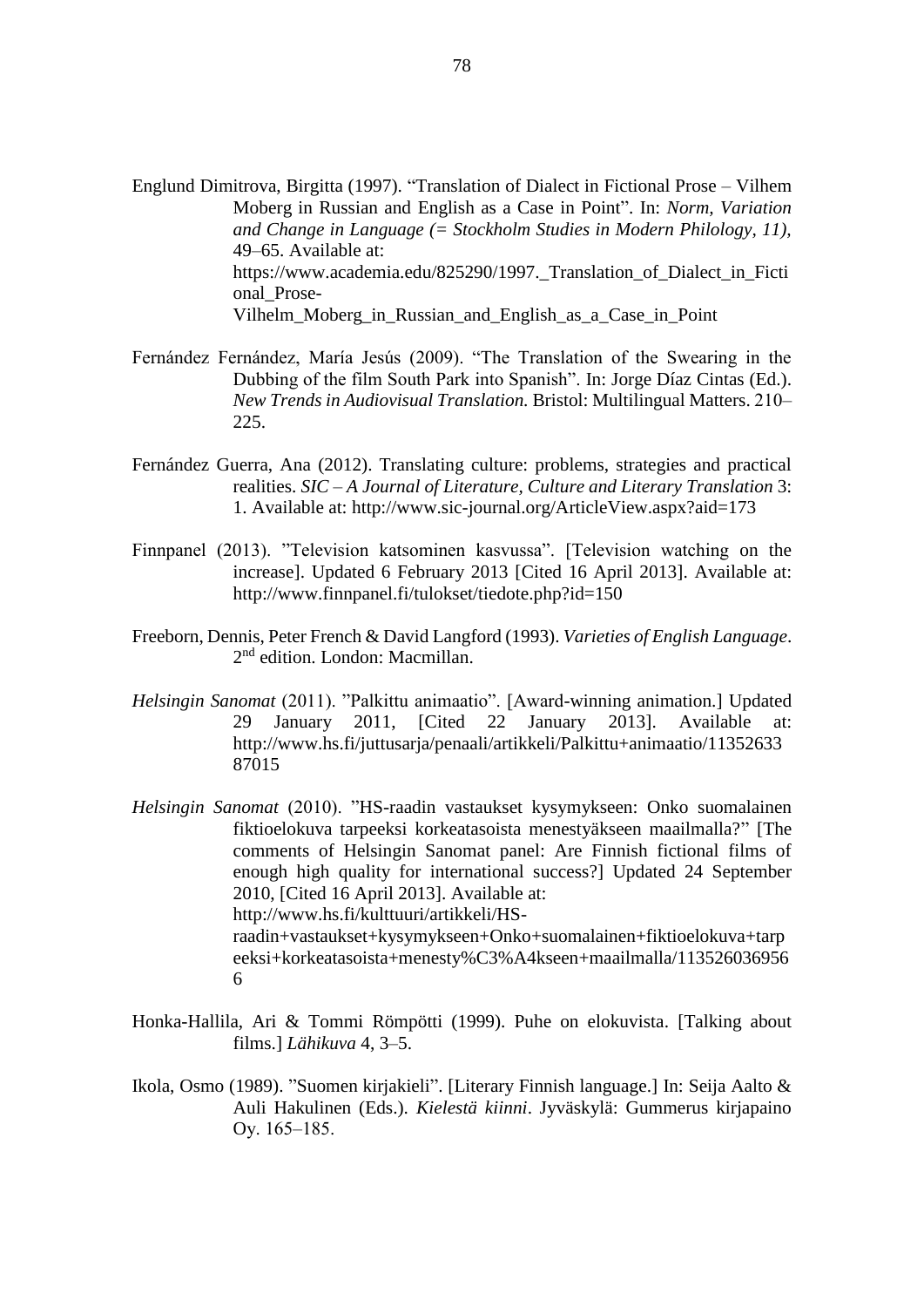- Englund Dimitrova, Birgitta (1997). "Translation of Dialect in Fictional Prose Vilhem Moberg in Russian and English as a Case in Point". In: *Norm, Variation and Change in Language (= Stockholm Studies in Modern Philology, 11),* 49–65. Available at: https://www.academia.edu/825290/1997.\_Translation\_of\_Dialect\_in\_Ficti onal\_Prose-Vilhelm Moberg in Russian and English as a Case in Point
- Fernández Fernández, María Jesús (2009). "The Translation of the Swearing in the Dubbing of the film South Park into Spanish". In: Jorge Díaz Cintas (Ed.). *New Trends in Audiovisual Translation.* Bristol: Multilingual Matters. 210– 225.
- Fernández Guerra, Ana (2012). Translating culture: problems, strategies and practical realities. *SIC – A Journal of Literature, Culture and Literary Translation* 3: 1. Available at: http://www.sic-journal.org/ArticleView.aspx?aid=173
- Finnpanel (2013). "Television katsominen kasvussa". [Television watching on the increase]. Updated 6 February 2013 [Cited 16 April 2013]. Available at: http://www.finnpanel.fi/tulokset/tiedote.php?id=150
- Freeborn, Dennis, Peter French & David Langford (1993). *Varieties of English Language*. 2<sup>nd</sup> edition. London: Macmillan.
- *Helsingin Sanomat* (2011). "Palkittu animaatio". [Award-winning animation.] Updated 29 January 2011, [Cited 22 January 2013]. Available at: http://www.hs.fi/juttusarja/penaali/artikkeli/Palkittu+animaatio/11352633 87015
- *Helsingin Sanomat* (2010). "HS-raadin vastaukset kysymykseen: Onko suomalainen fiktioelokuva tarpeeksi korkeatasoista menestyäkseen maailmalla?" [The comments of Helsingin Sanomat panel: Are Finnish fictional films of enough high quality for international success?] Updated 24 September 2010, [Cited 16 April 2013]. Available at: http://www.hs.fi/kulttuuri/artikkeli/HSraadin+vastaukset+kysymykseen+Onko+suomalainen+fiktioelokuva+tarp eeksi+korkeatasoista+menesty%C3%A4kseen+maailmalla/113526036956 6
- Honka-Hallila, Ari & Tommi Römpötti (1999). Puhe on elokuvista. [Talking about films.] *Lähikuva* 4, 3–5.
- Ikola, Osmo (1989). "Suomen kirjakieli". [Literary Finnish language.] In: Seija Aalto & Auli Hakulinen (Eds.). *Kielestä kiinni*. Jyväskylä: Gummerus kirjapaino Oy. 165-185.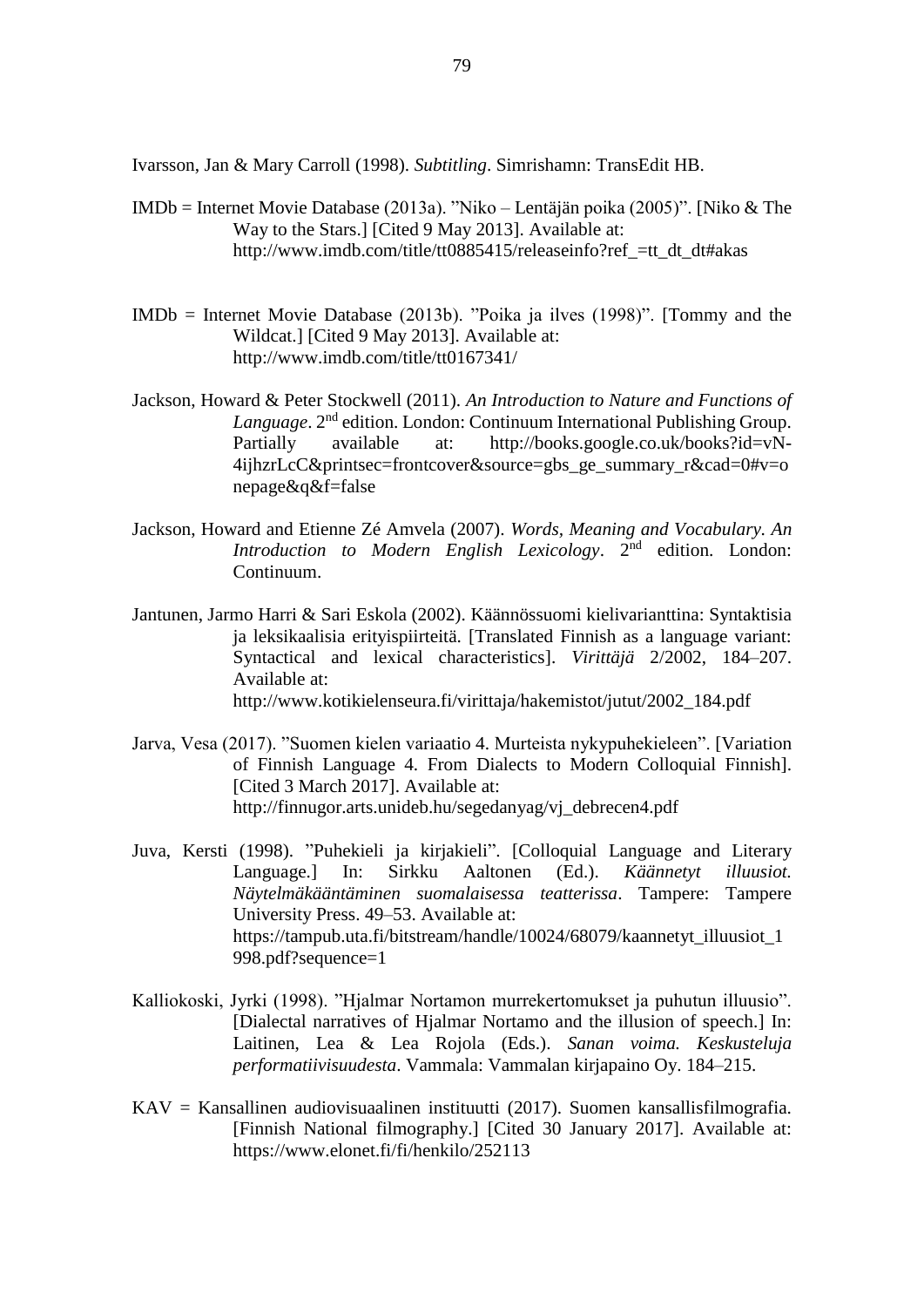Ivarsson, Jan & Mary Carroll (1998). *Subtitling*. Simrishamn: TransEdit HB.

- IMDb = Internet Movie Database (2013a). "Niko Lentäjän poika (2005)". [Niko & The Way to the Stars.] [Cited 9 May 2013]. Available at: http://www.imdb.com/title/tt0885415/releaseinfo?ref\_tt\_dt\_dt#akas
- IMDb = Internet Movie Database (2013b). "Poika ja ilves (1998)". [Tommy and the Wildcat.] [Cited 9 May 2013]. Available at: http://www.imdb.com/title/tt0167341/
- Jackson, Howard & Peter Stockwell (2011). *An Introduction to Nature and Functions of*  Language. 2<sup>nd</sup> edition. London: Continuum International Publishing Group. Partially available at: http://books.google.co.uk/books?id=vN-4ijhzrLcC&printsec=frontcover&source=gbs\_ge\_summary\_r&cad=0#v=o nepage&q&f=false
- Jackson, Howard and Etienne Zé Amvela (2007). *Words, Meaning and Vocabulary. An*  Introduction to Modern English Lexicology. 2<sup>nd</sup> edition. London: Continuum.
- Jantunen, Jarmo Harri & Sari Eskola (2002). Käännössuomi kielivarianttina: Syntaktisia ja leksikaalisia erityispiirteitä. [Translated Finnish as a language variant: Syntactical and lexical characteristics]. *Virittäjä* 2/2002, 184–207. Available at: http://www.kotikielenseura.fi/virittaja/hakemistot/jutut/2002\_184.pdf
- Jarva, Vesa (2017). "Suomen kielen variaatio 4. Murteista nykypuhekieleen". [Variation of Finnish Language 4. From Dialects to Modern Colloquial Finnish]. [Cited 3 March 2017]. Available at: http://finnugor.arts.unideb.hu/segedanyag/vj\_debrecen4.pdf
- Juva, Kersti (1998). "Puhekieli ja kirjakieli". [Colloquial Language and Literary Language.] In: Sirkku Aaltonen (Ed.). *Käännetyt illuusiot. Näytelmäkääntäminen suomalaisessa teatterissa*. Tampere: Tampere University Press. 49–53. Available at: https://tampub.uta.fi/bitstream/handle/10024/68079/kaannetyt\_illuusiot\_1 998.pdf?sequence=1
- Kalliokoski, Jyrki (1998). "Hjalmar Nortamon murrekertomukset ja puhutun illuusio". [Dialectal narratives of Hjalmar Nortamo and the illusion of speech.] In: Laitinen, Lea & Lea Rojola (Eds.). *Sanan voima. Keskusteluja performatiivisuudesta*. Vammala: Vammalan kirjapaino Oy. 184–215.
- KAV = Kansallinen audiovisuaalinen instituutti (2017). Suomen kansallisfilmografia. [Finnish National filmography.] [Cited 30 January 2017]. Available at: https://www.elonet.fi/fi/henkilo/252113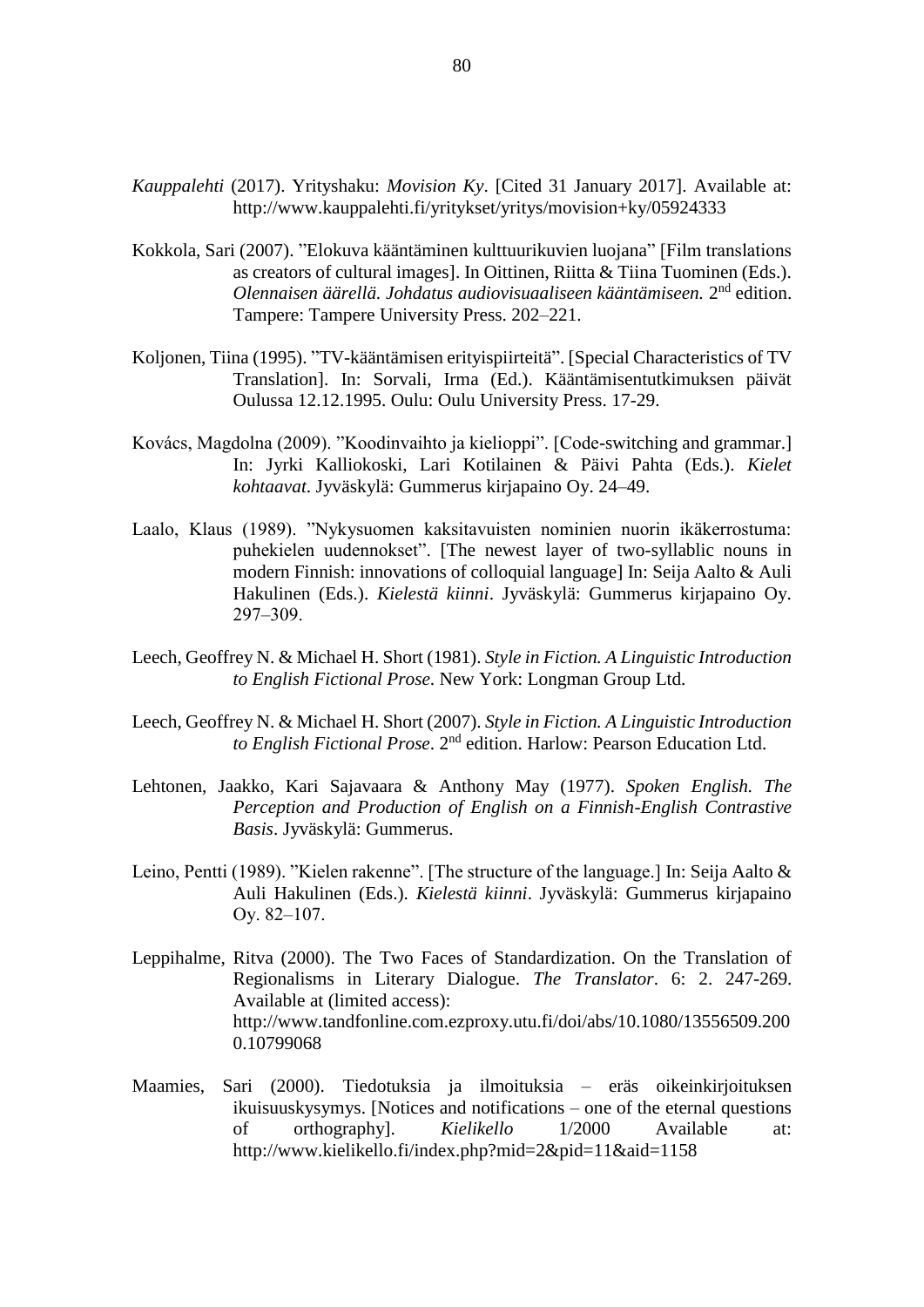- *Kauppalehti* (2017). Yrityshaku: *Movision Ky*. [Cited 31 January 2017]. Available at: http://www.kauppalehti.fi/yritykset/yritys/movision+ky/05924333
- Kokkola, Sari (2007). "Elokuva kääntäminen kulttuurikuvien luojana" [Film translations as creators of cultural images]. In Oittinen, Riitta & Tiina Tuominen (Eds.). Olennaisen äärellä. Johdatus audiovisuaaliseen kääntämiseen. 2<sup>nd</sup> edition. Tampere: Tampere University Press. 202–221.
- Koljonen, Tiina (1995). "TV-kääntämisen erityispiirteitä". [Special Characteristics of TV Translation]. In: Sorvali, Irma (Ed.). Kääntämisentutkimuksen päivät Oulussa 12.12.1995. Oulu: Oulu University Press. 17-29.
- Kovács, Magdolna (2009). "Koodinvaihto ja kielioppi". [Code-switching and grammar.] In: Jyrki Kalliokoski, Lari Kotilainen & Päivi Pahta (Eds.). *Kielet kohtaavat*. Jyväskylä: Gummerus kirjapaino Oy. 24–49.
- Laalo, Klaus (1989). "Nykysuomen kaksitavuisten nominien nuorin ikäkerrostuma: puhekielen uudennokset". [The newest layer of two-syllablic nouns in modern Finnish: innovations of colloquial language] In: Seija Aalto & Auli Hakulinen (Eds.). *Kielestä kiinni*. Jyväskylä: Gummerus kirjapaino Oy. 297‒309.
- Leech, Geoffrey N. & Michael H. Short (1981). *Style in Fiction. A Linguistic Introduction to English Fictional Prose*. New York: Longman Group Ltd.
- Leech, Geoffrey N. & Michael H. Short (2007). *Style in Fiction. A Linguistic Introduction to English Fictional Prose*. 2nd edition. Harlow: Pearson Education Ltd.
- Lehtonen, Jaakko, Kari Sajavaara & Anthony May (1977). *Spoken English. The Perception and Production of English on a Finnish-English Contrastive Basis*. Jyväskylä: Gummerus.
- Leino, Pentti (1989). "Kielen rakenne". [The structure of the language.] In: Seija Aalto & Auli Hakulinen (Eds.). *Kielestä kiinni*. Jyväskylä: Gummerus kirjapaino Ov. 82–107.
- Leppihalme, Ritva (2000). The Two Faces of Standardization. On the Translation of Regionalisms in Literary Dialogue. *The Translator*. 6: 2. 247-269. Available at (limited access): http://www.tandfonline.com.ezproxy.utu.fi/doi/abs/10.1080/13556509.200 0.10799068
- Maamies, Sari (2000). Tiedotuksia ja ilmoituksia eräs oikeinkirjoituksen ikuisuuskysymys. [Notices and notifications – one of the eternal questions of orthography]. *Kielikello* 1/2000 Available at: http://www.kielikello.fi/index.php?mid=2&pid=11&aid=1158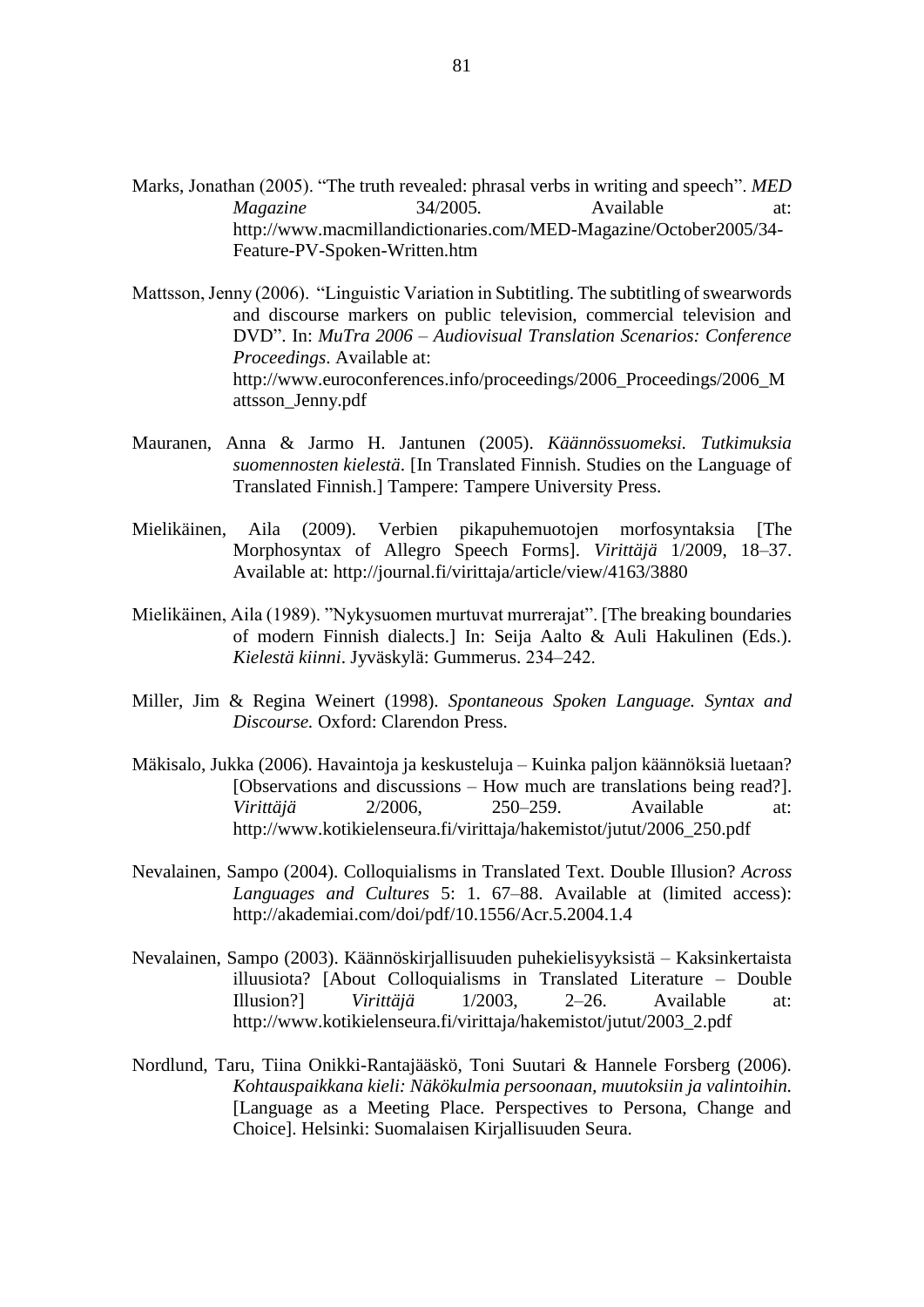- Marks, Jonathan (2005). "The truth revealed: phrasal verbs in writing and speech". *MED Magazine* 34/2005. Available at: http://www.macmillandictionaries.com/MED-Magazine/October2005/34- Feature-PV-Spoken-Written.htm
- Mattsson, Jenny (2006). "Linguistic Variation in Subtitling. The subtitling of swearwords and discourse markers on public television, commercial television and DVD". In: *MuTra 2006 – Audiovisual Translation Scenarios: Conference Proceedings*. Available at: http://www.euroconferences.info/proceedings/2006\_Proceedings/2006\_M attsson\_Jenny.pdf
- Mauranen, Anna & Jarmo H. Jantunen (2005). *Käännössuomeksi. Tutkimuksia suomennosten kielestä*. [In Translated Finnish. Studies on the Language of Translated Finnish.] Tampere: Tampere University Press.
- Mielikäinen, Aila (2009). Verbien pikapuhemuotojen morfosyntaksia [The Morphosyntax of Allegro Speech Forms]. *Virittäjä* 1/2009, 18–37. Available at: http://journal.fi/virittaja/article/view/4163/3880
- Mielikäinen, Aila (1989). "Nykysuomen murtuvat murrerajat". [The breaking boundaries of modern Finnish dialects.] In: Seija Aalto & Auli Hakulinen (Eds.). *Kielestä kiinni*. Jyväskylä: Gummerus. 234‒242.
- Miller, Jim & Regina Weinert (1998). *Spontaneous Spoken Language. Syntax and Discourse.* Oxford: Clarendon Press.
- Mäkisalo, Jukka (2006). Havaintoja ja keskusteluja Kuinka paljon käännöksiä luetaan? [Observations and discussions – How much are translations being read?]. *Virittäjä* 2/2006, 250–259. Available at: http://www.kotikielenseura.fi/virittaja/hakemistot/jutut/2006\_250.pdf
- Nevalainen, Sampo (2004). Colloquialisms in Translated Text. Double Illusion? *Across Languages and Cultures* 5: 1. 67–88. Available at (limited access): http://akademiai.com/doi/pdf/10.1556/Acr.5.2004.1.4
- Nevalainen, Sampo (2003). Käännöskirjallisuuden puhekielisyyksistä Kaksinkertaista illuusiota? [About Colloquialisms in Translated Literature – Double Illusion?] *Virittäjä* 1/2003, 2–26. Available at: http://www.kotikielenseura.fi/virittaja/hakemistot/jutut/2003\_2.pdf
- Nordlund, Taru, Tiina Onikki-Rantajääskö, Toni Suutari & Hannele Forsberg (2006). *Kohtauspaikkana kieli: Näkökulmia persoonaan, muutoksiin ja valintoihin.* [Language as a Meeting Place. Perspectives to Persona, Change and Choice]. Helsinki: Suomalaisen Kirjallisuuden Seura.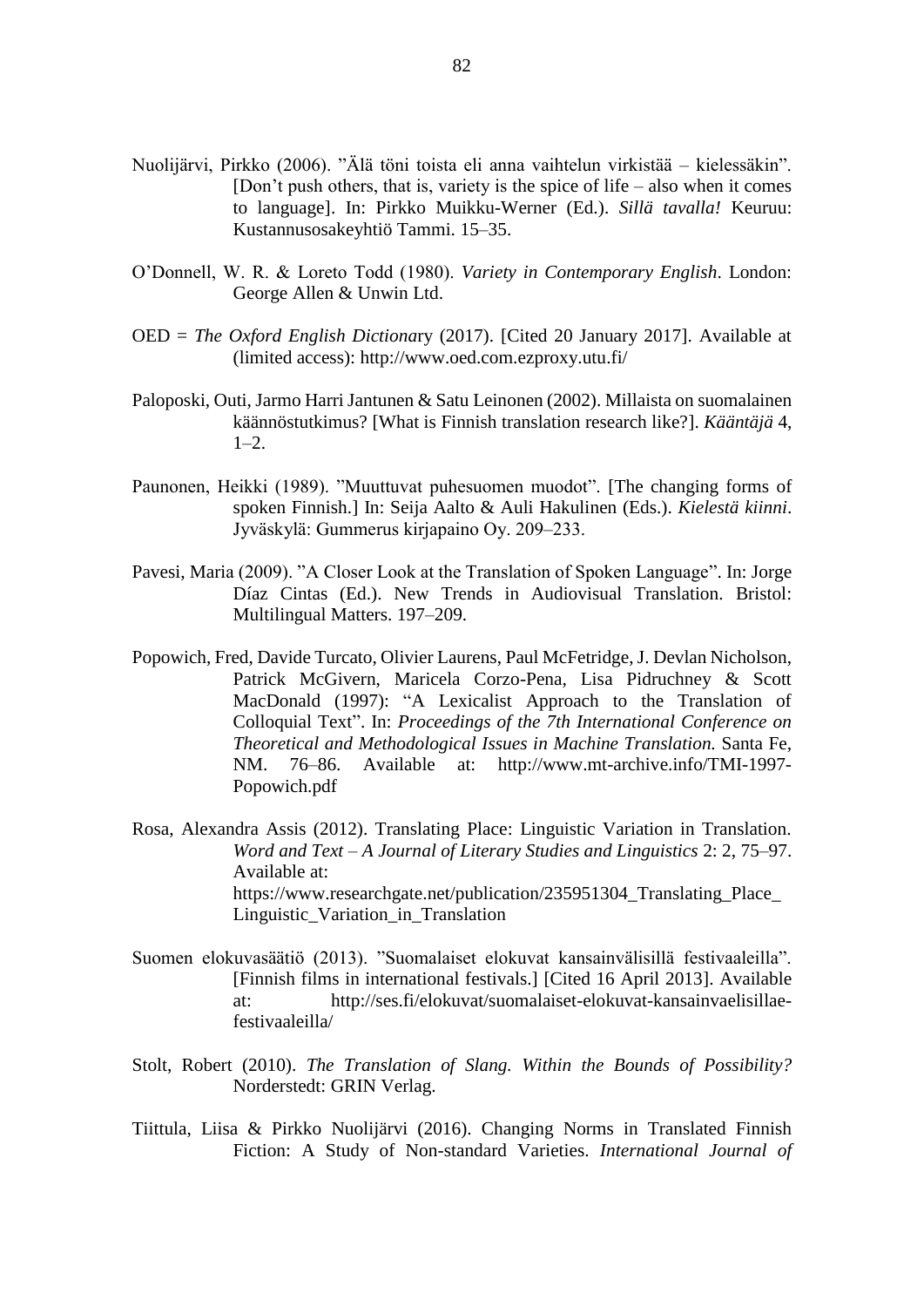- Nuolijärvi, Pirkko (2006). "Älä töni toista eli anna vaihtelun virkistää kielessäkin". [Don't push others, that is, variety is the spice of life – also when it comes to language]. In: Pirkko Muikku-Werner (Ed.). *Sillä tavalla!* Keuruu: Kustannusosakeyhtiö Tammi. 15–35.
- O'Donnell, W. R. & Loreto Todd (1980). *Variety in Contemporary English*. London: George Allen & Unwin Ltd.
- OED = *The Oxford English Dictiona*ry (2017). [Cited 20 January 2017]. Available at (limited access): http://www.oed.com.ezproxy.utu.fi/
- Paloposki, Outi, Jarmo Harri Jantunen & Satu Leinonen (2002). Millaista on suomalainen käännöstutkimus? [What is Finnish translation research like?]. *Kääntäjä* 4,  $1-2.$
- Paunonen, Heikki (1989). "Muuttuvat puhesuomen muodot". [The changing forms of spoken Finnish.] In: Seija Aalto & Auli Hakulinen (Eds.). *Kielestä kiinni*. Jyväskylä: Gummerus kirjapaino Oy. 209–233.
- Pavesi, Maria (2009). "A Closer Look at the Translation of Spoken Language". In: Jorge Díaz Cintas (Ed.). New Trends in Audiovisual Translation. Bristol: Multilingual Matters. 197–209.
- Popowich, Fred, Davide Turcato, Olivier Laurens, Paul McFetridge, J. Devlan Nicholson, Patrick McGivern, Maricela Corzo-Pena, Lisa Pidruchney & Scott MacDonald (1997): "A Lexicalist Approach to the Translation of Colloquial Text". In: *Proceedings of the 7th International Conference on Theoretical and Methodological Issues in Machine Translation.* Santa Fe, NM. 76–86. Available at: http://www.mt-archive.info/TMI-1997- Popowich.pdf
- Rosa, Alexandra Assis (2012). Translating Place: Linguistic Variation in Translation. *Word and Text – A Journal of Literary Studies and Linguistics* 2: 2, 75–97. Available at: https://www.researchgate.net/publication/235951304 Translating Place Linguistic Variation in Translation
- Suomen elokuvasäätiö (2013). "Suomalaiset elokuvat kansainvälisillä festivaaleilla". [Finnish films in international festivals.] [Cited 16 April 2013]. Available at: http://ses.fi/elokuvat/suomalaiset-elokuvat-kansainvaelisillaefestivaaleilla/
- Stolt, Robert (2010). *The Translation of Slang. Within the Bounds of Possibility?* Norderstedt: GRIN Verlag.
- Tiittula, Liisa & Pirkko Nuolijärvi (2016). Changing Norms in Translated Finnish Fiction: A Study of Non-standard Varieties. *International Journal of*